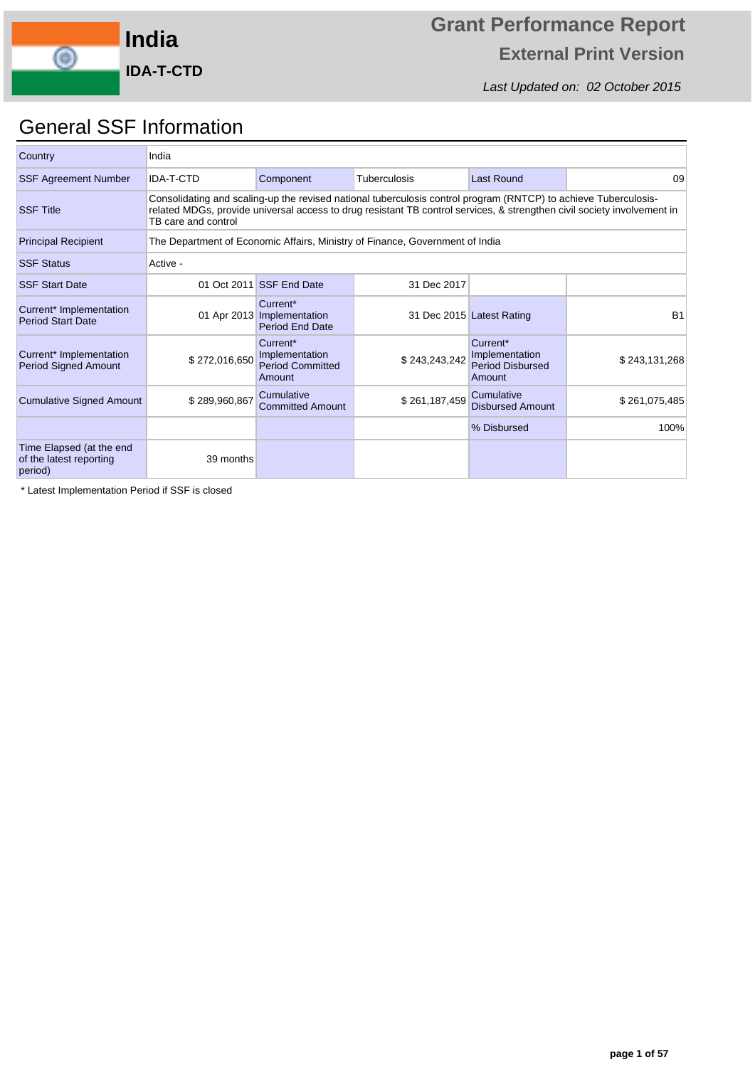

Last Updated on: 02 October 2015

## General SSF Information

| Country                                                        | India               |                                                                  |                                                                                                                                                                                                                                            |                                                                 |               |
|----------------------------------------------------------------|---------------------|------------------------------------------------------------------|--------------------------------------------------------------------------------------------------------------------------------------------------------------------------------------------------------------------------------------------|-----------------------------------------------------------------|---------------|
| <b>SSF Agreement Number</b>                                    | <b>IDA-T-CTD</b>    | Component                                                        | Tuberculosis                                                                                                                                                                                                                               | Last Round                                                      | 09            |
| <b>SSF Title</b>                                               | TB care and control |                                                                  | Consolidating and scaling-up the revised national tuberculosis control program (RNTCP) to achieve Tuberculosis-<br>related MDGs, provide universal access to drug resistant TB control services, & strengthen civil society involvement in |                                                                 |               |
| <b>Principal Recipient</b>                                     |                     |                                                                  | The Department of Economic Affairs, Ministry of Finance, Government of India                                                                                                                                                               |                                                                 |               |
| <b>SSF Status</b>                                              | Active -            |                                                                  |                                                                                                                                                                                                                                            |                                                                 |               |
| <b>SSF Start Date</b>                                          |                     | 01 Oct 2011 SSF End Date                                         | 31 Dec 2017                                                                                                                                                                                                                                |                                                                 |               |
| Current* Implementation<br><b>Period Start Date</b>            |                     | Current*<br>01 Apr 2013 Implementation<br><b>Period End Date</b> |                                                                                                                                                                                                                                            | 31 Dec 2015 Latest Rating                                       | <b>B1</b>     |
| Current* Implementation<br><b>Period Signed Amount</b>         | \$272,016,650       | Current*<br>Implementation<br><b>Period Committed</b><br>Amount  | \$243,243,242                                                                                                                                                                                                                              | Current*<br>Implementation<br><b>Period Disbursed</b><br>Amount | \$243,131,268 |
| <b>Cumulative Signed Amount</b>                                | \$289,960,867       | Cumulative<br><b>Committed Amount</b>                            | \$261,187,459                                                                                                                                                                                                                              | Cumulative<br><b>Disbursed Amount</b>                           | \$261,075,485 |
|                                                                |                     |                                                                  |                                                                                                                                                                                                                                            | % Disbursed                                                     | 100%          |
| Time Elapsed (at the end<br>of the latest reporting<br>period) | 39 months           |                                                                  |                                                                                                                                                                                                                                            |                                                                 |               |

\* Latest Implementation Period if SSF is closed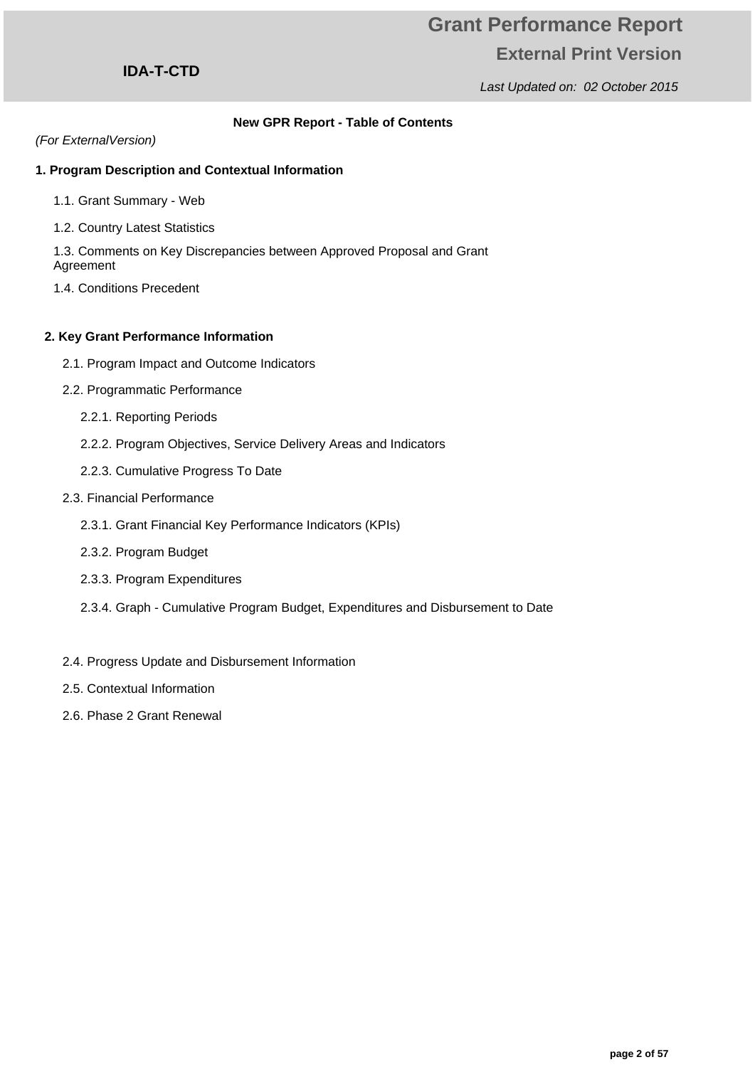Last Updated on: 02 October 2015

### **IDA-T-CTD**

### **New GPR Report - Table of Contents**

#### (For ExternalVersion)

### **1. Program Description and Contextual Information**

- 1.1. Grant Summary Web
- 1.2. Country Latest Statistics

1.3. Comments on Key Discrepancies between Approved Proposal and Grant Agreement

1.4. Conditions Precedent

#### **2. Key Grant Performance Information**

- 2.1. Program Impact and Outcome Indicators
- 2.2. Programmatic Performance
	- 2.2.1. Reporting Periods
	- 2.2.2. Program Objectives, Service Delivery Areas and Indicators
	- 2.2.3. Cumulative Progress To Date
- 2.3. Financial Performance
	- 2.3.1. Grant Financial Key Performance Indicators (KPIs)
	- 2.3.2. Program Budget
	- 2.3.3. Program Expenditures
	- 2.3.4. Graph Cumulative Program Budget, Expenditures and Disbursement to Date
- 2.4. Progress Update and Disbursement Information
- 2.5. Contextual Information
- 2.6. Phase 2 Grant Renewal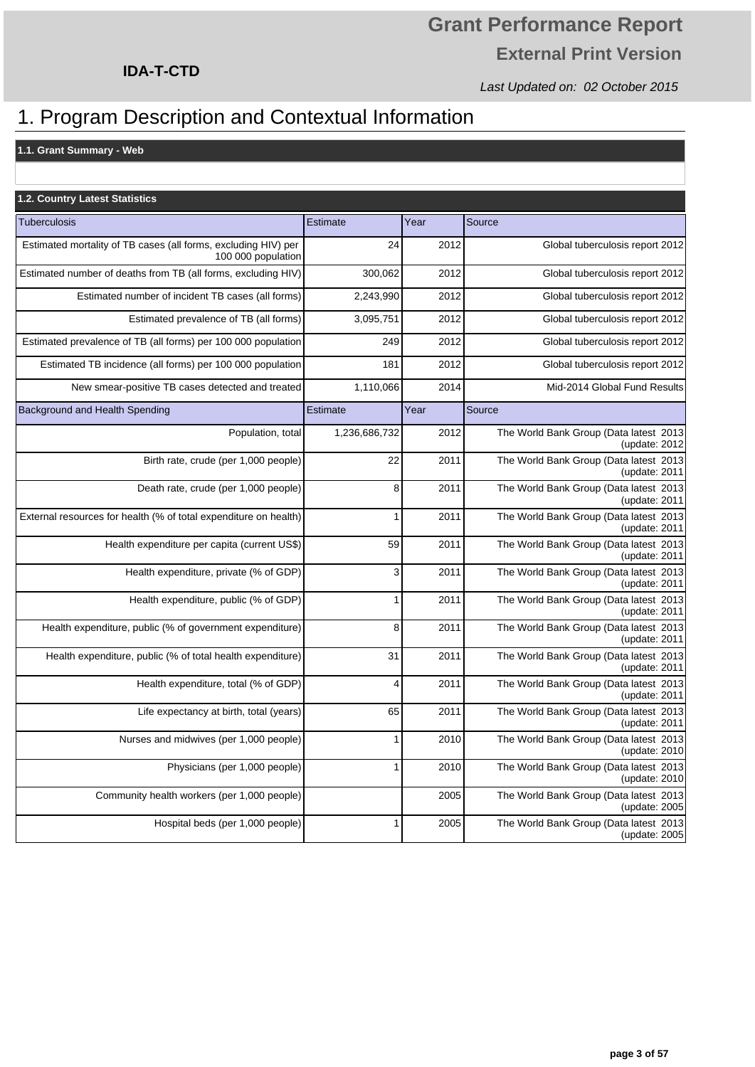Last Updated on: 02 October 2015

### **IDA-T-CTD**

## 1. Program Description and Contextual Information

**1.1. Grant Summary - Web**

| 1.2. Country Latest Statistics                                                       |               |      |                                                            |
|--------------------------------------------------------------------------------------|---------------|------|------------------------------------------------------------|
| <b>Tuberculosis</b>                                                                  | Estimate      | Year | Source                                                     |
| Estimated mortality of TB cases (all forms, excluding HIV) per<br>100 000 population | 24            | 2012 | Global tuberculosis report 2012                            |
| Estimated number of deaths from TB (all forms, excluding HIV)                        | 300,062       | 2012 | Global tuberculosis report 2012                            |
| Estimated number of incident TB cases (all forms)                                    | 2,243,990     | 2012 | Global tuberculosis report 2012                            |
| Estimated prevalence of TB (all forms)                                               | 3,095,751     | 2012 | Global tuberculosis report 2012                            |
| Estimated prevalence of TB (all forms) per 100 000 population                        | 249           | 2012 | Global tuberculosis report 2012                            |
| Estimated TB incidence (all forms) per 100 000 population                            | 181           | 2012 | Global tuberculosis report 2012                            |
| New smear-positive TB cases detected and treated                                     | 1,110,066     | 2014 | Mid-2014 Global Fund Results                               |
| Background and Health Spending                                                       | Estimate      | Year | Source                                                     |
| Population, total                                                                    | 1,236,686,732 | 2012 | The World Bank Group (Data latest 2013)<br>(update: 2012)  |
| Birth rate, crude (per 1,000 people)                                                 | 22            | 2011 | The World Bank Group (Data latest 2013)<br>(update: 2011)  |
| Death rate, crude (per 1,000 people)                                                 | 8             | 2011 | The World Bank Group (Data latest 2013)<br>(update: 2011)  |
| External resources for health (% of total expenditure on health)                     | 1             | 2011 | The World Bank Group (Data latest 2013)<br>(update: 2011)  |
| Health expenditure per capita (current US\$)                                         | 59            | 2011 | The World Bank Group (Data latest 2013)<br>(update: 2011)  |
| Health expenditure, private (% of GDP)                                               | 3             | 2011 | The World Bank Group (Data latest 2013)<br>(update: 2011)  |
| Health expenditure, public (% of GDP)                                                | 1             | 2011 | The World Bank Group (Data latest 2013)<br>(update: 2011)  |
| Health expenditure, public (% of government expenditure)                             | 8             | 2011 | The World Bank Group (Data latest 2013)<br>(update: 2011)  |
| Health expenditure, public (% of total health expenditure)                           | 31            | 2011 | The World Bank Group (Data latest 2013)<br>(update: 2011)  |
| Health expenditure, total (% of GDP)                                                 | 4             | 2011 | The World Bank Group (Data latest 2013)<br>(update: 2011)  |
| Life expectancy at birth, total (years)                                              | 65            | 2011 | The World Bank Group (Data latest 2013)<br>(update: $2011$ |
| Nurses and midwives (per 1,000 people)                                               | 1             | 2010 | The World Bank Group (Data latest 2013)<br>(update: $2010$ |
| Physicians (per 1,000 people)                                                        | 1             | 2010 | The World Bank Group (Data latest 2013)<br>(update: 2010)  |
| Community health workers (per 1,000 people)                                          |               | 2005 | The World Bank Group (Data latest 2013)<br>(update: 2005)  |
| Hospital beds (per 1,000 people)                                                     | 1             | 2005 | The World Bank Group (Data latest 2013)<br>(update: 2005)  |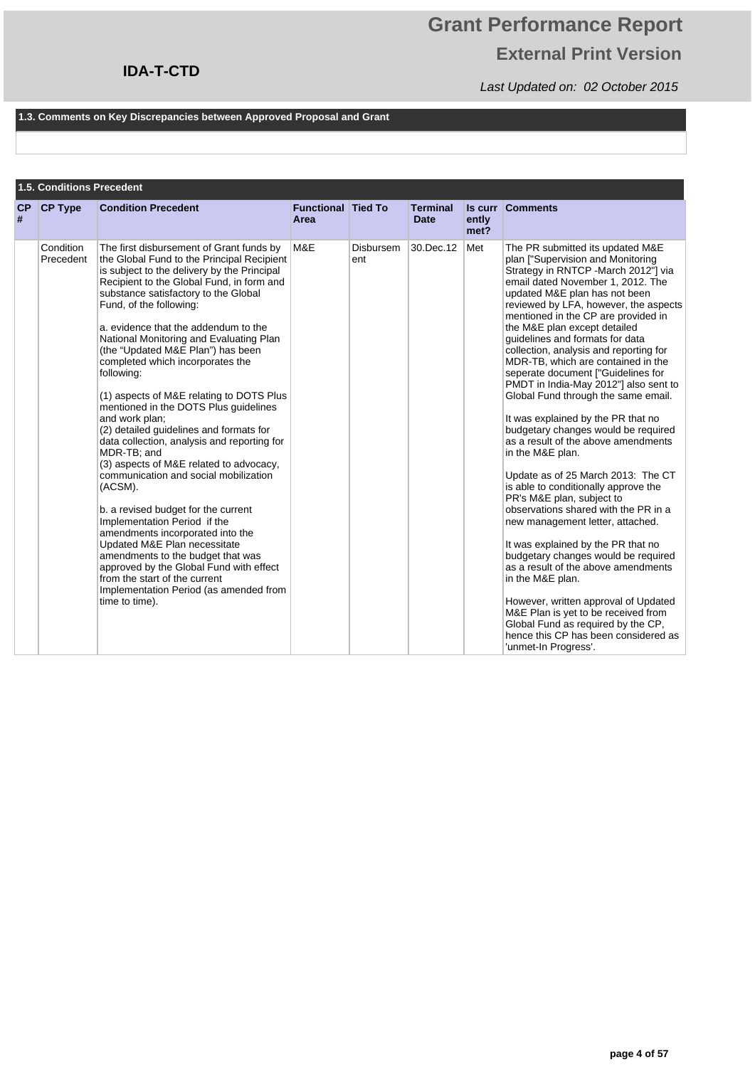## **Grant Performance Report External Print Version**

Last Updated on: 02 October 2015

#### **1.3. Comments on Key Discrepancies between Approved Proposal and Grant**

|         | <b>1.5. Conditions Precedent</b> |                                                                                                                                                                                                                                                                                                                                                                                                                                                                                                                                                                                                                                                                                                                                                                                                                                                                                                                                                                                                                                                                        |                                   |                  |                                |                                 |                                                                                                                                                                                                                                                                                                                                                                                                                                                                                                                                                                                                                                                                                                                                                                                                                                                                                                                                                                                                                                                                                                                                                                                                          |
|---------|----------------------------------|------------------------------------------------------------------------------------------------------------------------------------------------------------------------------------------------------------------------------------------------------------------------------------------------------------------------------------------------------------------------------------------------------------------------------------------------------------------------------------------------------------------------------------------------------------------------------------------------------------------------------------------------------------------------------------------------------------------------------------------------------------------------------------------------------------------------------------------------------------------------------------------------------------------------------------------------------------------------------------------------------------------------------------------------------------------------|-----------------------------------|------------------|--------------------------------|---------------------------------|----------------------------------------------------------------------------------------------------------------------------------------------------------------------------------------------------------------------------------------------------------------------------------------------------------------------------------------------------------------------------------------------------------------------------------------------------------------------------------------------------------------------------------------------------------------------------------------------------------------------------------------------------------------------------------------------------------------------------------------------------------------------------------------------------------------------------------------------------------------------------------------------------------------------------------------------------------------------------------------------------------------------------------------------------------------------------------------------------------------------------------------------------------------------------------------------------------|
| CP<br># | <b>CP Type</b>                   | <b>Condition Precedent</b>                                                                                                                                                                                                                                                                                                                                                                                                                                                                                                                                                                                                                                                                                                                                                                                                                                                                                                                                                                                                                                             | <b>Functional Tied To</b><br>Area |                  | <b>Terminal</b><br><b>Date</b> | <b>Is curr</b><br>ently<br>met? | <b>Comments</b>                                                                                                                                                                                                                                                                                                                                                                                                                                                                                                                                                                                                                                                                                                                                                                                                                                                                                                                                                                                                                                                                                                                                                                                          |
|         | Condition<br>Precedent           | The first disbursement of Grant funds by<br>the Global Fund to the Principal Recipient<br>is subject to the delivery by the Principal<br>Recipient to the Global Fund, in form and<br>substance satisfactory to the Global<br>Fund, of the following:<br>a, evidence that the addendum to the<br>National Monitoring and Evaluating Plan<br>(the "Updated M&E Plan") has been<br>completed which incorporates the<br>following:<br>(1) aspects of M&E relating to DOTS Plus<br>mentioned in the DOTS Plus guidelines<br>and work plan:<br>(2) detailed guidelines and formats for<br>data collection, analysis and reporting for<br>MDR-TB; and<br>(3) aspects of M&E related to advocacy,<br>communication and social mobilization<br>(ACSM).<br>b. a revised budget for the current<br>Implementation Period if the<br>amendments incorporated into the<br>Updated M&E Plan necessitate<br>amendments to the budget that was<br>approved by the Global Fund with effect<br>from the start of the current<br>Implementation Period (as amended from<br>time to time). | M&E                               | Disbursem<br>ent | 30.Dec.12                      | Met                             | The PR submitted its updated M&E<br>plan ["Supervision and Monitoring<br>Strategy in RNTCP - March 2012"] via<br>email dated November 1, 2012. The<br>updated M&E plan has not been<br>reviewed by LFA, however, the aspects<br>mentioned in the CP are provided in<br>the M&E plan except detailed<br>quidelines and formats for data<br>collection, analysis and reporting for<br>MDR-TB, which are contained in the<br>seperate document ["Guidelines for<br>PMDT in India-May 2012"] also sent to<br>Global Fund through the same email.<br>It was explained by the PR that no<br>budgetary changes would be required<br>as a result of the above amendments<br>in the M&E plan.<br>Update as of 25 March 2013: The CT<br>is able to conditionally approve the<br>PR's M&E plan, subject to<br>observations shared with the PR in a<br>new management letter, attached.<br>It was explained by the PR that no<br>budgetary changes would be required<br>as a result of the above amendments<br>in the M&E plan.<br>However, written approval of Updated<br>M&E Plan is yet to be received from<br>Global Fund as required by the CP.<br>hence this CP has been considered as<br>'unmet-In Progress'. |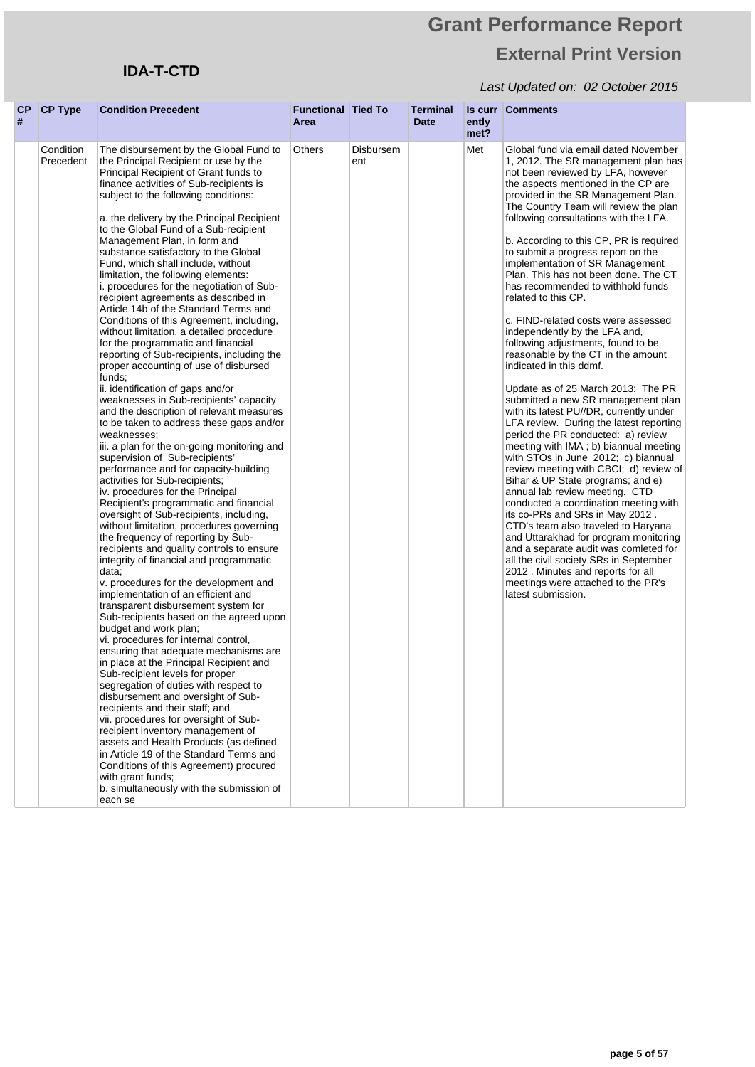## **IDA-T-CTD**

| # | $CP$ CP Type           | <b>Condition Precedent</b>                                                                                                                                                                                                                                                                                                                                                                                                                                                                                                                                                                                                                                                                                                                                                                                                                                                                                                                                                                                                                                                                                                                                                                                                                                                                                                                                                                                                                                                                                                                                                                                                                                                                                                                                                                                                                                                                                                                                                                                                                                                                                                                                                                                                                             | <b>Functional Tied To</b><br>Area |                  | Terminal<br>Date | ently<br>met? | <b>Is curr Comments</b>                                                                                                                                                                                                                                                                                                                                                                                                                                                                                                                                                                                                                                                                                                                                                                                                                                                                                                                                                                                                                                                                                                                                                                                                                                                                                                                                                                                                                           |
|---|------------------------|--------------------------------------------------------------------------------------------------------------------------------------------------------------------------------------------------------------------------------------------------------------------------------------------------------------------------------------------------------------------------------------------------------------------------------------------------------------------------------------------------------------------------------------------------------------------------------------------------------------------------------------------------------------------------------------------------------------------------------------------------------------------------------------------------------------------------------------------------------------------------------------------------------------------------------------------------------------------------------------------------------------------------------------------------------------------------------------------------------------------------------------------------------------------------------------------------------------------------------------------------------------------------------------------------------------------------------------------------------------------------------------------------------------------------------------------------------------------------------------------------------------------------------------------------------------------------------------------------------------------------------------------------------------------------------------------------------------------------------------------------------------------------------------------------------------------------------------------------------------------------------------------------------------------------------------------------------------------------------------------------------------------------------------------------------------------------------------------------------------------------------------------------------------------------------------------------------------------------------------------------------|-----------------------------------|------------------|------------------|---------------|---------------------------------------------------------------------------------------------------------------------------------------------------------------------------------------------------------------------------------------------------------------------------------------------------------------------------------------------------------------------------------------------------------------------------------------------------------------------------------------------------------------------------------------------------------------------------------------------------------------------------------------------------------------------------------------------------------------------------------------------------------------------------------------------------------------------------------------------------------------------------------------------------------------------------------------------------------------------------------------------------------------------------------------------------------------------------------------------------------------------------------------------------------------------------------------------------------------------------------------------------------------------------------------------------------------------------------------------------------------------------------------------------------------------------------------------------|
|   | Condition<br>Precedent | The disbursement by the Global Fund to<br>the Principal Recipient or use by the<br>Principal Recipient of Grant funds to<br>finance activities of Sub-recipients is<br>subject to the following conditions:<br>a. the delivery by the Principal Recipient<br>to the Global Fund of a Sub-recipient<br>Management Plan, in form and<br>substance satisfactory to the Global<br>Fund, which shall include, without<br>limitation, the following elements:<br>i. procedures for the negotiation of Sub-<br>recipient agreements as described in<br>Article 14b of the Standard Terms and<br>Conditions of this Agreement, including,<br>without limitation, a detailed procedure<br>for the programmatic and financial<br>reporting of Sub-recipients, including the<br>proper accounting of use of disbursed<br>funds;<br>ii. identification of gaps and/or<br>weaknesses in Sub-recipients' capacity<br>and the description of relevant measures<br>to be taken to address these gaps and/or<br>weaknesses;<br>iii. a plan for the on-going monitoring and<br>supervision of Sub-recipients'<br>performance and for capacity-building<br>activities for Sub-recipients;<br>iv. procedures for the Principal<br>Recipient's programmatic and financial<br>oversight of Sub-recipients, including,<br>without limitation, procedures governing<br>the frequency of reporting by Sub-<br>recipients and quality controls to ensure<br>integrity of financial and programmatic<br>data:<br>v. procedures for the development and<br>implementation of an efficient and<br>transparent disbursement system for<br>Sub-recipients based on the agreed upon<br>budget and work plan;<br>vi. procedures for internal control,<br>ensuring that adequate mechanisms are<br>in place at the Principal Recipient and<br>Sub-recipient levels for proper<br>segregation of duties with respect to<br>disbursement and oversight of Sub-<br>recipients and their staff; and<br>vii. procedures for oversight of Sub-<br>recipient inventory management of<br>assets and Health Products (as defined<br>in Article 19 of the Standard Terms and<br>Conditions of this Agreement) procured<br>with grant funds;<br>b. simultaneously with the submission of<br>each se | Others                            | Disbursem<br>ent |                  | Met           | Global fund via email dated November<br>1, 2012. The SR management plan has<br>not been reviewed by LFA, however<br>the aspects mentioned in the CP are<br>provided in the SR Management Plan.<br>The Country Team will review the plan<br>following consultations with the LFA.<br>b. According to this CP, PR is required<br>to submit a progress report on the<br>implementation of SR Management<br>Plan. This has not been done. The CT<br>has recommended to withhold funds<br>related to this CP.<br>c. FIND-related costs were assessed<br>independently by the LFA and,<br>following adjustments, found to be<br>reasonable by the CT in the amount<br>indicated in this ddmf.<br>Update as of 25 March 2013: The PR<br>submitted a new SR management plan<br>with its latest PU//DR, currently under<br>LFA review. During the latest reporting<br>period the PR conducted: a) review<br>meeting with IMA; b) biannual meeting<br>with STOs in June 2012; c) biannual<br>review meeting with CBCI; d) review of<br>Bihar & UP State programs; and e)<br>annual lab review meeting. CTD<br>conducted a coordination meeting with<br>its co-PRs and SRs in May 2012.<br>CTD's team also traveled to Haryana<br>and Uttarakhad for program monitoring<br>and a separate audit was comleted for<br>all the civil society SRs in September<br>2012 . Minutes and reports for all<br>meetings were attached to the PR's<br>latest submission. |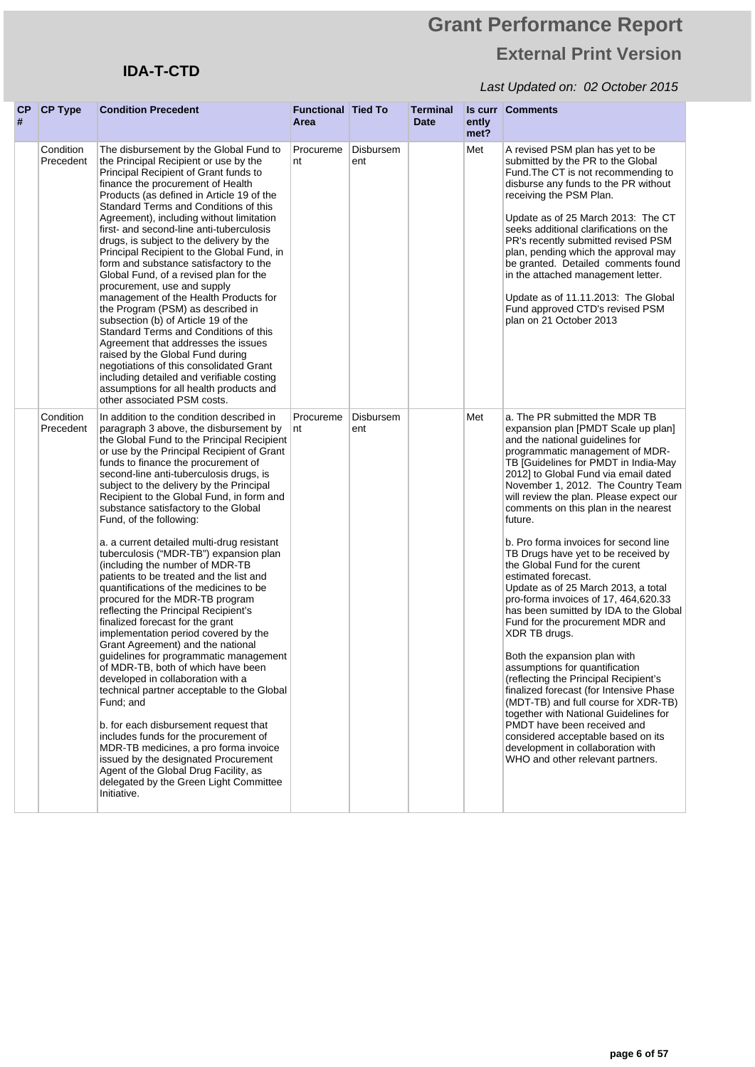## **IDA-T-CTD**

| CР<br># | <b>CP Type</b>         | <b>Condition Precedent</b>                                                                                                                                                                                                                                                                                                                                                                                                                                                                                                                                                                                                                                                                                                                                                                                                                                                                                                                                                                                                                                                                                                                                                                                                                                                                     | <b>Functional Tied To</b><br>Area |                  | <b>Terminal</b><br><b>Date</b> | ently<br>met? | <b>Is curr Comments</b>                                                                                                                                                                                                                                                                                                                                                                                                                                                                                                                                                                                                                                                                                                                                                                                                                                                                                                                                                                                                                                                     |
|---------|------------------------|------------------------------------------------------------------------------------------------------------------------------------------------------------------------------------------------------------------------------------------------------------------------------------------------------------------------------------------------------------------------------------------------------------------------------------------------------------------------------------------------------------------------------------------------------------------------------------------------------------------------------------------------------------------------------------------------------------------------------------------------------------------------------------------------------------------------------------------------------------------------------------------------------------------------------------------------------------------------------------------------------------------------------------------------------------------------------------------------------------------------------------------------------------------------------------------------------------------------------------------------------------------------------------------------|-----------------------------------|------------------|--------------------------------|---------------|-----------------------------------------------------------------------------------------------------------------------------------------------------------------------------------------------------------------------------------------------------------------------------------------------------------------------------------------------------------------------------------------------------------------------------------------------------------------------------------------------------------------------------------------------------------------------------------------------------------------------------------------------------------------------------------------------------------------------------------------------------------------------------------------------------------------------------------------------------------------------------------------------------------------------------------------------------------------------------------------------------------------------------------------------------------------------------|
|         | Condition<br>Precedent | The disbursement by the Global Fund to<br>the Principal Recipient or use by the<br>Principal Recipient of Grant funds to<br>finance the procurement of Health<br>Products (as defined in Article 19 of the<br>Standard Terms and Conditions of this<br>Agreement), including without limitation<br>first- and second-line anti-tuberculosis<br>drugs, is subject to the delivery by the<br>Principal Recipient to the Global Fund, in<br>form and substance satisfactory to the<br>Global Fund, of a revised plan for the<br>procurement, use and supply<br>management of the Health Products for<br>the Program (PSM) as described in<br>subsection (b) of Article 19 of the<br>Standard Terms and Conditions of this<br>Agreement that addresses the issues<br>raised by the Global Fund during<br>negotiations of this consolidated Grant<br>including detailed and verifiable costing<br>assumptions for all health products and<br>other associated PSM costs.                                                                                                                                                                                                                                                                                                                            | Procureme<br>nt                   | Disbursem<br>ent |                                | Met           | A revised PSM plan has yet to be<br>submitted by the PR to the Global<br>Fund. The CT is not recommending to<br>disburse any funds to the PR without<br>receiving the PSM Plan.<br>Update as of 25 March 2013: The CT<br>seeks additional clarifications on the<br>PR's recently submitted revised PSM<br>plan, pending which the approval may<br>be granted. Detailed comments found<br>in the attached management letter.<br>Update as of 11.11.2013: The Global<br>Fund approved CTD's revised PSM<br>plan on 21 October 2013                                                                                                                                                                                                                                                                                                                                                                                                                                                                                                                                            |
|         | Condition<br>Precedent | In addition to the condition described in<br>paragraph 3 above, the disbursement by<br>the Global Fund to the Principal Recipient<br>or use by the Principal Recipient of Grant<br>funds to finance the procurement of<br>second-line anti-tuberculosis drugs, is<br>subject to the delivery by the Principal<br>Recipient to the Global Fund, in form and<br>substance satisfactory to the Global<br>Fund, of the following:<br>a. a current detailed multi-drug resistant<br>tuberculosis ("MDR-TB") expansion plan<br>(including the number of MDR-TB<br>patients to be treated and the list and<br>quantifications of the medicines to be<br>procured for the MDR-TB program<br>reflecting the Principal Recipient's<br>finalized forecast for the grant<br>implementation period covered by the<br>Grant Agreement) and the national<br>guidelines for programmatic management<br>of MDR-TB, both of which have been<br>developed in collaboration with a<br>technical partner acceptable to the Global<br>Fund; and<br>b. for each disbursement request that<br>includes funds for the procurement of<br>MDR-TB medicines, a pro forma invoice<br>issued by the designated Procurement<br>Agent of the Global Drug Facility, as<br>delegated by the Green Light Committee<br>Initiative. | Procureme<br>nt                   | Disbursem<br>ent |                                | Met           | a. The PR submitted the MDR TB<br>expansion plan [PMDT Scale up plan]<br>and the national guidelines for<br>programmatic management of MDR-<br>TB [Guidelines for PMDT in India-May<br>2012] to Global Fund via email dated<br>November 1, 2012. The Country Team<br>will review the plan. Please expect our<br>comments on this plan in the nearest<br>future.<br>b. Pro forma invoices for second line<br>TB Drugs have yet to be received by<br>the Global Fund for the curent<br>estimated forecast.<br>Update as of 25 March 2013, a total<br>pro-forma invoices of 17, 464,620.33<br>has been sumitted by IDA to the Global<br>Fund for the procurement MDR and<br>XDR TB drugs.<br>Both the expansion plan with<br>assumptions for quantification<br>(reflecting the Principal Recipient's<br>finalized forecast (for Intensive Phase<br>(MDT-TB) and full course for XDR-TB)<br>together with National Guidelines for<br>PMDT have been received and<br>considered acceptable based on its<br>development in collaboration with<br>WHO and other relevant partners. |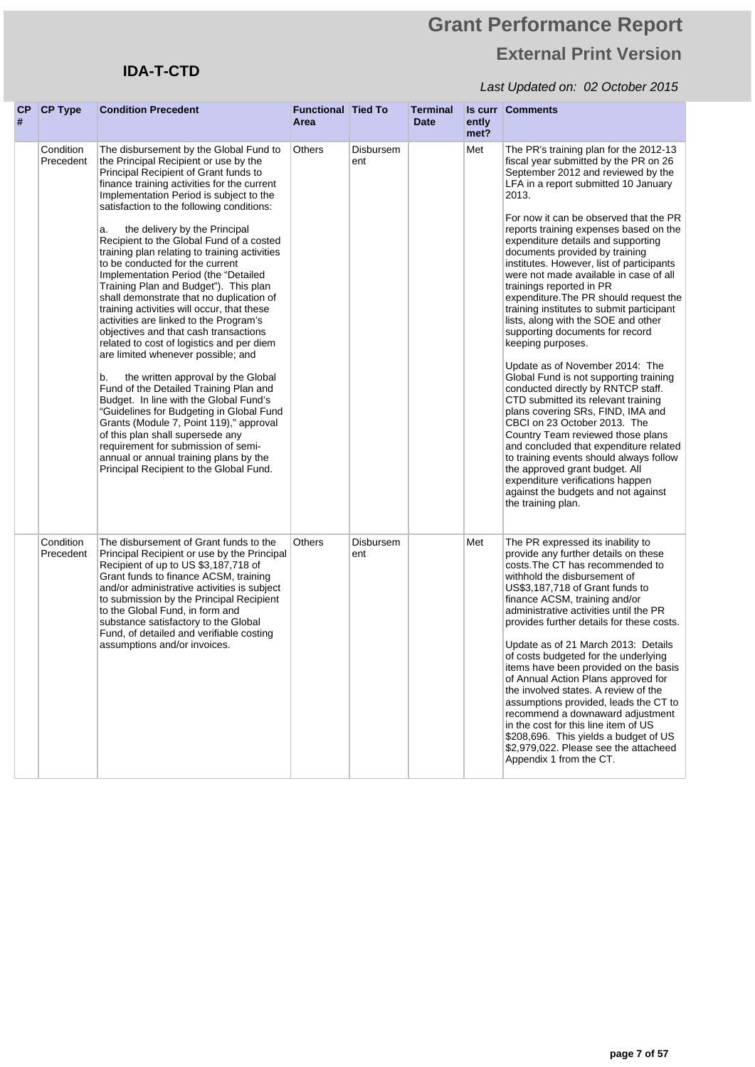## **IDA-T-CTD**

| СP<br># | <b>CP Type</b>         | <b>Condition Precedent</b>                                                                                                                                                                                                                                                                                                                                                                                                                                                                                                                                                                                                                                                                                                                                                                                                                                                                                                                                                                                                                                                                                                                                                     | <b>Functional Tied To</b><br>Area |                  | <b>Terminal</b><br>Date | ently<br>met? | <b>Is curr Comments</b>                                                                                                                                                                                                                                                                                                                                                                                                                                                                                                                                                                                                                                                                                                                                                                                                                                                                                                                                                                                                                                                                                                                 |
|---------|------------------------|--------------------------------------------------------------------------------------------------------------------------------------------------------------------------------------------------------------------------------------------------------------------------------------------------------------------------------------------------------------------------------------------------------------------------------------------------------------------------------------------------------------------------------------------------------------------------------------------------------------------------------------------------------------------------------------------------------------------------------------------------------------------------------------------------------------------------------------------------------------------------------------------------------------------------------------------------------------------------------------------------------------------------------------------------------------------------------------------------------------------------------------------------------------------------------|-----------------------------------|------------------|-------------------------|---------------|-----------------------------------------------------------------------------------------------------------------------------------------------------------------------------------------------------------------------------------------------------------------------------------------------------------------------------------------------------------------------------------------------------------------------------------------------------------------------------------------------------------------------------------------------------------------------------------------------------------------------------------------------------------------------------------------------------------------------------------------------------------------------------------------------------------------------------------------------------------------------------------------------------------------------------------------------------------------------------------------------------------------------------------------------------------------------------------------------------------------------------------------|
|         | Condition<br>Precedent | The disbursement by the Global Fund to<br>the Principal Recipient or use by the<br>Principal Recipient of Grant funds to<br>finance training activities for the current<br>Implementation Period is subject to the<br>satisfaction to the following conditions:<br>the delivery by the Principal<br>a.<br>Recipient to the Global Fund of a costed<br>training plan relating to training activities<br>to be conducted for the current<br>Implementation Period (the "Detailed<br>Training Plan and Budget"). This plan<br>shall demonstrate that no duplication of<br>training activities will occur, that these<br>activities are linked to the Program's<br>objectives and that cash transactions<br>related to cost of logistics and per diem<br>are limited whenever possible; and<br>the written approval by the Global<br>b.<br>Fund of the Detailed Training Plan and<br>Budget. In line with the Global Fund's<br>"Guidelines for Budgeting in Global Fund<br>Grants (Module 7, Point 119)," approval<br>of this plan shall supersede any<br>requirement for submission of semi-<br>annual or annual training plans by the<br>Principal Recipient to the Global Fund. | Others                            | Disbursem<br>ent |                         | Met           | The PR's training plan for the 2012-13<br>fiscal year submitted by the PR on 26<br>September 2012 and reviewed by the<br>LFA in a report submitted 10 January<br>2013.<br>For now it can be observed that the PR<br>reports training expenses based on the<br>expenditure details and supporting<br>documents provided by training<br>institutes. However, list of participants<br>were not made available in case of all<br>trainings reported in PR<br>expenditure. The PR should request the<br>training institutes to submit participant<br>lists, along with the SOE and other<br>supporting documents for record<br>keeping purposes.<br>Update as of November 2014: The<br>Global Fund is not supporting training<br>conducted directly by RNTCP staff.<br>CTD submitted its relevant training<br>plans covering SRs, FIND, IMA and<br>CBCI on 23 October 2013. The<br>Country Team reviewed those plans<br>and concluded that expenditure related<br>to training events should always follow<br>the approved grant budget. All<br>expenditure verifications happen<br>against the budgets and not against<br>the training plan. |
|         | Condition<br>Precedent | The disbursement of Grant funds to the<br>Principal Recipient or use by the Principal<br>Recipient of up to US \$3,187,718 of<br>Grant funds to finance ACSM, training<br>and/or administrative activities is subject<br>to submission by the Principal Recipient<br>to the Global Fund, in form and<br>substance satisfactory to the Global<br>Fund, of detailed and verifiable costing<br>assumptions and/or invoices.                                                                                                                                                                                                                                                                                                                                                                                                                                                                                                                                                                                                                                                                                                                                                       | <b>Others</b>                     | Disbursem<br>ent |                         | Met           | The PR expressed its inability to<br>provide any further details on these<br>costs. The CT has recommended to<br>withhold the disbursement of<br>US\$3,187,718 of Grant funds to<br>finance ACSM, training and/or<br>administrative activities until the PR<br>provides further details for these costs.<br>Update as of 21 March 2013: Details<br>of costs budgeted for the underlying<br>items have been provided on the basis<br>of Annual Action Plans approved for<br>the involved states. A review of the<br>assumptions provided, leads the CT to<br>recommend a downaward adjustment<br>in the cost for this line item of US<br>\$208,696. This yields a budget of US<br>\$2,979,022. Please see the attacheed<br>Appendix 1 from the CT.                                                                                                                                                                                                                                                                                                                                                                                       |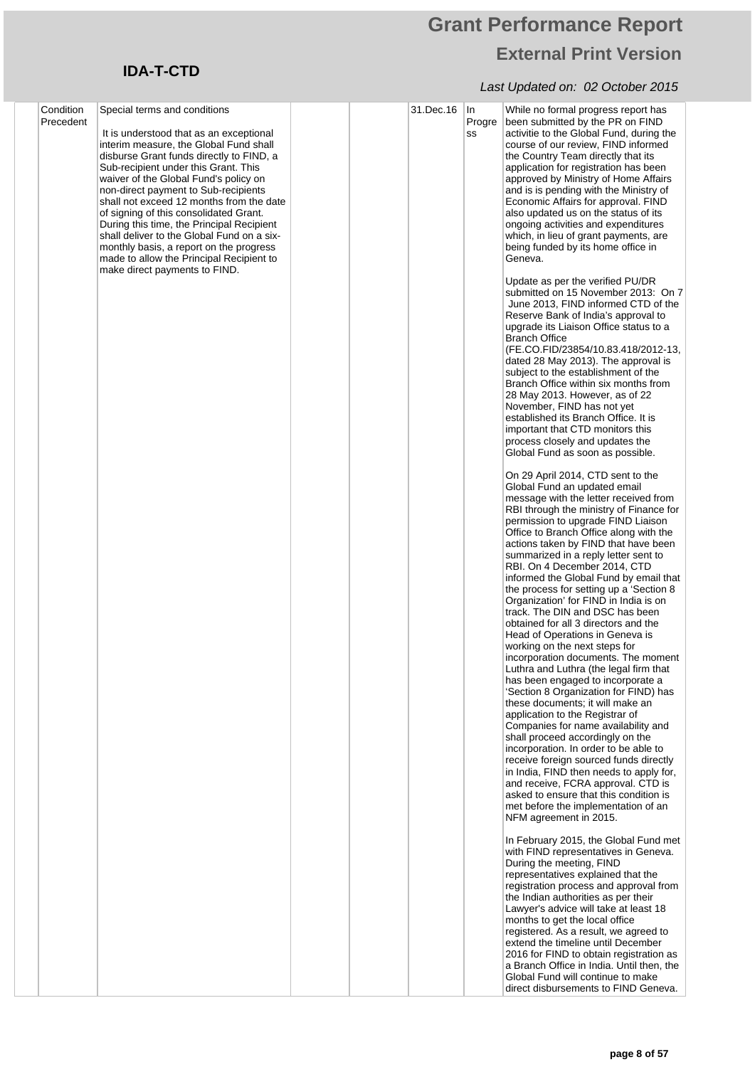## **Grant Performance Report External Print Version**

| Condition | Special terms and conditions                                                                                                                                                                                                                                                                                                                                                                                                                                                                                                                                    |  | 31.Dec.16 | In           | While no formal progress report has                                                                                                                                                                                                                                                                                                                                                                                                                                                                                                                                                                                                                                                                                                                                                                                                                                                                                                                                                                                                                                                                                                                                                                                                |
|-----------|-----------------------------------------------------------------------------------------------------------------------------------------------------------------------------------------------------------------------------------------------------------------------------------------------------------------------------------------------------------------------------------------------------------------------------------------------------------------------------------------------------------------------------------------------------------------|--|-----------|--------------|------------------------------------------------------------------------------------------------------------------------------------------------------------------------------------------------------------------------------------------------------------------------------------------------------------------------------------------------------------------------------------------------------------------------------------------------------------------------------------------------------------------------------------------------------------------------------------------------------------------------------------------------------------------------------------------------------------------------------------------------------------------------------------------------------------------------------------------------------------------------------------------------------------------------------------------------------------------------------------------------------------------------------------------------------------------------------------------------------------------------------------------------------------------------------------------------------------------------------------|
| Precedent | It is understood that as an exceptional<br>interim measure, the Global Fund shall<br>disburse Grant funds directly to FIND, a<br>Sub-recipient under this Grant. This<br>waiver of the Global Fund's policy on<br>non-direct payment to Sub-recipients<br>shall not exceed 12 months from the date<br>of signing of this consolidated Grant.<br>During this time, the Principal Recipient<br>shall deliver to the Global Fund on a six-<br>monthly basis, a report on the progress<br>made to allow the Principal Recipient to<br>make direct payments to FIND. |  |           | Progre<br>SS | been submitted by the PR on FIND<br>activitie to the Global Fund, during the<br>course of our review, FIND informed<br>the Country Team directly that its<br>application for registration has been<br>approved by Ministry of Home Affairs<br>and is is pending with the Ministry of<br>Economic Affairs for approval. FIND<br>also updated us on the status of its<br>ongoing activities and expenditures<br>which, in lieu of grant payments, are<br>being funded by its home office in<br>Geneva.                                                                                                                                                                                                                                                                                                                                                                                                                                                                                                                                                                                                                                                                                                                               |
|           |                                                                                                                                                                                                                                                                                                                                                                                                                                                                                                                                                                 |  |           |              | Update as per the verified PU/DR<br>submitted on 15 November 2013: On 7<br>June 2013, FIND informed CTD of the<br>Reserve Bank of India's approval to<br>upgrade its Liaison Office status to a<br><b>Branch Office</b><br>(FE.CO.FID/23854/10.83.418/2012-13,<br>dated 28 May 2013). The approval is<br>subject to the establishment of the<br>Branch Office within six months from<br>28 May 2013. However, as of 22<br>November, FIND has not yet<br>established its Branch Office. It is<br>important that CTD monitors this<br>process closely and updates the<br>Global Fund as soon as possible.                                                                                                                                                                                                                                                                                                                                                                                                                                                                                                                                                                                                                            |
|           |                                                                                                                                                                                                                                                                                                                                                                                                                                                                                                                                                                 |  |           |              | On 29 April 2014, CTD sent to the<br>Global Fund an updated email<br>message with the letter received from<br>RBI through the ministry of Finance for<br>permission to upgrade FIND Liaison<br>Office to Branch Office along with the<br>actions taken by FIND that have been<br>summarized in a reply letter sent to<br>RBI. On 4 December 2014, CTD<br>informed the Global Fund by email that<br>the process for setting up a 'Section 8<br>Organization' for FIND in India is on<br>track. The DIN and DSC has been<br>obtained for all 3 directors and the<br>Head of Operations in Geneva is<br>working on the next steps for<br>incorporation documents. The moment<br>Luthra and Luthra (the legal firm that<br>has been engaged to incorporate a<br>'Section 8 Organization for FIND) has<br>these documents; it will make an<br>application to the Registrar of<br>Companies for name availability and<br>shall proceed accordingly on the<br>incorporation. In order to be able to<br>receive foreign sourced funds directly<br>in India, FIND then needs to apply for,<br>and receive, FCRA approval. CTD is<br>asked to ensure that this condition is<br>met before the implementation of an<br>NFM agreement in 2015. |
|           |                                                                                                                                                                                                                                                                                                                                                                                                                                                                                                                                                                 |  |           |              | In February 2015, the Global Fund met<br>with FIND representatives in Geneva.<br>During the meeting, FIND<br>representatives explained that the<br>registration process and approval from<br>the Indian authorities as per their<br>Lawyer's advice will take at least 18<br>months to get the local office<br>registered. As a result, we agreed to<br>extend the timeline until December<br>2016 for FIND to obtain registration as<br>a Branch Office in India. Until then, the<br>Global Fund will continue to make<br>direct disbursements to FIND Geneva.                                                                                                                                                                                                                                                                                                                                                                                                                                                                                                                                                                                                                                                                    |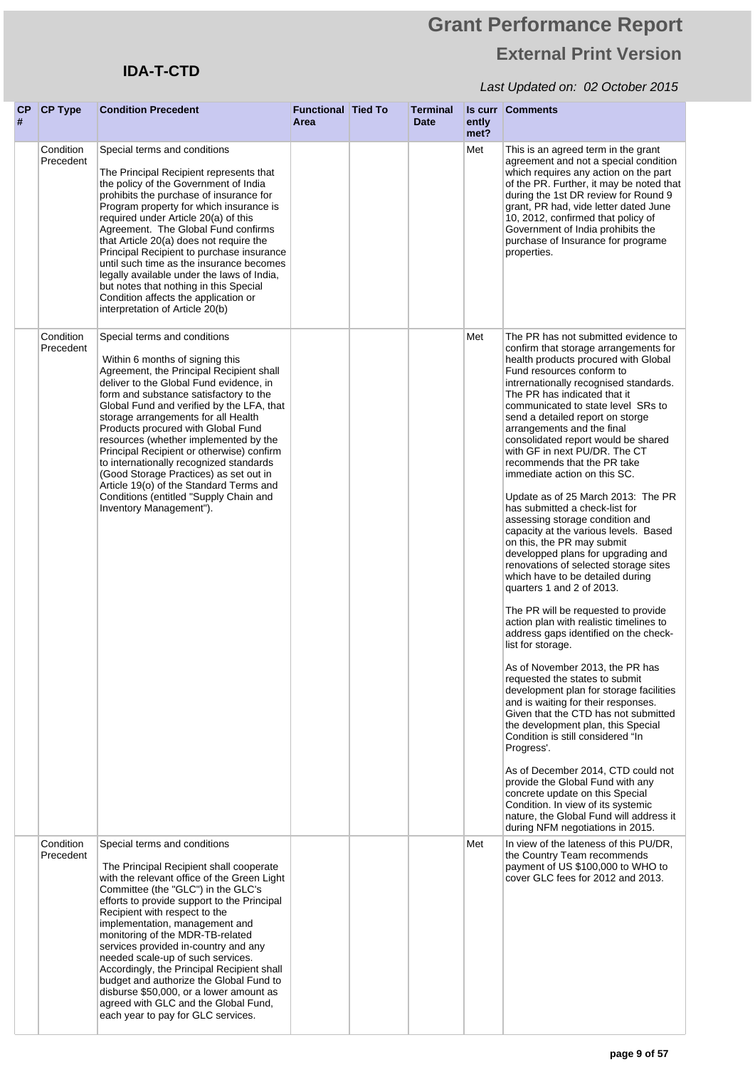## **IDA-T-CTD**

| CP<br># | <b>CP Type</b>         | <b>Condition Precedent</b>                                                                                                                                                                                                                                                                                                                                                                                                                                                                                                                                                                                            | <b>Functional Tied To</b><br>Area | Terminal<br>Date | ently<br>met? | <b>Is curr Comments</b>                                                                                                                                                                                                                                                                                                                                                                                                                                                                                                                                                                                                                                                                                                                                                                                                                                                                                                                                                                                                                                                                                                                                                                                                                                                                                                                                                                                                                                                                 |
|---------|------------------------|-----------------------------------------------------------------------------------------------------------------------------------------------------------------------------------------------------------------------------------------------------------------------------------------------------------------------------------------------------------------------------------------------------------------------------------------------------------------------------------------------------------------------------------------------------------------------------------------------------------------------|-----------------------------------|------------------|---------------|-----------------------------------------------------------------------------------------------------------------------------------------------------------------------------------------------------------------------------------------------------------------------------------------------------------------------------------------------------------------------------------------------------------------------------------------------------------------------------------------------------------------------------------------------------------------------------------------------------------------------------------------------------------------------------------------------------------------------------------------------------------------------------------------------------------------------------------------------------------------------------------------------------------------------------------------------------------------------------------------------------------------------------------------------------------------------------------------------------------------------------------------------------------------------------------------------------------------------------------------------------------------------------------------------------------------------------------------------------------------------------------------------------------------------------------------------------------------------------------------|
|         | Condition<br>Precedent | Special terms and conditions<br>The Principal Recipient represents that<br>the policy of the Government of India<br>prohibits the purchase of insurance for<br>Program property for which insurance is<br>required under Article 20(a) of this<br>Agreement. The Global Fund confirms<br>that Article 20(a) does not require the<br>Principal Recipient to purchase insurance<br>until such time as the insurance becomes<br>legally available under the laws of India,<br>but notes that nothing in this Special<br>Condition affects the application or<br>interpretation of Article 20(b)                          |                                   |                  | Met           | This is an agreed term in the grant<br>agreement and not a special condition<br>which requires any action on the part<br>of the PR. Further, it may be noted that<br>during the 1st DR review for Round 9<br>grant, PR had, vide letter dated June<br>10, 2012, confirmed that policy of<br>Government of India prohibits the<br>purchase of Insurance for programe<br>properties.                                                                                                                                                                                                                                                                                                                                                                                                                                                                                                                                                                                                                                                                                                                                                                                                                                                                                                                                                                                                                                                                                                      |
|         | Condition<br>Precedent | Special terms and conditions<br>Within 6 months of signing this<br>Agreement, the Principal Recipient shall<br>deliver to the Global Fund evidence, in<br>form and substance satisfactory to the<br>Global Fund and verified by the LFA, that<br>storage arrangements for all Health<br>Products procured with Global Fund<br>resources (whether implemented by the<br>Principal Recipient or otherwise) confirm<br>to internationally recognized standards<br>(Good Storage Practices) as set out in<br>Article 19(o) of the Standard Terms and<br>Conditions (entitled "Supply Chain and<br>Inventory Management"). |                                   |                  | Met           | The PR has not submitted evidence to<br>confirm that storage arrangements for<br>health products procured with Global<br>Fund resources conform to<br>intrernationally recognised standards.<br>The PR has indicated that it<br>communicated to state level SRs to<br>send a detailed report on storge<br>arrangements and the final<br>consolidated report would be shared<br>with GF in next PU/DR. The CT<br>recommends that the PR take<br>immediate action on this SC.<br>Update as of 25 March 2013: The PR<br>has submitted a check-list for<br>assessing storage condition and<br>capacity at the various levels. Based<br>on this, the PR may submit<br>developped plans for upgrading and<br>renovations of selected storage sites<br>which have to be detailed during<br>quarters 1 and 2 of 2013.<br>The PR will be requested to provide<br>action plan with realistic timelines to<br>address gaps identified on the check-<br>list for storage.<br>As of November 2013, the PR has<br>requested the states to submit<br>development plan for storage facilities<br>and is waiting for their responses.<br>Given that the CTD has not submitted<br>the development plan, this Special<br>Condition is still considered "In<br>Progress'.<br>As of December 2014, CTD could not<br>provide the Global Fund with any<br>concrete update on this Special<br>Condition. In view of its systemic<br>nature, the Global Fund will address it<br>during NFM negotiations in 2015. |
|         | Condition<br>Precedent | Special terms and conditions<br>The Principal Recipient shall cooperate<br>with the relevant office of the Green Light<br>Committee (the "GLC") in the GLC's<br>efforts to provide support to the Principal<br>Recipient with respect to the<br>implementation, management and<br>monitoring of the MDR-TB-related<br>services provided in-country and any<br>needed scale-up of such services.<br>Accordingly, the Principal Recipient shall<br>budget and authorize the Global Fund to<br>disburse \$50,000, or a lower amount as<br>agreed with GLC and the Global Fund,<br>each year to pay for GLC services.     |                                   |                  | Met           | In view of the lateness of this PU/DR,<br>the Country Team recommends<br>payment of US \$100,000 to WHO to<br>cover GLC fees for 2012 and 2013.                                                                                                                                                                                                                                                                                                                                                                                                                                                                                                                                                                                                                                                                                                                                                                                                                                                                                                                                                                                                                                                                                                                                                                                                                                                                                                                                         |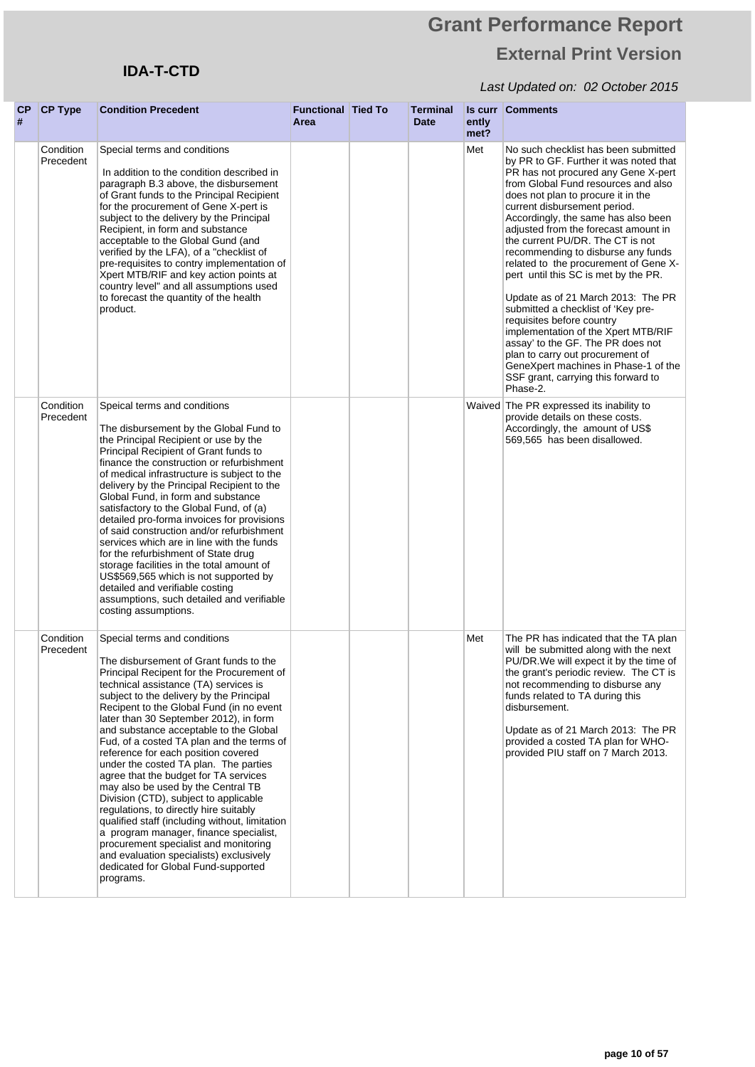## **IDA-T-CTD**

| CP<br># | <b>CP Type</b>         | <b>Condition Precedent</b>                                                                                                                                                                                                                                                                                                                                                                                                                                                                                                                                                                                                                                                                                                                                                                                                                                                  | <b>Functional Tied To</b><br>Area | <b>Terminal</b><br><b>Date</b> | ently<br>met? | <b>Is curr Comments</b>                                                                                                                                                                                                                                                                                                                                                                                                                                                                                                                                                                                                                                                                                                                                                                          |
|---------|------------------------|-----------------------------------------------------------------------------------------------------------------------------------------------------------------------------------------------------------------------------------------------------------------------------------------------------------------------------------------------------------------------------------------------------------------------------------------------------------------------------------------------------------------------------------------------------------------------------------------------------------------------------------------------------------------------------------------------------------------------------------------------------------------------------------------------------------------------------------------------------------------------------|-----------------------------------|--------------------------------|---------------|--------------------------------------------------------------------------------------------------------------------------------------------------------------------------------------------------------------------------------------------------------------------------------------------------------------------------------------------------------------------------------------------------------------------------------------------------------------------------------------------------------------------------------------------------------------------------------------------------------------------------------------------------------------------------------------------------------------------------------------------------------------------------------------------------|
|         | Condition<br>Precedent | Special terms and conditions<br>In addition to the condition described in<br>paragraph B.3 above, the disbursement<br>of Grant funds to the Principal Recipient<br>for the procurement of Gene X-pert is<br>subject to the delivery by the Principal<br>Recipient, in form and substance<br>acceptable to the Global Gund (and<br>verified by the LFA), of a "checklist of<br>pre-requisites to contry implementation of<br>Xpert MTB/RIF and key action points at<br>country level" and all assumptions used<br>to forecast the quantity of the health<br>product.                                                                                                                                                                                                                                                                                                         |                                   |                                | Met           | No such checklist has been submitted<br>by PR to GF. Further it was noted that<br>PR has not procured any Gene X-pert<br>from Global Fund resources and also<br>does not plan to procure it in the<br>current disbursement period.<br>Accordingly, the same has also been<br>adjusted from the forecast amount in<br>the current PU/DR. The CT is not<br>recommending to disburse any funds<br>related to the procurement of Gene X-<br>pert until this SC is met by the PR.<br>Update as of 21 March 2013: The PR<br>submitted a checklist of 'Key pre-<br>requisites before country<br>implementation of the Xpert MTB/RIF<br>assay' to the GF. The PR does not<br>plan to carry out procurement of<br>GeneXpert machines in Phase-1 of the<br>SSF grant, carrying this forward to<br>Phase-2. |
|         | Condition<br>Precedent | Speical terms and conditions<br>The disbursement by the Global Fund to<br>the Principal Recipient or use by the<br>Principal Recipient of Grant funds to<br>finance the construction or refurbishment<br>of medical infrastructure is subject to the<br>delivery by the Principal Recipient to the<br>Global Fund, in form and substance<br>satisfactory to the Global Fund, of (a)<br>detailed pro-forma invoices for provisions<br>of said construction and/or refurbishment<br>services which are in line with the funds<br>for the refurbishment of State drug<br>storage facilities in the total amount of<br>US\$569,565 which is not supported by<br>detailed and verifiable costing<br>assumptions, such detailed and verifiable<br>costing assumptions.                                                                                                            |                                   |                                |               | Waived The PR expressed its inability to<br>provide details on these costs.<br>Accordingly, the amount of US\$<br>569,565 has been disallowed.                                                                                                                                                                                                                                                                                                                                                                                                                                                                                                                                                                                                                                                   |
|         | Condition<br>Precedent | Special terms and conditions<br>The disbursement of Grant funds to the<br>Principal Recipent for the Procurement of<br>technical assistance (TA) services is<br>subject to the delivery by the Principal<br>Recipent to the Global Fund (in no event<br>later than 30 September 2012), in form<br>and substance acceptable to the Global<br>Fud, of a costed TA plan and the terms of<br>reference for each position covered<br>under the costed TA plan. The parties<br>agree that the budget for TA services<br>may also be used by the Central TB<br>Division (CTD), subject to applicable<br>regulations, to directly hire suitably<br>qualified staff (including without, limitation<br>a program manager, finance specialist,<br>procurement specialist and monitoring<br>and evaluation specialists) exclusively<br>dedicated for Global Fund-supported<br>programs. |                                   |                                | Met           | The PR has indicated that the TA plan<br>will be submitted along with the next<br>PU/DR. We will expect it by the time of<br>the grant's periodic review. The CT is<br>not recommending to disburse any<br>funds related to TA during this<br>disbursement.<br>Update as of 21 March 2013: The PR<br>provided a costed TA plan for WHO-<br>provided PIU staff on 7 March 2013.                                                                                                                                                                                                                                                                                                                                                                                                                   |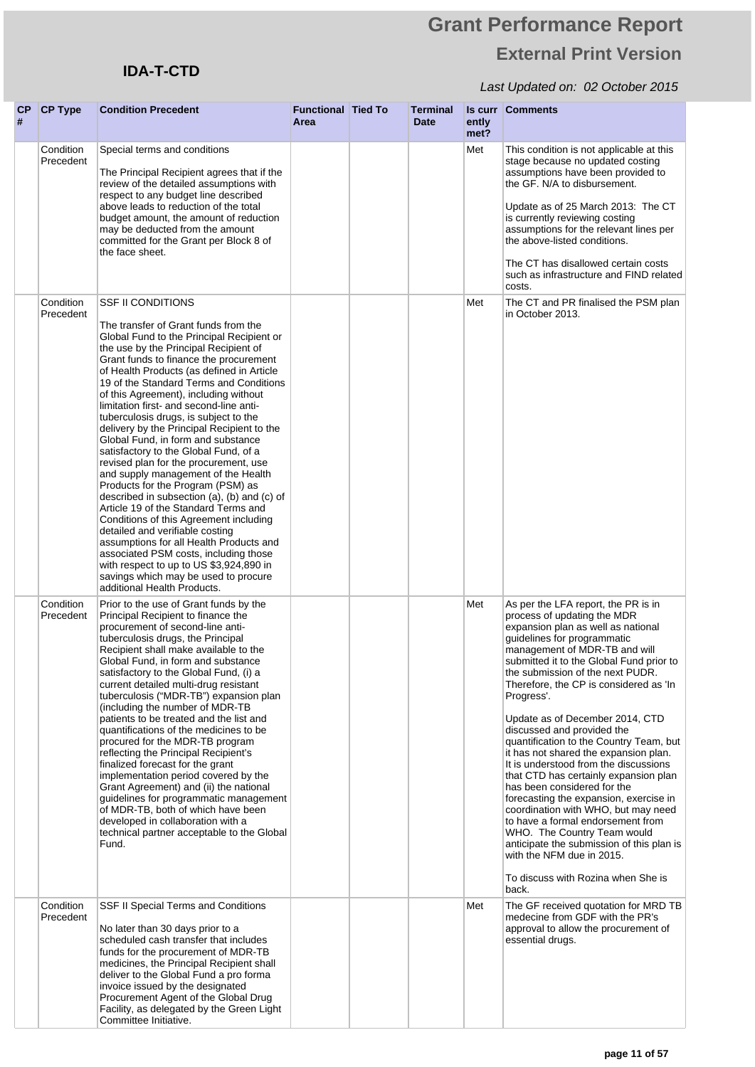## **IDA-T-CTD**

| # | CP CP Type             | <b>Condition Precedent</b>                                                                                                                                                                                                                                                                                                                                                                                                                                                                                                                                                                                                                                                                                                                                                                                                                                                                                                                                                                                                                        | <b>Functional Tied To</b><br>Area | <b>Terminal</b><br><b>Date</b> | ently<br>met? | <b>Is curr Comments</b>                                                                                                                                                                                                                                                                                                                                                                                                                                                                                                                                                                                                                                                                                                                                                                                                                                              |
|---|------------------------|---------------------------------------------------------------------------------------------------------------------------------------------------------------------------------------------------------------------------------------------------------------------------------------------------------------------------------------------------------------------------------------------------------------------------------------------------------------------------------------------------------------------------------------------------------------------------------------------------------------------------------------------------------------------------------------------------------------------------------------------------------------------------------------------------------------------------------------------------------------------------------------------------------------------------------------------------------------------------------------------------------------------------------------------------|-----------------------------------|--------------------------------|---------------|----------------------------------------------------------------------------------------------------------------------------------------------------------------------------------------------------------------------------------------------------------------------------------------------------------------------------------------------------------------------------------------------------------------------------------------------------------------------------------------------------------------------------------------------------------------------------------------------------------------------------------------------------------------------------------------------------------------------------------------------------------------------------------------------------------------------------------------------------------------------|
|   | Condition<br>Precedent | Special terms and conditions<br>The Principal Recipient agrees that if the<br>review of the detailed assumptions with<br>respect to any budget line described<br>above leads to reduction of the total<br>budget amount, the amount of reduction<br>may be deducted from the amount<br>committed for the Grant per Block 8 of<br>the face sheet.                                                                                                                                                                                                                                                                                                                                                                                                                                                                                                                                                                                                                                                                                                  |                                   |                                | Met           | This condition is not applicable at this<br>stage because no updated costing<br>assumptions have been provided to<br>the GF. N/A to disbursement.<br>Update as of 25 March 2013: The CT<br>is currently reviewing costing<br>assumptions for the relevant lines per<br>the above-listed conditions.<br>The CT has disallowed certain costs<br>such as infrastructure and FIND related<br>costs.                                                                                                                                                                                                                                                                                                                                                                                                                                                                      |
|   | Condition<br>Precedent | <b>SSF II CONDITIONS</b><br>The transfer of Grant funds from the<br>Global Fund to the Principal Recipient or<br>the use by the Principal Recipient of<br>Grant funds to finance the procurement<br>of Health Products (as defined in Article<br>19 of the Standard Terms and Conditions<br>of this Agreement), including without<br>limitation first- and second-line anti-<br>tuberculosis drugs, is subject to the<br>delivery by the Principal Recipient to the<br>Global Fund, in form and substance<br>satisfactory to the Global Fund, of a<br>revised plan for the procurement, use<br>and supply management of the Health<br>Products for the Program (PSM) as<br>described in subsection (a), (b) and (c) of<br>Article 19 of the Standard Terms and<br>Conditions of this Agreement including<br>detailed and verifiable costing<br>assumptions for all Health Products and<br>associated PSM costs, including those<br>with respect to up to US \$3,924,890 in<br>savings which may be used to procure<br>additional Health Products. |                                   |                                | Met           | The CT and PR finalised the PSM plan<br>in October 2013.                                                                                                                                                                                                                                                                                                                                                                                                                                                                                                                                                                                                                                                                                                                                                                                                             |
|   | Condition<br>Precedent | Prior to the use of Grant funds by the<br>Principal Recipient to finance the<br>procurement of second-line anti-<br>tuberculosis drugs, the Principal<br>Recipient shall make available to the<br>Global Fund, in form and substance<br>satisfactory to the Global Fund, (i) a<br>current detailed multi-drug resistant<br>tuberculosis ("MDR-TB") expansion plan<br>(including the number of MDR-TB)<br>patients to be treated and the list and<br>quantifications of the medicines to be<br>procured for the MDR-TB program<br>reflecting the Principal Recipient's<br>finalized forecast for the grant<br>implementation period covered by the<br>Grant Agreement) and (ii) the national<br>guidelines for programmatic management<br>of MDR-TB, both of which have been<br>developed in collaboration with a<br>technical partner acceptable to the Global<br>Fund.                                                                                                                                                                           |                                   |                                | Met           | As per the LFA report, the PR is in<br>process of updating the MDR<br>expansion plan as well as national<br>guidelines for programmatic<br>management of MDR-TB and will<br>submitted it to the Global Fund prior to<br>the submission of the next PUDR.<br>Therefore, the CP is considered as 'In<br>Progress'.<br>Update as of December 2014, CTD<br>discussed and provided the<br>quantification to the Country Team, but<br>it has not shared the expansion plan.<br>It is understood from the discussions<br>that CTD has certainly expansion plan<br>has been considered for the<br>forecasting the expansion, exercise in<br>coordination with WHO, but may need<br>to have a formal endorsement from<br>WHO. The Country Team would<br>anticipate the submission of this plan is<br>with the NFM due in 2015.<br>To discuss with Rozina when She is<br>back. |
|   | Condition<br>Precedent | SSF II Special Terms and Conditions<br>No later than 30 days prior to a<br>scheduled cash transfer that includes<br>funds for the procurement of MDR-TB<br>medicines, the Principal Recipient shall<br>deliver to the Global Fund a pro forma<br>invoice issued by the designated<br>Procurement Agent of the Global Drug<br>Facility, as delegated by the Green Light<br>Committee Initiative.                                                                                                                                                                                                                                                                                                                                                                                                                                                                                                                                                                                                                                                   |                                   |                                | Met           | The GF received quotation for MRD TB<br>medecine from GDF with the PR's<br>approval to allow the procurement of<br>essential drugs.                                                                                                                                                                                                                                                                                                                                                                                                                                                                                                                                                                                                                                                                                                                                  |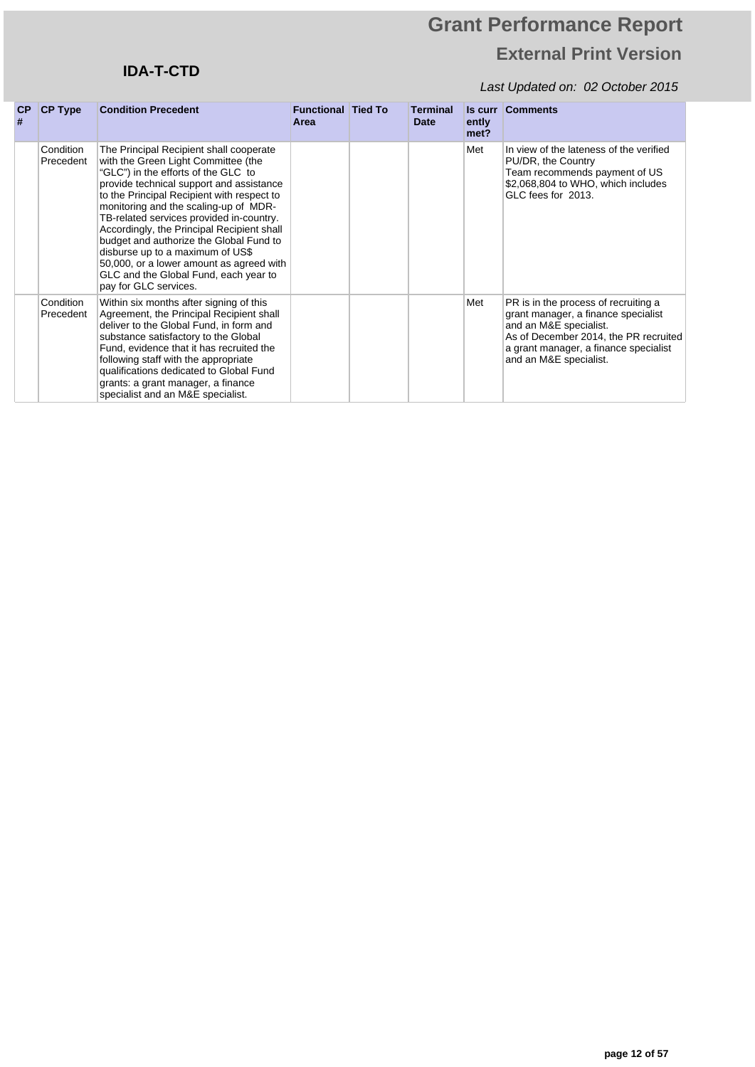## **IDA-T-CTD**

| <b>CP</b><br># | <b>CP Type</b>         | <b>Condition Precedent</b>                                                                                                                                                                                                                                                                                                                                                                                                                                                                                                                      | <b>Functional Tied To</b><br>Area | <b>Terminal</b><br><b>Date</b> | Is curr<br>ently<br>met? | <b>Comments</b>                                                                                                                                                                                                   |
|----------------|------------------------|-------------------------------------------------------------------------------------------------------------------------------------------------------------------------------------------------------------------------------------------------------------------------------------------------------------------------------------------------------------------------------------------------------------------------------------------------------------------------------------------------------------------------------------------------|-----------------------------------|--------------------------------|--------------------------|-------------------------------------------------------------------------------------------------------------------------------------------------------------------------------------------------------------------|
|                | Condition<br>Precedent | The Principal Recipient shall cooperate<br>with the Green Light Committee (the<br>"GLC") in the efforts of the GLC to<br>provide technical support and assistance<br>to the Principal Recipient with respect to<br>monitoring and the scaling-up of MDR-<br>TB-related services provided in-country.<br>Accordingly, the Principal Recipient shall<br>budget and authorize the Global Fund to<br>disburse up to a maximum of US\$<br>50,000, or a lower amount as agreed with<br>GLC and the Global Fund, each year to<br>pay for GLC services. |                                   |                                | Met                      | In view of the lateness of the verified<br>PU/DR, the Country<br>Team recommends payment of US<br>\$2,068,804 to WHO, which includes<br>GLC fees for 2013.                                                        |
|                | Condition<br>Precedent | Within six months after signing of this<br>Agreement, the Principal Recipient shall<br>deliver to the Global Fund, in form and<br>substance satisfactory to the Global<br>Fund, evidence that it has recruited the<br>following staff with the appropriate<br>qualifications dedicated to Global Fund<br>grants: a grant manager, a finance<br>specialist and an M&E specialist.                                                                                                                                                                |                                   |                                | Met                      | PR is in the process of recruiting a<br>grant manager, a finance specialist<br>and an M&E specialist.<br>As of December 2014, the PR recruited<br>a grant manager, a finance specialist<br>and an M&E specialist. |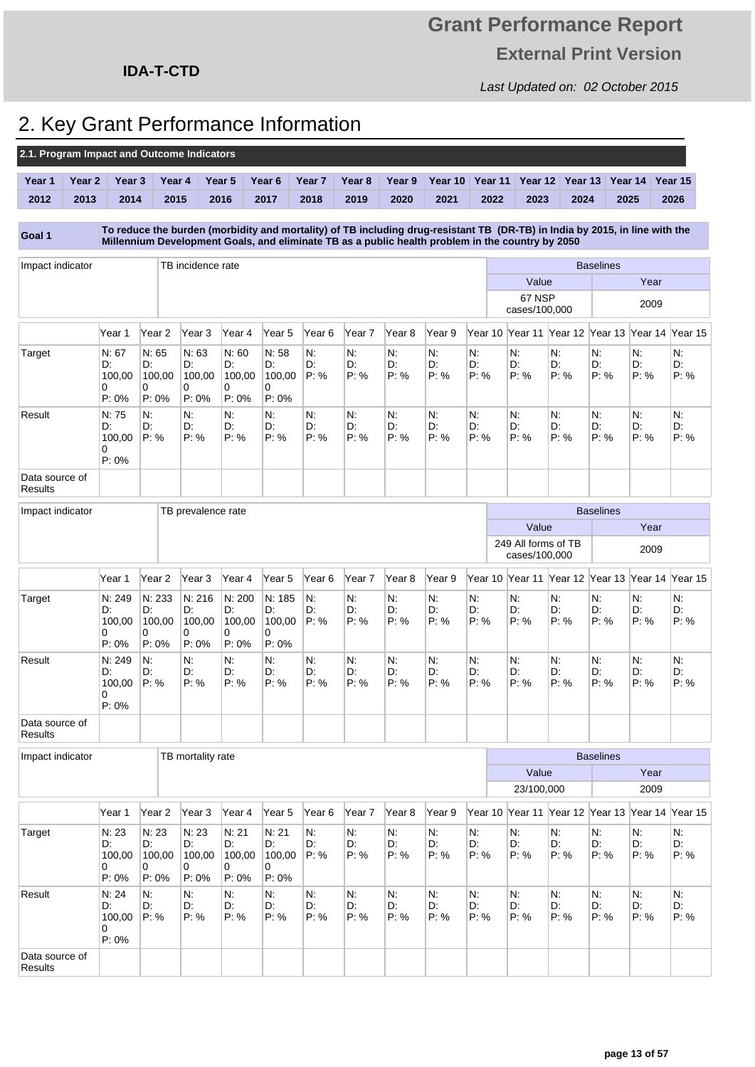Last Updated on: 02 October 2015

## **IDA-T-CTD**

## 2. Key Grant Performance Information

| 2.1. Program Impact and Outcome Indicators |                   |                                        |                                         |                                         |                                         |                                        |                   |                   |                   |                                                                                                                                                                                                                                 |                  |                                      |                                         |                         |                     |                  |
|--------------------------------------------|-------------------|----------------------------------------|-----------------------------------------|-----------------------------------------|-----------------------------------------|----------------------------------------|-------------------|-------------------|-------------------|---------------------------------------------------------------------------------------------------------------------------------------------------------------------------------------------------------------------------------|------------------|--------------------------------------|-----------------------------------------|-------------------------|---------------------|------------------|
| Year 1                                     | Year <sub>2</sub> | Year <sub>3</sub>                      | Year 4                                  |                                         | Year <sub>5</sub>                       | Year 6                                 | Year <sub>7</sub> | Year <sub>8</sub> | Year 9            | Year 10                                                                                                                                                                                                                         | Year 11          | Year 12                              | Year 13                                 |                         | Year 14             | Year 15          |
| 2012                                       | 2013              | 2014                                   | 2015                                    |                                         | 2016                                    | 2017                                   | 2018              | 2019              | 2020              | 2021                                                                                                                                                                                                                            | 2022             | 2023                                 | 2024                                    |                         | 2025                | 2026             |
| Goal 1                                     |                   |                                        |                                         |                                         |                                         |                                        |                   |                   |                   | To reduce the burden (morbidity and mortality) of TB including drug-resistant TB (DR-TB) in India by 2015, in line with the<br>Millennium Development Goals, and eliminate TB as a public health problem in the country by 2050 |                  |                                      |                                         |                         |                     |                  |
| Impact indicator                           |                   |                                        |                                         | TB incidence rate                       |                                         |                                        |                   |                   |                   |                                                                                                                                                                                                                                 |                  |                                      |                                         | <b>Baselines</b>        |                     |                  |
|                                            |                   |                                        |                                         |                                         |                                         |                                        |                   |                   |                   |                                                                                                                                                                                                                                 |                  | Value                                |                                         |                         | Year                |                  |
|                                            |                   |                                        |                                         |                                         |                                         |                                        |                   |                   |                   |                                                                                                                                                                                                                                 |                  | 67 NSP<br>cases/100,000              |                                         |                         | 2009                |                  |
|                                            |                   | Year 1                                 | Year 2                                  | Year 3                                  | Year 4                                  | Year 5                                 | Year 6            | Year 7            | Year 8            | Year 9                                                                                                                                                                                                                          | Year 10          | Year 11                              | Year 12                                 | Year 13 Year 14 Year 15 |                     |                  |
| Target                                     |                   | N: 67<br>D:<br>100,00<br>0<br>$P: 0\%$ | N: 65<br>D:<br>100,00<br>0<br>$P: 0\%$  | N: 63<br>D:<br>100,00<br>0<br>$P: 0\%$  | N: 60<br>D:<br>100,00<br>0<br>P.0%      | N: 58<br>D:<br>100,00<br>0<br>$P: 0\%$ | N.<br>D:<br>P: %  | N:<br>D.<br>P: %  | N:<br>D.<br>P: %  | N.<br>D:<br>P: %                                                                                                                                                                                                                | N:<br>D:<br>P: % | N.<br>D:<br>P: %                     | N:<br>D:<br>P: %                        | N.<br>D:<br>P: %        | N:<br>D:<br>P: %    | N.<br>D:<br>P: % |
| Result                                     |                   | N: 75<br>D:<br>100,00<br>0<br>$P: 0\%$ | N:<br>D:<br>P: %                        | N.<br>D:<br>P: %                        | N.<br>D:<br>P: %                        | $N$ .<br>D:<br>P: %                    | N.<br>D:<br>P: %  | N.<br>D:<br>P: %  | N:<br>D.<br>P: %  | Ν.<br>D:<br>P: %                                                                                                                                                                                                                | N.<br>D:<br>P: % | N:<br>D:<br>P: %                     | N.<br>D:<br>P: %                        | Ν.<br>D.<br>P: %        | N.<br>D.<br>P: %    | N.<br>D:<br>P: % |
| Data source of<br><b>Results</b>           |                   |                                        |                                         |                                         |                                         |                                        |                   |                   |                   |                                                                                                                                                                                                                                 |                  |                                      |                                         |                         |                     |                  |
| Impact indicator                           |                   |                                        |                                         | TB prevalence rate                      |                                         |                                        |                   |                   |                   |                                                                                                                                                                                                                                 |                  |                                      |                                         | <b>Baselines</b>        |                     |                  |
|                                            |                   |                                        |                                         |                                         |                                         |                                        |                   |                   |                   |                                                                                                                                                                                                                                 |                  | Value                                |                                         |                         | Year                |                  |
|                                            |                   |                                        |                                         |                                         |                                         |                                        |                   |                   |                   |                                                                                                                                                                                                                                 |                  | 249 All forms of TB<br>cases/100,000 |                                         |                         | 2009                |                  |
|                                            |                   | Year 1                                 | Year 2                                  | Year 3                                  | Year 4                                  | Year 5                                 | Year 6            | Year 7            | Year 8            | Year 9                                                                                                                                                                                                                          | Year 10          |                                      | Year 11 Year 12 Year 13 Year 14         |                         |                     | Year 15          |
| Target                                     |                   | N: 249<br>D:<br>100,00<br>0<br>P: 0%   | N: 233<br>D:<br>100,00<br>0<br>$P: 0\%$ | N: 216<br>D:<br>100,00<br>0<br>$P: 0\%$ | N: 200<br>D.<br>100,00<br>0<br>$P: 0\%$ | N: 185<br>D:<br>100,00<br>0<br>P: 0%   | N:<br>D:<br>P: %  | N:<br>D.<br>P: %  | N.<br>D.<br>P: %  | N.<br>D:<br>P: %                                                                                                                                                                                                                | N:<br>D:<br>P: % | N:<br>D:<br>P: %                     | N:<br>D:<br>P: %                        | N.<br>D:<br>P: %        | $N$ :<br>D:<br>P: % | N.<br>D.<br>P: % |
| Result                                     |                   | N: 249<br>D:<br>100.00<br>0<br>P: 0%   | Ν.<br>D:<br>P: %                        | Ν.<br>D:<br>P: %                        | N.<br>D:<br>P: %                        | $N$ .<br>D:<br>P: %                    | N.<br>D:<br>P: %  | N.<br>D:<br>P: %  | N:<br>D:<br>P: %  | N.<br>D:<br>P: %                                                                                                                                                                                                                | N:<br>D:<br>P: % | N.<br>D:<br>P: %                     | N.<br>D:<br>P: %                        | Ν.<br>D.<br>P: %        | N.<br>D:<br>P: %    | N.<br>D:<br>P: % |
| Data source of<br><b>Results</b>           |                   |                                        |                                         |                                         |                                         |                                        |                   |                   |                   |                                                                                                                                                                                                                                 |                  |                                      |                                         |                         |                     |                  |
| Impact indicator                           |                   |                                        |                                         | TB mortality rate                       |                                         |                                        |                   |                   |                   |                                                                                                                                                                                                                                 |                  |                                      |                                         | <b>Baselines</b>        |                     |                  |
|                                            |                   |                                        |                                         |                                         |                                         |                                        |                   |                   |                   |                                                                                                                                                                                                                                 |                  | Value                                |                                         |                         | Year                |                  |
|                                            |                   |                                        |                                         |                                         |                                         |                                        |                   |                   |                   |                                                                                                                                                                                                                                 |                  | 23/100,000                           |                                         |                         | 2009                |                  |
|                                            |                   | Year 1                                 | Year <sub>2</sub>                       | Year <sub>3</sub>                       | Year 4                                  | Year 5                                 | Year 6            | Year 7            | Year <sub>8</sub> | Year 9                                                                                                                                                                                                                          | Year 10          |                                      | Year 11 Year 12 Year 13 Year 14 Year 15 |                         |                     |                  |
| <b>Target</b>                              |                   | N: 23<br>D:<br>100,00<br>0<br>$P: 0\%$ | N: 23<br>D:<br>100,00<br>0<br>$P: 0\%$  | N: 23<br>D:<br>100,00<br>0<br>$P: 0\%$  | N: 21<br>D:<br>100,00<br>0<br>$P: 0\%$  | N: 21<br>D:<br>100,00<br>0<br>$P: 0\%$ | N.<br>D.<br>P: %  | N.<br>D.<br>P: %  | N.<br>D:<br>P: %  | N:<br>D:<br>P: %                                                                                                                                                                                                                | N:<br>D:<br>P: % | N:<br>D:<br>P: %                     | N.<br>D:<br>P: %                        | N:<br>D.<br>P: %        | N.<br>D:<br>P: %    | N:<br>D:<br>P: % |
| Result                                     |                   | N: 24<br>D:<br>100,00<br>0<br>P: 0%    | N.<br>D:<br>P: %                        | N:<br>D:<br>P: %                        | N.<br>D:<br>P: %                        | N:<br>D:<br>P: %                       | N.<br>D.<br>P: %  | N.<br>D.<br>P: %  | N.<br>D:<br>P: %  | N:<br>D:<br>P: %                                                                                                                                                                                                                | N.<br>D:<br>P: % | N:<br>D:<br>P: %                     | N.<br>D:<br>P: %                        | N.<br>D.<br>P: %        | N:<br>D:<br>P: %    | Ν:<br>D:<br>P: % |
| Data source of<br>Results                  |                   |                                        |                                         |                                         |                                         |                                        |                   |                   |                   |                                                                                                                                                                                                                                 |                  |                                      |                                         |                         |                     |                  |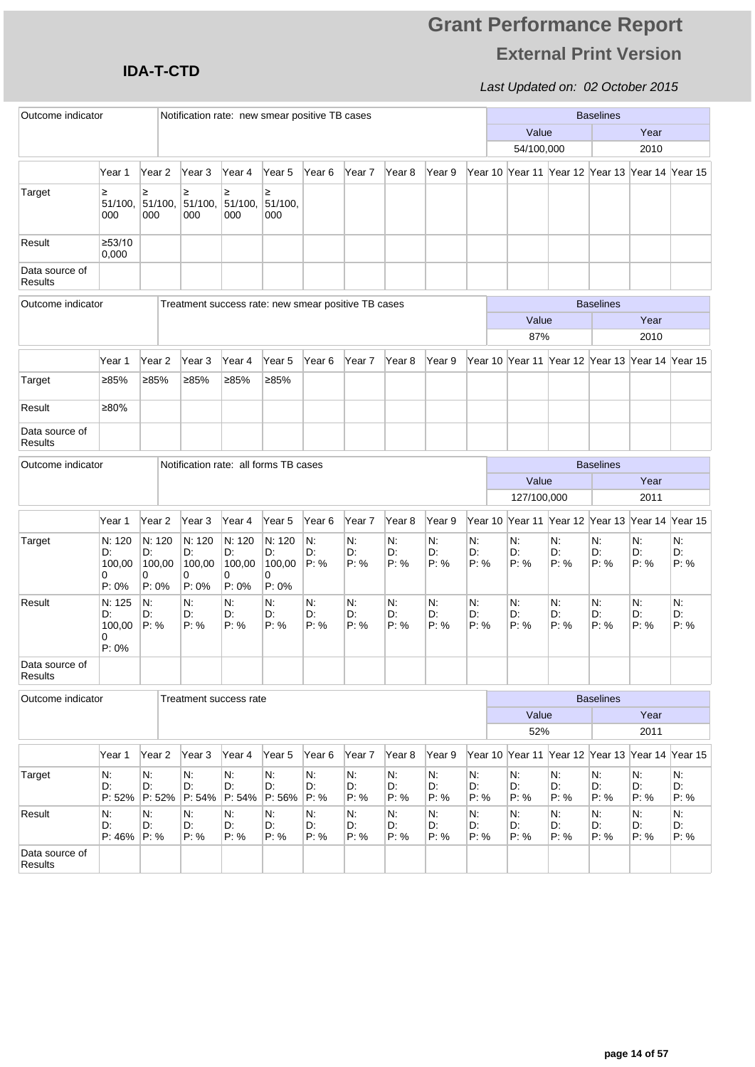### **IDA-T-CTD**

| Outcome indicator                |                                      |                                         | Notification rate: new smear positive TB cases      |                                         |                                         |                  |                   |                   |                  | <b>Baselines</b> |                                                      |                  |                  |                  |                  |
|----------------------------------|--------------------------------------|-----------------------------------------|-----------------------------------------------------|-----------------------------------------|-----------------------------------------|------------------|-------------------|-------------------|------------------|------------------|------------------------------------------------------|------------------|------------------|------------------|------------------|
|                                  |                                      |                                         |                                                     |                                         |                                         |                  |                   |                   |                  |                  | Value                                                |                  |                  | Year             |                  |
|                                  |                                      |                                         |                                                     |                                         |                                         |                  |                   |                   |                  |                  | 54/100,000                                           |                  |                  | 2010             |                  |
|                                  | Year 1                               | Year <sub>2</sub>                       | Year 3                                              | Year 4                                  | Year 5                                  | Year 6           | Year 7            | Year 8            | Year 9           |                  | Year 10  Year 11  Year 12  Year 13  Year 14  Year 15 |                  |                  |                  |                  |
| Target                           | ≥<br>51/100,<br>000                  | ≥<br>51/100,<br>000                     | ≥<br>51/100,<br>000                                 | ≥<br>51/100,<br>000                     | ≥<br>51/100,<br>000                     |                  |                   |                   |                  |                  |                                                      |                  |                  |                  |                  |
| Result                           | ≥53/10<br>0,000                      |                                         |                                                     |                                         |                                         |                  |                   |                   |                  |                  |                                                      |                  |                  |                  |                  |
| Data source of<br><b>Results</b> |                                      |                                         |                                                     |                                         |                                         |                  |                   |                   |                  |                  |                                                      |                  |                  |                  |                  |
| Outcome indicator                |                                      |                                         | Treatment success rate: new smear positive TB cases |                                         |                                         |                  |                   |                   |                  |                  |                                                      |                  | <b>Baselines</b> |                  |                  |
|                                  |                                      |                                         | Value                                               |                                         |                                         |                  |                   |                   |                  |                  | Year                                                 |                  |                  |                  |                  |
|                                  |                                      |                                         | 87%                                                 |                                         |                                         |                  |                   |                   | 2010             |                  |                                                      |                  |                  |                  |                  |
|                                  | Year 1                               | Year 2                                  | Year <sub>3</sub>                                   | Year 4                                  | Year 5                                  | Year 6           | Year 7            | Year 8            | Year 9           |                  | Year 10 Year 11 Year 12 Year 13 Year 14 Year 15      |                  |                  |                  |                  |
| Target                           | ≥85%                                 | ≥85%                                    | ≥85%                                                | ≥85%                                    | ≥85%                                    |                  |                   |                   |                  |                  |                                                      |                  |                  |                  |                  |
| Result                           | ≥80%                                 |                                         |                                                     |                                         |                                         |                  |                   |                   |                  |                  |                                                      |                  |                  |                  |                  |
| Data source of<br><b>Results</b> |                                      |                                         |                                                     |                                         |                                         |                  |                   |                   |                  |                  |                                                      |                  |                  |                  |                  |
| Outcome indicator                |                                      |                                         | Notification rate: all forms TB cases               |                                         |                                         |                  |                   |                   |                  |                  |                                                      |                  | <b>Baselines</b> |                  |                  |
|                                  |                                      |                                         |                                                     |                                         |                                         |                  |                   |                   |                  |                  | Value                                                |                  |                  | Year             |                  |
|                                  |                                      |                                         |                                                     |                                         |                                         |                  |                   |                   |                  |                  | 127/100,000                                          |                  |                  | 2011             |                  |
|                                  | Year 1                               | Year 2                                  | Year <sub>3</sub>                                   | Year 4                                  | Year <sub>5</sub>                       | Year 6           | Year <sub>7</sub> | Year <sub>8</sub> | Year 9           |                  | Year 10 Year 11 Year 12 Year 13 Year 14 Year 15      |                  |                  |                  |                  |
| Target                           | N: 120<br>D:<br>100,00<br>0<br>P: 0% | N: 120<br>D:<br>100,00<br>0<br>$P: 0\%$ | N: 120<br>D:<br>100,00<br>0<br>$P: 0\%$             | N: 120<br>D:<br>100,00<br>0<br>$P: 0\%$ | N: 120<br>D.<br>100,00<br>0<br>$P: 0\%$ | N.<br>D.<br>P: % | Ν.<br>D:<br>P: %  | N.<br>D.<br>P: %  | Ν.<br>D:<br>P: % | N.<br>D:<br>P: % | N.<br>D:<br>P: %                                     | N.<br>D.<br>P: % | Ν.<br>D:<br>P: % | N.<br>D:<br>P: % | N.<br>D:<br>P: % |
| Result                           | N: 125<br>D:<br>100,00<br>0<br>P: 0% | N.<br>D:<br>P: %                        | N.<br>D:<br>P: %                                    | $N$ :<br>D:<br>P: %                     | N:<br>D.<br>P: %                        | N.<br>D:<br>P: % | N.<br>D.<br>P: %  | N.<br>D:<br>P: %  | N.<br>D.<br>P: % | N:<br>D:<br>P: % | N:<br>D:<br>P: %                                     | N.<br>D:<br>P: % | N:<br>D:<br>P: % | N:<br>D:<br>P: % | N.<br>D:<br>P: % |
| Data source of<br>Results        |                                      |                                         |                                                     |                                         |                                         |                  |                   |                   |                  |                  |                                                      |                  |                  |                  |                  |
| Outcome indicator                |                                      |                                         | Treatment success rate                              |                                         |                                         |                  |                   |                   |                  |                  |                                                      |                  | <b>Baselines</b> |                  |                  |
|                                  |                                      |                                         |                                                     |                                         |                                         |                  |                   |                   |                  |                  | Value                                                |                  |                  | Year             |                  |
|                                  |                                      |                                         |                                                     |                                         | 52%                                     |                  |                   |                   |                  |                  | 2011                                                 |                  |                  |                  |                  |
|                                  | Year 1                               | Year 2                                  | Year 3                                              | Year 4                                  | Year 5                                  | Year 6           | Year 7            | Year 8            | Year 9           |                  | Year 10 Year 11 Year 12 Year 13 Year 14 Year 15      |                  |                  |                  |                  |
| Target                           | N:<br>D.<br>P: 52%                   | N:<br>D.<br>P: 52%                      | N.<br>D:<br>P: 54%                                  | N:<br>D:<br>P: 54%                      | N:<br>D.<br>P: 56%                      | N.<br>D:<br>P: % | N.<br>D.<br>P: %  | N:<br>D:<br>P: %  | N.<br>D.<br>P: % | N:<br>D:<br>P: % | N:<br>D:<br>P: %                                     | N:<br>D.<br>P: % | N.<br>D.<br>P: % | N.<br>D:<br>P: % | N:<br>D:<br>P: % |
| Result                           | N:<br>D:<br>$P: 46\%$                | N.<br>D.<br>P: %                        | N:<br>D:<br>P: %                                    | N.<br>D:<br>P: %                        | N.<br>D.<br>P: %                        | N.<br>D:<br>P: % | Ν.<br>D.<br>P: %  | N:<br>D:<br>P: %  | Ν.<br>D.<br>P: % | N.<br>D:<br>P: % | N:<br>D:<br>P: %                                     | N:<br>D.<br>P: % | N.<br>D.<br>P: % | N:<br>D:<br>P: % | N.<br>D.<br>P: % |
| Data source of<br>Results        |                                      |                                         |                                                     |                                         |                                         |                  |                   |                   |                  |                  |                                                      |                  |                  |                  |                  |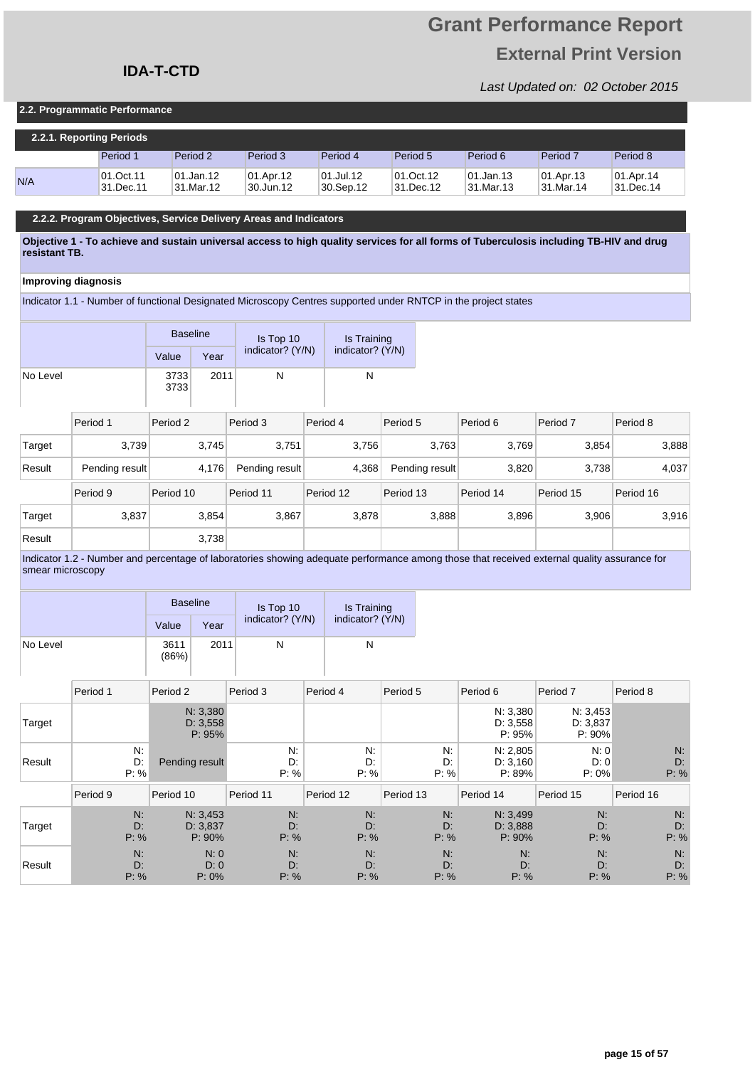### **IDA-T-CTD**

#### **2.2. Programmatic Performance**

|     | 2.2.1. Reporting Periods |                         |                        |                        |                        |                         |                        |                        |  |  |  |
|-----|--------------------------|-------------------------|------------------------|------------------------|------------------------|-------------------------|------------------------|------------------------|--|--|--|
|     | Period 1                 | Period 2                | Period 3               | Period 4               | Period 5               | Period 6                | Period <sub>7</sub>    | Period 8               |  |  |  |
| N/A | 01.Oct.11<br>31.Dec.11   | 101.Jan.12<br>31.Mar.12 | 01.Apr.12<br>30.Jun.12 | 01.Jul.12<br>30.Sep.12 | 01.Oct.12<br>31.Dec.12 | 101.Jan.13<br>31.Mar.13 | 01.Apr.13<br>31.Mar.14 | 01.Apr.14<br>31.Dec.14 |  |  |  |

#### **2.2.2. Program Objectives, Service Delivery Areas and Indicators**

**Objective 1 - To achieve and sustain universal access to high quality services for all forms of Tuberculosis including TB-HIV and drug resistant TB.** 

#### **Improving diagnosis**

Indicator 1.1 - Number of functional Designated Microscopy Centres supported under RNTCP in the project states

|          |                | <b>Baseline</b> |       | Is Top 10        | Is Training      |                |           |           |           |
|----------|----------------|-----------------|-------|------------------|------------------|----------------|-----------|-----------|-----------|
|          |                | Value           | Year  | indicator? (Y/N) | indicator? (Y/N) |                |           |           |           |
| No Level |                | 3733<br>3733    | 2011  | N                | N                |                |           |           |           |
|          | Period 1       | Period 2        |       | Period 3         | Period 4         | Period 5       | Period 6  | Period 7  | Period 8  |
| Target   | 3,739          |                 | 3,745 | 3,751            | 3,756            | 3,763          | 3,769     | 3,854     | 3,888     |
| Result   | Pending result |                 | 4,176 | Pending result   | 4,368            | Pending result | 3,820     | 3,738     | 4,037     |
|          | Period 9       | Period 10       |       | Period 11        | Period 12        | Period 13      | Period 14 | Period 15 | Period 16 |
| Target   | 3,837          |                 | 3,854 | 3,867            | 3,878            | 3,888          | 3,896     | 3,906     | 3,916     |
| Result   |                |                 | 3,738 |                  |                  |                |           |           |           |

Indicator 1.2 - Number and percentage of laboratories showing adequate performance among those that received external quality assurance for smear microscopy

|          | <b>Baseline</b> |      | Is Top 10        | Is Training      |
|----------|-----------------|------|------------------|------------------|
|          | Value           | Year | indicator? (Y/N) | indicator? (Y/N) |
| No Level | 3611<br>(86%)   | 2011 | N                | N                |

|        | Period 1         | Period 2                       | Period 3         | Period 4         | Period 5         | Period 6                       | Period <sub>7</sub>            | Period 8         |
|--------|------------------|--------------------------------|------------------|------------------|------------------|--------------------------------|--------------------------------|------------------|
| Target |                  | N: 3,380<br>D: 3,558<br>P: 95% |                  |                  |                  | N: 3,380<br>D: 3,558<br>P: 95% | N: 3,453<br>D: 3,837<br>P: 90% |                  |
| Result | N:<br>D:<br>P: % | Pending result                 | N:<br>D:<br>P: % | N:<br>D:<br>P: % | N:<br>D:<br>P: % | N: 2,805<br>D: 3.160<br>P: 89% | N:0<br>D: 0<br>$P: 0\%$        | N:<br>D:<br>P: % |
|        |                  |                                |                  |                  |                  |                                |                                |                  |
|        | Period 9         | Period 10                      | Period 11        | Period 12        | Period 13        | Period 14                      | Period 15                      | Period 16        |
| Target | N:<br>D:<br>P: % | N: 3,453<br>D: 3.837<br>P: 90% | N:<br>D:<br>P: % | N:<br>D:<br>P: % | N:<br>D:<br>P: % | N: 3,499<br>D: 3.888<br>P: 90% | N:<br>D:<br>P: %               | N:<br>D:<br>P: % |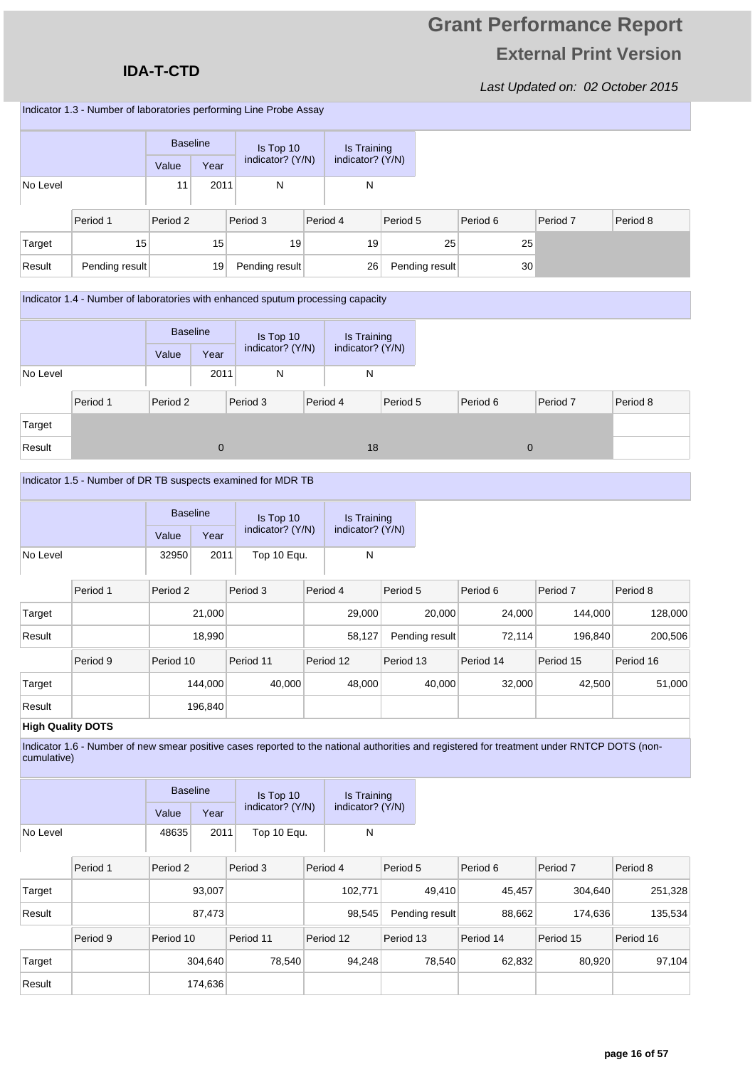### **IDA-T-CTD**

Last Updated on: 02 October 2015

Indicator 1.3 - Number of laboratories performing Line Probe Assay

|          |                | <b>Baseline</b> |                 | Is Top 10        | Is Training      |          |                |          |          |          |
|----------|----------------|-----------------|-----------------|------------------|------------------|----------|----------------|----------|----------|----------|
|          |                | Value           | Year            | indicator? (Y/N) | indicator? (Y/N) |          |                |          |          |          |
| No Level |                | 11              | 2011            | N                | N                |          |                |          |          |          |
|          | Period 1       | Period 2        |                 | Period 3         | Period 4         | Period 5 |                | Period 6 | Period 7 | Period 8 |
| Target   | 15             |                 | 15 <sub>1</sub> | 19               | 19               |          | 25             | 25       |          |          |
| Result   | Pending result |                 | 19              | Pending result   | 26               |          | Pending result | 30       |          |          |

#### Indicator 1.4 - Number of laboratories with enhanced sputum processing capacity

|          |          |          | <b>Baseline</b> |                  | Is Top 10 |                  | Is Training |  |              |          |  |
|----------|----------|----------|-----------------|------------------|-----------|------------------|-------------|--|--------------|----------|--|
|          |          | Value    | Year            | indicator? (Y/N) |           | indicator? (Y/N) |             |  |              |          |  |
| No Level |          |          | 2011            | N                |           | Ν                |             |  |              |          |  |
|          | Period 1 | Period 2 |                 | Period 3         |           | Period 4         | Period 5    |  | Period 6     | Period 7 |  |
| Target   |          |          |                 |                  |           |                  |             |  |              |          |  |
| Result   |          |          | $\mathbf 0$     |                  |           | 18               |             |  | $\mathbf{0}$ |          |  |

#### Indicator 1.5 - Number of DR TB suspects examined for MDR TB

|          | <b>Baseline</b> | Is Top 10 | Is Training |                  |                  |                |           |                     |           |
|----------|-----------------|-----------|-------------|------------------|------------------|----------------|-----------|---------------------|-----------|
|          |                 | Value     | Year        | indicator? (Y/N) | indicator? (Y/N) |                |           |                     |           |
| No Level |                 | 32950     | 2011        | Top 10 Equ.      | N                |                |           |                     |           |
|          | Period 1        | Period 2  |             | Period 3         | Period 4         | Period 5       | Period 6  | Period <sub>7</sub> | Period 8  |
| Target   |                 |           | 21,000      |                  | 29,000           | 20,000         | 24,000    | 144,000             | 128,000   |
| Result   |                 |           | 18,990      |                  | 58,127           | Pending result | 72,114    | 196,840             | 200,506   |
|          | Period 9        | Period 10 |             | Period 11        | Period 12        | Period 13      | Period 14 | Period 15           | Period 16 |
| Target   |                 |           | 144.000     | 40,000           | 48,000           | 40,000         | 32,000    | 42,500              | 51,000    |
| Result   |                 |           | 196,840     |                  |                  |                |           |                     |           |

#### **High Quality DOTS**

Indicator 1.6 - Number of new smear positive cases reported to the national authorities and registered for treatment under RNTCP DOTS (noncumulative)

|          |          | <b>Baseline</b> |         | Is Top 10        | Is Training      |                |           |           |           |
|----------|----------|-----------------|---------|------------------|------------------|----------------|-----------|-----------|-----------|
|          |          | Value           | Year    | indicator? (Y/N) | indicator? (Y/N) |                |           |           |           |
| No Level |          | 48635           | 2011    | Top 10 Equ.      | N                |                |           |           |           |
|          | Period 1 | Period 2        |         | Period 3         | Period 4         | Period 5       | Period 6  | Period 7  | Period 8  |
| Target   |          |                 | 93,007  |                  | 102,771          | 49,410         | 45,457    | 304,640   | 251,328   |
| Result   |          |                 | 87,473  |                  | 98,545           | Pending result | 88,662    | 174,636   | 135,534   |
|          | Period 9 | Period 10       |         | Period 11        | Period 12        | Period 13      | Period 14 | Period 15 | Period 16 |
| Target   |          |                 | 304,640 | 78,540           | 94,248           | 78,540         | 62,832    | 80,920    | 97,104    |
| Result   |          |                 | 174,636 |                  |                  |                |           |           |           |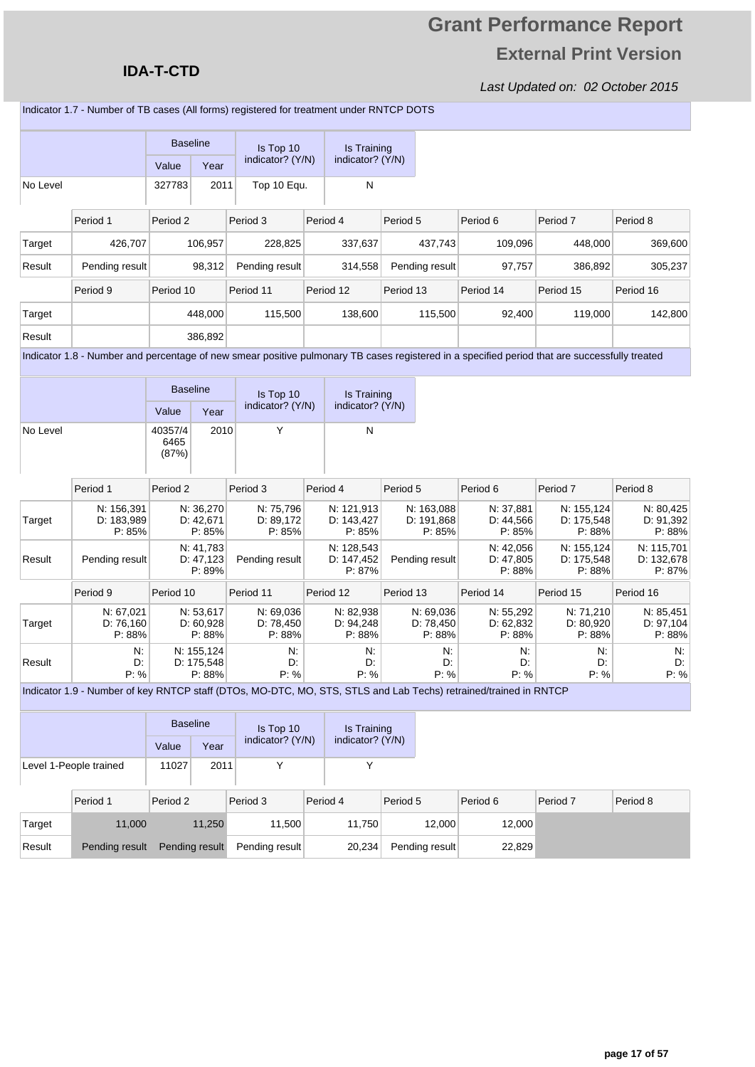### **IDA-T-CTD**

Last Updated on: 02 October 2015

Indicator 1.7 - Number of TB cases (All forms) registered for treatment under RNTCP DOTS

|          |                                                                                                                                               | <b>Baseline</b><br>Value | Year                               | Is Top 10<br>indicator? (Y/N)    | Is Training<br>indicator? (Y/N)    |           |                                    |                                  |                                    |                                    |
|----------|-----------------------------------------------------------------------------------------------------------------------------------------------|--------------------------|------------------------------------|----------------------------------|------------------------------------|-----------|------------------------------------|----------------------------------|------------------------------------|------------------------------------|
| No Level |                                                                                                                                               | 327783                   | 2011                               | Top 10 Equ.                      | N                                  |           |                                    |                                  |                                    |                                    |
|          | Period 1                                                                                                                                      | Period <sub>2</sub>      |                                    | Period 3                         | Period 4                           | Period 5  |                                    | Period 6                         | Period <sub>7</sub>                | Period 8                           |
| Target   | 426,707                                                                                                                                       |                          | 106,957                            | 228,825                          | 337,637                            |           | 437,743                            | 109,096                          | 448,000                            | 369,600                            |
| Result   | Pending result                                                                                                                                |                          | 98,312                             | Pending result                   | 314,558                            |           | Pending result                     | 97,757                           | 386,892                            | 305,237                            |
|          | Period 9                                                                                                                                      | Period 10                |                                    | Period 11                        | Period 12                          | Period 13 |                                    | Period 14                        | Period 15                          | Period 16                          |
| Target   |                                                                                                                                               |                          | 448,000                            | 115,500                          | 138,600                            |           | 115,500                            | 92,400                           | 119,000                            | 142,800                            |
| Result   |                                                                                                                                               |                          | 386,892                            |                                  |                                    |           |                                    |                                  |                                    |                                    |
|          | Indicator 1.8 - Number and percentage of new smear positive pulmonary TB cases registered in a specified period that are successfully treated |                          |                                    |                                  |                                    |           |                                    |                                  |                                    |                                    |
|          |                                                                                                                                               | <b>Baseline</b><br>Value | Year                               | Is Top 10<br>indicator? (Y/N)    | Is Training<br>indicator? (Y/N)    |           |                                    |                                  |                                    |                                    |
| No Level |                                                                                                                                               | 40357/4<br>6465<br>(87%) | 2010                               | Y                                | N                                  |           |                                    |                                  |                                    |                                    |
|          | Period 1                                                                                                                                      | Period <sub>2</sub>      |                                    | Period 3                         | Period 4                           | Period 5  |                                    | Period 6                         | Period <sub>7</sub>                | Period 8                           |
| Target   | N: 156,391<br>D: 183,989<br>P: 85%                                                                                                            |                          | N: 36,270<br>D: 42,671<br>P: 85%   | N: 75,796<br>D: 89,172<br>P: 85% | N: 121,913<br>D: 143,427<br>P: 85% |           | N: 163,088<br>D: 191,868<br>P: 85% | N: 37,881<br>D: 44,566<br>P: 85% | N: 155,124<br>D: 175,548<br>P: 88% | N: 80,425<br>D: 91,392<br>P: 88%   |
| Result   | Pending result                                                                                                                                |                          | N: 41,783<br>D: 47, 123<br>P: 89%  | Pending result                   | N: 128,543<br>D: 147,452<br>P: 87% |           | Pending result                     | N: 42,056<br>D: 47,805<br>P: 88% | N: 155,124<br>D: 175,548<br>P: 88% | N: 115,701<br>D: 132,678<br>P: 87% |
|          | Period 9                                                                                                                                      | Period 10                |                                    | Period 11                        | Period 12                          | Period 13 |                                    | Period 14                        | Period 15                          | Period 16                          |
| Target   | N: 67,021<br>D: 76,160<br>P: 88%                                                                                                              |                          | N: 53,617<br>D: 60,928<br>P: 88%   | N: 69,036<br>D: 78,450<br>P: 88% | N: 82,938<br>D: 94,248<br>P: 88%   |           | N: 69,036<br>D: 78,450<br>P: 88%   | N: 55,292<br>D: 62,832<br>P: 88% | N: 71,210<br>D: 80,920<br>P: 88%   | N: 85,451<br>D: 97,104<br>P: 88%   |
| Result   | N:<br>D.<br>P: %                                                                                                                              |                          | N: 155.124<br>D: 175,548<br>P: 88% | N:<br>D.<br>P: %                 | N.<br>D:<br>P: %                   |           | N.<br>D:<br>P: %                   | N.<br>D:<br>P: %                 | N.<br>D:<br>P: %                   | N.<br>D:<br>P: %                   |
|          | Indicator 1.9 - Number of key RNTCP staff (DTOs, MO-DTC, MO, STS, STLS and Lab Techs) retrained/trained in RNTCP                              |                          |                                    |                                  |                                    |           |                                    |                                  |                                    |                                    |
|          |                                                                                                                                               |                          | <b>Baseline</b>                    | Is Top 10                        | Is Training                        |           |                                    |                                  |                                    |                                    |
|          |                                                                                                                                               |                          |                                    | indicator? (Y/N)                 | indicator? (Y/N)                   |           |                                    |                                  |                                    |                                    |

|                        | Value | Year | indicator? (Y/N) | indicator? (Y/N) |
|------------------------|-------|------|------------------|------------------|
| Level 1-People trained | 11027 | 2011 |                  |                  |

|        | Period 1       | Period 2       | Period 3       | Period 4 | Period 5       | Period 6 | Period <sub>7</sub> | Period 8 |
|--------|----------------|----------------|----------------|----------|----------------|----------|---------------------|----------|
| Target | 11,000         | 11,250         | 11.500         | 11.750   | 12.000         | 12,000   |                     |          |
| Result | Pending result | Pending result | Pending result | 20,234   | Pending result | 22,829   |                     |          |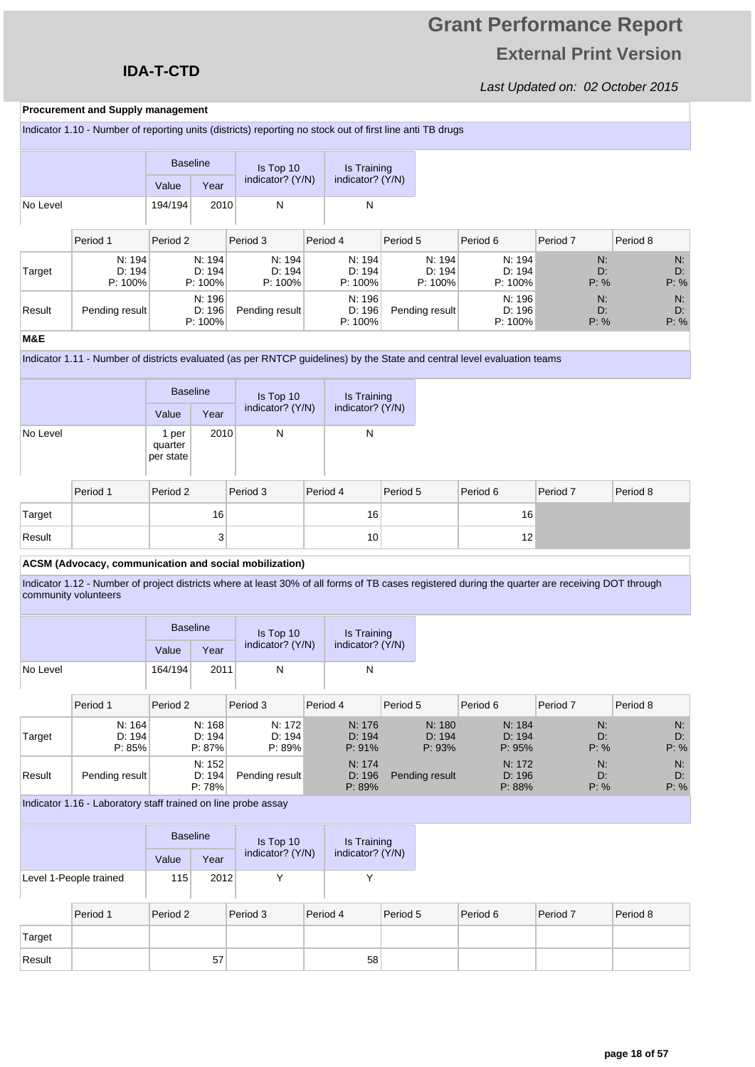### **IDA-T-CTD**

### Last Updated on: 02 October 2015

#### **Procurement and Supply management**

|          | Indicator 1.10 - Number of reporting units (districts) reporting no stock out of first line anti TB drugs |                 |                      |                      |                      |                      |                |                      |                      |            |          |            |
|----------|-----------------------------------------------------------------------------------------------------------|-----------------|----------------------|----------------------|----------------------|----------------------|----------------|----------------------|----------------------|------------|----------|------------|
|          |                                                                                                           | <b>Baseline</b> |                      | Is Top 10            |                      | Is Training          |                |                      |                      |            |          |            |
|          |                                                                                                           | Value           | Year                 | indicator? (Y/N)     | indicator? (Y/N)     |                      |                |                      |                      |            |          |            |
| No Level |                                                                                                           | 194/194         | 2010                 | N                    |                      | N                    |                |                      |                      |            |          |            |
|          |                                                                                                           |                 |                      |                      |                      |                      |                |                      |                      |            |          |            |
|          | Period 1                                                                                                  | Period 2        |                      | Period 3             | Period 4             |                      | Period 5       |                      | Period 6             | Period 7   | Period 8 |            |
|          | N: 194                                                                                                    |                 | N: 194<br>D: 194     | N: 194               |                      | N: 194               |                | N: 194               | N: 194               | N:         |          | N:         |
| Target   | D: 194<br>$P: 100\%$                                                                                      |                 | $P: 100\%$           | D: 194<br>$P: 100\%$ |                      | D: 194<br>$P: 100\%$ |                | D: 194<br>$P: 100\%$ | D: 194<br>$P: 100\%$ | D:<br>P: % |          | D:<br>P: % |
|          |                                                                                                           |                 | N: 196               |                      |                      | N: 196               |                |                      | N: 196               | N:         |          | N:         |
| Result   | Pending result                                                                                            |                 | D: 196<br>$P: 100\%$ | Pending result       | D: 196<br>$P: 100\%$ |                      | Pending result |                      | D: 196<br>$P: 100\%$ | D:<br>P: % |          | D:<br>P: % |
| M&E      |                                                                                                           |                 |                      |                      |                      |                      |                |                      |                      |            |          |            |

Indicator 1.11 - Number of districts evaluated (as per RNTCP guidelines) by the State and central level evaluation teams

|          |          | <b>Baseline</b>               |      | Is Top 10<br>indicator? (Y/N) |  | Is Training<br>indicator? (Y/N) |          |          |          |          |
|----------|----------|-------------------------------|------|-------------------------------|--|---------------------------------|----------|----------|----------|----------|
|          |          | Value                         | Year |                               |  |                                 |          |          |          |          |
| No Level |          | 1 per<br>quarter<br>per state | 2010 | N                             |  | N                               |          |          |          |          |
|          | Period 1 | Period 2                      |      | Period 3                      |  | Period 4                        | Period 5 | Period 6 | Period 7 | Period 8 |
| Target   |          |                               | 16   |                               |  | 16 <sub>1</sub>                 |          | 16       |          |          |
| Result   |          |                               | 3    |                               |  | 10 <sup>1</sup>                 |          | 12       |          |          |

#### **ACSM (Advocacy, communication and social mobilization)**

Indicator 1.12 - Number of project districts where at least 30% of all forms of TB cases registered during the quarter are receiving DOT through community volunteers

|          |                            | <b>Baseline</b> |                            | Is Top 10                  |                  |                            | Is Training |                            |                            |                     |          |                  |
|----------|----------------------------|-----------------|----------------------------|----------------------------|------------------|----------------------------|-------------|----------------------------|----------------------------|---------------------|----------|------------------|
|          |                            | Value           | Year                       | indicator? (Y/N)           | indicator? (Y/N) |                            |             |                            |                            |                     |          |                  |
| No Level |                            | 164/194         | 2011                       | N                          |                  | N                          |             |                            |                            |                     |          |                  |
|          | Period 1                   | Period 2        |                            | Period 3                   |                  | Period 4                   | Period 5    |                            | Period 6                   | Period <sub>7</sub> | Period 8 |                  |
| Target   | N: 164<br>D: 194<br>P: 85% |                 | N: 168<br>D: 194<br>P: 87% | N: 172<br>D: 194<br>P: 89% |                  | N: 176<br>D: 194<br>P: 91% |             | N: 180<br>D: 194<br>P: 93% | N: 184<br>D: 194<br>P: 95% | N:<br>D:<br>P: %    |          | N:<br>D:<br>P: % |
| Result   | Pending result             |                 | N: 152<br>D: 194<br>P: 78% | Pending result             |                  | N: 174<br>D: 196<br>P: 89% |             | Pending result             | N: 172<br>D: 196<br>P: 88% | N:<br>D:<br>P: %    |          | N:<br>D:<br>P: % |

Indicator 1.16 - Laboratory staff trained on line probe assay

|                        | <b>Baseline</b> |      | Is Top 10        | Is Training      |  |
|------------------------|-----------------|------|------------------|------------------|--|
|                        | Value           | Year | indicator? (Y/N) | indicator? (Y/N) |  |
| Level 1-People trained | 115             | 2012 |                  |                  |  |

|        | Period 1 | Period 2 | Period 3 | Period 4 | Period 5 | Period 6 | Period 7 | Period 8 |
|--------|----------|----------|----------|----------|----------|----------|----------|----------|
| Target |          |          |          |          |          |          |          |          |
| Result |          | 57       |          | 58       |          |          |          |          |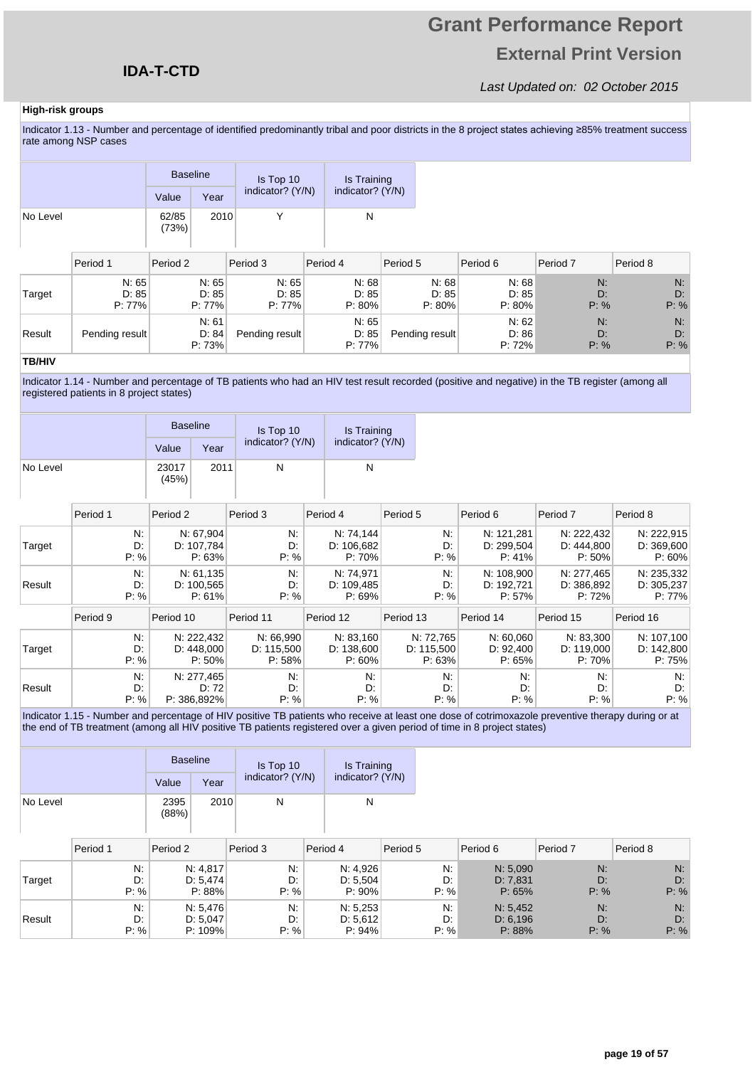## **Grant Performance Report External Print Version**

#### Last Updated on: 02 October 2015

#### **High-risk groups**

Indicator 1.13 - Number and percentage of identified predominantly tribal and poor districts in the 8 project states achieving ≥85% treatment success rate among NSP cases

|          | <b>Baseline</b> |      | Is Top 10        | Is Training<br>indicator? (Y/N) |  |
|----------|-----------------|------|------------------|---------------------------------|--|
|          | Value           | Year | indicator? (Y/N) |                                 |  |
| No Level | 62/85<br>(73%)  | 2010 |                  | N                               |  |

|        | Period 1                    | Period 2                    | Period 3                    | Period 4                    | Period 5                    | Period 6                    | Period 7         | Period 8         |
|--------|-----------------------------|-----------------------------|-----------------------------|-----------------------------|-----------------------------|-----------------------------|------------------|------------------|
| Target | N: 65<br>D: 85<br>$P: 77\%$ | N: 65<br>D: 85<br>$P: 77\%$ | N: 65<br>D: 85<br>$P: 77\%$ | N: 68<br>D: 85<br>$P: 80\%$ | N: 68<br>D: 85<br>$P: 80\%$ | N: 68<br>D: 85<br>$P: 80\%$ | N:<br>D:<br>P: % | N:<br>D:<br>P: % |
| Result | Pending result              | N: 61<br>D: 84<br>P: 73%    | Pending result              | N: 65<br>D: 85<br>$P: 77\%$ | Pending result              | N: 62<br>D: 86<br>P: 72%    | N:<br>D:<br>P: % | N:<br>D:<br>P: % |

#### **TB/HIV**

Indicator 1.14 - Number and percentage of TB patients who had an HIV test result recorded (positive and negative) in the TB register (among all registered patients in 8 project states)

|          |                  | <b>Baseline</b> |                                    | Is Top 10                         |          | Is Training                       |           |                                   |                                                                                                                                                                                                                                                                              |                                    |                                    |
|----------|------------------|-----------------|------------------------------------|-----------------------------------|----------|-----------------------------------|-----------|-----------------------------------|------------------------------------------------------------------------------------------------------------------------------------------------------------------------------------------------------------------------------------------------------------------------------|------------------------------------|------------------------------------|
|          |                  | Value           | Year                               | indicator? (Y/N)                  |          | indicator? (Y/N)                  |           |                                   |                                                                                                                                                                                                                                                                              |                                    |                                    |
| No Level |                  | 23017<br>(45%)  | 2011                               | N                                 |          | N                                 |           |                                   |                                                                                                                                                                                                                                                                              |                                    |                                    |
|          | Period 1         | Period 2        |                                    | Period 3                          | Period 4 |                                   | Period 5  |                                   | Period 6                                                                                                                                                                                                                                                                     | Period <sub>7</sub>                | Period 8                           |
| Target   | N:<br>D.<br>P: % |                 | N: 67,904<br>D: 107,784<br>P: 63%  | N:<br>D:<br>P: %                  |          | N: 74,144<br>D: 106,682<br>P: 70% |           | N.<br>D:<br>P: %                  | N: 121,281<br>D: 299,504<br>P: 41%                                                                                                                                                                                                                                           | N: 222,432<br>D: 444,800<br>P: 50% | N: 222,915<br>D: 369,600<br>P: 60% |
| Result   | N:<br>D:<br>P: % |                 | N: 61, 135<br>D: 100,565<br>P: 61% | N:<br>D:<br>P: %                  |          | N: 74,971<br>D: 109,485<br>P: 69% |           | N.<br>D:<br>P: %                  | N: 108,900<br>D: 192,721<br>P: 57%                                                                                                                                                                                                                                           | N: 277,465<br>D: 386,892<br>P: 72% | N: 235,332<br>D: 305,237<br>P: 77% |
|          | Period 9         | Period 10       |                                    | Period 11                         |          | Period 12                         | Period 13 |                                   | Period 14                                                                                                                                                                                                                                                                    | Period 15                          | Period 16                          |
| Target   | N:<br>D:<br>P: % |                 | N: 222,432<br>D: 448,000<br>P: 50% | N: 66,990<br>D: 115,500<br>P: 58% |          | N: 83,160<br>D: 138,600<br>P: 60% |           | N: 72,765<br>D: 115,500<br>P: 63% | N: 60,060<br>D: 92,400<br>P: 65%                                                                                                                                                                                                                                             | N: 83,300<br>D: 119,000<br>P:70%   | N: 107,100<br>D: 142,800<br>P: 75% |
| Result   | N.<br>D.<br>P: % |                 | N: 277,465<br>D: 72<br>P: 386,892% | N:<br>D:<br>P: %                  |          | N.<br>D:<br>P: %                  |           | N.<br>D:<br>P: %                  | N.<br>D:<br>P: %                                                                                                                                                                                                                                                             | $N$ :<br>D:<br>P: %                | $N$ :<br>D.<br>P: %                |
|          |                  |                 |                                    |                                   |          |                                   |           |                                   | Indicator 1.15 - Number and percentage of HIV positive TB patients who receive at least one dose of cotrimoxazole preventive therapy during or at<br>the end of TB treatment (among all HIV positive TB patients registered over a given period of time in 8 project states) |                                    |                                    |
|          |                  | <b>Baseline</b> |                                    | Is Top 10                         |          | <b>Is Training</b>                |           |                                   |                                                                                                                                                                                                                                                                              |                                    |                                    |
|          |                  | Value           | Year                               | indicator? (Y/N)                  |          | indicator? (Y/N)                  |           |                                   |                                                                                                                                                                                                                                                                              |                                    |                                    |
| No Level |                  | 2395<br>(88%)   | 2010                               | ${\sf N}$                         |          | ${\sf N}$                         |           |                                   |                                                                                                                                                                                                                                                                              |                                    |                                    |
|          | - - - -          | - - - -         |                                    | $  -$                             | - - - -  |                                   | - - - -   |                                   | $  -$                                                                                                                                                                                                                                                                        | $ -$                               | - - - -                            |

|        | Period 1 | Period 2   | Period 3 | Period 4  | Period 5 | Period 6 | Period 7 | Period 8 |
|--------|----------|------------|----------|-----------|----------|----------|----------|----------|
| Target | N.       | N: 4.817   | N:       | N: 4.926  | N:       | N: 5.090 | N:       | N:       |
|        | D:       | D: 5.474   | D:       | D: 5.504  | D:       | D: 7.831 | D:       | D:       |
|        | P: %     | $P: 88\%$  | P: %     | $P: 90\%$ | $P: \%$  | P: 65%   | P: %     | P: %     |
| Result | Ν.       | N: 5,476   | N:       | N: 5,253  | N:       | N: 5.452 | N:       | N:       |
|        | D:       | D: 5.047   | D:       | D: 5.612  | D:       | D: 6.196 | D:       | D:       |
|        | P: %     | $P: 109\%$ | P: %     | P: 94%    | P: %     | P: 88%   | P: %     | P: %     |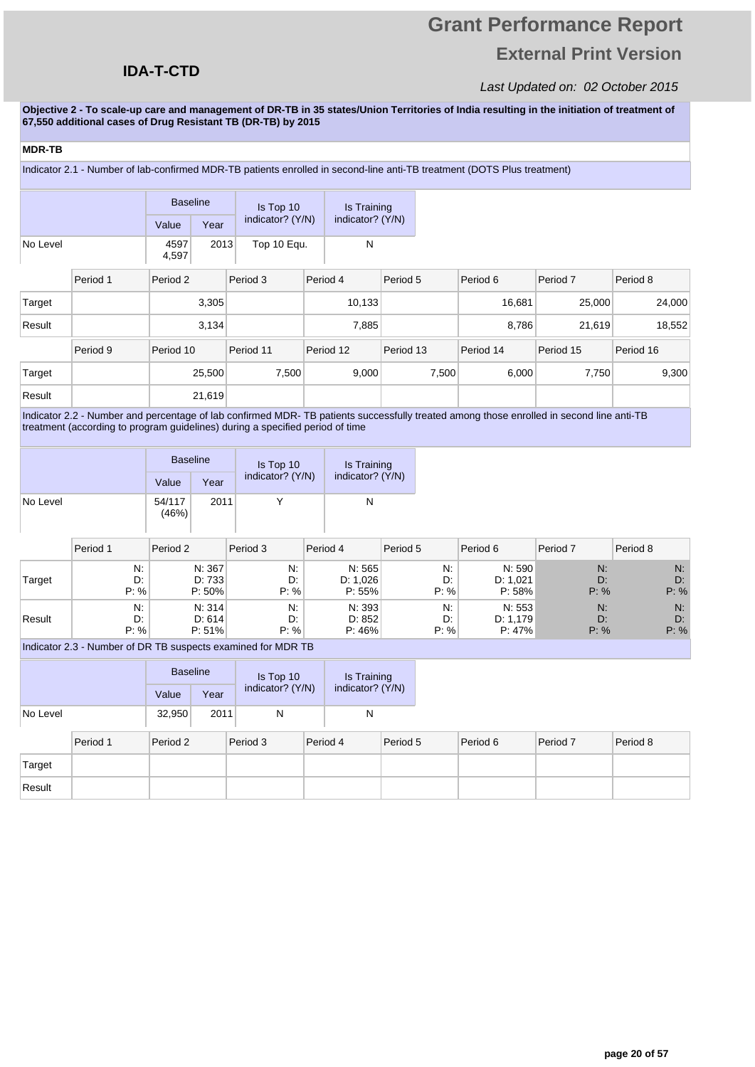## **Grant Performance Report External Print Version**

#### Last Updated on: 02 October 2015

**Objective 2 - To scale-up care and management of DR-TB in 35 states/Union Territories of India resulting in the initiation of treatment of 67,550 additional cases of Drug Resistant TB (DR-TB) by 2015** 

| <b>MDR-TB</b> |                                                                                                                         |                 |        |                  |                  |       |           |           |           |           |  |  |
|---------------|-------------------------------------------------------------------------------------------------------------------------|-----------------|--------|------------------|------------------|-------|-----------|-----------|-----------|-----------|--|--|
|               | Indicator 2.1 - Number of lab-confirmed MDR-TB patients enrolled in second-line anti-TB treatment (DOTS Plus treatment) |                 |        |                  |                  |       |           |           |           |           |  |  |
|               |                                                                                                                         | <b>Baseline</b> |        | Is Top 10        | Is Training      |       |           |           |           |           |  |  |
|               |                                                                                                                         | Value           | Year   | indicator? (Y/N) | indicator? (Y/N) |       |           |           |           |           |  |  |
| No Level      |                                                                                                                         | 4597<br>4,597   | 2013   | Top 10 Equ.      |                  | N     |           |           |           |           |  |  |
|               | Period 1                                                                                                                | Period 2        |        | Period 3         | Period 4         |       | Period 5  | Period 6  | Period 7  | Period 8  |  |  |
| Target        |                                                                                                                         |                 | 3,305  |                  | 10,133           |       |           | 16,681    | 25,000    | 24,000    |  |  |
| Result        |                                                                                                                         |                 | 3,134  |                  |                  | 7,885 |           | 8,786     | 21,619    | 18,552    |  |  |
|               | Period 9                                                                                                                | Period 10       |        | Period 11        | Period 12        |       | Period 13 | Period 14 | Period 15 | Period 16 |  |  |
| Target        |                                                                                                                         |                 | 25,500 | 7,500            |                  | 9,000 | 7,500     | 6,000     | 7,750     | 9,300     |  |  |
| Result        |                                                                                                                         |                 | 21,619 |                  |                  |       |           |           |           |           |  |  |

Indicator 2.2 - Number and percentage of lab confirmed MDR- TB patients successfully treated among those enrolled in second line anti-TB treatment (according to program guidelines) during a specified period of time

|          |                                                              | <b>Baseline</b> |                            | Is Top 10        | Is Training                   |                  |                              |                  |                  |  |  |
|----------|--------------------------------------------------------------|-----------------|----------------------------|------------------|-------------------------------|------------------|------------------------------|------------------|------------------|--|--|
|          |                                                              | Value           | Year                       | indicator? (Y/N) | indicator? (Y/N)              |                  |                              |                  |                  |  |  |
| No Level |                                                              | 54/117<br>(46%) | 2011                       | Υ                | N                             |                  |                              |                  |                  |  |  |
|          | Period 1                                                     | Period 2        |                            | Period 3         | Period 4                      | Period 5         | Period 6                     | Period 7         | Period 8         |  |  |
| Target   | N.<br>D:<br>P: %                                             |                 | N: 367<br>D: 733<br>P: 50% | N:<br>D:<br>P: % | N: 565<br>D: 1,026<br>P: 55%  | N.<br>D:<br>P: % | N: 590<br>D: 1,021<br>P: 58% | N:<br>D:<br>P: % | N:<br>D:<br>P: % |  |  |
| Result   | N:<br>D:<br>P: %                                             |                 | N: 314<br>D: 614<br>P: 51% | N:<br>D:<br>P: % | N: 393<br>D: 852<br>$P: 46\%$ | N:<br>D:<br>P: % | N: 553<br>D: 1.179<br>P: 47% | N:<br>D:<br>P: % | N:<br>D:<br>P: % |  |  |
|          | Indicator 2.3 - Number of DR TB suspects examined for MDR TB |                 |                            |                  |                               |                  |                              |                  |                  |  |  |

Indicator 2.3 - Number of DR TB suspects examined for MDR TB

|          | <b>Baseline</b> |      | Is Top 10        | Is Training      |  |
|----------|-----------------|------|------------------|------------------|--|
|          | Value           | Year | indicator? (Y/N) | indicator? (Y/N) |  |
| No Level | 32.950          | 2011 | N                |                  |  |

|        | Period 1 | Period 2 | Period 3 | Period 4 | Period 5 | Period 6 | Period 7 | Period 8 |
|--------|----------|----------|----------|----------|----------|----------|----------|----------|
| Target |          |          |          |          |          |          |          |          |
| Result |          |          |          |          |          |          |          |          |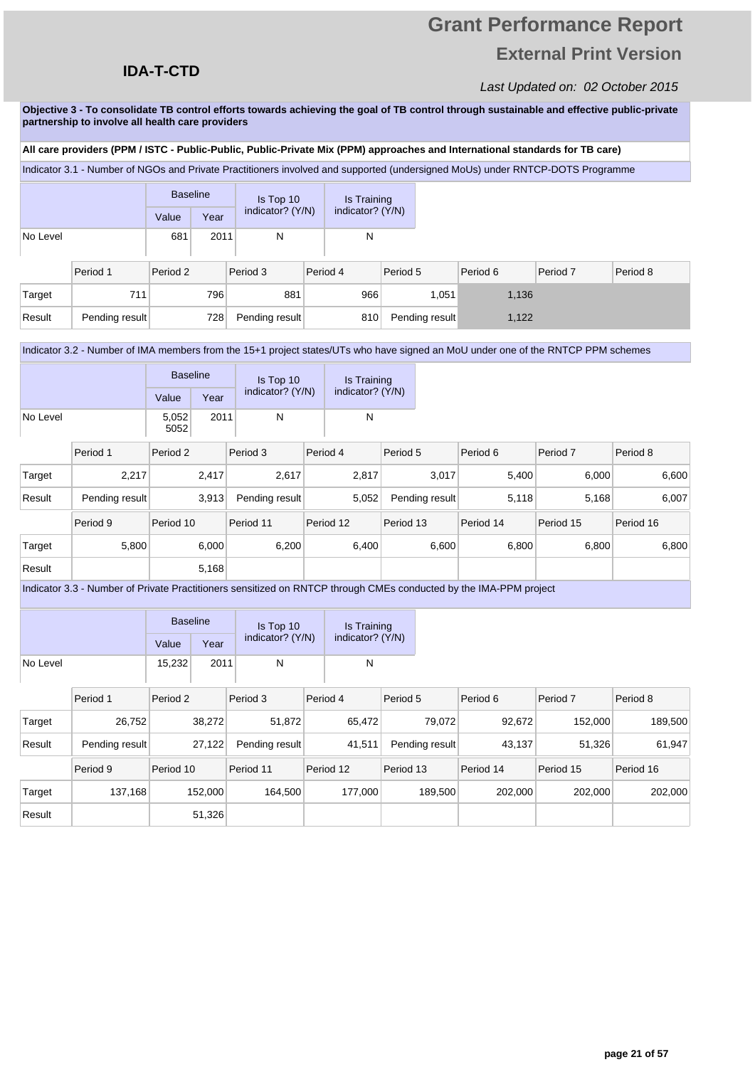## **Grant Performance Report External Print Version**

#### Last Updated on: 02 October 2015

**Objective 3 - To consolidate TB control efforts towards achieving the goal of TB control through sustainable and effective public-private partnership to involve all health care providers** 

#### **All care providers (PPM / ISTC - Public-Public, Public-Private Mix (PPM) approaches and International standards for TB care)**

Indicator 3.1 - Number of NGOs and Private Practitioners involved and supported (undersigned MoUs) under RNTCP-DOTS Programme

|          |                | <b>Baseline</b> |      |                  | Is Top 10 |                  | Is Training |                |          |          |          |
|----------|----------------|-----------------|------|------------------|-----------|------------------|-------------|----------------|----------|----------|----------|
|          |                | Value           | Year | indicator? (Y/N) |           | indicator? (Y/N) |             |                |          |          |          |
| No Level |                | 681             | 2011 | N                |           | N                |             |                |          |          |          |
|          | Period 1       | Period 2        |      | Period 3         |           | Period 4         | Period 5    |                | Period 6 | Period 7 | Period 8 |
| Target   | 711            |                 | 796  | 881              |           | 966              |             | 1,051          | 1,136    |          |          |
| Result   | Pending result |                 | 728  | Pending result   |           | 810              |             | Pending result | 1,122    |          |          |

#### Indicator 3.2 - Number of IMA members from the 15+1 project states/UTs who have signed an MoU under one of the RNTCP PPM schemes

|          | <b>Baseline</b> |      | Is Top 10        | Is Training<br>indicator? (Y/N) |  |
|----------|-----------------|------|------------------|---------------------------------|--|
|          | Value           | Year | indicator? (Y/N) |                                 |  |
| No Level | 5,052<br>5052   | 2011 |                  |                                 |  |

|        | Period 1       | Period 2  | Period 3       | Period 4  | Period 5       | Period 6  | Period <sub>7</sub> | Period 8  |
|--------|----------------|-----------|----------------|-----------|----------------|-----------|---------------------|-----------|
| Target | 2,217          | 2,417     | 2.617          | 2,817     | 3,017          | 5.400     | 6,000               | 6,600     |
| Result | Pending result | 3,913     | Pending result | 5,052     | Pending result | 5,118     | 5,168               | 6,007     |
|        | Period 9       | Period 10 | Period 11      | Period 12 | Period 13      | Period 14 | Period 15           | Period 16 |
| Target | 5.800          | 6,000     | 6,200          | 6.400     | 6,600          | 6.800     | 6.800               | 6,800     |
| Result |                | 5,168     |                |           |                |           |                     |           |

Indicator 3.3 - Number of Private Practitioners sensitized on RNTCP through CMEs conducted by the IMA-PPM project

|          |                | <b>Baseline</b> |         | Is Top 10        | Is Training      |           |                |           |                     |           |
|----------|----------------|-----------------|---------|------------------|------------------|-----------|----------------|-----------|---------------------|-----------|
|          |                | Value           | Year    | indicator? (Y/N) | indicator? (Y/N) |           |                |           |                     |           |
| No Level |                | 15,232          | 2011    | N                | N                |           |                |           |                     |           |
|          |                |                 |         |                  |                  |           |                |           |                     |           |
|          | Period 1       | Period 2        |         | Period 3         | Period 4         | Period 5  |                | Period 6  | Period <sub>7</sub> | Period 8  |
| Target   | 26,752         |                 | 38,272  | 51,872           | 65,472           |           | 79,072         | 92,672    | 152,000             | 189,500   |
| Result   | Pending result |                 | 27,122  | Pending result   | 41,511           |           | Pending result | 43,137    | 51,326              | 61,947    |
|          | Period 9       | Period 10       |         | Period 11        | Period 12        | Period 13 |                | Period 14 | Period 15           | Period 16 |
| Target   | 137,168        |                 | 152,000 | 164,500          | 177,000          |           | 189,500        | 202,000   | 202,000             | 202,000   |
| Result   |                |                 | 51,326  |                  |                  |           |                |           |                     |           |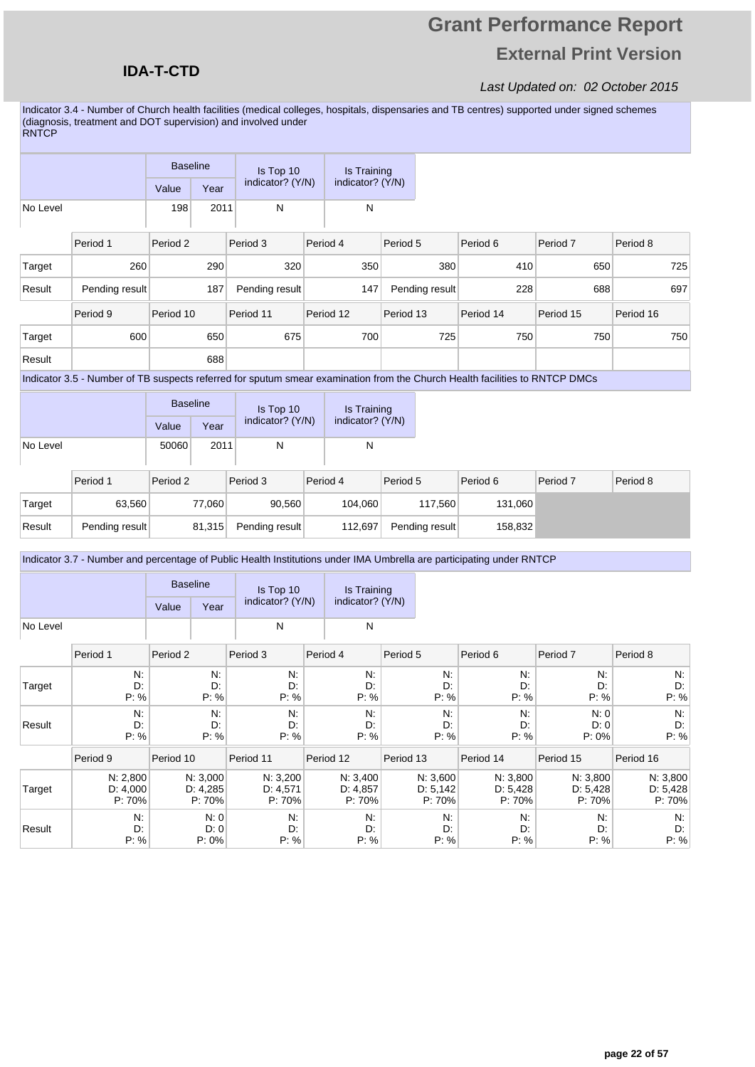## **Grant Performance Report External Print Version**

#### Last Updated on: 02 October 2015

Indicator 3.4 - Number of Church health facilities (medical colleges, hospitals, dispensaries and TB centres) supported under signed schemes (diagnosis, treatment and DOT supervision) and involved under RNTCP

|          |                                                                                                                             | <b>Baseline</b> |      |                  | Is Top 10 |           | Is Training      |                |     |           |           |           |     |
|----------|-----------------------------------------------------------------------------------------------------------------------------|-----------------|------|------------------|-----------|-----------|------------------|----------------|-----|-----------|-----------|-----------|-----|
|          |                                                                                                                             | Value           | Year | indicator? (Y/N) |           |           | indicator? (Y/N) |                |     |           |           |           |     |
| No Level |                                                                                                                             | 198             | 2011 | N                |           |           | N                |                |     |           |           |           |     |
|          | Period 1                                                                                                                    | Period 2        |      | Period 3         |           | Period 4  |                  | Period 5       |     | Period 6  | Period 7  | Period 8  |     |
| Target   | 260                                                                                                                         |                 | 290  |                  | 320       |           | 350              |                | 380 | 410       | 650       |           | 725 |
| Result   | Pending result                                                                                                              |                 | 187  | Pending result   |           |           | 147              | Pending result |     | 228       | 688       |           | 697 |
|          | Period 9                                                                                                                    | Period 10       |      | Period 11        |           | Period 12 |                  | Period 13      |     | Period 14 | Period 15 | Period 16 |     |
| Target   | 600                                                                                                                         |                 | 650  |                  | 675       |           | 700              |                | 725 | 750       | 750       |           | 750 |
| Result   |                                                                                                                             |                 | 688  |                  |           |           |                  |                |     |           |           |           |     |
|          | Indicator 3.5 - Number of TB suspects referred for sputum smear examination from the Church Health facilities to RNTCP DMCs |                 |      |                  |           |           |                  |                |     |           |           |           |     |

|          | <b>Baseline</b> |      | Is Top 10        | Is Training      |  |
|----------|-----------------|------|------------------|------------------|--|
|          | Value           | Year | indicator? (Y/N) | indicator? (Y/N) |  |
| No Level | 50060           | 2011 |                  | N                |  |

|        | Period 1       | Period 2 | Period 3<br>Period 4 |         | Period 5       | Period 6 | Period <sub>7</sub> | Period 8 |
|--------|----------------|----------|----------------------|---------|----------------|----------|---------------------|----------|
| Target | 63.560         | 77,060   | 90,560               | 104.060 | 117.560        | 131,060  |                     |          |
| Result | Pending result | 81,315   | Pending result       | 112.697 | Pending result | 158,832  |                     |          |

Indicator 3.7 - Number and percentage of Public Health Institutions under IMA Umbrella are participating under RNTCP

|          | Indicator 3.7 - Number and percentage of Public Health Institutions under IMA Umbrella are participating under RNTCP |                 |                                |                                |                                |                                |                                |                                |                                |
|----------|----------------------------------------------------------------------------------------------------------------------|-----------------|--------------------------------|--------------------------------|--------------------------------|--------------------------------|--------------------------------|--------------------------------|--------------------------------|
|          |                                                                                                                      | <b>Baseline</b> |                                | Is Top 10                      | Is Training                    |                                |                                |                                |                                |
|          |                                                                                                                      | Value           | Year                           | indicator? (Y/N)               | indicator? (Y/N)               |                                |                                |                                |                                |
| No Level |                                                                                                                      |                 |                                | N                              | N                              |                                |                                |                                |                                |
|          | Period 1                                                                                                             | Period 2        |                                | Period 3                       | Period 4                       | Period 5                       | Period 6                       | Period 7                       | Period 8                       |
| Target   | N.<br>D:<br>P: %                                                                                                     |                 | N:<br>D:<br>P: %               | N.<br>D:<br>P: %               | N:<br>D:<br>P: %               | $N$ :<br>D:<br>P: %            | N.<br>D:<br>P: %               | N:<br>D:<br>P: %               | N.<br>D:<br>P: %               |
| Result   | N.<br>D:<br>P: %                                                                                                     |                 | N:<br>D:<br>P: %               | N:<br>D.<br>P: %               | N.<br>D:<br>P: %               | $N$ :<br>D:<br>P: %            | N.<br>D:<br>P: %               | N: 0<br>D: 0<br>$P: 0\%$       | N.<br>D.<br>P: %               |
|          | Period 9                                                                                                             | Period 10       |                                | Period 11                      | Period 12                      | Period 13                      | Period 14                      | Period 15                      | Period 16                      |
| Target   | N: 2,800<br>D: 4,000<br>P: 70%                                                                                       |                 | N: 3,000<br>D: 4,285<br>P: 70% | N: 3,200<br>D: 4,571<br>P: 70% | N: 3,400<br>D: 4,857<br>P: 70% | N: 3,600<br>D: 5,142<br>P: 70% | N: 3,800<br>D: 5,428<br>P: 70% | N: 3,800<br>D: 5,428<br>P: 70% | N: 3,800<br>D: 5,428<br>P: 70% |
| Result   | N:<br>D:<br>P: %                                                                                                     |                 | N:0<br>D:0<br>$P: 0\%$         | N.<br>D:<br>P: %               | N:<br>D:<br>P: %               | N.<br>D.<br>P: %               | N:<br>D:<br>P: %               | N.<br>D:<br>P: %               | N.<br>D:<br>P: %               |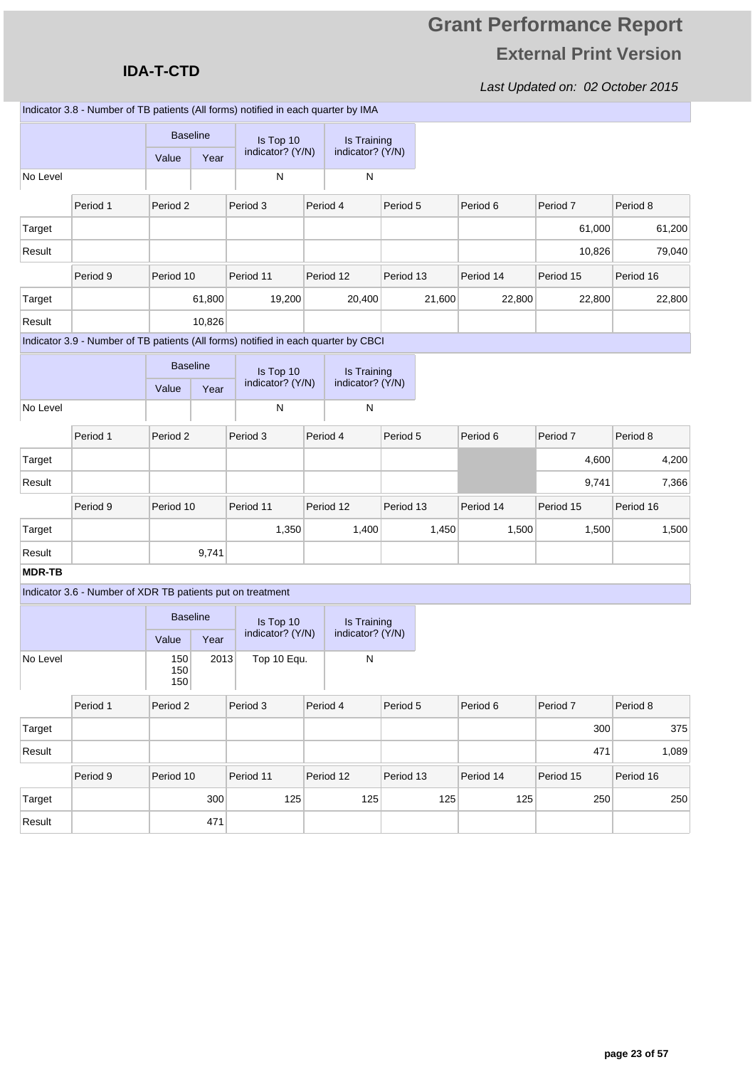### **IDA-T-CTD**

Result 471

|               |                                                            |                          |        | Indicator 3.8 - Number of TB patients (All forms) notified in each quarter by IMA  |                                        |           |        |           |           |           |
|---------------|------------------------------------------------------------|--------------------------|--------|------------------------------------------------------------------------------------|----------------------------------------|-----------|--------|-----------|-----------|-----------|
|               |                                                            | <b>Baseline</b><br>Value | Year   | Is Top 10<br>indicator? (Y/N)                                                      | <b>Is Training</b><br>indicator? (Y/N) |           |        |           |           |           |
| No Level      |                                                            |                          |        | ${\sf N}$                                                                          | ${\sf N}$                              |           |        |           |           |           |
|               |                                                            |                          |        |                                                                                    |                                        |           |        |           |           |           |
|               | Period 1                                                   | Period <sub>2</sub>      |        | Period 3                                                                           | Period 4                               | Period 5  |        | Period 6  | Period 7  | Period 8  |
| Target        |                                                            |                          |        |                                                                                    |                                        |           |        |           | 61,000    | 61,200    |
| Result        |                                                            |                          |        |                                                                                    |                                        |           |        |           | 10,826    | 79,040    |
|               | Period 9                                                   | Period 10                |        | Period 11                                                                          | Period 12                              | Period 13 |        | Period 14 | Period 15 | Period 16 |
| Target        |                                                            |                          | 61,800 | 19,200                                                                             | 20,400                                 |           | 21,600 | 22,800    | 22,800    | 22,800    |
| Result        |                                                            |                          | 10,826 |                                                                                    |                                        |           |        |           |           |           |
|               |                                                            |                          |        | Indicator 3.9 - Number of TB patients (All forms) notified in each quarter by CBCI |                                        |           |        |           |           |           |
|               |                                                            | <b>Baseline</b>          |        | Is Top 10                                                                          | Is Training                            |           |        |           |           |           |
|               |                                                            | Value                    | Year   | indicator? (Y/N)                                                                   | indicator? (Y/N)                       |           |        |           |           |           |
| No Level      |                                                            |                          |        | N                                                                                  | ${\sf N}$                              |           |        |           |           |           |
|               | Period 1                                                   | Period <sub>2</sub>      |        | Period 3                                                                           | Period 4                               | Period 5  |        | Period 6  | Period 7  | Period 8  |
| Target        |                                                            |                          |        |                                                                                    |                                        |           |        |           | 4,600     | 4,200     |
| Result        |                                                            |                          |        |                                                                                    |                                        |           |        |           | 9,741     | 7,366     |
|               | Period 9                                                   | Period 10                |        | Period 11                                                                          | Period 12                              | Period 13 |        | Period 14 | Period 15 | Period 16 |
| Target        |                                                            |                          |        | 1,350                                                                              | 1,400                                  |           | 1,450  | 1,500     | 1,500     | 1,500     |
| Result        |                                                            |                          | 9,741  |                                                                                    |                                        |           |        |           |           |           |
| <b>MDR-TB</b> |                                                            |                          |        |                                                                                    |                                        |           |        |           |           |           |
|               | Indicator 3.6 - Number of XDR TB patients put on treatment |                          |        |                                                                                    |                                        |           |        |           |           |           |
|               |                                                            | <b>Baseline</b>          |        | Is Top 10<br>indicator? (Y/N)                                                      | Is Training<br>indicator? (Y/N)        |           |        |           |           |           |
|               |                                                            | Value                    | Year   |                                                                                    |                                        |           |        |           |           |           |
| No Level      |                                                            | 150<br>150<br>150        | 2013   | Top 10 Equ.                                                                        | ${\sf N}$                              |           |        |           |           |           |
|               | Period 1                                                   | Period 2                 |        | Period 3                                                                           | Period 4                               | Period 5  |        | Period 6  | Period 7  | Period 8  |
| Target        |                                                            |                          |        |                                                                                    |                                        |           |        |           | 300       | 375       |
| Result        |                                                            |                          |        |                                                                                    |                                        |           |        |           | 471       | 1,089     |
|               | Period 9                                                   | Period 10                |        | Period 11                                                                          | Period 12                              | Period 13 |        | Period 14 | Period 15 | Period 16 |
| Target        |                                                            |                          | 300    | 125                                                                                | 125                                    |           | 125    | 125       | 250       | 250       |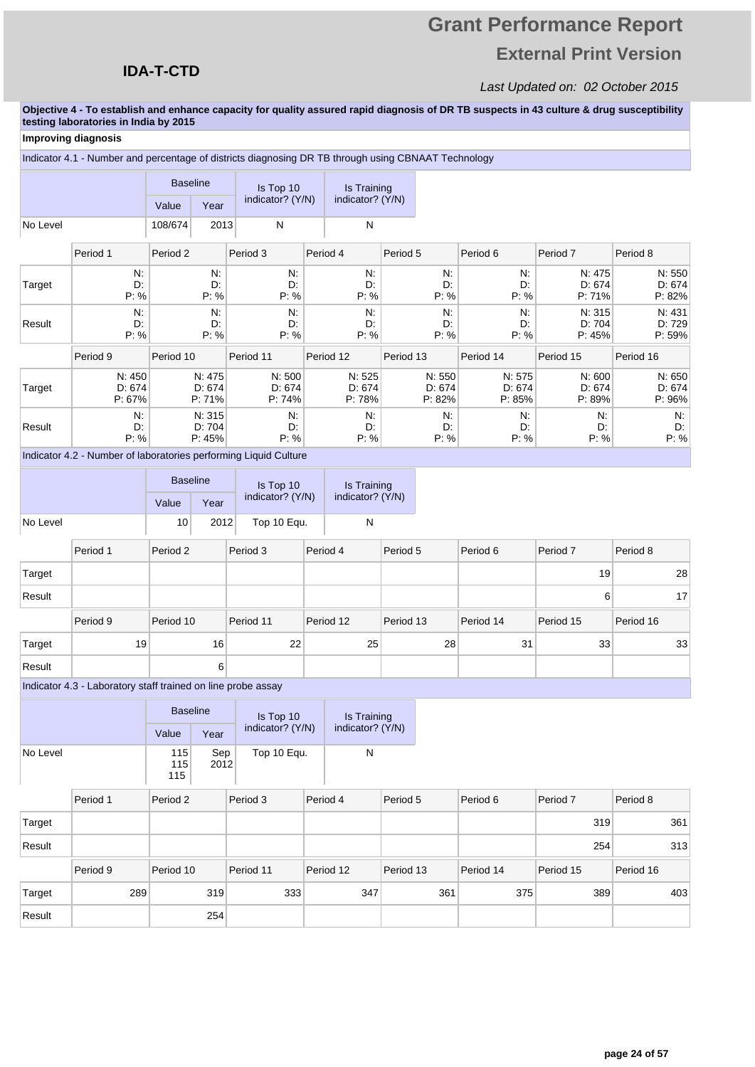## **Grant Performance Report External Print Version**

#### Last Updated on: 02 October 2015

**Objective 4 - To establish and enhance capacity for quality assured rapid diagnosis of DR TB suspects in 43 culture & drug susceptibility testing laboratories in India by 2015**

#### Period 1 Period 2 Period 3 Period 4 Period 5 Period 6 Period 7 Period 8 Target N: D: P: % N: D: P: % N: D: P: % N: D: P: % N: D: P: % N: D: P: % N: 475 D: 674 P: 71% N: 550 D: 674 P: 82% Result N: D: P: % N: D: P: % N: D: P: % N: D: P: % N: D: P: % N: D: P: % N: 315 D: 704 P: 45% N: 431 D: 729 P: 59% Period 9 Period 10 Period 11 Period 12 Period 13 Period 14 Period 15 Period 16 Target N: 450 D: 674 P: 67% N: 475 D: 674 P: 71% N: 500 D: 674 P: 74% N: 525 D: 674 P: 78% N: 550 D: 674 P: 82% N: 575 D: 674 P: 85% N: 600 D: 674 P: 89% N: 650 D: 674 P: 96% Result N: D: P: % N: 315 D: 704 P: 45% N: D: P: % N: D: P: % N: D: P: % N: D: P: % N: D: P: % N: D: P: % Value Year Baseline | Is Top 10 indicator? (Y/N) Is Training indicator? (Y/N) No Level 108/674 2013 N N Indicator 4.1 - Number and percentage of districts diagnosing DR TB through using CBNAAT Technology Period 1 Period 2 Period 3 Period 4 Period 5 Period 6 Period 7 Period 8 Target 19 28 Result 6 17 Value **Year** Baseline Is Top 10 indicator? (Y/N) Is Training indicator? (Y/N) No Level 10 2012 Top 10 Equ. N Indicator 4.2 - Number of laboratories performing Liquid Culture **Improving diagnosis**

|        | Period 9        | Period 10 | Period 11 | Period 12 | Period 13 | Period 14 | Period 15 | Period 16 |
|--------|-----------------|-----------|-----------|-----------|-----------|-----------|-----------|-----------|
| Target | 19 <sub>1</sub> | 16        | 22        | 25        | 28        | 31        | 33        | 33        |
| Result |                 | 6.        |           |           |           |           |           |           |

Indicator 4.3 - Laboratory staff trained on line probe assay

|          | <b>Baseline</b>   |             | Is Top 10        | Is Training<br>indicator? (Y/N) |  |
|----------|-------------------|-------------|------------------|---------------------------------|--|
|          | Value             | Year        | indicator? (Y/N) |                                 |  |
| No Level | 115<br>115<br>115 | Sep<br>2012 | Top 10 Equ.      |                                 |  |

|        | Period 1 | Period 2  | Period 3  | Period 4  | Period 5  | Period 6  | Period 7  | Period 8  |
|--------|----------|-----------|-----------|-----------|-----------|-----------|-----------|-----------|
| Target |          |           |           |           |           |           | 319       | 361       |
| Result |          |           |           |           |           |           | 254       | 313       |
|        | Period 9 | Period 10 | Period 11 | Period 12 | Period 13 | Period 14 | Period 15 | Period 16 |
| Target | 289      | 319       | 333       | 347       | 361       | 375       | 389       | 403       |
| Result |          | 254       |           |           |           |           |           |           |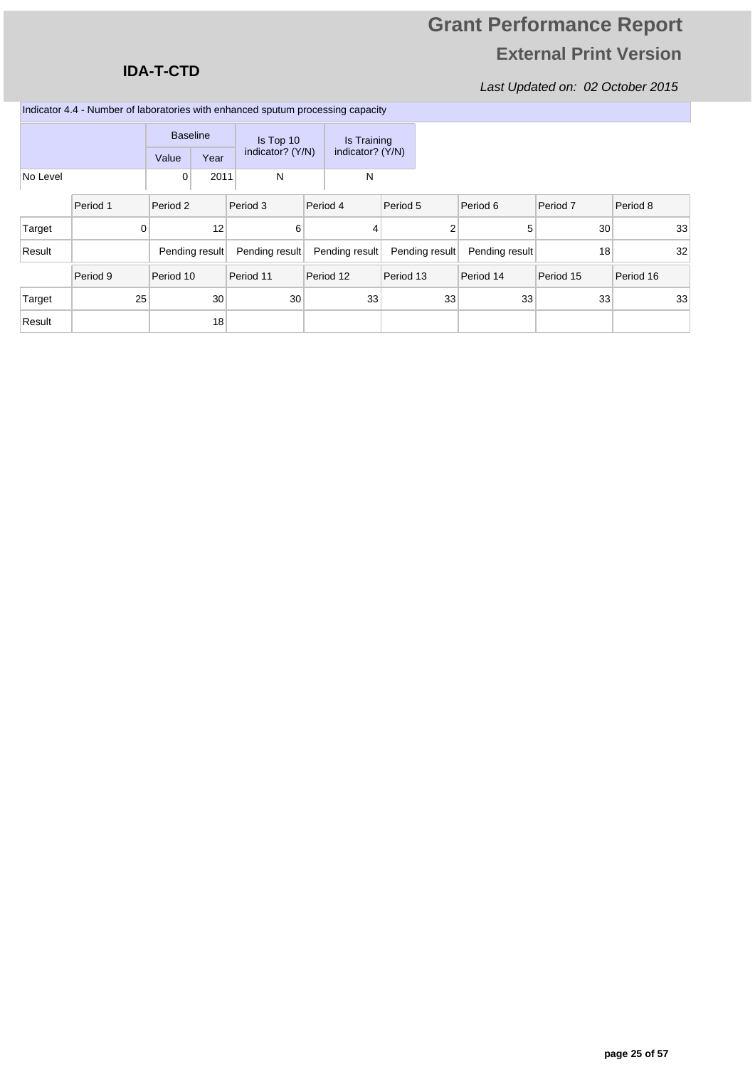### **IDA-T-CTD**

| Indicator 4.4 - Number of laboratories with enhanced sputum processing capacity |  |  |  |  |
|---------------------------------------------------------------------------------|--|--|--|--|
|---------------------------------------------------------------------------------|--|--|--|--|

|          |                | <b>Baseline</b> |                | Is Top 10        | Is Training      |                |                |           |           |
|----------|----------------|-----------------|----------------|------------------|------------------|----------------|----------------|-----------|-----------|
|          |                | Value           | Year           | indicator? (Y/N) | indicator? (Y/N) |                |                |           |           |
| No Level |                | 0               | 2011           | N                | N                |                |                |           |           |
|          | Period 1       | Period 2        |                | Period 3         | Period 4         | Period 5       | Period 6       | Period 7  | Period 8  |
| Target   | $\overline{0}$ |                 | 12             | 6                | $\overline{4}$   | 2              | 5              | 30        | 33        |
| Result   |                |                 | Pending result | Pending result   | Pending result   | Pending result | Pending result | 18        | 32        |
|          | Period 9       | Period 10       |                | Period 11        | Period 12        | Period 13      | Period 14      | Period 15 | Period 16 |
| Target   | 25             |                 | 30             | 30               | 33               | 33             | 33             | 33        | 33        |
| Result   |                |                 | 18             |                  |                  |                |                |           |           |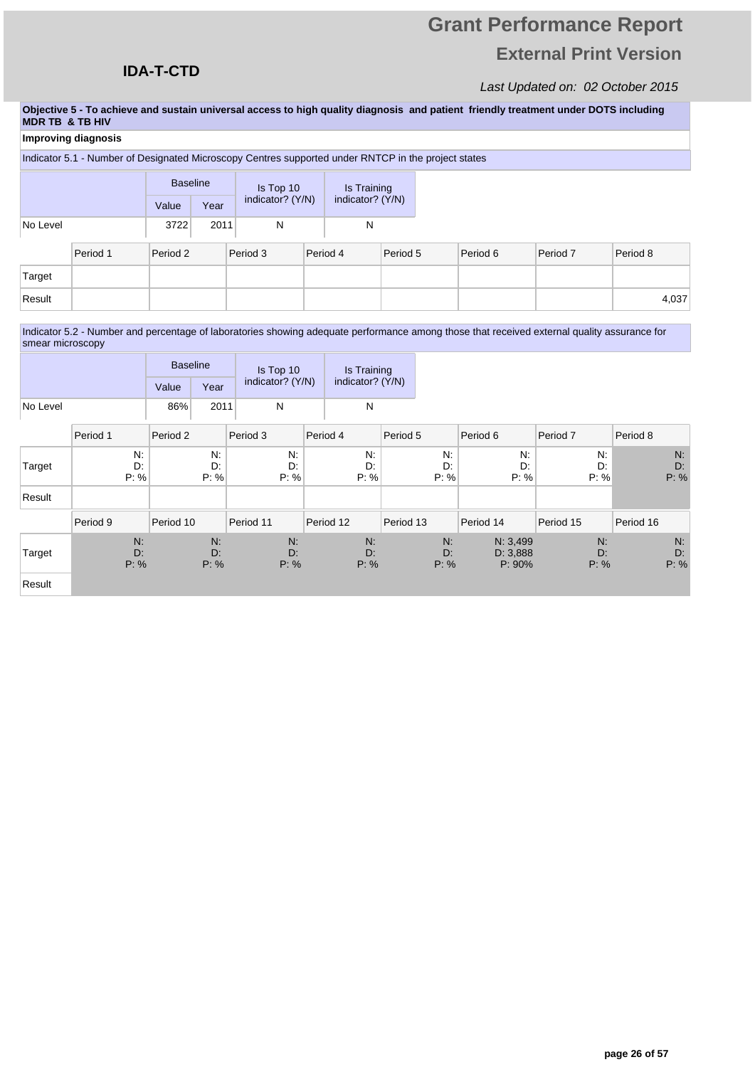## **Grant Performance Report External Print Version**

#### Last Updated on: 02 October 2015

**Objective 5 - To achieve and sustain universal access to high quality diagnosis and patient friendly treatment under DOTS including MDR TB & TB HIV**

|          | Improving diagnosis |                 |                                              |                                                                                                     |  |             |          |  |          |                     |          |
|----------|---------------------|-----------------|----------------------------------------------|-----------------------------------------------------------------------------------------------------|--|-------------|----------|--|----------|---------------------|----------|
|          |                     |                 |                                              | Indicator 5.1 - Number of Designated Microscopy Centres supported under RNTCP in the project states |  |             |          |  |          |                     |          |
|          |                     | <b>Baseline</b> |                                              | Is Top 10                                                                                           |  | Is Training |          |  |          |                     |          |
|          |                     | Value           | indicator? (Y/N)<br>indicator? (Y/N)<br>Year |                                                                                                     |  |             |          |  |          |                     |          |
| No Level |                     | 3722            | 2011                                         | N                                                                                                   |  | N           |          |  |          |                     |          |
|          | Period 1            | Period 2        |                                              | Period 3                                                                                            |  | Period 4    | Period 5 |  | Period 6 | Period <sub>7</sub> | Period 8 |
| Target   |                     |                 |                                              |                                                                                                     |  |             |          |  |          |                     |          |
| Result   |                     |                 |                                              |                                                                                                     |  |             |          |  |          |                     | 4,037    |
|          |                     |                 |                                              |                                                                                                     |  |             |          |  |          |                     |          |

Indicator 5.2 - Number and percentage of laboratories showing adequate performance among those that received external quality assurance for smear microscopy

|          | <b>Baseline</b> |      | Is Top 10        | Is Training<br>indicator? (Y/N) |  |
|----------|-----------------|------|------------------|---------------------------------|--|
|          | Value           | Year | indicator? (Y/N) |                                 |  |
| No Level | 86%             | 2011 |                  | N                               |  |

|        | Period 1         | Period 2         | Period 3         | Period 4         | Period 5            | Period 6                          | Period 7            | Period 8            |
|--------|------------------|------------------|------------------|------------------|---------------------|-----------------------------------|---------------------|---------------------|
| Target | N:<br>D:<br>P: % | N:<br>D:<br>P: % | N:<br>D:<br>P: % | N:<br>D:<br>P: % | N:<br>D:<br>P: %    | N:<br>D:<br>P: %                  | $N$ :<br>D:<br>P: % | $N$ :<br>D:<br>P: % |
| Result |                  |                  |                  |                  |                     |                                   |                     |                     |
|        | Period 9         | Period 10        | Period 11        | Period 12        | Period 13           | Period 14                         | Period 15           | Period 16           |
| Target | N:<br>D:<br>P: % | N:<br>D:<br>P: % | N:<br>D:<br>P: % | N:<br>D:<br>P: % | $N$ :<br>D:<br>P: % | N: 3,499<br>D: 3,888<br>$P: 90\%$ | N:<br>D:<br>P: %    | $N$ :<br>D:<br>P: % |
|        |                  |                  |                  |                  |                     |                                   |                     |                     |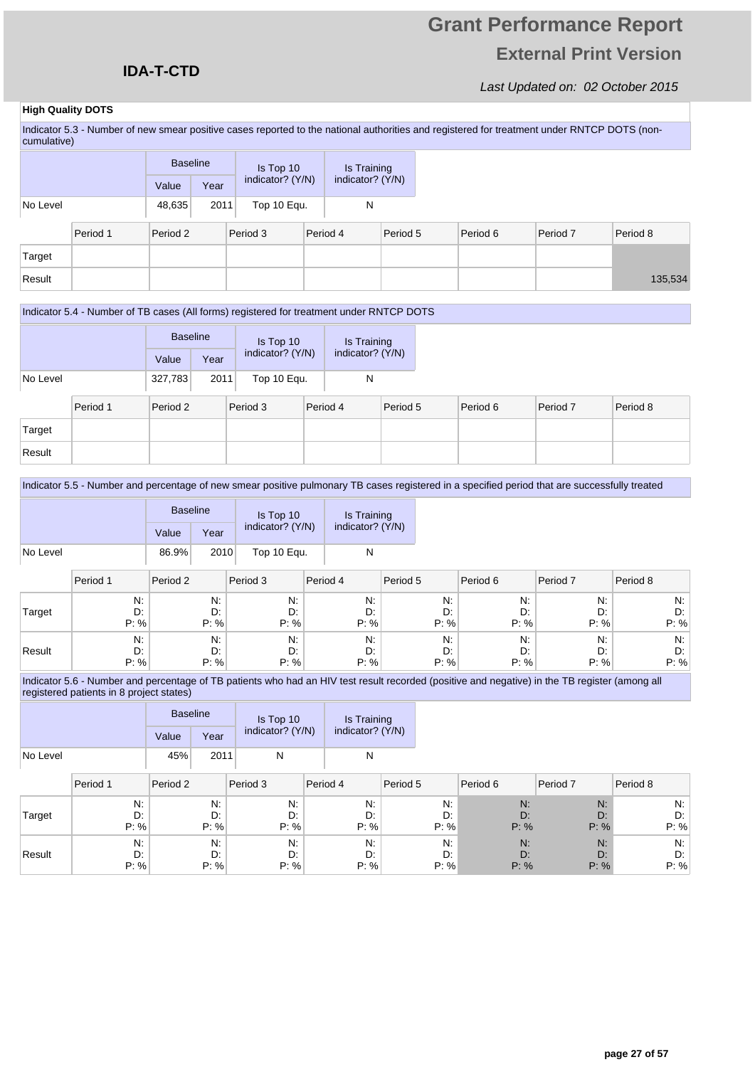## **Grant Performance Report External Print Version**

T.

T

Last Updated on: 02 October 2015

#### **High Quality DOTS**

Indicator 5.3 - Number of new smear positive cases reported to the national authorities and registered for treatment under RNTCP DOTS (noncumulative)

|          |          | <b>Baseline</b> |      |          | Is Top 10        |          | Is Training      |          |          |          |          |
|----------|----------|-----------------|------|----------|------------------|----------|------------------|----------|----------|----------|----------|
|          |          | Value           | Year |          | indicator? (Y/N) |          | indicator? (Y/N) |          |          |          |          |
| No Level |          | 48,635          | 2011 |          | Top 10 Equ.      |          | N                |          |          |          |          |
|          | Period 1 | Period 2        |      | Period 3 |                  | Period 4 |                  | Period 5 | Period 6 | Period 7 | Period 8 |
| Target   |          |                 |      |          |                  |          |                  |          |          |          |          |
| Result   |          |                 |      |          |                  |          |                  |          |          |          | 135,534  |

#### Indicator 5.4 - Number of TB cases (All forms) registered for treatment under RNTCP DOTS

|          |          | <b>Baseline</b> |      |  |                               |          |                                 |          |
|----------|----------|-----------------|------|--|-------------------------------|----------|---------------------------------|----------|
|          |          |                 |      |  | Is Top 10<br>indicator? (Y/N) |          | Is Training<br>indicator? (Y/N) |          |
|          |          | Value<br>Year   |      |  |                               |          |                                 |          |
| No Level |          | 327,783         | 2011 |  | Top 10 Equ.                   |          |                                 |          |
|          | Period 1 | Period 2        |      |  | Period 3                      | Period 4 |                                 | Period 5 |

|        | Period 1 | Period 2 | Period 3 | Period 4 | Period 5 | Period 6 | Period 7 | Period 8 |
|--------|----------|----------|----------|----------|----------|----------|----------|----------|
| Target |          |          |          |          |          |          |          |          |
| Result |          |          |          |          |          |          |          |          |

#### Indicator 5.5 - Number and percentage of new smear positive pulmonary TB cases registered in a specified period that are successfully treated

|          | <b>Baseline</b> |      | Is Top 10        | Is Training<br>indicator? (Y/N) |  |
|----------|-----------------|------|------------------|---------------------------------|--|
|          | Value           | Year | indicator? (Y/N) |                                 |  |
| No Level | 86.9%           | 2010 | Top 10 Equ.      | N                               |  |

|        | Period 1 | Period 2 | Period 3 | Period 4 | Period 5 | Period 6 | Period <sub>7</sub> | Period 8 |
|--------|----------|----------|----------|----------|----------|----------|---------------------|----------|
| Target | N:       | N.       | N:       | N:       | N:       | N:       | N.                  | N.       |
|        | D:       | D:       | D:       | D:       | D:       | D:       | D:                  | D:       |
|        | P: %     | P: %     | P: %     | P: %     | P: %     | P: %     | P: %                | P: %     |
| Result | N:       | N:       | N:       | N.       | N:       | N.       | N.                  | $N$ :    |
|        | D:       | D:       | D:       | D:       | D:       | D:       | D:                  | D.       |
|        | P: %     | $P: \%$  | $P: \%$  | P: %     | $P: \%$  | P: %     | P: %                | P: %     |

Indicator 5.6 - Number and percentage of TB patients who had an HIV test result recorded (positive and negative) in the TB register (among all registered patients in 8 project states)

|          |       | <b>Baseline</b> | Is Top 10        | Is Training<br>indicator? (Y/N) |  |
|----------|-------|-----------------|------------------|---------------------------------|--|
|          | Value | Year            | indicator? (Y/N) |                                 |  |
| No Level | 45%   | 2011            | N                | N                               |  |

|        | Period 1 | Period 2 | Period 3 | Period 4 | Period 5 | Period 6 | Period <sub>7</sub> | Period 8 |
|--------|----------|----------|----------|----------|----------|----------|---------------------|----------|
| Target | N:       | N:       | N:       | N:       | $N$ :    | N:       | N:                  | N:       |
|        | D:       | D:       | D:       | D:       | D:       | D:       | D:                  | D:       |
|        | P: %     | $P: \%$  | P: %     | P: %     | P: %     | P: %     | P: %                | P: %     |
| Result | N.       | N:       | N:       | N:       | N.       | N:       | N:                  | N:       |
|        | D:       | D:       | D:       | D:       | D:       | D:       | D:                  | D:       |
|        | P: %     | P: %     | P: %     | P: %     | P: %     | P: %     | P: %                | P: %     |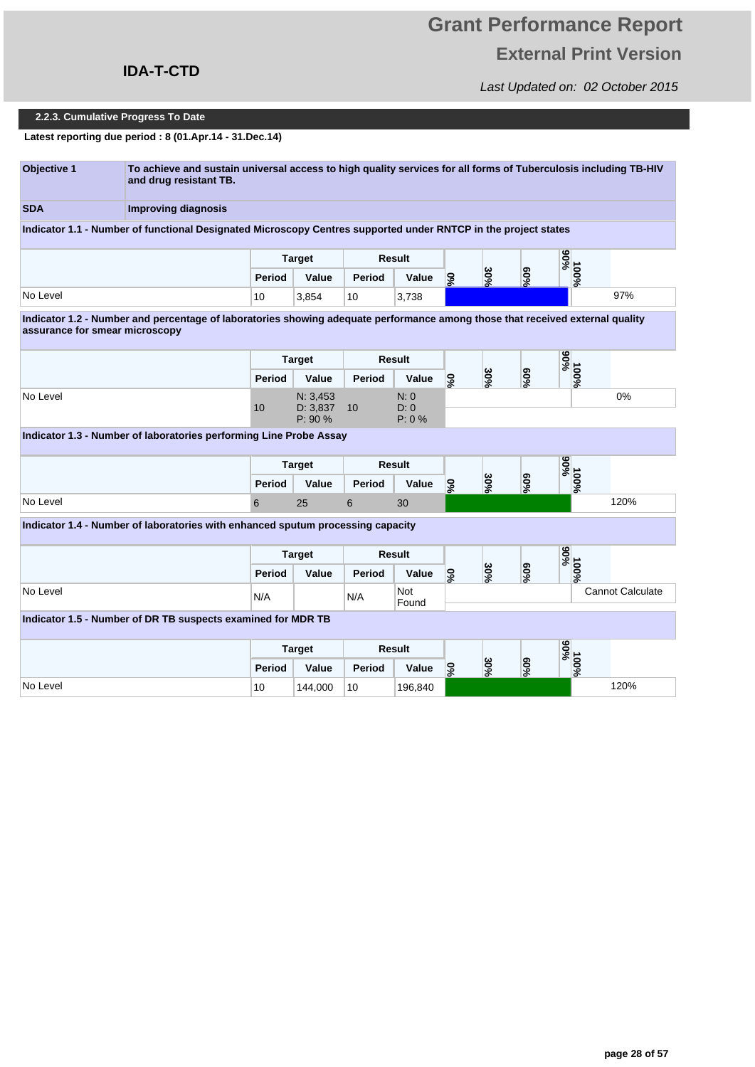### **IDA-T-CTD**

Last Updated on: 02 October 2015

#### **2.2.3. Cumulative Progress To Date**

**Latest reporting due period : 8 (01.Apr.14 - 31.Dec.14)**

| Objective 1 | To achieve and sustain universal access to high quality services for all forms of Tuberculosis including TB-HIV<br>and drug resistant TB. |
|-------------|-------------------------------------------------------------------------------------------------------------------------------------------|
| <b>SDA</b>  | Improving diagnosis                                                                                                                       |
|             | Indicator 1.1 - Number of functional Designated Microscopy Centres supported under RNTCP in the project states                            |

**Period Value Period Value Target Result 90% 60% 0% 30% 100%** No Level 10 3,854 10 3,738 97%

**Indicator 1.2 - Number and percentage of laboratories showing adequate performance among those that received external quality assurance for smear microscopy** 

|          | <b>Target</b> |                     | <b>Result</b> |                |    |         |        | $\frac{9606}{11}$ |    |
|----------|---------------|---------------------|---------------|----------------|----|---------|--------|-------------------|----|
|          | Period        | Value               | Period        | Value          | ್ಯ | س<br>Ş, | $60\%$ | $\bullet$<br>o%   |    |
| No Level |               | N: 3,453            |               | N: 0           |    |         |        |                   | 0% |
|          | 10            | D: 3,837<br>P: 90 % | 10            | D: 0<br>P: 0 % |    |         |        |                   |    |

**Indicator 1.3 - Number of laboratories performing Line Probe Assay** 

|          | <b>Target</b> |       | <b>Result</b> |       |          |                |                                         | $\bullet$<br>0<br>د ق<br>ີ |      |
|----------|---------------|-------|---------------|-------|----------|----------------|-----------------------------------------|----------------------------|------|
|          | Period        | Value | Period        | Value | c<br>l C | دە<br>0<br>l o | စ<br>c<br>$\overline{\phantom{a}}$<br>ò | o<br>-<br>െ                |      |
| No Level |               | 25    |               | 30    |          |                |                                         |                            | 120% |

**Indicator 1.4 - Number of laboratories with enhanced sputum processing capacity** 

|          | <b>Target</b> |       | Result |              |                          |                  | <u>ied</u><br>。 |                         |
|----------|---------------|-------|--------|--------------|--------------------------|------------------|-----------------|-------------------------|
|          | <b>Period</b> | Value | Period | Value        | س<br>Õ<br>ဒ္ဓ<br>వి<br>ு | ၜ<br>$\sim$<br>ò |                 | $\circ$<br>o<br>৯       |
| No Level | N/A           |       | N/A    | Not<br>Found |                          |                  |                 | <b>Cannot Calculate</b> |
|          |               |       |        |              |                          |                  |                 |                         |

#### **Indicator 1.5 - Number of DR TB suspects examined for MDR TB**

|          | <b>Target</b> |         | <b>Result</b> |         |         |             |                       | ္လိွ<br>∘    |      |
|----------|---------------|---------|---------------|---------|---------|-------------|-----------------------|--------------|------|
|          | Period        | Value   | Period        | Value   | ဒ့<br>ം | ω<br>c<br>ó | ග<br>Õ<br>$\sim$<br>െ | $\circ$<br>o |      |
| No Level | 10            | 144,000 | 10            | 196,840 |         |             |                       |              | 120% |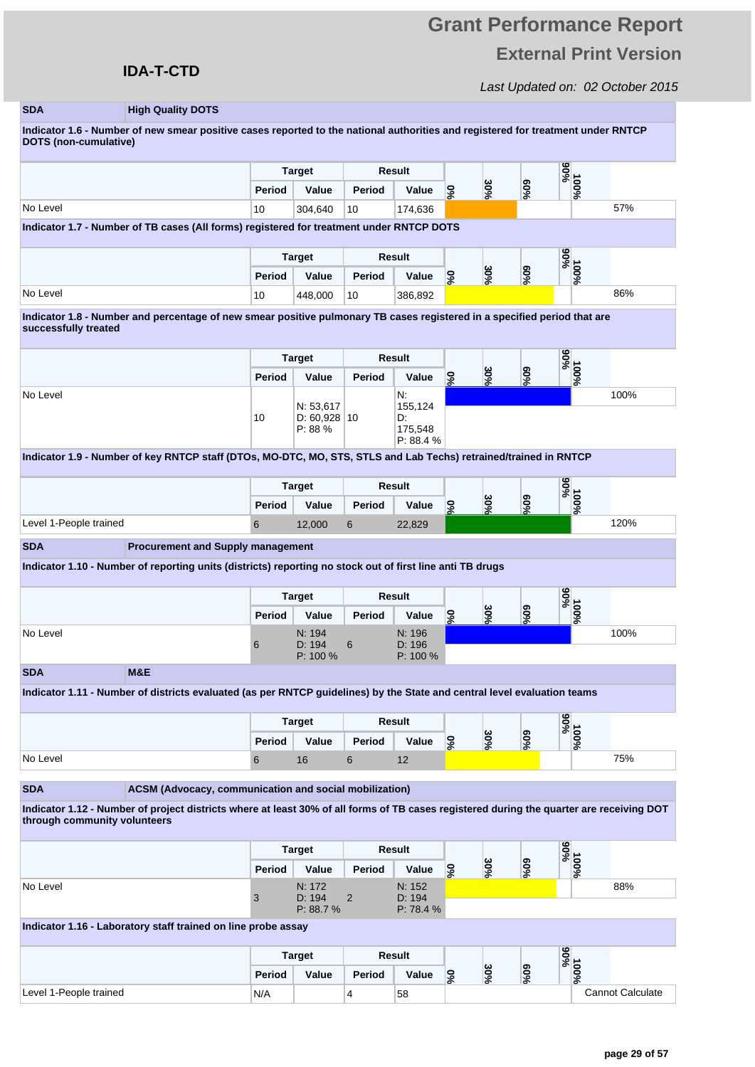### **IDA-T-CTD**

Last Updated on: 02 October 2015

#### **SDA High Quality DOTS**

**Indicator 1.6 - Number of new smear positive cases reported to the national authorities and registered for treatment under RNTCP DOTS (non-cumulative)** 

|                                                                                                  | <b>Target</b> |         | <b>Result</b> |         |     |             |                  | 606<br>₷          |     |
|--------------------------------------------------------------------------------------------------|---------------|---------|---------------|---------|-----|-------------|------------------|-------------------|-----|
|                                                                                                  | Period        | Value   | Period        | Value   | ್ಯಂ | ω<br>c<br>ົ | ග<br>0<br>÷<br>ം | $\circ$<br>0<br>െ |     |
| No Level                                                                                         | 10            | 304.640 | 10            | 174.636 |     |             |                  |                   | 57% |
| <b>Judicates 4.7. Alumber of TD excess (All femic) sepistered for treatment under DNTOD DOTO</b> |               |         |               |         |     |             |                  |                   |     |

**Indicator 1.7 - Number of TB cases (All forms) registered for treatment under RNTCP DOTS** 

|          |        | <b>Target</b> | <b>Result</b> |         |          |                |          | ဖ<br>0<br>$-0$<br>$\bullet$ |     |
|----------|--------|---------------|---------------|---------|----------|----------------|----------|-----------------------------|-----|
|          | Period | Value         | Period        | Value   | ဒ္ဓ<br>െ | دە<br>lÕ<br>۱o | පි<br>ని | −<br>с<br>o                 |     |
| No Level | 10     | 448,000       | 10            | 386,892 |          |                |          |                             | 86% |

**Indicator 1.8 - Number and percentage of new smear positive pulmonary TB cases registered in a specified period that are successfully treated** 

|          | <b>Target</b> |                           | Result               |                     |         |          |        | %06<br>01 |      |
|----------|---------------|---------------------------|----------------------|---------------------|---------|----------|--------|-----------|------|
|          | Period        | Value                     | Period               | Value               | င့<br>∽ | ဗိ<br>∣ৡ | $60\%$ | 0<br>వి   |      |
| No Level | 10            | N: 53,617<br>D: 60,928 10 |                      | N.<br>155,124<br>D. |         |          |        |           | 100% |
|          |               | P: 88 %                   | 175,548<br>P: 88.4 % |                     |         |          |        |           |      |

**Indicator 1.9 - Number of key RNTCP staff (DTOs, MO-DTC, MO, STS, STLS and Lab Techs) retrained/trained in RNTCP** 

|                        |        | <b>Target</b> | <b>Result</b> |        |   |                  |                              | $rac{1}{2}$<br>。 |      |
|------------------------|--------|---------------|---------------|--------|---|------------------|------------------------------|------------------|------|
|                        | Period | Value         | Period        | Value  | c | ω<br>0<br>$\sim$ | စာ<br>ē<br>$\sim$<br>.<br>Co | e<br>~c<br>÷     |      |
| Level 1-People trained |        | 12,000        |               | 22,829 |   |                  |                              |                  | 120% |

**SDA Procurement and Supply management**

**Indicator 1.10 - Number of reporting units (districts) reporting no stock out of first line anti TB drugs** 

|          | <b>Target</b> |                  | Result |                  |               |              |     | %06<br>01     |      |
|----------|---------------|------------------|--------|------------------|---------------|--------------|-----|---------------|------|
|          | Period        | Value            | Period | Value            | ဒ္ဓ<br>$\sim$ | ω<br>Õ<br>వి | %50 | ۰.<br>c<br>వి |      |
| No Level |               | N: 194<br>D: 194 |        | N: 196<br>D: 196 |               |              |     |               | 100% |
|          | O             | P: 100 %         | 6      | $P: 100 \%$      |               |              |     |               |      |

**SDA M&E**

**Indicator 1.11 - Number of districts evaluated (as per RNTCP guidelines) by the State and central level evaluation teams** 

|          | <b>Target</b> |       | Result |       |         |              |             | $rac{6}{5}$<br>ົ |             |     |
|----------|---------------|-------|--------|-------|---------|--------------|-------------|------------------|-------------|-----|
|          | Period        | Value | Period | Value | o<br>k. | س⊳<br>c<br>్ | ၜ<br>S<br>ò |                  | c<br>o<br>ு |     |
| No Level |               | 16    |        | L     |         |              |             |                  |             | 75% |

**ACSM (Advocacy, communication and social mobilization)** 

**Indicator 1.12 - Number of project districts where at least 30% of all forms of TB cases registered during the quarter are receiving DOT through community volunteers** 

|          | <b>Target</b> |                    | Result |                     |         |              |     |                 | $\frac{9606}{01}$ |  |
|----------|---------------|--------------------|--------|---------------------|---------|--------------|-----|-----------------|-------------------|--|
|          | Period        | Value              | Period | Value               | င့<br>െ | ω<br>Õ<br>৷ঃ | %50 | ` 0<br><b>S</b> |                   |  |
| No Level |               | N: 172             |        | N: 152              |         |              |     |                 | 88%               |  |
|          | ັບ            | D: 194<br>P: 88.7% | 2      | D: 194<br>P: 78.4 % |         |              |     |                 |                   |  |

**Indicator 1.16 - Laboratory staff trained on line probe assay** 

|                        |        | <b>Target</b> |        | <b>Result</b> |        |              |                  | $\frac{1}{2}$<br>ີ |                         |
|------------------------|--------|---------------|--------|---------------|--------|--------------|------------------|--------------------|-------------------------|
|                        | Period | Value         | Period | Value         | c<br>ົ | دە<br>0<br>ю | ၜ<br>$s^{\circ}$ |                    | $\circ$<br>o<br>െ       |
| Level 1-People trained | N/A    |               |        | 58            |        |              |                  |                    | <b>Cannot Calculate</b> |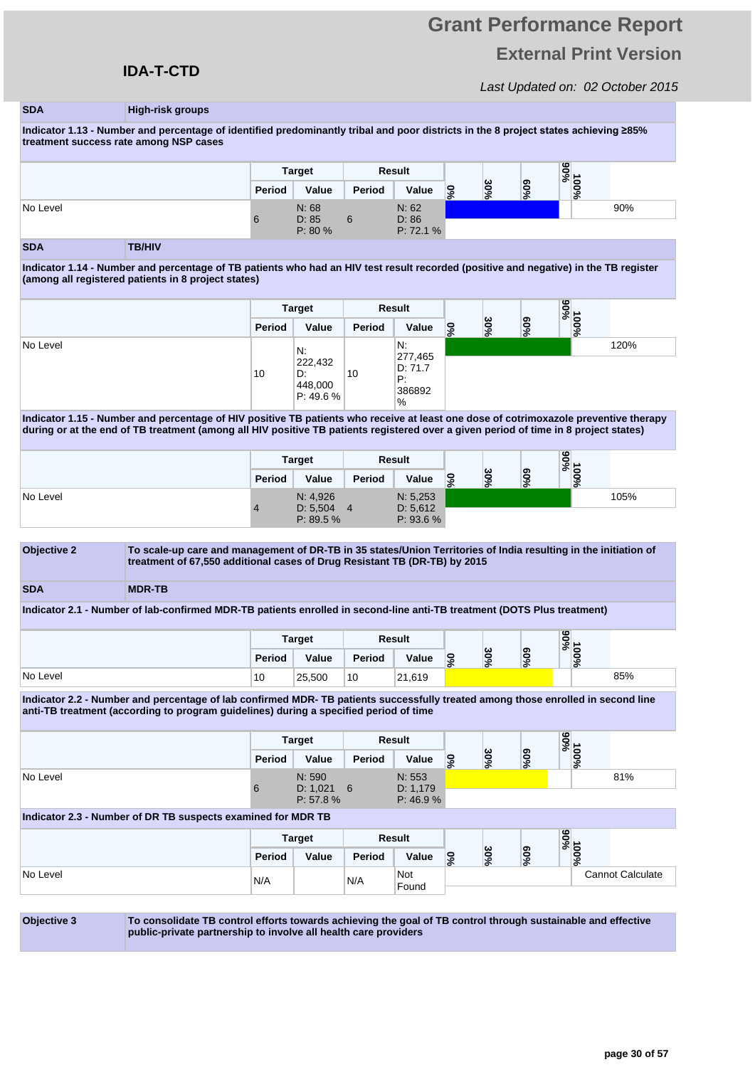## **Grant Performance Report External Print Version**

Last Updated on: 02 October 2015

#### **SDA High-risk groups**

Indicator 1.13 - Number and percentage of identified predominantly tribal and poor districts in the 8 project states achieving ≥85% **treatment success rate among NSP cases** 

|          |        | Result<br><b>Target</b>   |        |                             |          |         | $\frac{9606}{01}$ |               |     |
|----------|--------|---------------------------|--------|-----------------------------|----------|---------|-------------------|---------------|-----|
|          | Period | Value                     | Period | Value                       | <b>S</b> | دە<br>Õ | ၜ<br>వి           | $\circ$<br>వి |     |
| No Level | 6      | N: 68<br>D: 85<br>P: 80 % | 6      | N: 62<br>D: 86<br>P: 72.1 % |          |         |                   |               | 90% |

#### **SDA TB/HIV**

**Indicator 1.14 - Number and percentage of TB patients who had an HIV test result recorded (positive and negative) in the TB register (among all registered patients in 8 project states)** 

|          |        | <b>Target</b>                               |        | Result                                         |    |         |        | %06<br>01          |      |
|----------|--------|---------------------------------------------|--------|------------------------------------------------|----|---------|--------|--------------------|------|
|          | Period | Value                                       | Period | Value                                          | ್ಯ | ఠ<br>వి | ဧ<br>್ | $\circ$<br>0<br>వి |      |
| No Level | 10     | N.<br>222,432<br>D.<br>448,000<br>P: 49.6 % | 10     | N:<br>277,465<br>D: 71.7<br>Ρ.<br>386892<br>'% |    |         |        |                    | 120% |

**Indicator 1.15 - Number and percentage of HIV positive TB patients who receive at least one dose of cotrimoxazole preventive therapy during or at the end of TB treatment (among all HIV positive TB patients registered over a given period of time in 8 project states)** 

|          | <b>Target</b> |                       |        | Result                |    |               |              | $\frac{9606}{01}$      |      |
|----------|---------------|-----------------------|--------|-----------------------|----|---------------|--------------|------------------------|------|
|          | Period        | Value                 | Period | Value                 | ್ಯ | ω<br>c<br>`o` | ග<br>Õ<br>వి | 0<br>$\mathbf{C}$<br>è |      |
| No Level |               | N: 4,926              |        | N: 5,253              |    |               |              |                        | 105% |
|          |               | D: 5,504<br>P: 89.5 % | 4      | D: 5,612<br>P: 93.6 % |    |               |              |                        |      |



**Indicator 2.1 - Number of lab-confirmed MDR-TB patients enrolled in second-line anti-TB treatment (DOTS Plus treatment)** 

|          |        | <b>Target</b> |        | <b>Result</b> |                  |              |         | $\circ$<br><u>့</u><br>ິ |                  |     |
|----------|--------|---------------|--------|---------------|------------------|--------------|---------|--------------------------|------------------|-----|
|          | Period | Value         | Period | Value         | 0<br>$\sim$<br>ം | ພ<br>0<br>వి | ဧ<br>వి |                          | e<br>c<br>ᅕ<br>ò |     |
| No Level | 10     | 25,500        | 10     | 21,619        |                  |              |         |                          |                  | 85% |

**Indicator 2.2 - Number and percentage of lab confirmed MDR- TB patients successfully treated among those enrolled in second line anti-TB treatment (according to program guidelines) during a specified period of time** 

|                                                              | <b>Target</b> |                        |        | Result              |          |     |        | 100%<br>90% |                         |
|--------------------------------------------------------------|---------------|------------------------|--------|---------------------|----------|-----|--------|-------------|-------------------------|
|                                                              | Period        | Value                  | Period | Value               | <u>့</u> | 30% | $90\%$ |             |                         |
| No Level                                                     | 6             | N: 590<br>$D: 1,021$ 6 |        | N: 553<br>D: 1,179  |          |     |        |             | 81%                     |
|                                                              |               | P: 57.8 %              |        | P: 46.9 %           |          |     |        |             |                         |
| Indicator 2.3 - Number of DR TB suspects examined for MDR TB |               |                        |        |                     |          |     |        |             |                         |
|                                                              |               | <b>Target</b>          |        | Result              |          |     |        |             |                         |
|                                                              | Period        | Value                  | Period | Value               | <u>့</u> | 30% | $60\%$ | 100%<br>90% |                         |
| No Level                                                     | N/A           |                        | N/A    | Not<br>$F_{\alpha}$ |          |     |        |             | <b>Cannot Calculate</b> |

Found

**Objective 3 To consolidate TB control efforts towards achieving the goal of TB control through sustainable and effective public-private partnership to involve all health care providers**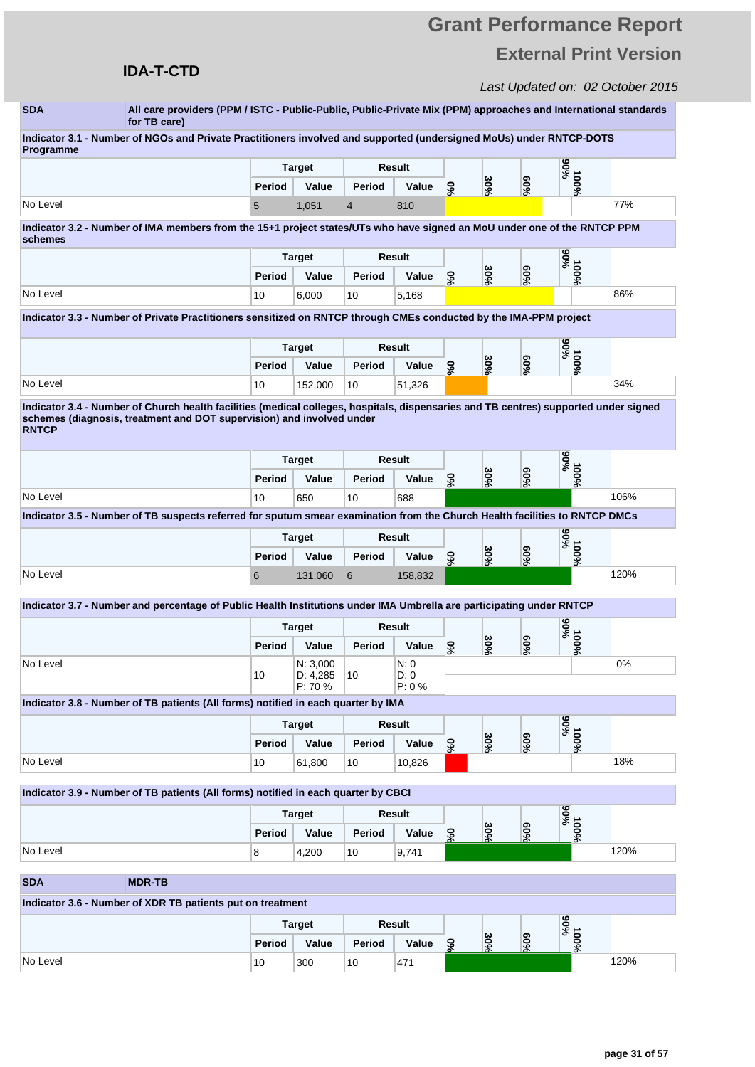## **IDA-T-CTD**

| <b>SDA</b>             | All care providers (PPM / ISTC - Public-Public, Public-Private Mix (PPM) approaches and International standards<br>for TB care)      |               |                        |                |                |                 |     |        |              |      |
|------------------------|--------------------------------------------------------------------------------------------------------------------------------------|---------------|------------------------|----------------|----------------|-----------------|-----|--------|--------------|------|
| Programme              | Indicator 3.1 - Number of NGOs and Private Practitioners involved and supported (undersigned MoUs) under RNTCP-DOTS                  |               |                        |                |                |                 |     |        |              |      |
|                        |                                                                                                                                      |               | <b>Target</b>          |                | Result         |                 |     |        | %06          |      |
|                        |                                                                                                                                      | Period        | Value                  | Period         | Value          | 0%              | 30% | $60\%$ | 100%         |      |
| No Level               |                                                                                                                                      | 5             | 1,051                  | $\overline{4}$ | 810            |                 |     |        |              | 77%  |
| schemes                | Indicator 3.2 - Number of IMA members from the 15+1 project states/UTs who have signed an MoU under one of the RNTCP PPM             |               |                        |                |                |                 |     |        |              |      |
|                        |                                                                                                                                      |               | <b>Target</b>          |                | Result         |                 |     |        | %06          |      |
|                        |                                                                                                                                      | Period        | Value                  | Period         | Value          | $\frac{6}{2}$   | 30% | $60\%$ | 100%         |      |
| No Level               |                                                                                                                                      | 10            | 6,000                  | 10             | 5,168          |                 |     |        |              | 86%  |
|                        | Indicator 3.3 - Number of Private Practitioners sensitized on RNTCP through CMEs conducted by the IMA-PPM project                    |               |                        |                |                |                 |     |        |              |      |
|                        |                                                                                                                                      | <b>Target</b> |                        | Result         |                |                 |     | %06    |              |      |
|                        |                                                                                                                                      | Period        | Value                  | Period         | Value          | $\frac{6}{2}$   | 30% | $60\%$ | 100%         |      |
| No Level               |                                                                                                                                      | 10            | 152,000                | 10             | 51,326         |                 |     |        |              | 34%  |
|                        | Indicator 3.4 - Number of Church health facilities (medical colleges, hospitals, dispensaries and TB centres) supported under signed |               |                        |                |                |                 |     |        |              |      |
| <b>RNTCP</b>           | schemes (diagnosis, treatment and DOT supervision) and involved under                                                                |               |                        |                |                |                 |     |        |              |      |
|                        |                                                                                                                                      |               | <b>Target</b>          |                | Result         |                 |     |        | %06          |      |
|                        |                                                                                                                                      | Period        | Value                  | Period         | Value          | 0%              | 30% | $60\%$ | $100\%$      |      |
| No Level               |                                                                                                                                      | 10            | 650                    | 10             | 688            |                 |     |        |              | 106% |
|                        | Indicator 3.5 - Number of TB suspects referred for sputum smear examination from the Church Health facilities to RNTCP DMCs          |               |                        |                |                |                 |     |        |              |      |
|                        |                                                                                                                                      | <b>Target</b> |                        |                | Result         |                 |     |        | %66          |      |
|                        |                                                                                                                                      | Period        | Value                  | Period         | Value          | 9%              | 30% | %09    | 100%         |      |
| No Level               |                                                                                                                                      | 6             | 131,060                | 6              | 158,832        |                 |     |        |              | 120% |
|                        | Indicator 3.7 - Number and percentage of Public Health Institutions under IMA Umbrella are participating under RNTCP                 |               |                        |                |                |                 |     |        |              |      |
|                        |                                                                                                                                      |               | <b>Target</b>          |                | Result         |                 |     |        | %06          |      |
|                        |                                                                                                                                      | Period        | Value                  | Period         | Value          | 9%              | 30% | %09    | 100%         |      |
| No Level               |                                                                                                                                      |               | N: 3,000               |                | N: 0           |                 |     |        |              | 0%   |
|                        |                                                                                                                                      | 10            | D: 4,285<br>P: 70 %    | 10             | D: 0<br>P: 0 % |                 |     |        |              |      |
|                        | Indicator 3.8 - Number of TB patients (All forms) notified in each quarter by IMA                                                    |               |                        |                |                |                 |     |        |              |      |
|                        |                                                                                                                                      |               |                        |                |                |                 |     |        |              |      |
|                        |                                                                                                                                      |               | <b>Target</b>          |                | <b>Result</b>  |                 |     |        |              |      |
|                        |                                                                                                                                      | Period        | Value                  | <b>Period</b>  | Value          |                 |     |        |              |      |
| No Level               |                                                                                                                                      | 10            | 61,800                 | 10             | 10,826         | $\mathcal{S}$   | 30% | $60\%$ | %00L<br>%00L | 18%  |
|                        |                                                                                                                                      |               |                        |                |                |                 |     |        |              |      |
|                        | Indicator 3.9 - Number of TB patients (All forms) notified in each quarter by CBCI                                                   |               |                        |                |                |                 |     |        |              |      |
|                        |                                                                                                                                      |               | <b>Target</b>          |                | <b>Result</b>  |                 |     |        | %06          |      |
|                        |                                                                                                                                      | Period        | Value                  | Period         | Value          | o%              | 30% | $60\%$ | 100%         |      |
|                        |                                                                                                                                      | 8             | 4,200                  | 10             | 9,741          |                 |     |        |              | 120% |
|                        | <b>MDR-TB</b>                                                                                                                        |               |                        |                |                |                 |     |        |              |      |
|                        | Indicator 3.6 - Number of XDR TB patients put on treatment                                                                           |               |                        |                |                |                 |     |        |              |      |
|                        |                                                                                                                                      |               |                        |                | <b>Result</b>  |                 |     |        |              |      |
| No Level<br><b>SDA</b> |                                                                                                                                      | Period        | <b>Target</b><br>Value | Period         | Value          | $\mathcal{S}_6$ | 30% | $60\%$ | %06<br>100%  |      |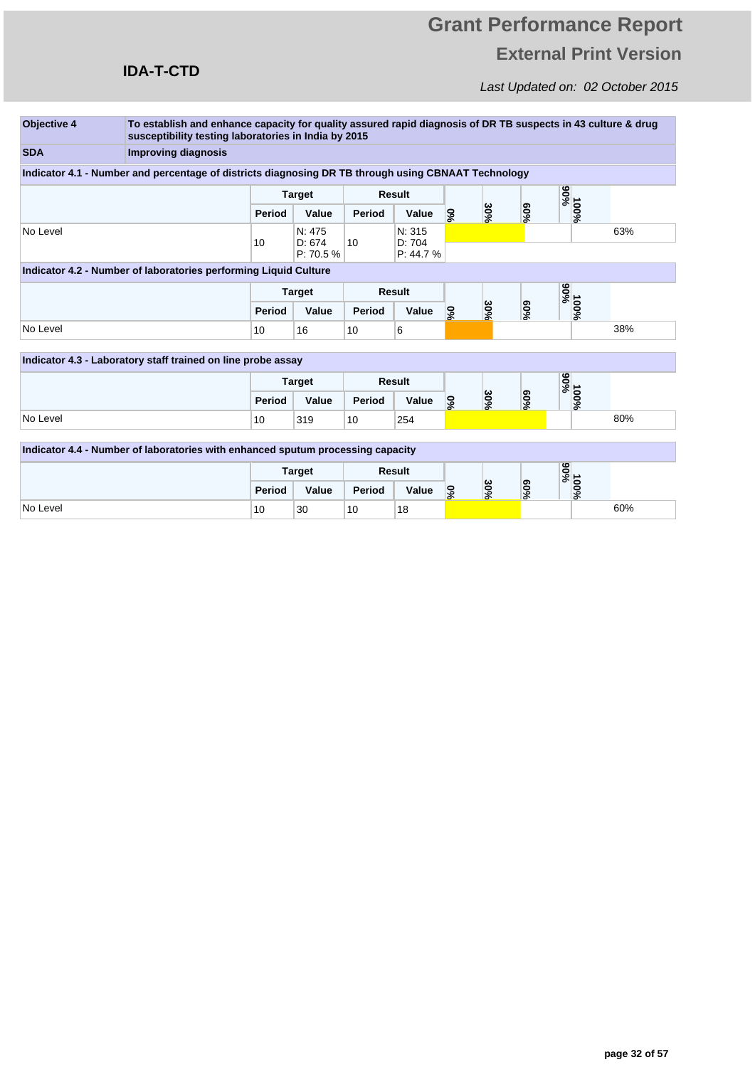## **IDA-T-CTD**

| <b>Objective 4</b> | To establish and enhance capacity for quality assured rapid diagnosis of DR TB suspects in 43 culture & drug |                 |                               |        |                               |                                    |     |                  |                   |     |
|--------------------|--------------------------------------------------------------------------------------------------------------|-----------------|-------------------------------|--------|-------------------------------|------------------------------------|-----|------------------|-------------------|-----|
|                    | susceptibility testing laboratories in India by 2015                                                         |                 |                               |        |                               |                                    |     |                  |                   |     |
| <b>SDA</b>         | <b>Improving diagnosis</b>                                                                                   |                 |                               |        |                               |                                    |     |                  |                   |     |
|                    | Indicator 4.1 - Number and percentage of districts diagnosing DR TB through using CBNAAT Technology          |                 |                               |        |                               |                                    |     |                  |                   |     |
|                    |                                                                                                              |                 | <b>Target</b>                 |        | <b>Result</b>                 |                                    |     |                  |                   |     |
|                    |                                                                                                              | Period          | Value                         | Period | Value                         | $\mathcal{S}_6$                    | 30% | $60\%$           | 90%<br>90%<br>90% |     |
| No Level           |                                                                                                              | 10              | N: 475<br>D: 674<br>P: 70.5 % | 10     | N: 315<br>D: 704<br>P: 44.7 % |                                    |     |                  |                   | 63% |
|                    | Indicator 4.2 - Number of laboratories performing Liquid Culture                                             |                 |                               |        |                               |                                    |     |                  |                   |     |
|                    |                                                                                                              |                 | <b>Target</b>                 |        | <b>Result</b>                 |                                    |     |                  | %56               |     |
|                    |                                                                                                              |                 | Value                         | Period | Value                         | %                                  | 30% | $60\%$           | 100%              |     |
| No Level           |                                                                                                              | 10 <sup>1</sup> | 16                            | 10     | 6                             |                                    |     |                  |                   | 38% |
|                    | Indicator 4.3 - Laboratory staff trained on line probe assay                                                 |                 |                               |        |                               |                                    |     |                  |                   |     |
|                    |                                                                                                              |                 | <b>Target</b>                 |        | <b>Result</b>                 |                                    |     |                  |                   |     |
|                    |                                                                                                              | Period          | Value                         | Period | Value                         | %                                  | 30% | $^{9609}$        | %00L<br>%00L      |     |
| No Level           |                                                                                                              | 10 <sup>1</sup> | 319                           | 10     | 254                           |                                    |     |                  |                   | 80% |
|                    | Indicator 4.4 - Number of laboratories with enhanced sputum processing capacity                              |                 |                               |        |                               |                                    |     |                  |                   |     |
|                    |                                                                                                              |                 |                               |        |                               |                                    |     |                  |                   |     |
|                    |                                                                                                              |                 | <b>Target</b>                 |        | <b>Result</b>                 |                                    |     |                  | %56               |     |
|                    |                                                                                                              | Period          | Value                         | Period | Value                         | 30%<br>$\mathcal{S}^{\mathcal{S}}$ |     | 900 <sub>6</sub> | 100%              |     |
| No Level           |                                                                                                              | 10              | 30                            | 10     | 18                            |                                    |     |                  |                   | 60% |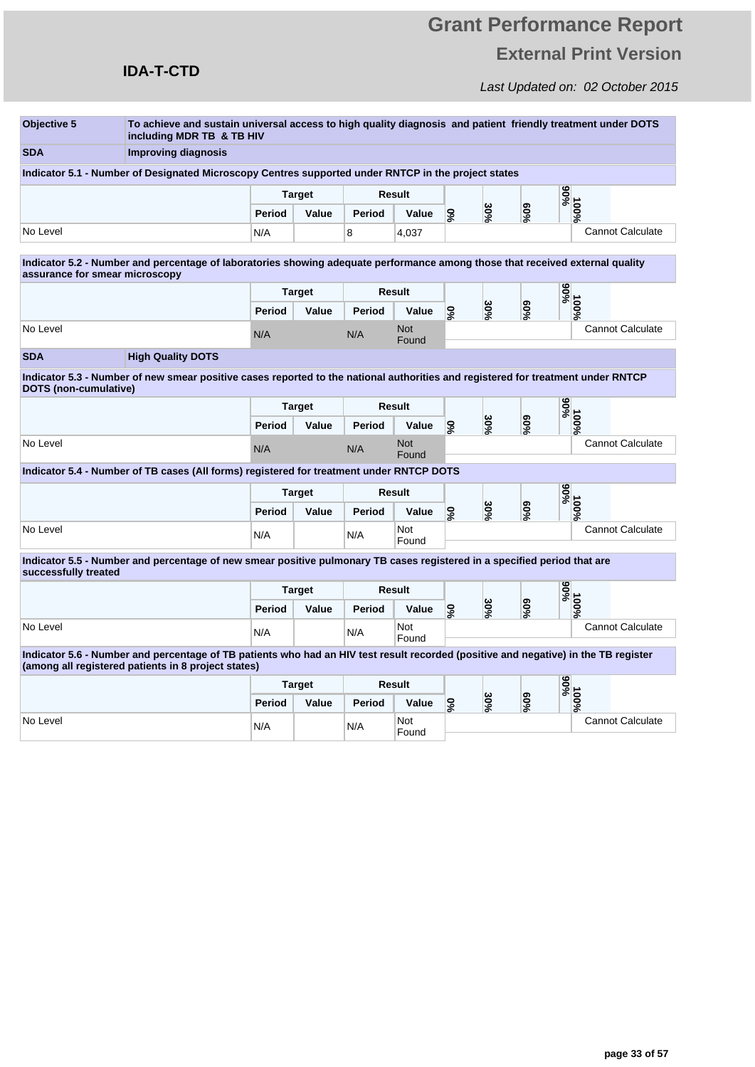### **IDA-T-CTD**

| Objective 5                    | To achieve and sustain universal access to high quality diagnosis and patient friendly treatment under DOTS<br>including MDR TB & TB HIV                                                   |                         |               |        |                     |                             |     |                  |        |                         |  |
|--------------------------------|--------------------------------------------------------------------------------------------------------------------------------------------------------------------------------------------|-------------------------|---------------|--------|---------------------|-----------------------------|-----|------------------|--------|-------------------------|--|
| <b>SDA</b>                     | <b>Improving diagnosis</b>                                                                                                                                                                 |                         |               |        |                     |                             |     |                  |        |                         |  |
|                                | Indicator 5.1 - Number of Designated Microscopy Centres supported under RNTCP in the project states                                                                                        |                         |               |        |                     |                             |     |                  |        |                         |  |
|                                |                                                                                                                                                                                            |                         | <b>Target</b> |        | <b>Result</b>       |                             |     |                  | %06    |                         |  |
|                                |                                                                                                                                                                                            | Period                  | Value         | Period | Value               | $\mathcal{S}^{\mathcal{S}}$ | 30% | $60\%$           | 100%   |                         |  |
| No Level                       |                                                                                                                                                                                            | N/A                     |               | 8      | 4,037               |                             |     |                  |        | <b>Cannot Calculate</b> |  |
| assurance for smear microscopy | Indicator 5.2 - Number and percentage of laboratories showing adeguate performance among those that received external quality                                                              |                         |               |        |                     |                             |     |                  |        |                         |  |
|                                |                                                                                                                                                                                            |                         | <b>Target</b> |        | Result              |                             |     |                  | %66    |                         |  |
|                                |                                                                                                                                                                                            | Period                  | Value         | Period | Value               | %0                          | 30% | %50              | 100%   |                         |  |
| No Level                       |                                                                                                                                                                                            | N/A                     |               | N/A    | <b>Not</b><br>Found |                             |     |                  |        | <b>Cannot Calculate</b> |  |
| <b>SDA</b>                     | <b>High Quality DOTS</b>                                                                                                                                                                   |                         |               |        |                     |                             |     |                  |        |                         |  |
| DOTS (non-cumulative)          | Indicator 5.3 - Number of new smear positive cases reported to the national authorities and registered for treatment under RNTCP                                                           |                         |               |        |                     |                             |     |                  |        |                         |  |
|                                |                                                                                                                                                                                            | Result<br><b>Target</b> |               |        |                     |                             | %06 |                  |        |                         |  |
|                                |                                                                                                                                                                                            | Period                  | Value         | Period | Value               | %                           | 30% | $60\%$           | 100%   |                         |  |
| No Level                       |                                                                                                                                                                                            | N/A                     |               | N/A    | <b>Not</b><br>Found |                             |     |                  |        | <b>Cannot Calculate</b> |  |
|                                | Indicator 5.4 - Number of TB cases (All forms) registered for treatment under RNTCP DOTS                                                                                                   |                         |               |        |                     |                             |     |                  |        |                         |  |
|                                |                                                                                                                                                                                            |                         | <b>Target</b> | Result |                     |                             |     |                  | %06    |                         |  |
|                                |                                                                                                                                                                                            | Period                  | Value         | Period | Value               | %0                          | 30% | 900 <sub>6</sub> | 100%   |                         |  |
| No Level                       |                                                                                                                                                                                            | N/A                     |               | N/A    | Not<br>Found        |                             |     |                  |        | <b>Cannot Calculate</b> |  |
| successfully treated           | Indicator 5.5 - Number and percentage of new smear positive pulmonary TB cases registered in a specified period that are                                                                   |                         |               |        |                     |                             |     |                  |        |                         |  |
|                                |                                                                                                                                                                                            |                         | <b>Target</b> |        | Result              |                             |     |                  | %66    |                         |  |
|                                |                                                                                                                                                                                            | Period                  | Value         | Period | Value               | ន័                          | 30% | $^{9609}$        | 100%   |                         |  |
| No Level                       |                                                                                                                                                                                            | N/A                     |               | N/A    | Not<br>Found        |                             |     |                  |        | <b>Cannot Calculate</b> |  |
|                                | Indicator 5.6 - Number and percentage of TB patients who had an HIV test result recorded (positive and negative) in the TB register<br>(among all registered patients in 8 project states) |                         |               |        |                     |                             |     |                  |        |                         |  |
|                                |                                                                                                                                                                                            | <b>Target</b>           |               | Result |                     |                             |     |                  | %06    |                         |  |
|                                |                                                                                                                                                                                            | Period                  | Value         | Period | Value               | $\mathcal{S}_6$             | 30% |                  | $60\%$ | 100%                    |  |
| No Level                       |                                                                                                                                                                                            | N/A                     |               | N/A    | Not<br>Found        |                             |     |                  |        | <b>Cannot Calculate</b> |  |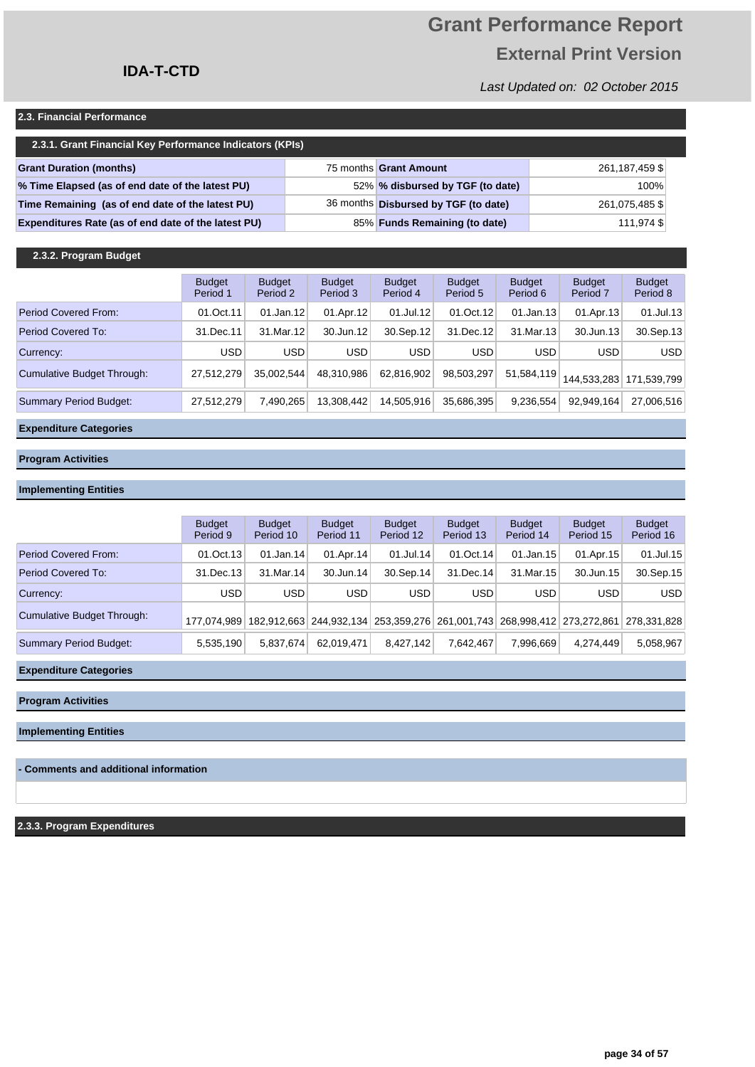### **IDA-T-CTD**

### Last Updated on: 02 October 2015

#### **2.3. Financial Performance**

| 2.3.1. Grant Financial Key Performance Indicators (KPIs) |  |                                      |                |  |  |  |  |  |  |  |  |
|----------------------------------------------------------|--|--------------------------------------|----------------|--|--|--|--|--|--|--|--|
| <b>Grant Duration (months)</b>                           |  | 75 months Grant Amount               | 261,187,459 \$ |  |  |  |  |  |  |  |  |
| % Time Elapsed (as of end date of the latest PU)         |  | 52% % disbursed by TGF (to date)     | 100%           |  |  |  |  |  |  |  |  |
| Time Remaining (as of end date of the latest PU)         |  | 36 months Disbursed by TGF (to date) | 261,075,485 \$ |  |  |  |  |  |  |  |  |
| Expenditures Rate (as of end date of the latest PU)      |  | 85% Funds Remaining (to date)        | 111,974 \$     |  |  |  |  |  |  |  |  |

#### **2.3.2. Program Budget**

|                               | <b>Budget</b><br>Period 1 | <b>Budget</b><br>Period 2 | <b>Budget</b><br>Period 3 | <b>Budget</b><br>Period 4 | <b>Budget</b><br>Period 5 | <b>Budget</b><br>Period 6 | <b>Budget</b><br>Period <sub>7</sub> | <b>Budget</b><br>Period 8 |
|-------------------------------|---------------------------|---------------------------|---------------------------|---------------------------|---------------------------|---------------------------|--------------------------------------|---------------------------|
| Period Covered From:          | 01.Oct.11                 | 01.Jan.12                 | 01.Apr.12                 | 01.Jul.12                 | 01.Oct.12                 | 01.Jan.13                 | 01.Apr.13                            | 01.Jul.13                 |
| Period Covered To:            | 31.Dec.11                 | 31. Mar. 12               | 30.Jun.12                 | 30.Sep.12                 | 31.Dec.12                 | 31.Mar.13                 | 30.Jun.13                            | 30.Sep.13                 |
| Currency:                     | USD                       | <b>USD</b>                | <b>USD</b>                | <b>USD</b>                | <b>USD</b>                | <b>USD</b>                | <b>USD</b>                           | <b>USD</b>                |
| Cumulative Budget Through:    | 27,512,279                | 35.002.544                | 48,310,986                | 62.816.902                | 98,503,297                | 51,584,119                |                                      | 144.533.283 171.539.799   |
| <b>Summary Period Budget:</b> | 27,512,279                | 7,490,265                 | 13,308,442                | 14.505.916                | 35,686,395                | 9,236,554                 | 92.949.164                           | 27,006,516                |

#### **Expenditure Categories**

#### **Program Activities**

#### **Implementing Entities**

|                            | <b>Budget</b><br>Period 9 | <b>Budget</b><br>Period 10 | <b>Budget</b><br>Period 11 | <b>Budget</b><br>Period 12 | <b>Budget</b><br>Period 13 | <b>Budget</b><br>Period 14 | <b>Budget</b><br>Period 15                                                          | <b>Budget</b><br>Period 16 |
|----------------------------|---------------------------|----------------------------|----------------------------|----------------------------|----------------------------|----------------------------|-------------------------------------------------------------------------------------|----------------------------|
| Period Covered From:       | 01.Oct.13                 | 01.Jan.14                  | 01.Apr.14                  | $01$ .Jul.14               | 01.0ct.14                  | $01$ .Jan.15               | 01.Apr.15                                                                           | 01.Jul.15                  |
| Period Covered To:         | 31.Dec.13                 | 31.Mar.14                  | 30.Jun.14                  | $30.$ Sep. $14$            | 31.Dec.14                  | 31.Mar.15                  | 30.Jun.15                                                                           | 30.Sep.15                  |
| Currency:                  | <b>USD</b>                | <b>USD</b>                 | <b>USD</b>                 | <b>USD</b>                 | <b>USD</b>                 | USD                        | <b>USD</b>                                                                          | <b>USD</b>                 |
| Cumulative Budget Through: |                           |                            |                            |                            |                            |                            | 177,074,989 182,912,663 244,932,134 253,359,276 261,001,743 268,998,412 273,272,861 | 278.331.828                |
| Summary Period Budget:     | 5,535,190                 | 5,837,674                  | 62.019.471                 | 8.427.142                  | 7.642.467                  | 7.996.669                  | 4.274.449                                                                           | 5,058,967                  |

#### **Expenditure Categories**

**Program Activities**

**Implementing Entities**

#### **- Comments and additional information**

**2.3.3. Program Expenditures**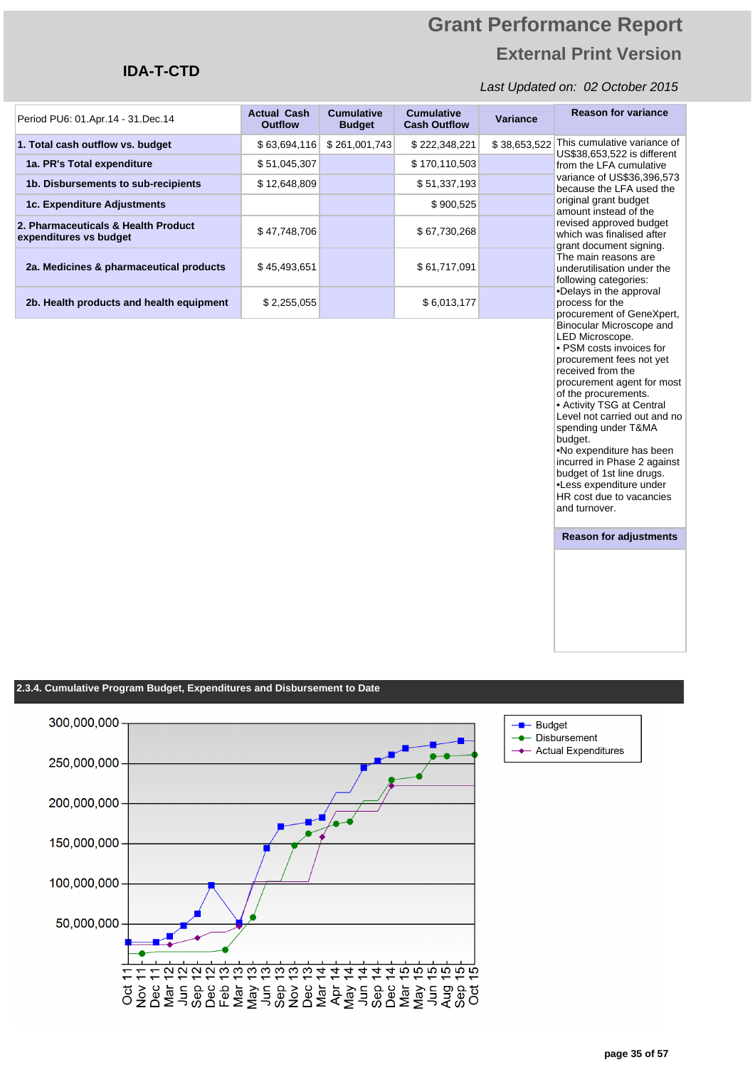### **IDA-T-CTD**

#### Last Updated on: 02 October 2015

| Period PU6: 01.Apr.14 - 31.Dec.14                             | <b>Actual Cash</b><br><b>Outflow</b> | <b>Cumulative</b><br><b>Budget</b> | <b>Cumulative</b><br><b>Cash Outflow</b> | Variance     | <b>Reason for variance</b>                                                                                                                                                                                                                                                                                                                                                                                                                         |  |
|---------------------------------------------------------------|--------------------------------------|------------------------------------|------------------------------------------|--------------|----------------------------------------------------------------------------------------------------------------------------------------------------------------------------------------------------------------------------------------------------------------------------------------------------------------------------------------------------------------------------------------------------------------------------------------------------|--|
| 1. Total cash outflow vs. budget                              | \$63,694,116                         | \$261,001,743                      | \$222,348,221                            | \$38,653,522 | This cumulative variance of<br>US\$38,653,522 is different                                                                                                                                                                                                                                                                                                                                                                                         |  |
| 1a. PR's Total expenditure                                    | \$51,045,307                         |                                    | \$170,110,503                            |              | from the LFA cumulative                                                                                                                                                                                                                                                                                                                                                                                                                            |  |
| 1b. Disbursements to sub-recipients                           | \$12,648,809                         |                                    | \$51,337,193                             |              | variance of US\$36,396,573<br>because the LFA used the                                                                                                                                                                                                                                                                                                                                                                                             |  |
| 1c. Expenditure Adjustments                                   |                                      |                                    | \$900,525                                |              | original grant budget<br>amount instead of the                                                                                                                                                                                                                                                                                                                                                                                                     |  |
| 2. Pharmaceuticals & Health Product<br>expenditures vs budget | \$47,748,706                         |                                    | \$67,730,268                             |              | revised approved budget<br>which was finalised after<br>grant document signing.                                                                                                                                                                                                                                                                                                                                                                    |  |
| 2a. Medicines & pharmaceutical products                       | \$45,493,651                         |                                    | \$61,717,091                             |              | The main reasons are<br>underutilisation under the<br>following categories:                                                                                                                                                                                                                                                                                                                                                                        |  |
| 2b. Health products and health equipment                      | \$2,255,055                          |                                    | \$6,013,177                              |              | •Delays in the approval<br>process for the<br>procurement of GeneXpert,                                                                                                                                                                                                                                                                                                                                                                            |  |
|                                                               |                                      |                                    |                                          |              | LED Microscope.<br>· PSM costs invoices for<br>procurement fees not yet<br>received from the<br>procurement agent for most<br>of the procurements.<br>• Activity TSG at Central<br>Level not carried out and no<br>spending under T&MA<br>budget.<br>.No expenditure has been<br>incurred in Phase 2 against<br>budget of 1st line drugs.<br>•Less expenditure under<br>HR cost due to vacancies<br>and turnover.<br><b>Reason for adjustments</b> |  |

#### **2.3.4. Cumulative Program Budget, Expenditures and Disbursement to Date**



**Budget** - Disbursement Actual Expenditures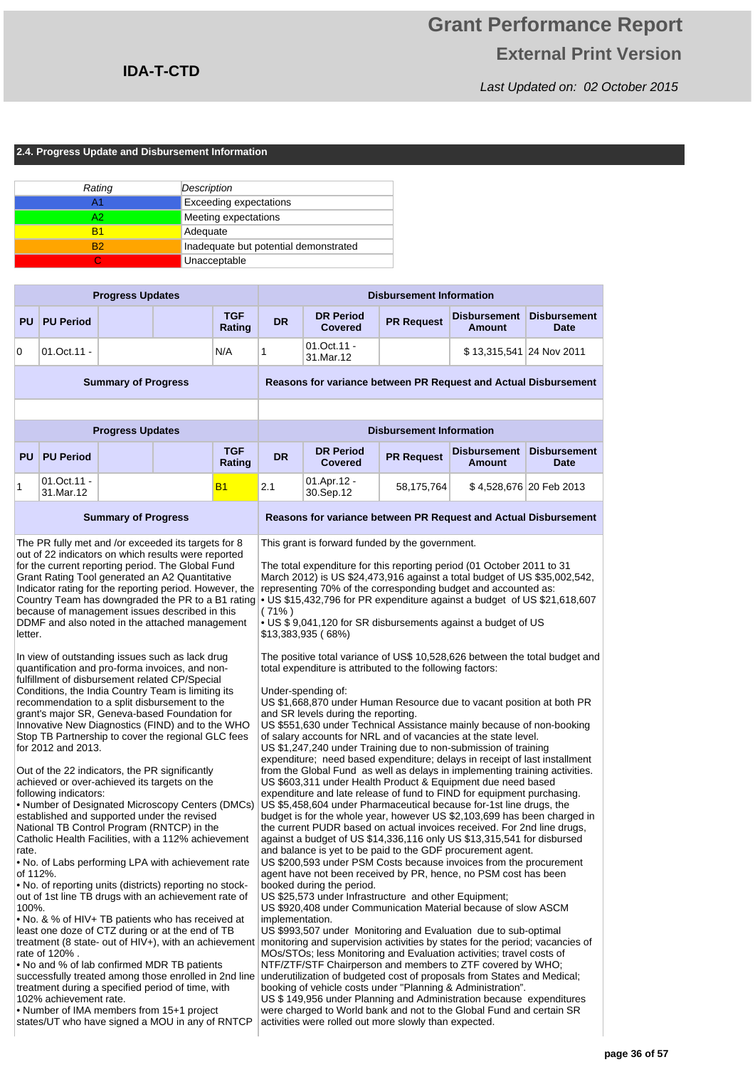Last Updated on: 02 October 2015

#### **2.4. Progress Update and Disbursement Information**

| Rating         | Description                           |
|----------------|---------------------------------------|
| А1             | <b>Exceeding expectations</b>         |
| A2             | Meeting expectations                  |
| R1             | Adequate                              |
| R <sub>2</sub> | Inadequate but potential demonstrated |
|                | Unacceptable                          |

|                                       |                                                                                                                                                                                                                                                                                                                                                                                                                                                                                                                                                                                                                                                                                                                                                                                                                                                                                                                                                                                                                                                                                                                                                                                                                                                                                                                                                                                                                                                                                                                                                                                                                                                                                                                                                                                                                     | <b>Progress Updates</b>    |                      |                             | <b>Disbursement Information</b>                                                                                                                                                                                                                                                                                                                                                                                                                                                                                                                                                                                                                                                                                                                                                                                                                                                                                                                                                                                                                                                                                                                                                                                                                                                                                                                                                                                                                                                                                                                                                                                                                                                                                                                                                                                                                                                                                                                                                                                                                                                                                                                                                                                                                                                                                                                                                                                                                                                                                                                                                                                             |                                 |                                      |                                    |  |  |
|---------------------------------------|---------------------------------------------------------------------------------------------------------------------------------------------------------------------------------------------------------------------------------------------------------------------------------------------------------------------------------------------------------------------------------------------------------------------------------------------------------------------------------------------------------------------------------------------------------------------------------------------------------------------------------------------------------------------------------------------------------------------------------------------------------------------------------------------------------------------------------------------------------------------------------------------------------------------------------------------------------------------------------------------------------------------------------------------------------------------------------------------------------------------------------------------------------------------------------------------------------------------------------------------------------------------------------------------------------------------------------------------------------------------------------------------------------------------------------------------------------------------------------------------------------------------------------------------------------------------------------------------------------------------------------------------------------------------------------------------------------------------------------------------------------------------------------------------------------------------|----------------------------|----------------------|-----------------------------|-----------------------------------------------------------------------------------------------------------------------------------------------------------------------------------------------------------------------------------------------------------------------------------------------------------------------------------------------------------------------------------------------------------------------------------------------------------------------------------------------------------------------------------------------------------------------------------------------------------------------------------------------------------------------------------------------------------------------------------------------------------------------------------------------------------------------------------------------------------------------------------------------------------------------------------------------------------------------------------------------------------------------------------------------------------------------------------------------------------------------------------------------------------------------------------------------------------------------------------------------------------------------------------------------------------------------------------------------------------------------------------------------------------------------------------------------------------------------------------------------------------------------------------------------------------------------------------------------------------------------------------------------------------------------------------------------------------------------------------------------------------------------------------------------------------------------------------------------------------------------------------------------------------------------------------------------------------------------------------------------------------------------------------------------------------------------------------------------------------------------------------------------------------------------------------------------------------------------------------------------------------------------------------------------------------------------------------------------------------------------------------------------------------------------------------------------------------------------------------------------------------------------------------------------------------------------------------------------------------------------------|---------------------------------|--------------------------------------|------------------------------------|--|--|
| <b>PU</b>                             | <b>PU Period</b>                                                                                                                                                                                                                                                                                                                                                                                                                                                                                                                                                                                                                                                                                                                                                                                                                                                                                                                                                                                                                                                                                                                                                                                                                                                                                                                                                                                                                                                                                                                                                                                                                                                                                                                                                                                                    |                            | <b>TGF</b><br>Rating | <b>DR</b>                   | <b>DR Period</b><br><b>Covered</b>                                                                                                                                                                                                                                                                                                                                                                                                                                                                                                                                                                                                                                                                                                                                                                                                                                                                                                                                                                                                                                                                                                                                                                                                                                                                                                                                                                                                                                                                                                                                                                                                                                                                                                                                                                                                                                                                                                                                                                                                                                                                                                                                                                                                                                                                                                                                                                                                                                                                                                                                                                                          | <b>PR Request</b>               | <b>Disbursement</b><br><b>Amount</b> | <b>Disbursement</b><br><b>Date</b> |  |  |
| 0                                     | 01.Oct.11 -                                                                                                                                                                                                                                                                                                                                                                                                                                                                                                                                                                                                                                                                                                                                                                                                                                                                                                                                                                                                                                                                                                                                                                                                                                                                                                                                                                                                                                                                                                                                                                                                                                                                                                                                                                                                         |                            | N/A                  | 1                           | 01.Oct.11 -<br>31.Mar.12                                                                                                                                                                                                                                                                                                                                                                                                                                                                                                                                                                                                                                                                                                                                                                                                                                                                                                                                                                                                                                                                                                                                                                                                                                                                                                                                                                                                                                                                                                                                                                                                                                                                                                                                                                                                                                                                                                                                                                                                                                                                                                                                                                                                                                                                                                                                                                                                                                                                                                                                                                                                    |                                 | \$13,315,541 24 Nov 2011             |                                    |  |  |
|                                       |                                                                                                                                                                                                                                                                                                                                                                                                                                                                                                                                                                                                                                                                                                                                                                                                                                                                                                                                                                                                                                                                                                                                                                                                                                                                                                                                                                                                                                                                                                                                                                                                                                                                                                                                                                                                                     | <b>Summary of Progress</b> |                      |                             | Reasons for variance between PR Request and Actual Disbursement                                                                                                                                                                                                                                                                                                                                                                                                                                                                                                                                                                                                                                                                                                                                                                                                                                                                                                                                                                                                                                                                                                                                                                                                                                                                                                                                                                                                                                                                                                                                                                                                                                                                                                                                                                                                                                                                                                                                                                                                                                                                                                                                                                                                                                                                                                                                                                                                                                                                                                                                                             |                                 |                                      |                                    |  |  |
|                                       |                                                                                                                                                                                                                                                                                                                                                                                                                                                                                                                                                                                                                                                                                                                                                                                                                                                                                                                                                                                                                                                                                                                                                                                                                                                                                                                                                                                                                                                                                                                                                                                                                                                                                                                                                                                                                     | <b>Progress Updates</b>    |                      |                             |                                                                                                                                                                                                                                                                                                                                                                                                                                                                                                                                                                                                                                                                                                                                                                                                                                                                                                                                                                                                                                                                                                                                                                                                                                                                                                                                                                                                                                                                                                                                                                                                                                                                                                                                                                                                                                                                                                                                                                                                                                                                                                                                                                                                                                                                                                                                                                                                                                                                                                                                                                                                                             | <b>Disbursement Information</b> |                                      |                                    |  |  |
| <b>PU</b>                             | <b>PU Period</b>                                                                                                                                                                                                                                                                                                                                                                                                                                                                                                                                                                                                                                                                                                                                                                                                                                                                                                                                                                                                                                                                                                                                                                                                                                                                                                                                                                                                                                                                                                                                                                                                                                                                                                                                                                                                    |                            | <b>TGF</b><br>Rating | <b>DR</b>                   | <b>DR Period</b><br><b>Covered</b>                                                                                                                                                                                                                                                                                                                                                                                                                                                                                                                                                                                                                                                                                                                                                                                                                                                                                                                                                                                                                                                                                                                                                                                                                                                                                                                                                                                                                                                                                                                                                                                                                                                                                                                                                                                                                                                                                                                                                                                                                                                                                                                                                                                                                                                                                                                                                                                                                                                                                                                                                                                          | <b>PR Request</b>               | <b>Disbursement</b><br><b>Amount</b> | <b>Disbursement</b><br><b>Date</b> |  |  |
| 1                                     | $01.0ct.11 -$<br>31.Mar.12                                                                                                                                                                                                                                                                                                                                                                                                                                                                                                                                                                                                                                                                                                                                                                                                                                                                                                                                                                                                                                                                                                                                                                                                                                                                                                                                                                                                                                                                                                                                                                                                                                                                                                                                                                                          |                            | <b>B1</b>            | 2.1                         | 01.Apr.12 -<br>30.Sep.12                                                                                                                                                                                                                                                                                                                                                                                                                                                                                                                                                                                                                                                                                                                                                                                                                                                                                                                                                                                                                                                                                                                                                                                                                                                                                                                                                                                                                                                                                                                                                                                                                                                                                                                                                                                                                                                                                                                                                                                                                                                                                                                                                                                                                                                                                                                                                                                                                                                                                                                                                                                                    | 58,175,764                      |                                      | \$4,528,676 20 Feb 2013            |  |  |
|                                       |                                                                                                                                                                                                                                                                                                                                                                                                                                                                                                                                                                                                                                                                                                                                                                                                                                                                                                                                                                                                                                                                                                                                                                                                                                                                                                                                                                                                                                                                                                                                                                                                                                                                                                                                                                                                                     | <b>Summary of Progress</b> |                      |                             | Reasons for variance between PR Request and Actual Disbursement                                                                                                                                                                                                                                                                                                                                                                                                                                                                                                                                                                                                                                                                                                                                                                                                                                                                                                                                                                                                                                                                                                                                                                                                                                                                                                                                                                                                                                                                                                                                                                                                                                                                                                                                                                                                                                                                                                                                                                                                                                                                                                                                                                                                                                                                                                                                                                                                                                                                                                                                                             |                                 |                                      |                                    |  |  |
| letter.<br>rate.<br>of 112%.<br>100%. | The PR fully met and /or exceeded its targets for 8<br>out of 22 indicators on which results were reported<br>for the current reporting period. The Global Fund<br>Grant Rating Tool generated an A2 Quantitative<br>Indicator rating for the reporting period. However, the<br>Country Team has downgraded the PR to a B1 rating<br>because of management issues described in this<br>DDMF and also noted in the attached management<br>In view of outstanding issues such as lack drug<br>quantification and pro-forma invoices, and non-<br>fulfillment of disbursement related CP/Special<br>Conditions, the India Country Team is limiting its<br>recommendation to a split disbursement to the<br>grant's major SR, Geneva-based Foundation for<br>Innovative New Diagnostics (FIND) and to the WHO<br>Stop TB Partnership to cover the regional GLC fees<br>for 2012 and 2013.<br>Out of the 22 indicators, the PR significantly<br>achieved or over-achieved its targets on the<br>following indicators:<br>• Number of Designated Microscopy Centers (DMCs)<br>established and supported under the revised<br>National TB Control Program (RNTCP) in the<br>Catholic Health Facilities, with a 112% achievement<br>. No. of Labs performing LPA with achievement rate<br>• No. of reporting units (districts) reporting no stock-<br>out of 1st line TB drugs with an achievement rate of<br>• No. & % of HIV+ TB patients who has received at<br>least one doze of CTZ during or at the end of TB<br>rate of 120%.<br>. No and % of lab confirmed MDR TB patients<br>successfully treated among those enrolled in 2nd line<br>treatment during a specified period of time, with<br>102% achievement rate.<br>• Number of IMA members from 15+1 project<br>states/UT who have signed a MOU in any of RNTCP |                            |                      | $(71\%)$<br>implementation. | This grant is forward funded by the government.<br>The total expenditure for this reporting period (01 October 2011 to 31<br>March 2012) is US \$24,473,916 against a total budget of US \$35,002,542,<br>representing 70% of the corresponding budget and accounted as:<br>• US \$15,432,796 for PR expenditure against a budget of US \$21,618,607<br>• US \$9,041,120 for SR disbursements against a budget of US<br>\$13,383,935 (68%)<br>The positive total variance of US\$ 10,528,626 between the total budget and<br>total expenditure is attributed to the following factors:<br>Under-spending of:<br>US \$1,668,870 under Human Resource due to vacant position at both PR<br>and SR levels during the reporting.<br>US \$551,630 under Technical Assistance mainly because of non-booking<br>of salary accounts for NRL and of vacancies at the state level.<br>US \$1,247,240 under Training due to non-submission of training<br>expenditure; need based expenditure; delays in receipt of last installment<br>from the Global Fund as well as delays in implementing training activities.<br>US \$603,311 under Health Product & Equipment due need based<br>expenditure and late release of fund to FIND for equipment purchasing.<br>US \$5,458,604 under Pharmaceutical because for-1st line drugs, the<br>budget is for the whole year, however US \$2,103,699 has been charged in<br>the current PUDR based on actual invoices received. For 2nd line drugs,<br>against a budget of US \$14,336,116 only US \$13,315,541 for disbursed<br>and balance is yet to be paid to the GDF procurement agent.<br>US \$200,593 under PSM Costs because invoices from the procurement<br>agent have not been received by PR, hence, no PSM cost has been<br>booked during the period.<br>US \$25,573 under Infrastructure and other Equipment;<br>US \$920,408 under Communication Material because of slow ASCM<br>US \$993,507 under Monitoring and Evaluation due to sub-optimal<br>treatment (8 state- out of HIV+), with an achievement monitoring and supervision activities by states for the period; vacancies of<br>MOs/STOs; less Monitoring and Evaluation activities; travel costs of<br>NTF/ZTF/STF Chairperson and members to ZTF covered by WHO;<br>underutilization of budgeted cost of proposals from States and Medical;<br>booking of vehicle costs under "Planning & Administration".<br>US \$149,956 under Planning and Administration because expenditures<br>were charged to World bank and not to the Global Fund and certain SR<br>activities were rolled out more slowly than expected. |                                 |                                      |                                    |  |  |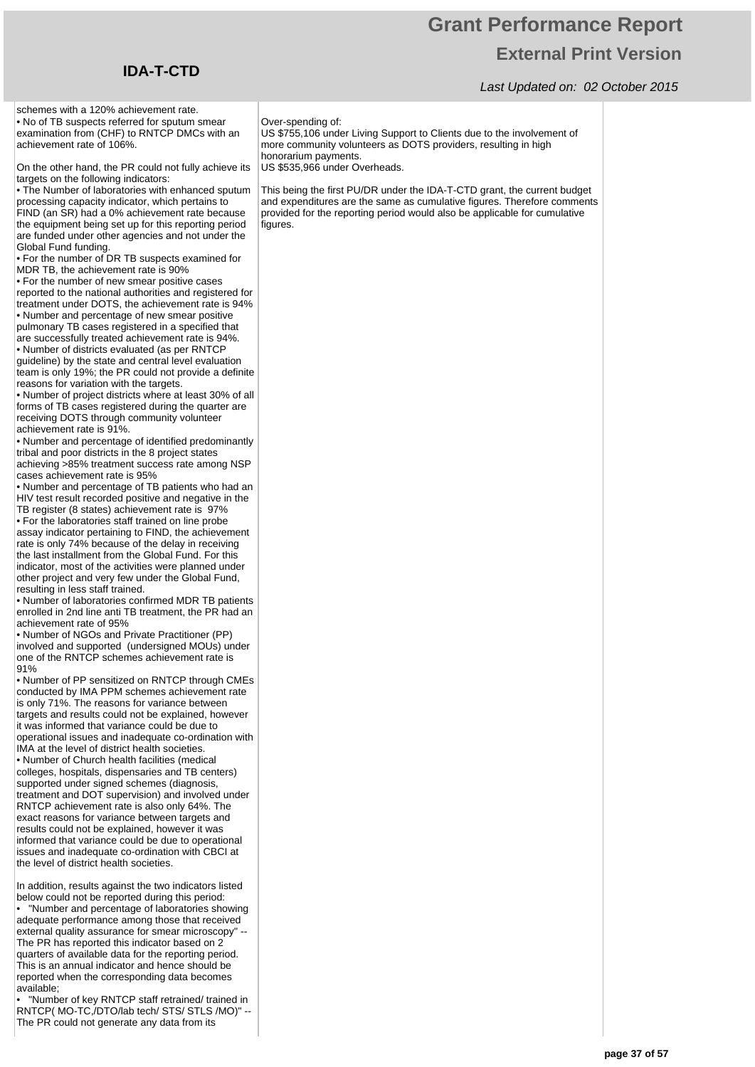#### Last Updated on: 02 October 2015



Global Fund funding.

**IDA-T-CTD**

91%

available;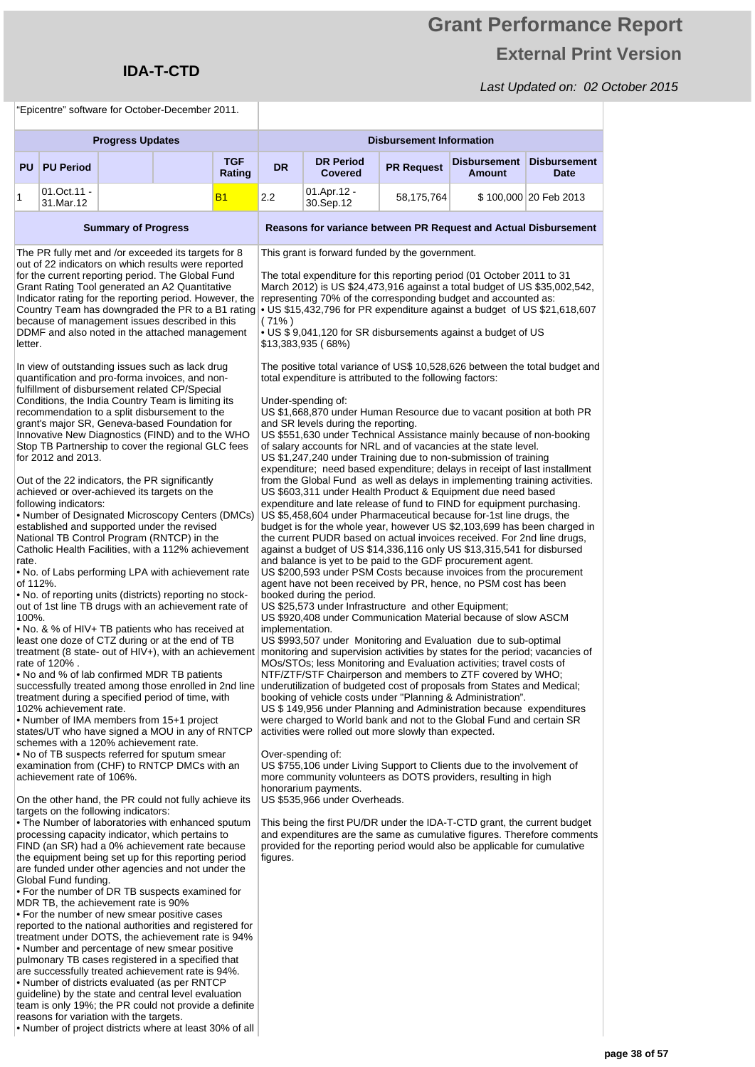## **Grant Performance Report External Print Version**

#### Last Updated on: 02 October 2015

"Epicentre" software for October-December 2011.

reasons for variation with the targets.

• Number of project districts where at least 30% of all

|                                       | Libicative survivale for October-December 2011.                                                               |                            |                                                                                                                                                                                                                                                                                                                                                                                                                                                                                                                                                                                                                                                                                                                                                                                                                                                                                                                                                                                                                                                                                                                                                                                                                                                                                                                                                                                                                                                                                                                       |                      |                                                                                                                                                                                                                                                                                                                                                                                                                                                                                                                                                                                                                                                                                                                                                                |                                                                                                                                                                                                                                                                                                                                                                                                                                                                                                                                                                                                                                                                                                                                                                                                                                                                                                                                                                                                                                                                                                                                                                                                                                                                                                                                                                                                                                                                                                                                                                                                                                                                                                                                                                                                                                                                                                                                                                                                                         |                                 |                                                                                                                                                                                                                                  |                                    |  |  |  |  |
|---------------------------------------|---------------------------------------------------------------------------------------------------------------|----------------------------|-----------------------------------------------------------------------------------------------------------------------------------------------------------------------------------------------------------------------------------------------------------------------------------------------------------------------------------------------------------------------------------------------------------------------------------------------------------------------------------------------------------------------------------------------------------------------------------------------------------------------------------------------------------------------------------------------------------------------------------------------------------------------------------------------------------------------------------------------------------------------------------------------------------------------------------------------------------------------------------------------------------------------------------------------------------------------------------------------------------------------------------------------------------------------------------------------------------------------------------------------------------------------------------------------------------------------------------------------------------------------------------------------------------------------------------------------------------------------------------------------------------------------|----------------------|----------------------------------------------------------------------------------------------------------------------------------------------------------------------------------------------------------------------------------------------------------------------------------------------------------------------------------------------------------------------------------------------------------------------------------------------------------------------------------------------------------------------------------------------------------------------------------------------------------------------------------------------------------------------------------------------------------------------------------------------------------------|-------------------------------------------------------------------------------------------------------------------------------------------------------------------------------------------------------------------------------------------------------------------------------------------------------------------------------------------------------------------------------------------------------------------------------------------------------------------------------------------------------------------------------------------------------------------------------------------------------------------------------------------------------------------------------------------------------------------------------------------------------------------------------------------------------------------------------------------------------------------------------------------------------------------------------------------------------------------------------------------------------------------------------------------------------------------------------------------------------------------------------------------------------------------------------------------------------------------------------------------------------------------------------------------------------------------------------------------------------------------------------------------------------------------------------------------------------------------------------------------------------------------------------------------------------------------------------------------------------------------------------------------------------------------------------------------------------------------------------------------------------------------------------------------------------------------------------------------------------------------------------------------------------------------------------------------------------------------------------------------------------------------------|---------------------------------|----------------------------------------------------------------------------------------------------------------------------------------------------------------------------------------------------------------------------------|------------------------------------|--|--|--|--|
|                                       |                                                                                                               | <b>Progress Updates</b>    |                                                                                                                                                                                                                                                                                                                                                                                                                                                                                                                                                                                                                                                                                                                                                                                                                                                                                                                                                                                                                                                                                                                                                                                                                                                                                                                                                                                                                                                                                                                       |                      |                                                                                                                                                                                                                                                                                                                                                                                                                                                                                                                                                                                                                                                                                                                                                                |                                                                                                                                                                                                                                                                                                                                                                                                                                                                                                                                                                                                                                                                                                                                                                                                                                                                                                                                                                                                                                                                                                                                                                                                                                                                                                                                                                                                                                                                                                                                                                                                                                                                                                                                                                                                                                                                                                                                                                                                                         | <b>Disbursement Information</b> |                                                                                                                                                                                                                                  |                                    |  |  |  |  |
| <b>PU</b>                             | <b>PU Period</b>                                                                                              |                            |                                                                                                                                                                                                                                                                                                                                                                                                                                                                                                                                                                                                                                                                                                                                                                                                                                                                                                                                                                                                                                                                                                                                                                                                                                                                                                                                                                                                                                                                                                                       | <b>TGF</b><br>Rating | <b>DR</b>                                                                                                                                                                                                                                                                                                                                                                                                                                                                                                                                                                                                                                                                                                                                                      | <b>DR Period</b><br><b>Covered</b>                                                                                                                                                                                                                                                                                                                                                                                                                                                                                                                                                                                                                                                                                                                                                                                                                                                                                                                                                                                                                                                                                                                                                                                                                                                                                                                                                                                                                                                                                                                                                                                                                                                                                                                                                                                                                                                                                                                                                                                      | <b>PR Request</b>               | Disbursement<br><b>Amount</b>                                                                                                                                                                                                    | <b>Disbursement</b><br><b>Date</b> |  |  |  |  |
| 1                                     | 01.Oct.11 -<br>31.Mar.12                                                                                      |                            |                                                                                                                                                                                                                                                                                                                                                                                                                                                                                                                                                                                                                                                                                                                                                                                                                                                                                                                                                                                                                                                                                                                                                                                                                                                                                                                                                                                                                                                                                                                       | В1                   | 2.2                                                                                                                                                                                                                                                                                                                                                                                                                                                                                                                                                                                                                                                                                                                                                            | 01.Apr.12 -<br>30.Sep.12                                                                                                                                                                                                                                                                                                                                                                                                                                                                                                                                                                                                                                                                                                                                                                                                                                                                                                                                                                                                                                                                                                                                                                                                                                                                                                                                                                                                                                                                                                                                                                                                                                                                                                                                                                                                                                                                                                                                                                                                | 58,175,764                      |                                                                                                                                                                                                                                  | \$100,000 20 Feb 2013              |  |  |  |  |
|                                       |                                                                                                               | <b>Summary of Progress</b> |                                                                                                                                                                                                                                                                                                                                                                                                                                                                                                                                                                                                                                                                                                                                                                                                                                                                                                                                                                                                                                                                                                                                                                                                                                                                                                                                                                                                                                                                                                                       |                      |                                                                                                                                                                                                                                                                                                                                                                                                                                                                                                                                                                                                                                                                                                                                                                |                                                                                                                                                                                                                                                                                                                                                                                                                                                                                                                                                                                                                                                                                                                                                                                                                                                                                                                                                                                                                                                                                                                                                                                                                                                                                                                                                                                                                                                                                                                                                                                                                                                                                                                                                                                                                                                                                                                                                                                                                         |                                 | Reasons for variance between PR Request and Actual Disbursement                                                                                                                                                                  |                                    |  |  |  |  |
| letter.<br>rate.<br>of 112%.<br>100%. | for 2012 and 2013.<br>following indicators:                                                                   |                            | The PR fully met and /or exceeded its targets for 8<br>out of 22 indicators on which results were reported<br>for the current reporting period. The Global Fund<br>Grant Rating Tool generated an A2 Quantitative<br>Indicator rating for the reporting period. However, the<br>Country Team has downgraded the PR to a B1 rating<br>because of management issues described in this<br>DDMF and also noted in the attached management<br>In view of outstanding issues such as lack drug<br>quantification and pro-forma invoices, and non-<br>fulfillment of disbursement related CP/Special<br>Conditions, the India Country Team is limiting its<br>recommendation to a split disbursement to the<br>grant's major SR, Geneva-based Foundation for<br>Innovative New Diagnostics (FIND) and to the WHO<br>Stop TB Partnership to cover the regional GLC fees<br>Out of the 22 indicators, the PR significantly<br>achieved or over-achieved its targets on the<br>• Number of Designated Microscopy Centers (DMCs)<br>established and supported under the revised<br>National TB Control Program (RNTCP) in the<br>Catholic Health Facilities, with a 112% achievement<br>. No. of Labs performing LPA with achievement rate<br>• No. of reporting units (districts) reporting no stock-<br>out of 1st line TB drugs with an achievement rate of<br>• No. & % of HIV+ TB patients who has received at<br>least one doze of CTZ during or at the end of TB<br>treatment (8 state- out of HIV+), with an achievement |                      | $(71\%)$                                                                                                                                                                                                                                                                                                                                                                                                                                                                                                                                                                                                                                                                                                                                                       | This grant is forward funded by the government.<br>The total expenditure for this reporting period (01 October 2011 to 31<br>March 2012) is US \$24,473,916 against a total budget of US \$35,002,542,<br>representing 70% of the corresponding budget and accounted as:<br>$\cdot$ US \$15,432,796 for PR expenditure against a budget of US \$21,618,607<br>• US \$ 9,041,120 for SR disbursements against a budget of US<br>\$13,383,935 (68%)<br>The positive total variance of US\$ 10,528,626 between the total budget and<br>total expenditure is attributed to the following factors:<br>Under-spending of:<br>US \$1,668,870 under Human Resource due to vacant position at both PR<br>and SR levels during the reporting.<br>US \$551,630 under Technical Assistance mainly because of non-booking<br>of salary accounts for NRL and of vacancies at the state level.<br>US \$1,247,240 under Training due to non-submission of training<br>expenditure; need based expenditure; delays in receipt of last installment<br>from the Global Fund as well as delays in implementing training activities.<br>US \$603,311 under Health Product & Equipment due need based<br>expenditure and late release of fund to FIND for equipment purchasing.<br>US \$5,458,604 under Pharmaceutical because for-1st line drugs, the<br>budget is for the whole year, however US \$2,103,699 has been charged in<br>the current PUDR based on actual invoices received. For 2nd line drugs,<br>against a budget of US \$14,336,116 only US \$13,315,541 for disbursed<br>and balance is yet to be paid to the GDF procurement agent.<br>US \$200,593 under PSM Costs because invoices from the procurement<br>agent have not been received by PR, hence, no PSM cost has been<br>booked during the period.<br>US \$25,573 under Infrastructure and other Equipment;<br>US \$920,408 under Communication Material because of slow ASCM<br>implementation.<br>US \$993,507 under Monitoring and Evaluation due to sub-optimal |                                 |                                                                                                                                                                                                                                  |                                    |  |  |  |  |
|                                       | rate of 120%.<br>102% achievement rate.<br>schemes with a 120% achievement rate.<br>achievement rate of 106%. |                            | . No and % of lab confirmed MDR TB patients<br>successfully treated among those enrolled in 2nd line<br>treatment during a specified period of time, with<br>• Number of IMA members from 15+1 project<br>states/UT who have signed a MOU in any of RNTCP<br>• No of TB suspects referred for sputum smear<br>examination from (CHF) to RNTCP DMCs with an                                                                                                                                                                                                                                                                                                                                                                                                                                                                                                                                                                                                                                                                                                                                                                                                                                                                                                                                                                                                                                                                                                                                                            |                      | monitoring and supervision activities by states for the period; vacancies of<br>MOs/STOs; less Monitoring and Evaluation activities; travel costs of<br>NTF/ZTF/STF Chairperson and members to ZTF covered by WHO;<br>underutilization of budgeted cost of proposals from States and Medical;<br>booking of vehicle costs under "Planning & Administration".<br>US \$ 149,956 under Planning and Administration because expenditures<br>were charged to World bank and not to the Global Fund and certain SR<br>activities were rolled out more slowly than expected.<br>Over-spending of:<br>US \$755,106 under Living Support to Clients due to the involvement of<br>more community volunteers as DOTS providers, resulting in high<br>honorarium payments. |                                                                                                                                                                                                                                                                                                                                                                                                                                                                                                                                                                                                                                                                                                                                                                                                                                                                                                                                                                                                                                                                                                                                                                                                                                                                                                                                                                                                                                                                                                                                                                                                                                                                                                                                                                                                                                                                                                                                                                                                                         |                                 |                                                                                                                                                                                                                                  |                                    |  |  |  |  |
|                                       | targets on the following indicators:<br>Global Fund funding.<br>MDR TB, the achievement rate is 90%           |                            | On the other hand, the PR could not fully achieve its<br>• The Number of laboratories with enhanced sputum<br>processing capacity indicator, which pertains to<br>FIND (an SR) had a 0% achievement rate because<br>the equipment being set up for this reporting period<br>are funded under other agencies and not under the<br>• For the number of DR TB suspects examined for<br>• For the number of new smear positive cases<br>reported to the national authorities and registered for<br>treatment under DOTS, the achievement rate is 94%<br>• Number and percentage of new smear positive<br>pulmonary TB cases registered in a specified that<br>are successfully treated achievement rate is 94%.<br>• Number of districts evaluated (as per RNTCP<br>guideline) by the state and central level evaluation<br>team is only 19%; the PR could not provide a definite                                                                                                                                                                                                                                                                                                                                                                                                                                                                                                                                                                                                                                         |                      | figures.                                                                                                                                                                                                                                                                                                                                                                                                                                                                                                                                                                                                                                                                                                                                                       | US \$535,966 under Overheads.                                                                                                                                                                                                                                                                                                                                                                                                                                                                                                                                                                                                                                                                                                                                                                                                                                                                                                                                                                                                                                                                                                                                                                                                                                                                                                                                                                                                                                                                                                                                                                                                                                                                                                                                                                                                                                                                                                                                                                                           |                                 | This being the first PU/DR under the IDA-T-CTD grant, the current budget<br>and expenditures are the same as cumulative figures. Therefore comments<br>provided for the reporting period would also be applicable for cumulative |                                    |  |  |  |  |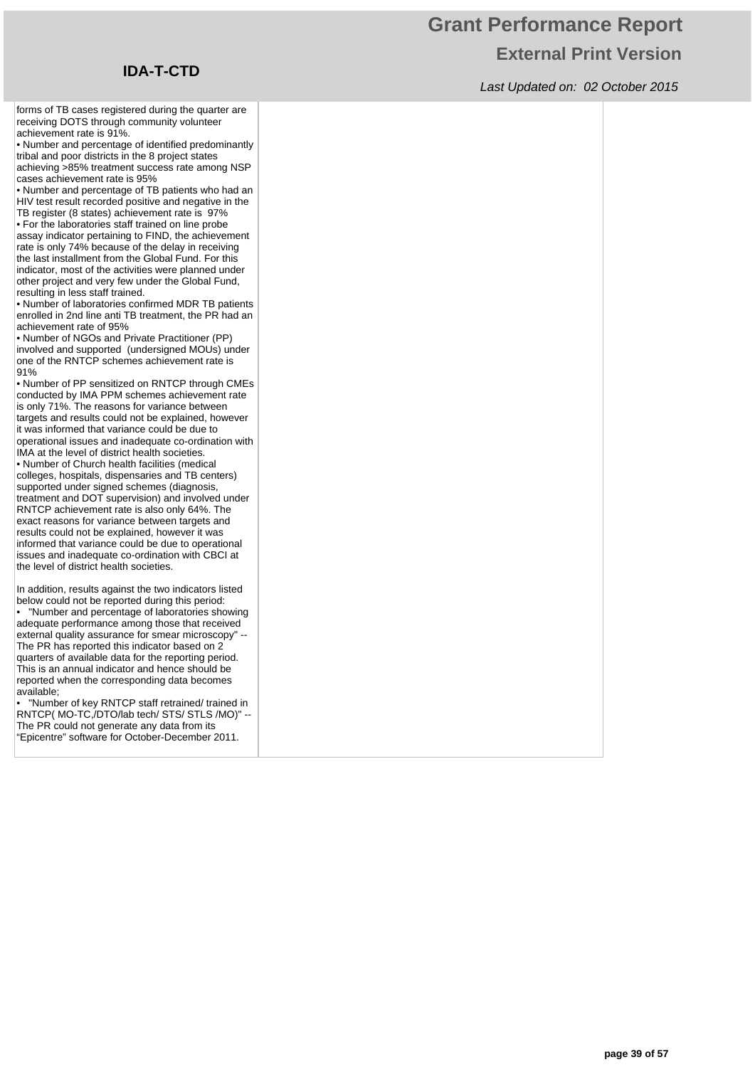## **Grant Performance Report External Print Version**

Last Updated on: 02 October 2015

forms of TB cases registered during the quarter are receiving DOTS through community volunteer achievement rate is 91%.

• Number and percentage of identified predominantly tribal and poor districts in the 8 project states achieving >85% treatment success rate among NSP cases achievement rate is 95%

• Number and percentage of TB patients who had an HIV test result recorded positive and negative in the TB register (8 states) achievement rate is 97%

• For the laboratories staff trained on line probe assay indicator pertaining to FIND, the achievement rate is only 74% because of the delay in receiving the last installment from the Global Fund. For this indicator, most of the activities were planned under other project and very few under the Global Fund, resulting in less staff trained.

• Number of laboratories confirmed MDR TB patients enrolled in 2nd line anti TB treatment, the PR had an achievement rate of 95%

• Number of NGOs and Private Practitioner (PP) involved and supported (undersigned MOUs) under one of the RNTCP schemes achievement rate is 91%

• Number of PP sensitized on RNTCP through CMEs conducted by IMA PPM schemes achievement rate is only 71%. The reasons for variance between targets and results could not be explained, however it was informed that variance could be due to operational issues and inadequate co-ordination with IMA at the level of district health societies. • Number of Church health facilities (medical colleges, hospitals, dispensaries and TB centers) supported under signed schemes (diagnosis, treatment and DOT supervision) and involved under RNTCP achievement rate is also only 64%. The exact reasons for variance between targets and results could not be explained, however it was informed that variance could be due to operational issues and inadequate co-ordination with CBCI at the level of district health societies.

In addition, results against the two indicators listed below could not be reported during this period:

• "Number and percentage of laboratories showing adequate performance among those that received external quality assurance for smear microscopy" -- The PR has reported this indicator based on 2 quarters of available data for the reporting period. This is an annual indicator and hence should be reported when the corresponding data becomes available;

• "Number of key RNTCP staff retrained/ trained in RNTCP( MO-TC,/DTO/lab tech/ STS/ STLS /MO)" -- The PR could not generate any data from its "Epicentre" software for October-December 2011.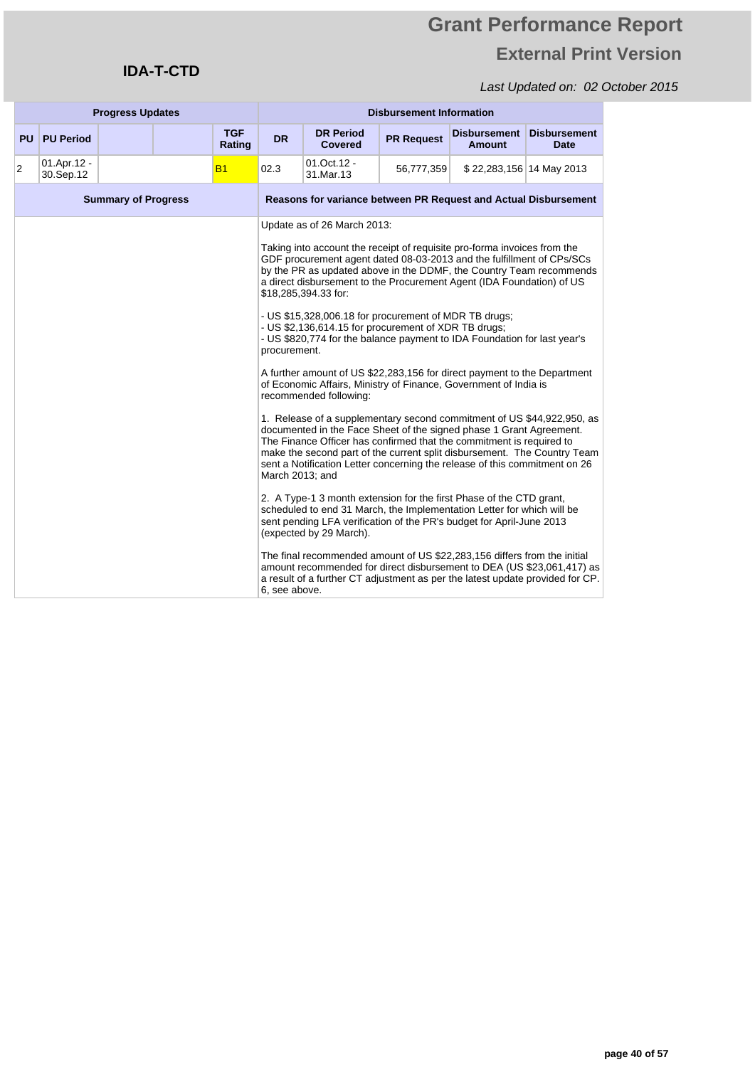### **IDA-T-CTD**

|           |                          | <b>Progress Updates</b>    |  |                      |                                                  | <b>Disbursement Information</b>                                                                                                                                                                                                                                                                                                                                                                                                                                                                                                                                                                                                                                                                                                                                                                                                                                                                                                                                                                                                                                                                                                                                                                                                                                                                                                                                                                                                                                                                                                                                                                               |                   |                                      |                                    |  |  |
|-----------|--------------------------|----------------------------|--|----------------------|--------------------------------------------------|---------------------------------------------------------------------------------------------------------------------------------------------------------------------------------------------------------------------------------------------------------------------------------------------------------------------------------------------------------------------------------------------------------------------------------------------------------------------------------------------------------------------------------------------------------------------------------------------------------------------------------------------------------------------------------------------------------------------------------------------------------------------------------------------------------------------------------------------------------------------------------------------------------------------------------------------------------------------------------------------------------------------------------------------------------------------------------------------------------------------------------------------------------------------------------------------------------------------------------------------------------------------------------------------------------------------------------------------------------------------------------------------------------------------------------------------------------------------------------------------------------------------------------------------------------------------------------------------------------------|-------------------|--------------------------------------|------------------------------------|--|--|
| <b>PU</b> | <b>PU Period</b>         |                            |  | <b>TGF</b><br>Rating | <b>DR</b>                                        | <b>DR Period</b><br><b>Covered</b>                                                                                                                                                                                                                                                                                                                                                                                                                                                                                                                                                                                                                                                                                                                                                                                                                                                                                                                                                                                                                                                                                                                                                                                                                                                                                                                                                                                                                                                                                                                                                                            | <b>PR Request</b> | <b>Disbursement</b><br><b>Amount</b> | <b>Disbursement</b><br><b>Date</b> |  |  |
| 2         | 01.Apr.12 -<br>30.Sep.12 |                            |  | B1                   | 02.3                                             | 01.Oct.12 -<br>31.Mar.13                                                                                                                                                                                                                                                                                                                                                                                                                                                                                                                                                                                                                                                                                                                                                                                                                                                                                                                                                                                                                                                                                                                                                                                                                                                                                                                                                                                                                                                                                                                                                                                      | 56,777,359        | \$22,283,156 14 May 2013             |                                    |  |  |
|           |                          | <b>Summary of Progress</b> |  |                      |                                                  | <b>Reasons for variance between PR Request and Actual Disbursement</b>                                                                                                                                                                                                                                                                                                                                                                                                                                                                                                                                                                                                                                                                                                                                                                                                                                                                                                                                                                                                                                                                                                                                                                                                                                                                                                                                                                                                                                                                                                                                        |                   |                                      |                                    |  |  |
|           |                          |                            |  |                      | procurement.<br>March 2013; and<br>6, see above. | Update as of 26 March 2013:<br>Taking into account the receipt of requisite pro-forma invoices from the<br>GDF procurement agent dated 08-03-2013 and the fulfillment of CPs/SCs<br>by the PR as updated above in the DDMF, the Country Team recommends<br>a direct disbursement to the Procurement Agent (IDA Foundation) of US<br>\$18,285,394.33 for:<br>- US \$15,328,006.18 for procurement of MDR TB drugs;<br>- US \$2,136,614.15 for procurement of XDR TB drugs;<br>- US \$820,774 for the balance payment to IDA Foundation for last year's<br>A further amount of US \$22,283,156 for direct payment to the Department<br>of Economic Affairs, Ministry of Finance, Government of India is<br>recommended following:<br>1. Release of a supplementary second commitment of US \$44,922,950, as<br>documented in the Face Sheet of the signed phase 1 Grant Agreement.<br>The Finance Officer has confirmed that the commitment is required to<br>make the second part of the current split disbursement. The Country Team<br>sent a Notification Letter concerning the release of this commitment on 26<br>2. A Type-1 3 month extension for the first Phase of the CTD grant,<br>scheduled to end 31 March, the Implementation Letter for which will be<br>sent pending LFA verification of the PR's budget for April-June 2013<br>(expected by 29 March).<br>The final recommended amount of US \$22,283,156 differs from the initial<br>amount recommended for direct disbursement to DEA (US \$23,061,417) as<br>a result of a further CT adjustment as per the latest update provided for CP. |                   |                                      |                                    |  |  |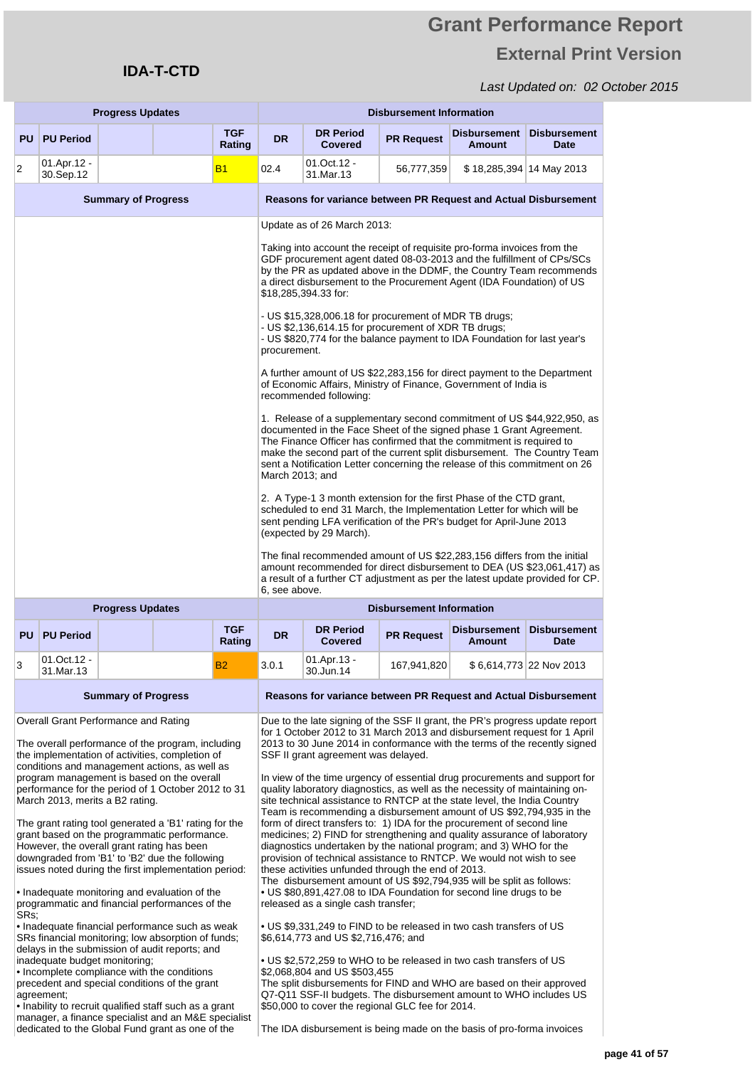### Last Updated on: 02 October 2015

|      |                                                                                                                                                                                                                                                               | <b>Progress Updates</b>    |                                                                                                                                                                                                     |                      | <b>Disbursement Information</b>                                                                                                                                                                                                                                                                                                                            |                                                                                                                                                                                                                                                  |                   |                                                                                                                                                                                                                                                                                                                                                                                 |                                    |  |  |
|------|---------------------------------------------------------------------------------------------------------------------------------------------------------------------------------------------------------------------------------------------------------------|----------------------------|-----------------------------------------------------------------------------------------------------------------------------------------------------------------------------------------------------|----------------------|------------------------------------------------------------------------------------------------------------------------------------------------------------------------------------------------------------------------------------------------------------------------------------------------------------------------------------------------------------|--------------------------------------------------------------------------------------------------------------------------------------------------------------------------------------------------------------------------------------------------|-------------------|---------------------------------------------------------------------------------------------------------------------------------------------------------------------------------------------------------------------------------------------------------------------------------------------------------------------------------------------------------------------------------|------------------------------------|--|--|
| PU   | <b>PU Period</b>                                                                                                                                                                                                                                              |                            |                                                                                                                                                                                                     | <b>TGF</b><br>Rating | <b>DR</b>                                                                                                                                                                                                                                                                                                                                                  | <b>DR Period</b><br><b>Covered</b>                                                                                                                                                                                                               | <b>PR Request</b> | <b>Disbursement</b><br><b>Amount</b>                                                                                                                                                                                                                                                                                                                                            | <b>Disbursement</b><br><b>Date</b> |  |  |
| 2    | 01.Apr.12 -<br>30.Sep.12                                                                                                                                                                                                                                      |                            |                                                                                                                                                                                                     | <b>B1</b>            | 02.4                                                                                                                                                                                                                                                                                                                                                       | 01.Oct.12 -<br>31.Mar.13                                                                                                                                                                                                                         | 56,777,359        | \$18,285,394 14 May 2013                                                                                                                                                                                                                                                                                                                                                        |                                    |  |  |
|      |                                                                                                                                                                                                                                                               | <b>Summary of Progress</b> |                                                                                                                                                                                                     |                      |                                                                                                                                                                                                                                                                                                                                                            |                                                                                                                                                                                                                                                  |                   | Reasons for variance between PR Request and Actual Disbursement                                                                                                                                                                                                                                                                                                                 |                                    |  |  |
|      |                                                                                                                                                                                                                                                               |                            |                                                                                                                                                                                                     |                      |                                                                                                                                                                                                                                                                                                                                                            | Update as of 26 March 2013:                                                                                                                                                                                                                      |                   |                                                                                                                                                                                                                                                                                                                                                                                 |                                    |  |  |
|      |                                                                                                                                                                                                                                                               |                            |                                                                                                                                                                                                     |                      |                                                                                                                                                                                                                                                                                                                                                            | \$18,285,394.33 for:                                                                                                                                                                                                                             |                   | Taking into account the receipt of requisite pro-forma invoices from the<br>GDF procurement agent dated 08-03-2013 and the fulfillment of CPs/SCs<br>by the PR as updated above in the DDMF, the Country Team recommends<br>a direct disbursement to the Procurement Agent (IDA Foundation) of US                                                                               |                                    |  |  |
|      |                                                                                                                                                                                                                                                               |                            |                                                                                                                                                                                                     |                      | procurement.                                                                                                                                                                                                                                                                                                                                               | - US \$15,328,006.18 for procurement of MDR TB drugs;<br>- US \$2,136,614.15 for procurement of XDR TB drugs;                                                                                                                                    |                   | - US \$820,774 for the balance payment to IDA Foundation for last year's                                                                                                                                                                                                                                                                                                        |                                    |  |  |
|      |                                                                                                                                                                                                                                                               |                            |                                                                                                                                                                                                     |                      |                                                                                                                                                                                                                                                                                                                                                            | A further amount of US \$22,283,156 for direct payment to the Department<br>of Economic Affairs, Ministry of Finance, Government of India is<br>recommended following:                                                                           |                   |                                                                                                                                                                                                                                                                                                                                                                                 |                                    |  |  |
|      |                                                                                                                                                                                                                                                               |                            |                                                                                                                                                                                                     |                      | March 2013; and                                                                                                                                                                                                                                                                                                                                            |                                                                                                                                                                                                                                                  |                   | 1. Release of a supplementary second commitment of US \$44,922,950, as<br>documented in the Face Sheet of the signed phase 1 Grant Agreement.<br>The Finance Officer has confirmed that the commitment is required to<br>make the second part of the current split disbursement. The Country Team<br>sent a Notification Letter concerning the release of this commitment on 26 |                                    |  |  |
|      |                                                                                                                                                                                                                                                               |                            |                                                                                                                                                                                                     |                      |                                                                                                                                                                                                                                                                                                                                                            | 2. A Type-1 3 month extension for the first Phase of the CTD grant,<br>scheduled to end 31 March, the Implementation Letter for which will be<br>sent pending LFA verification of the PR's budget for April-June 2013<br>(expected by 29 March). |                   |                                                                                                                                                                                                                                                                                                                                                                                 |                                    |  |  |
|      |                                                                                                                                                                                                                                                               |                            |                                                                                                                                                                                                     |                      |                                                                                                                                                                                                                                                                                                                                                            | 6, see above.                                                                                                                                                                                                                                    |                   | The final recommended amount of US \$22,283,156 differs from the initial<br>amount recommended for direct disbursement to DEA (US \$23,061,417) as<br>a result of a further CT adjustment as per the latest update provided for CP.                                                                                                                                             |                                    |  |  |
|      |                                                                                                                                                                                                                                                               | <b>Progress Updates</b>    |                                                                                                                                                                                                     |                      | <b>Disbursement Information</b>                                                                                                                                                                                                                                                                                                                            |                                                                                                                                                                                                                                                  |                   |                                                                                                                                                                                                                                                                                                                                                                                 |                                    |  |  |
| PU   | <b>PU Period</b>                                                                                                                                                                                                                                              |                            |                                                                                                                                                                                                     | <b>TGF</b><br>Rating | <b>DR</b>                                                                                                                                                                                                                                                                                                                                                  | <b>DR Period</b><br><b>Covered</b>                                                                                                                                                                                                               | <b>PR Request</b> | <b>Disbursement</b><br><b>Amount</b>                                                                                                                                                                                                                                                                                                                                            | <b>Disbursement</b><br><b>Date</b> |  |  |
| 3    | 01.Oct.12 -<br>31.Mar.13                                                                                                                                                                                                                                      |                            |                                                                                                                                                                                                     | В2                   | 3.0.1                                                                                                                                                                                                                                                                                                                                                      | 01.Apr.13 -<br>30.Jun.14                                                                                                                                                                                                                         | 167,941,820       |                                                                                                                                                                                                                                                                                                                                                                                 | \$6,614,773 22 Nov 2013            |  |  |
|      |                                                                                                                                                                                                                                                               | <b>Summary of Progress</b> |                                                                                                                                                                                                     |                      | Reasons for variance between PR Request and Actual Disbursement                                                                                                                                                                                                                                                                                            |                                                                                                                                                                                                                                                  |                   |                                                                                                                                                                                                                                                                                                                                                                                 |                                    |  |  |
|      | Overall Grant Performance and Rating                                                                                                                                                                                                                          |                            | The overall performance of the program, including<br>the implementation of activities, completion of<br>conditions and management actions, as well as<br>program management is based on the overall |                      | Due to the late signing of the SSF II grant, the PR's progress update report<br>for 1 October 2012 to 31 March 2013 and disbursement request for 1 April<br>2013 to 30 June 2014 in conformance with the terms of the recently signed<br>SSF II grant agreement was delayed.<br>In view of the time urgency of essential drug procurements and support for |                                                                                                                                                                                                                                                  |                   |                                                                                                                                                                                                                                                                                                                                                                                 |                                    |  |  |
|      | March 2013, merits a B2 rating.                                                                                                                                                                                                                               |                            | performance for the period of 1 October 2012 to 31                                                                                                                                                  |                      |                                                                                                                                                                                                                                                                                                                                                            |                                                                                                                                                                                                                                                  |                   | quality laboratory diagnostics, as well as the necessity of maintaining on-<br>site technical assistance to RNTCP at the state level, the India Country<br>Team is recommending a disbursement amount of US \$92,794,935 in the                                                                                                                                                 |                                    |  |  |
|      | The grant rating tool generated a 'B1' rating for the<br>grant based on the programmatic performance.<br>However, the overall grant rating has been<br>downgraded from 'B1' to 'B2' due the following<br>issues noted during the first implementation period: |                            |                                                                                                                                                                                                     |                      |                                                                                                                                                                                                                                                                                                                                                            | these activities unfunded through the end of 2013.                                                                                                                                                                                               |                   | form of direct transfers to: 1) IDA for the procurement of second line<br>medicines; 2) FIND for strengthening and quality assurance of laboratory<br>diagnostics undertaken by the national program; and 3) WHO for the<br>provision of technical assistance to RNTCP. We would not wish to see<br>The disbursement amount of US \$92,794,935 will be split as follows:        |                                    |  |  |
| SRs; | • Inadequate monitoring and evaluation of the<br>programmatic and financial performances of the                                                                                                                                                               |                            |                                                                                                                                                                                                     |                      |                                                                                                                                                                                                                                                                                                                                                            | released as a single cash transfer;                                                                                                                                                                                                              |                   | • US \$80,891,427.08 to IDA Foundation for second line drugs to be                                                                                                                                                                                                                                                                                                              |                                    |  |  |
|      | • Inadequate financial performance such as weak<br>SRs financial monitoring; low absorption of funds;<br>delays in the submission of audit reports; and                                                                                                       |                            |                                                                                                                                                                                                     |                      |                                                                                                                                                                                                                                                                                                                                                            | \$6,614,773 and US \$2,716,476; and                                                                                                                                                                                                              |                   | • US \$9,331,249 to FIND to be released in two cash transfers of US                                                                                                                                                                                                                                                                                                             |                                    |  |  |
|      | inadequate budget monitoring;<br>• Incomplete compliance with the conditions                                                                                                                                                                                  |                            |                                                                                                                                                                                                     |                      |                                                                                                                                                                                                                                                                                                                                                            | \$2,068,804 and US \$503,455                                                                                                                                                                                                                     |                   | • US \$2,572,259 to WHO to be released in two cash transfers of US                                                                                                                                                                                                                                                                                                              |                                    |  |  |
|      | precedent and special conditions of the grant<br>agreement;                                                                                                                                                                                                   |                            |                                                                                                                                                                                                     |                      |                                                                                                                                                                                                                                                                                                                                                            | The split disbursements for FIND and WHO are based on their approved<br>Q7-Q11 SSF-II budgets. The disbursement amount to WHO includes US                                                                                                        |                   |                                                                                                                                                                                                                                                                                                                                                                                 |                                    |  |  |
|      | • Inability to recruit qualified staff such as a grant<br>manager, a finance specialist and an M&E specialist<br>dedicated to the Global Fund grant as one of the                                                                                             |                            |                                                                                                                                                                                                     |                      |                                                                                                                                                                                                                                                                                                                                                            | \$50,000 to cover the regional GLC fee for 2014.<br>The IDA disbursement is being made on the basis of pro-forma invoices                                                                                                                        |                   |                                                                                                                                                                                                                                                                                                                                                                                 |                                    |  |  |

**IDA-T-CTD**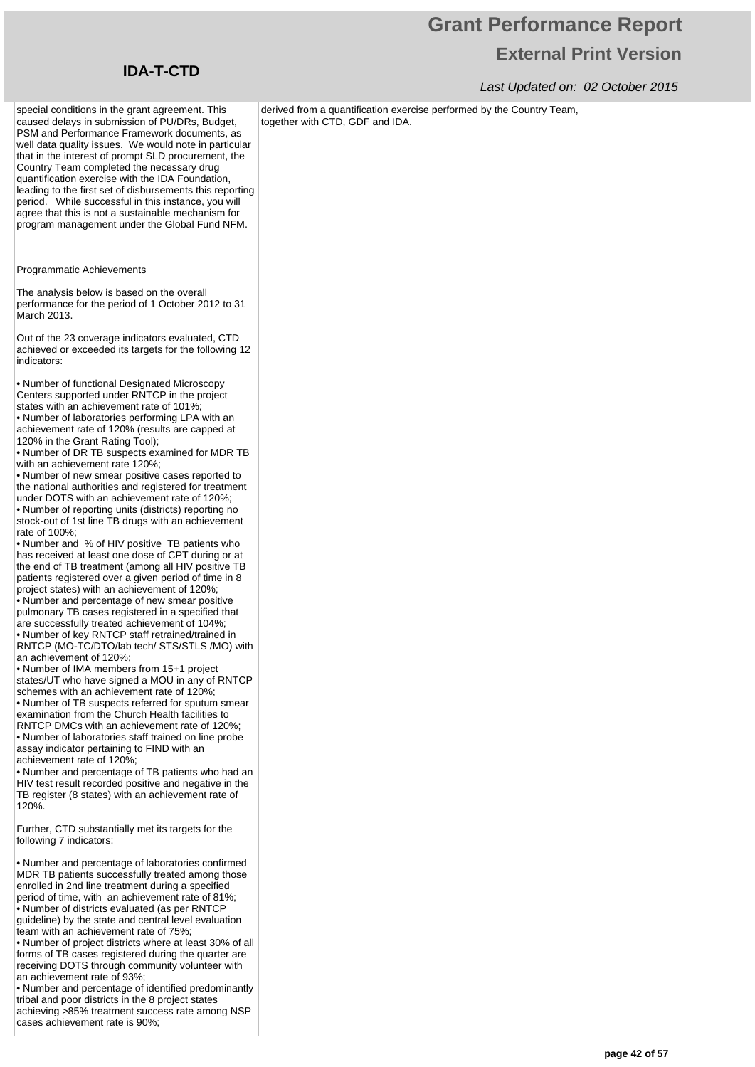### Last Updated on: 02 October 2015

derived from a quantification exercise performed by the Country Team, together with CTD, GDF and IDA.

special conditions in the grant agreement. This caused delays in submission of PU/DRs, Budget, PSM and Performance Framework documents, as well data quality issues. We would note in particular that in the interest of prompt SLD procurement, the Country Team completed the necessary drug quantification exercise with the IDA Foundation, leading to the first set of disbursements this reporting period. While successful in this instance, you will agree that this is not a sustainable mechanism for program management under the Global Fund NFM.

Programmatic Achievements

The analysis below is based on the overall performance for the period of 1 October 2012 to 31 March 2013.

Out of the 23 coverage indicators evaluated, CTD achieved or exceeded its targets for the following 12 indicators:

• Number of functional Designated Microscopy Centers supported under RNTCP in the project states with an achievement rate of 101%;

• Number of laboratories performing LPA with an achievement rate of 120% (results are capped at

120% in the Grant Rating Tool); • Number of DR TB suspects examined for MDR TB with an achievement rate 120%;

• Number of new smear positive cases reported to the national authorities and registered for treatment under DOTS with an achievement rate of 120%;

• Number of reporting units (districts) reporting no stock-out of 1st line TB drugs with an achievement rate of 100%;

• Number and % of HIV positive TB patients who has received at least one dose of CPT during or at the end of TB treatment (among all HIV positive TB patients registered over a given period of time in 8 project states) with an achievement of 120%;

• Number and percentage of new smear positive pulmonary TB cases registered in a specified that are successfully treated achievement of 104%; • Number of key RNTCP staff retrained/trained in RNTCP (MO-TC/DTO/lab tech/ STS/STLS /MO) with an achievement of 120%;

• Number of IMA members from 15+1 project states/UT who have signed a MOU in any of RNTCP schemes with an achievement rate of 120%;

• Number of TB suspects referred for sputum smear examination from the Church Health facilities to RNTCP DMCs with an achievement rate of 120%; • Number of laboratories staff trained on line probe assay indicator pertaining to FIND with an

achievement rate of 120%; • Number and percentage of TB patients who had an HIV test result recorded positive and negative in the

TB register (8 states) with an achievement rate of 120%.

Further, CTD substantially met its targets for the following 7 indicators:

• Number and percentage of laboratories confirmed MDR TB patients successfully treated among those enrolled in 2nd line treatment during a specified period of time, with an achievement rate of 81%; • Number of districts evaluated (as per RNTCP guideline) by the state and central level evaluation team with an achievement rate of 75%;

• Number of project districts where at least 30% of all forms of TB cases registered during the quarter are receiving DOTS through community volunteer with an achievement rate of 93%;

• Number and percentage of identified predominantly tribal and poor districts in the 8 project states achieving >85% treatment success rate among NSP cases achievement rate is 90%;

## **IDA-T-CTD**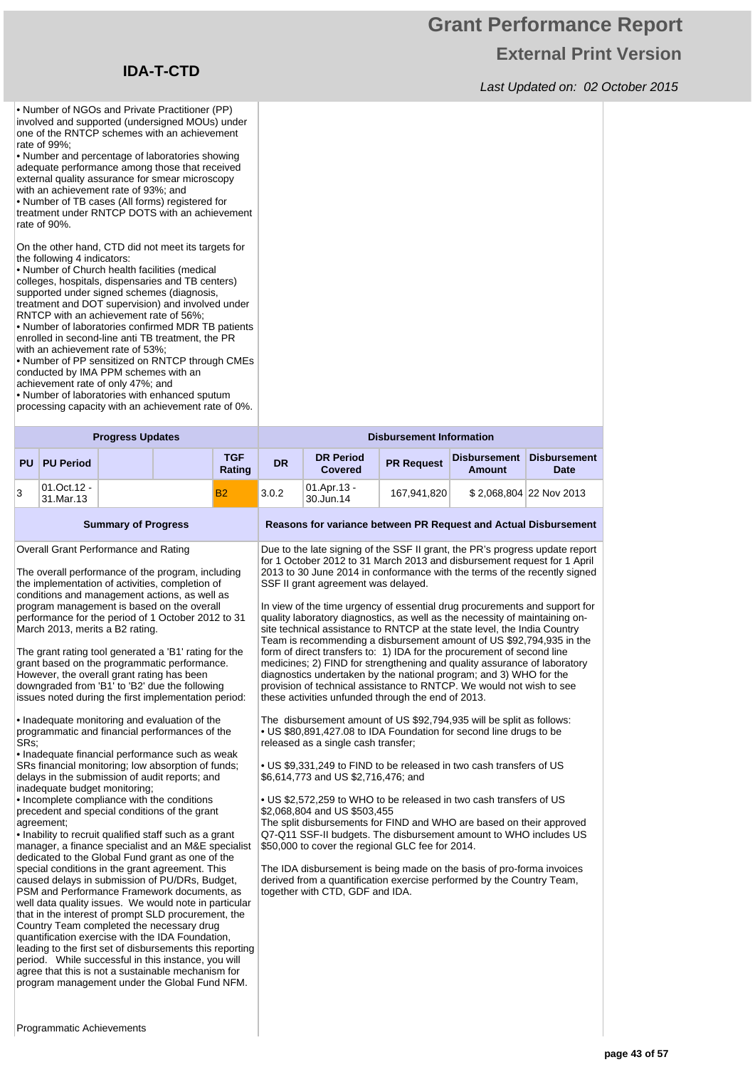## **Grant Performance Report External Print Version**

Last Updated on: 02 October 2015

• Number of NGOs and Private Practitioner (PP) involved and supported (undersigned MOUs) under one of the RNTCP schemes with an achievement rate of 99%; • Number and percentage of laboratories showing

adequate performance among those that received external quality assurance for smear microscopy with an achievement rate of 93%; and

• Number of TB cases (All forms) registered for treatment under RNTCP DOTS with an achievement rate of 90%.

On the other hand, CTD did not meet its targets for the following 4 indicators:

• Number of Church health facilities (medical colleges, hospitals, dispensaries and TB centers) supported under signed schemes (diagnosis, treatment and DOT supervision) and involved under RNTCP with an achievement rate of 56%;

• Number of laboratories confirmed MDR TB patients enrolled in second-line anti TB treatment, the PR with an achievement rate of 53%

• Number of PP sensitized on RNTCP through CMEs conducted by IMA PPM schemes with an

achievement rate of only 47%; and

• Number of laboratories with enhanced sputum processing capacity with an achievement rate of 0%.

| <b>Progress Updates</b> |                          |  |  |               |           |                                    | <b>Disbursement Information</b> |                        |                             |  |  |
|-------------------------|--------------------------|--|--|---------------|-----------|------------------------------------|---------------------------------|------------------------|-----------------------------|--|--|
|                         | <b>PU PU Period</b>      |  |  | TGF<br>Rating | <b>DR</b> | <b>DR Period</b><br><b>Covered</b> | <b>PR Request</b>               | Disbursement<br>Amount | Disbursement<br><b>Date</b> |  |  |
| 3                       | 01.Oct.12 -<br>31.Mar.13 |  |  | <b>B2</b>     | 3.0.2     | 01.Apr.13 -<br>30.Jun.14           | 167.941.820                     |                        | \$2,068,804 22 Nov 2013     |  |  |

**Summary of Progress Reasons for variance between PR Request and Actual Disbursement** Overall Grant Performance and Rating The overall performance of the program, including the implementation of activities, completion of conditions and management actions, as well as program management is based on the overall performance for the period of 1 October 2012 to 31 March 2013, merits a B2 rating. Due to the late signing of the SSF II grant, the PR's progress update report SSF II grant agreement was delayed. In view of the time urgency of essential drug procurements and support for

The grant rating tool generated a 'B1' rating for the grant based on the programmatic performance. However, the overall grant rating has been downgraded from 'B1' to 'B2' due the following issues noted during the first implementation period:

• Inadequate monitoring and evaluation of the programmatic and financial performances of the SRs;

• Inadequate financial performance such as weak SRs financial monitoring; low absorption of funds; delays in the submission of audit reports; and inadequate budget monitoring;

• Incomplete compliance with the conditions precedent and special conditions of the grant agreement:

• Inability to recruit qualified staff such as a grant manager, a finance specialist and an M&E specialist dedicated to the Global Fund grant as one of the special conditions in the grant agreement. This caused delays in submission of PU/DRs, Budget, PSM and Performance Framework documents, as well data quality issues. We would note in particular that in the interest of prompt SLD procurement, the Country Team completed the necessary drug quantification exercise with the IDA Foundation, leading to the first set of disbursements this reporting period. While successful in this instance, you will agree that this is not a sustainable mechanism for program management under the Global Fund NFM.

for 1 October 2012 to 31 March 2013 and disbursement request for 1 April 2013 to 30 June 2014 in conformance with the terms of the recently signed

quality laboratory diagnostics, as well as the necessity of maintaining onsite technical assistance to RNTCP at the state level, the India Country Team is recommending a disbursement amount of US \$92,794,935 in the form of direct transfers to: 1) IDA for the procurement of second line medicines; 2) FIND for strengthening and quality assurance of laboratory diagnostics undertaken by the national program; and 3) WHO for the provision of technical assistance to RNTCP. We would not wish to see these activities unfunded through the end of 2013.

The disbursement amount of US \$92,794,935 will be split as follows: • US \$80,891,427.08 to IDA Foundation for second line drugs to be released as a single cash transfer;

• US \$9,331,249 to FIND to be released in two cash transfers of US \$6,614,773 and US \$2,716,476; and

• US \$2,572,259 to WHO to be released in two cash transfers of US \$2,068,804 and US \$503,455

The split disbursements for FIND and WHO are based on their approved Q7-Q11 SSF-II budgets. The disbursement amount to WHO includes US \$50,000 to cover the regional GLC fee for 2014.

The IDA disbursement is being made on the basis of pro-forma invoices derived from a quantification exercise performed by the Country Team, together with CTD, GDF and IDA.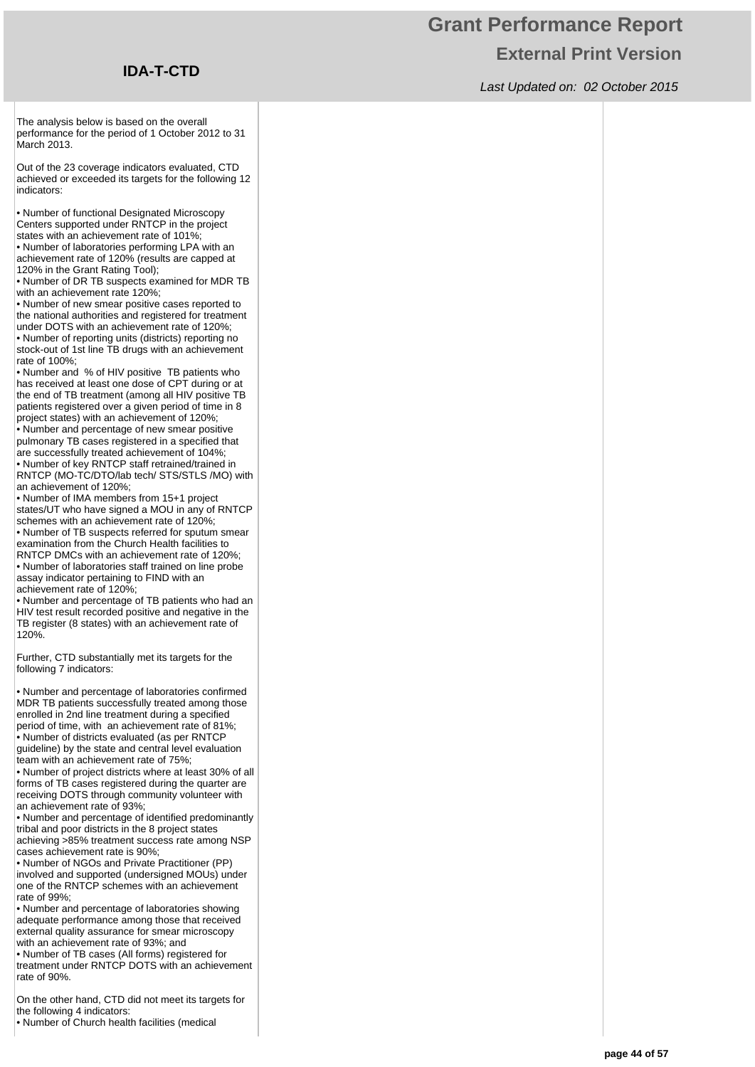## **Grant Performance Report External Print Version**

Last Updated on: 02 October 2015

The analysis below is based on the overall performance for the period of 1 October 2012 to 31 March 2013.

Out of the 23 coverage indicators evaluated, CTD achieved or exceeded its targets for the following 12 indicators:

• Number of functional Designated Microscopy Centers supported under RNTCP in the project states with an achievement rate of 101%;

• Number of laboratories performing LPA with an achievement rate of 120% (results are capped at 120% in the Grant Rating Tool);

• Number of DR TB suspects examined for MDR TB with an achievement rate 120%;

• Number of new smear positive cases reported to the national authorities and registered for treatment under DOTS with an achievement rate of 120%;

• Number of reporting units (districts) reporting no stock-out of 1st line TB drugs with an achievement rate of 100%;

• Number and % of HIV positive TB patients who has received at least one dose of CPT during or at the end of TB treatment (among all HIV positive TB patients registered over a given period of time in 8 project states) with an achievement of 120%; • Number and percentage of new smear positive pulmonary TB cases registered in a specified that are successfully treated achievement of 104%; • Number of key RNTCP staff retrained/trained in RNTCP (MO-TC/DTO/lab tech/ STS/STLS /MO) with

an achievement of 120%; • Number of IMA members from 15+1 project states/UT who have signed a MOU in any of RNTCP

schemes with an achievement rate of 120%; • Number of TB suspects referred for sputum smear examination from the Church Health facilities to RNTCP DMCs with an achievement rate of 120%; • Number of laboratories staff trained on line probe assay indicator pertaining to FIND with an achievement rate of 120%;

• Number and percentage of TB patients who had an HIV test result recorded positive and negative in the TB register (8 states) with an achievement rate of 120%.

Further, CTD substantially met its targets for the following 7 indicators:

• Number and percentage of laboratories confirmed MDR TB patients successfully treated among those enrolled in 2nd line treatment during a specified period of time, with an achievement rate of 81%; • Number of districts evaluated (as per RNTCP guideline) by the state and central level evaluation team with an achievement rate of 75%;

• Number of project districts where at least 30% of all forms of TB cases registered during the quarter are receiving DOTS through community volunteer with an achievement rate of 93%;

• Number and percentage of identified predominantly tribal and poor districts in the 8 project states achieving >85% treatment success rate among NSP cases achievement rate is 90%;

• Number of NGOs and Private Practitioner (PP) involved and supported (undersigned MOUs) under one of the RNTCP schemes with an achievement rate of 99%;

• Number and percentage of laboratories showing adequate performance among those that received external quality assurance for smear microscopy with an achievement rate of 93%; and

• Number of TB cases (All forms) registered for treatment under RNTCP DOTS with an achievement rate of 90%.

On the other hand, CTD did not meet its targets for the following 4 indicators:

• Number of Church health facilities (medical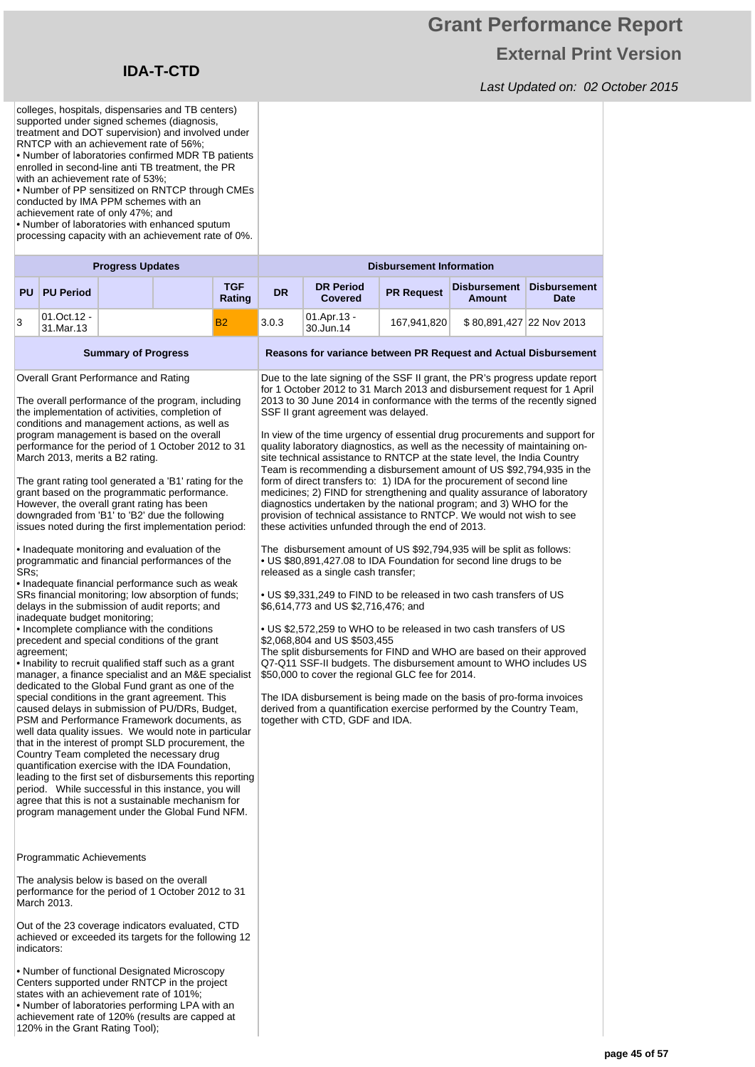120% in the Grant Rating Tool);

## **Grant Performance Report External Print Version**

|                                                                                                                                                                                                                                                                                                                                                                                                                                                                                                                                                                                                                                                                                                                                                                                                                                                                                                                                                                                                                                                                                                                                                                                                                                                                                                                                                                                                                                                                                                                                                                                                                                                                                                                                                                                                                              | colleges, hospitals, dispensaries and TB centers)<br>supported under signed schemes (diagnosis,<br>treatment and DOT supervision) and involved under<br>RNTCP with an achievement rate of 56%;<br>• Number of laboratories confirmed MDR TB patients<br>enrolled in second-line anti TB treatment, the PR<br>with an achievement rate of 53%:<br>• Number of PP sensitized on RNTCP through CMEs<br>conducted by IMA PPM schemes with an<br>achievement rate of only 47%; and<br>• Number of laboratories with enhanced sputum<br>processing capacity with an achievement rate of 0%.<br><b>Progress Updates</b><br><b>TGF</b><br><b>PU</b><br><b>PU Period</b> |  |  |        |       |                                                                                                                                                                                                                                                                                                                                                                                                                                                                                                                                                                                                                                                                                                                                                                                                                                                                                                                                                                                                                                                                                                                                                                                                                                                                                                                                                                                                                                                                                                                                                                                                                                                                                                                                                                                                                                                                                                                                                                                                                                                                                           |  |  |  |  |  |
|------------------------------------------------------------------------------------------------------------------------------------------------------------------------------------------------------------------------------------------------------------------------------------------------------------------------------------------------------------------------------------------------------------------------------------------------------------------------------------------------------------------------------------------------------------------------------------------------------------------------------------------------------------------------------------------------------------------------------------------------------------------------------------------------------------------------------------------------------------------------------------------------------------------------------------------------------------------------------------------------------------------------------------------------------------------------------------------------------------------------------------------------------------------------------------------------------------------------------------------------------------------------------------------------------------------------------------------------------------------------------------------------------------------------------------------------------------------------------------------------------------------------------------------------------------------------------------------------------------------------------------------------------------------------------------------------------------------------------------------------------------------------------------------------------------------------------|-----------------------------------------------------------------------------------------------------------------------------------------------------------------------------------------------------------------------------------------------------------------------------------------------------------------------------------------------------------------------------------------------------------------------------------------------------------------------------------------------------------------------------------------------------------------------------------------------------------------------------------------------------------------|--|--|--------|-------|-------------------------------------------------------------------------------------------------------------------------------------------------------------------------------------------------------------------------------------------------------------------------------------------------------------------------------------------------------------------------------------------------------------------------------------------------------------------------------------------------------------------------------------------------------------------------------------------------------------------------------------------------------------------------------------------------------------------------------------------------------------------------------------------------------------------------------------------------------------------------------------------------------------------------------------------------------------------------------------------------------------------------------------------------------------------------------------------------------------------------------------------------------------------------------------------------------------------------------------------------------------------------------------------------------------------------------------------------------------------------------------------------------------------------------------------------------------------------------------------------------------------------------------------------------------------------------------------------------------------------------------------------------------------------------------------------------------------------------------------------------------------------------------------------------------------------------------------------------------------------------------------------------------------------------------------------------------------------------------------------------------------------------------------------------------------------------------------|--|--|--|--|--|
|                                                                                                                                                                                                                                                                                                                                                                                                                                                                                                                                                                                                                                                                                                                                                                                                                                                                                                                                                                                                                                                                                                                                                                                                                                                                                                                                                                                                                                                                                                                                                                                                                                                                                                                                                                                                                              |                                                                                                                                                                                                                                                                                                                                                                                                                                                                                                                                                                                                                                                                 |  |  |        |       | <b>Disbursement Information</b><br><b>DR Period</b><br><b>Disbursement</b><br><b>Disbursement</b><br><b>DR</b><br><b>PR Request</b><br><b>Covered</b><br><b>Amount</b><br><b>Date</b><br>01.Apr.13 -<br>167,941,820<br>\$80,891,427 22 Nov 2013<br>30.Jun.14<br>Reasons for variance between PR Request and Actual Disbursement<br>Due to the late signing of the SSF II grant, the PR's progress update report<br>for 1 October 2012 to 31 March 2013 and disbursement request for 1 April<br>2013 to 30 June 2014 in conformance with the terms of the recently signed<br>SSF II grant agreement was delayed.<br>In view of the time urgency of essential drug procurements and support for<br>quality laboratory diagnostics, as well as the necessity of maintaining on-<br>site technical assistance to RNTCP at the state level, the India Country<br>Team is recommending a disbursement amount of US \$92,794,935 in the<br>form of direct transfers to: 1) IDA for the procurement of second line<br>medicines; 2) FIND for strengthening and quality assurance of laboratory<br>diagnostics undertaken by the national program; and 3) WHO for the<br>provision of technical assistance to RNTCP. We would not wish to see<br>these activities unfunded through the end of 2013.<br>The disbursement amount of US \$92,794,935 will be split as follows:<br>• US \$80,891,427.08 to IDA Foundation for second line drugs to be<br>released as a single cash transfer;<br>• US \$9,331,249 to FIND to be released in two cash transfers of US<br>\$6,614,773 and US \$2,716,476; and<br>. US \$2,572,259 to WHO to be released in two cash transfers of US<br>\$2,068,804 and US \$503,455<br>The split disbursements for FIND and WHO are based on their approved<br>Q7-Q11 SSF-II budgets. The disbursement amount to WHO includes US<br>\$50,000 to cover the regional GLC fee for 2014.<br>The IDA disbursement is being made on the basis of pro-forma invoices<br>derived from a quantification exercise performed by the Country Team,<br>together with CTD, GDF and IDA. |  |  |  |  |  |
|                                                                                                                                                                                                                                                                                                                                                                                                                                                                                                                                                                                                                                                                                                                                                                                                                                                                                                                                                                                                                                                                                                                                                                                                                                                                                                                                                                                                                                                                                                                                                                                                                                                                                                                                                                                                                              |                                                                                                                                                                                                                                                                                                                                                                                                                                                                                                                                                                                                                                                                 |  |  | Rating |       |                                                                                                                                                                                                                                                                                                                                                                                                                                                                                                                                                                                                                                                                                                                                                                                                                                                                                                                                                                                                                                                                                                                                                                                                                                                                                                                                                                                                                                                                                                                                                                                                                                                                                                                                                                                                                                                                                                                                                                                                                                                                                           |  |  |  |  |  |
| 3                                                                                                                                                                                                                                                                                                                                                                                                                                                                                                                                                                                                                                                                                                                                                                                                                                                                                                                                                                                                                                                                                                                                                                                                                                                                                                                                                                                                                                                                                                                                                                                                                                                                                                                                                                                                                            | 01.Oct.12 -<br>31.Mar.13                                                                                                                                                                                                                                                                                                                                                                                                                                                                                                                                                                                                                                        |  |  | B2     | 3.0.3 |                                                                                                                                                                                                                                                                                                                                                                                                                                                                                                                                                                                                                                                                                                                                                                                                                                                                                                                                                                                                                                                                                                                                                                                                                                                                                                                                                                                                                                                                                                                                                                                                                                                                                                                                                                                                                                                                                                                                                                                                                                                                                           |  |  |  |  |  |
|                                                                                                                                                                                                                                                                                                                                                                                                                                                                                                                                                                                                                                                                                                                                                                                                                                                                                                                                                                                                                                                                                                                                                                                                                                                                                                                                                                                                                                                                                                                                                                                                                                                                                                                                                                                                                              |                                                                                                                                                                                                                                                                                                                                                                                                                                                                                                                                                                                                                                                                 |  |  |        |       |                                                                                                                                                                                                                                                                                                                                                                                                                                                                                                                                                                                                                                                                                                                                                                                                                                                                                                                                                                                                                                                                                                                                                                                                                                                                                                                                                                                                                                                                                                                                                                                                                                                                                                                                                                                                                                                                                                                                                                                                                                                                                           |  |  |  |  |  |
| <b>Summary of Progress</b><br>Overall Grant Performance and Rating<br>The overall performance of the program, including<br>the implementation of activities, completion of<br>conditions and management actions, as well as<br>program management is based on the overall<br>performance for the period of 1 October 2012 to 31<br>March 2013, merits a B2 rating.<br>The grant rating tool generated a 'B1' rating for the<br>grant based on the programmatic performance.<br>However, the overall grant rating has been<br>downgraded from 'B1' to 'B2' due the following<br>issues noted during the first implementation period:<br>• Inadequate monitoring and evaluation of the<br>programmatic and financial performances of the<br>SRs:<br>• Inadequate financial performance such as weak<br>SRs financial monitoring; low absorption of funds;<br>delays in the submission of audit reports; and<br>inadequate budget monitoring;<br>• Incomplete compliance with the conditions<br>precedent and special conditions of the grant<br>agreement;<br>• Inability to recruit qualified staff such as a grant<br>manager, a finance specialist and an M&E specialist<br>dedicated to the Global Fund grant as one of the<br>special conditions in the grant agreement. This<br>caused delays in submission of PU/DRs, Budget,<br>PSM and Performance Framework documents, as<br>well data quality issues. We would note in particular<br>that in the interest of prompt SLD procurement, the<br>Country Team completed the necessary drug<br>quantification exercise with the IDA Foundation,<br>leading to the first set of disbursements this reporting<br>period. While successful in this instance, you will<br>agree that this is not a sustainable mechanism for<br>program management under the Global Fund NFM. |                                                                                                                                                                                                                                                                                                                                                                                                                                                                                                                                                                                                                                                                 |  |  |        |       |                                                                                                                                                                                                                                                                                                                                                                                                                                                                                                                                                                                                                                                                                                                                                                                                                                                                                                                                                                                                                                                                                                                                                                                                                                                                                                                                                                                                                                                                                                                                                                                                                                                                                                                                                                                                                                                                                                                                                                                                                                                                                           |  |  |  |  |  |
|                                                                                                                                                                                                                                                                                                                                                                                                                                                                                                                                                                                                                                                                                                                                                                                                                                                                                                                                                                                                                                                                                                                                                                                                                                                                                                                                                                                                                                                                                                                                                                                                                                                                                                                                                                                                                              | Programmatic Achievements                                                                                                                                                                                                                                                                                                                                                                                                                                                                                                                                                                                                                                       |  |  |        |       |                                                                                                                                                                                                                                                                                                                                                                                                                                                                                                                                                                                                                                                                                                                                                                                                                                                                                                                                                                                                                                                                                                                                                                                                                                                                                                                                                                                                                                                                                                                                                                                                                                                                                                                                                                                                                                                                                                                                                                                                                                                                                           |  |  |  |  |  |
|                                                                                                                                                                                                                                                                                                                                                                                                                                                                                                                                                                                                                                                                                                                                                                                                                                                                                                                                                                                                                                                                                                                                                                                                                                                                                                                                                                                                                                                                                                                                                                                                                                                                                                                                                                                                                              | The analysis below is based on the overall<br>performance for the period of 1 October 2012 to 31<br>March 2013.<br>Out of the 23 coverage indicators evaluated, CTD<br>achieved or exceeded its targets for the following 12                                                                                                                                                                                                                                                                                                                                                                                                                                    |  |  |        |       |                                                                                                                                                                                                                                                                                                                                                                                                                                                                                                                                                                                                                                                                                                                                                                                                                                                                                                                                                                                                                                                                                                                                                                                                                                                                                                                                                                                                                                                                                                                                                                                                                                                                                                                                                                                                                                                                                                                                                                                                                                                                                           |  |  |  |  |  |
|                                                                                                                                                                                                                                                                                                                                                                                                                                                                                                                                                                                                                                                                                                                                                                                                                                                                                                                                                                                                                                                                                                                                                                                                                                                                                                                                                                                                                                                                                                                                                                                                                                                                                                                                                                                                                              | indicators:<br>• Number of functional Designated Microscopy<br>Centers supported under RNTCP in the project<br>states with an achievement rate of 101%;<br>• Number of laboratories performing LPA with an<br>achievement rate of 120% (results are capped at                                                                                                                                                                                                                                                                                                                                                                                                   |  |  |        |       |                                                                                                                                                                                                                                                                                                                                                                                                                                                                                                                                                                                                                                                                                                                                                                                                                                                                                                                                                                                                                                                                                                                                                                                                                                                                                                                                                                                                                                                                                                                                                                                                                                                                                                                                                                                                                                                                                                                                                                                                                                                                                           |  |  |  |  |  |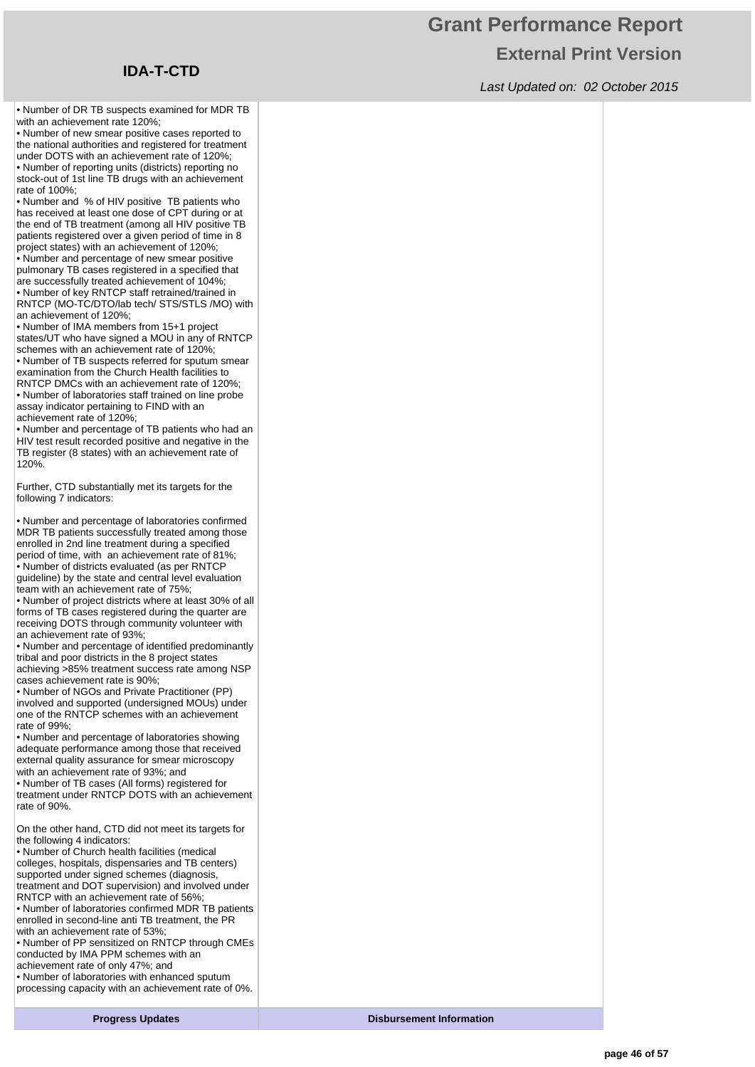## **Grant Performance Report External Print Version**

Last Updated on: 02 October 2015

• Number of DR TB suspects examined for MDR TB with an achievement rate 120%:

• Number of new smear positive cases reported to the national authorities and registered for treatment under DOTS with an achievement rate of 120%; • Number of reporting units (districts) reporting no stock-out of 1st line TB drugs with an achievement rate of 100%;

• Number and % of HIV positive TB patients who has received at least one dose of CPT during or at the end of TB treatment (among all HIV positive TB patients registered over a given period of time in 8 project states) with an achievement of 120%;

• Number and percentage of new smear positive pulmonary TB cases registered in a specified that are successfully treated achievement of 104%; • Number of key RNTCP staff retrained/trained in

RNTCP (MO-TC/DTO/lab tech/ STS/STLS /MO) with an achievement of 120%;

• Number of IMA members from 15+1 project states/UT who have signed a MOU in any of RNTCP schemes with an achievement rate of 120%;

• Number of TB suspects referred for sputum smear examination from the Church Health facilities to RNTCP DMCs with an achievement rate of 120%; • Number of laboratories staff trained on line probe assay indicator pertaining to FIND with an achievement rate of 120%;

• Number and percentage of TB patients who had an HIV test result recorded positive and negative in the TB register (8 states) with an achievement rate of 120%.

Further, CTD substantially met its targets for the following 7 indicators:

• Number and percentage of laboratories confirmed MDR TB patients successfully treated among those enrolled in 2nd line treatment during a specified period of time, with an achievement rate of 81%; • Number of districts evaluated (as per RNTCP guideline) by the state and central level evaluation team with an achievement rate of 75%;

• Number of project districts where at least 30% of all forms of TB cases registered during the quarter are receiving DOTS through community volunteer with an achievement rate of 93%;

• Number and percentage of identified predominantly tribal and poor districts in the 8 project states achieving >85% treatment success rate among NSP cases achievement rate is 90%;

• Number of NGOs and Private Practitioner (PP) involved and supported (undersigned MOUs) under one of the RNTCP schemes with an achievement rate of 99%;

• Number and percentage of laboratories showing adequate performance among those that received external quality assurance for smear microscopy with an achievement rate of 93%; and

• Number of TB cases (All forms) registered for treatment under RNTCP DOTS with an achievement rate of 90%.

On the other hand, CTD did not meet its targets for the following 4 indicators:

• Number of Church health facilities (medical colleges, hospitals, dispensaries and TB centers) supported under signed schemes (diagnosis, treatment and DOT supervision) and involved under RNTCP with an achievement rate of 56%;

• Number of laboratories confirmed MDR TB patients enrolled in second-line anti TB treatment, the PR with an achievement rate of 53%:

• Number of PP sensitized on RNTCP through CMEs conducted by IMA PPM schemes with an

achievement rate of only 47%; and

• Number of laboratories with enhanced sputum processing capacity with an achievement rate of 0%.

**Progress Updates Disbursement Information**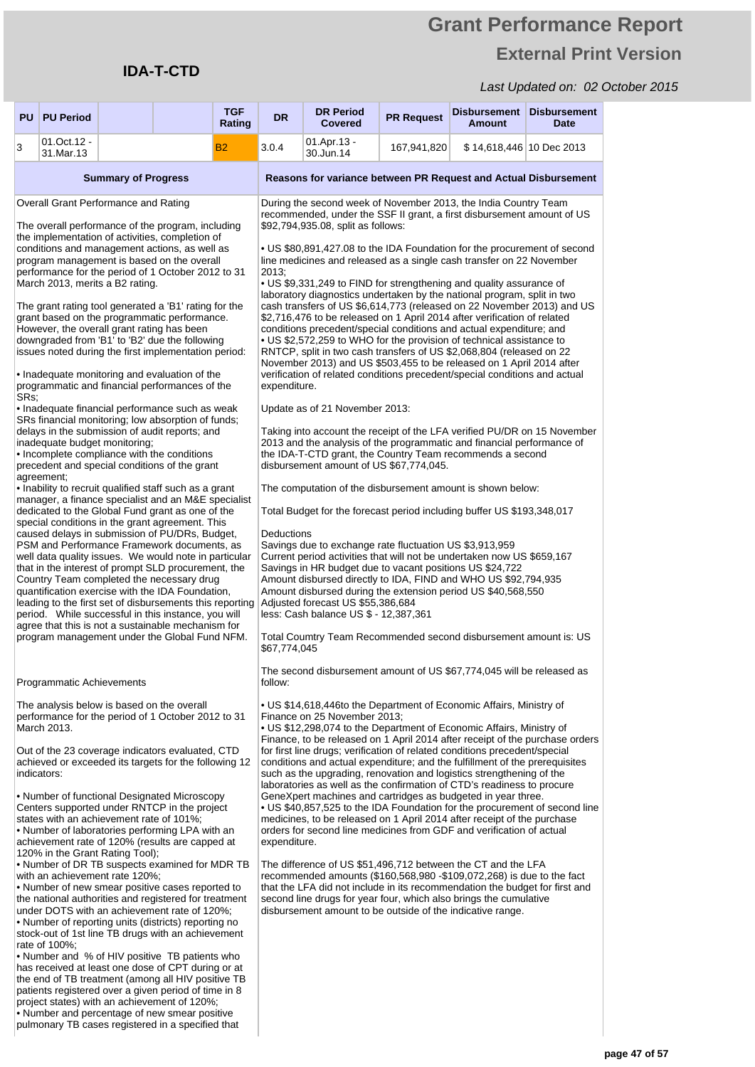project states) with an achievement of 120%; • Number and percentage of new smear positive pulmonary TB cases registered in a specified that

## **Grant Performance Report External Print Version**

| PU   | <b>PU Period</b>                                                                                                                                                                                           |                            |                                                                                                                                                                                                                                                                                                                                                                                                                                                                                                                                                                                                                                                                                                                                                                                                                                                                                                                                                                                                                                                                                                                                                                                                                                                                                                                                                                                                                                                                                                                                                                                                                | <b>TGF</b><br>Rating | <b>DR</b>                                                                                                                                                                                                                                                                                                                                                                                                                                                                                                                                                                                                                                                                                                                                                                                                                                                                                                                                                                                                                                                                                                                                                                                                                                                 | <b>DR Period</b><br><b>Covered</b>                                                                                                                                                                                                                                                                                                                                                                                                                                                                                                                                                                                                                                                                                                                                                                                                                                                                                                                                                                                                                                                                                                                                                                                                                                                                                                                                                                                                                                                                                                                                                                                                                                                                                                                                                                                                                                                                                                                    | <b>PR Request</b> | <b>Disbursement</b><br><b>Amount</b> | <b>Disbursement</b><br>Date |  |
|------|------------------------------------------------------------------------------------------------------------------------------------------------------------------------------------------------------------|----------------------------|----------------------------------------------------------------------------------------------------------------------------------------------------------------------------------------------------------------------------------------------------------------------------------------------------------------------------------------------------------------------------------------------------------------------------------------------------------------------------------------------------------------------------------------------------------------------------------------------------------------------------------------------------------------------------------------------------------------------------------------------------------------------------------------------------------------------------------------------------------------------------------------------------------------------------------------------------------------------------------------------------------------------------------------------------------------------------------------------------------------------------------------------------------------------------------------------------------------------------------------------------------------------------------------------------------------------------------------------------------------------------------------------------------------------------------------------------------------------------------------------------------------------------------------------------------------------------------------------------------------|----------------------|-----------------------------------------------------------------------------------------------------------------------------------------------------------------------------------------------------------------------------------------------------------------------------------------------------------------------------------------------------------------------------------------------------------------------------------------------------------------------------------------------------------------------------------------------------------------------------------------------------------------------------------------------------------------------------------------------------------------------------------------------------------------------------------------------------------------------------------------------------------------------------------------------------------------------------------------------------------------------------------------------------------------------------------------------------------------------------------------------------------------------------------------------------------------------------------------------------------------------------------------------------------|-------------------------------------------------------------------------------------------------------------------------------------------------------------------------------------------------------------------------------------------------------------------------------------------------------------------------------------------------------------------------------------------------------------------------------------------------------------------------------------------------------------------------------------------------------------------------------------------------------------------------------------------------------------------------------------------------------------------------------------------------------------------------------------------------------------------------------------------------------------------------------------------------------------------------------------------------------------------------------------------------------------------------------------------------------------------------------------------------------------------------------------------------------------------------------------------------------------------------------------------------------------------------------------------------------------------------------------------------------------------------------------------------------------------------------------------------------------------------------------------------------------------------------------------------------------------------------------------------------------------------------------------------------------------------------------------------------------------------------------------------------------------------------------------------------------------------------------------------------------------------------------------------------------------------------------------------------|-------------------|--------------------------------------|-----------------------------|--|
| 3    | 01.Oct.12 -<br>31.Mar.13                                                                                                                                                                                   |                            |                                                                                                                                                                                                                                                                                                                                                                                                                                                                                                                                                                                                                                                                                                                                                                                                                                                                                                                                                                                                                                                                                                                                                                                                                                                                                                                                                                                                                                                                                                                                                                                                                | <b>B2</b>            | 3.0.4                                                                                                                                                                                                                                                                                                                                                                                                                                                                                                                                                                                                                                                                                                                                                                                                                                                                                                                                                                                                                                                                                                                                                                                                                                                     | 01.Apr.13 -<br>30.Jun.14                                                                                                                                                                                                                                                                                                                                                                                                                                                                                                                                                                                                                                                                                                                                                                                                                                                                                                                                                                                                                                                                                                                                                                                                                                                                                                                                                                                                                                                                                                                                                                                                                                                                                                                                                                                                                                                                                                                              | 167,941,820       | \$14,618,446 10 Dec 2013             |                             |  |
|      |                                                                                                                                                                                                            | <b>Summary of Progress</b> |                                                                                                                                                                                                                                                                                                                                                                                                                                                                                                                                                                                                                                                                                                                                                                                                                                                                                                                                                                                                                                                                                                                                                                                                                                                                                                                                                                                                                                                                                                                                                                                                                |                      |                                                                                                                                                                                                                                                                                                                                                                                                                                                                                                                                                                                                                                                                                                                                                                                                                                                                                                                                                                                                                                                                                                                                                                                                                                                           | Reasons for variance between PR Request and Actual Disbursement                                                                                                                                                                                                                                                                                                                                                                                                                                                                                                                                                                                                                                                                                                                                                                                                                                                                                                                                                                                                                                                                                                                                                                                                                                                                                                                                                                                                                                                                                                                                                                                                                                                                                                                                                                                                                                                                                       |                   |                                      |                             |  |
| SRs: | Overall Grant Performance and Rating<br>March 2013, merits a B2 rating.<br>However, the overall grant rating has been<br>inadequate budget monitoring;<br>agreement;                                       |                            | The overall performance of the program, including<br>the implementation of activities, completion of<br>conditions and management actions, as well as<br>program management is based on the overall<br>performance for the period of 1 October 2012 to 31<br>The grant rating tool generated a 'B1' rating for the<br>grant based on the programmatic performance.<br>downgraded from 'B1' to 'B2' due the following<br>issues noted during the first implementation period:<br>• Inadequate monitoring and evaluation of the<br>programmatic and financial performances of the<br>• Inadequate financial performance such as weak<br>SRs financial monitoring; low absorption of funds;<br>delays in the submission of audit reports; and<br>• Incomplete compliance with the conditions<br>precedent and special conditions of the grant<br>. Inability to recruit qualified staff such as a grant<br>manager, a finance specialist and an M&E specialist<br>dedicated to the Global Fund grant as one of the<br>special conditions in the grant agreement. This<br>caused delays in submission of PU/DRs, Budget,<br>PSM and Performance Framework documents, as<br>well data quality issues. We would note in particular<br>that in the interest of prompt SLD procurement, the<br>Country Team completed the necessary drug<br>quantification exercise with the IDA Foundation,<br>leading to the first set of disbursements this reporting<br>period. While successful in this instance, you will<br>agree that this is not a sustainable mechanism for<br>program management under the Global Fund NFM. |                      | 2013:<br>expenditure.<br>Deductions<br>\$67,774,045                                                                                                                                                                                                                                                                                                                                                                                                                                                                                                                                                                                                                                                                                                                                                                                                                                                                                                                                                                                                                                                                                                                                                                                                       | During the second week of November 2013, the India Country Team<br>recommended, under the SSF II grant, a first disbursement amount of US<br>\$92,794,935.08, split as follows:<br>• US \$80,891,427.08 to the IDA Foundation for the procurement of second<br>line medicines and released as a single cash transfer on 22 November<br>• US \$9,331,249 to FIND for strengthening and quality assurance of<br>laboratory diagnostics undertaken by the national program, split in two<br>cash transfers of US \$6,614,773 (released on 22 November 2013) and US<br>\$2,716,476 to be released on 1 April 2014 after verification of related<br>conditions precedent/special conditions and actual expenditure; and<br>• US \$2,572,259 to WHO for the provision of technical assistance to<br>RNTCP, split in two cash transfers of US \$2,068,804 (released on 22<br>November 2013) and US \$503,455 to be released on 1 April 2014 after<br>verification of related conditions precedent/special conditions and actual<br>Update as of 21 November 2013:<br>Taking into account the receipt of the LFA verified PU/DR on 15 November<br>2013 and the analysis of the programmatic and financial performance of<br>the IDA-T-CTD grant, the Country Team recommends a second<br>disbursement amount of US \$67,774,045.<br>The computation of the disbursement amount is shown below:<br>Total Budget for the forecast period including buffer US \$193,348,017<br>Savings due to exchange rate fluctuation US \$3,913,959<br>Current period activities that will not be undertaken now US \$659,167<br>Savings in HR budget due to vacant positions US \$24,722<br>Amount disbursed directly to IDA, FIND and WHO US \$92,794,935<br>Amount disbursed during the extension period US \$40,568,550<br>Adjusted forecast US \$55,386,684<br>less: Cash balance US \$ - 12,387,361<br>Total Coumtry Team Recommended second disbursement amount is: US |                   |                                      |                             |  |
|      | Programmatic Achievements                                                                                                                                                                                  |                            |                                                                                                                                                                                                                                                                                                                                                                                                                                                                                                                                                                                                                                                                                                                                                                                                                                                                                                                                                                                                                                                                                                                                                                                                                                                                                                                                                                                                                                                                                                                                                                                                                |                      | follow:                                                                                                                                                                                                                                                                                                                                                                                                                                                                                                                                                                                                                                                                                                                                                                                                                                                                                                                                                                                                                                                                                                                                                                                                                                                   | The second disbursement amount of US \$67,774,045 will be released as                                                                                                                                                                                                                                                                                                                                                                                                                                                                                                                                                                                                                                                                                                                                                                                                                                                                                                                                                                                                                                                                                                                                                                                                                                                                                                                                                                                                                                                                                                                                                                                                                                                                                                                                                                                                                                                                                 |                   |                                      |                             |  |
|      | The analysis below is based on the overall<br>March 2013.<br>indicators:<br>states with an achievement rate of 101%;<br>120% in the Grant Rating Tool);<br>with an achievement rate 120%;<br>rate of 100%; |                            | performance for the period of 1 October 2012 to 31<br>Out of the 23 coverage indicators evaluated, CTD<br>achieved or exceeded its targets for the following 12<br>• Number of functional Designated Microscopy<br>Centers supported under RNTCP in the project<br>• Number of laboratories performing LPA with an<br>achievement rate of 120% (results are capped at<br>• Number of DR TB suspects examined for MDR TB<br>• Number of new smear positive cases reported to<br>the national authorities and registered for treatment<br>under DOTS with an achievement rate of 120%;<br>• Number of reporting units (districts) reporting no<br>stock-out of 1st line TB drugs with an achievement<br>• Number and % of HIV positive TB patients who                                                                                                                                                                                                                                                                                                                                                                                                                                                                                                                                                                                                                                                                                                                                                                                                                                                           |                      | • US \$14,618,446to the Department of Economic Affairs, Ministry of<br>Finance on 25 November 2013;<br>• US \$12,298,074 to the Department of Economic Affairs, Ministry of<br>Finance, to be released on 1 April 2014 after receipt of the purchase orders<br>for first line drugs; verification of related conditions precedent/special<br>conditions and actual expenditure; and the fulfillment of the prerequisites<br>such as the upgrading, renovation and logistics strengthening of the<br>laboratories as well as the confirmation of CTD's readiness to procure<br>GeneXpert machines and cartridges as budgeted in year three.<br>• US \$40,857,525 to the IDA Foundation for the procurement of second line<br>medicines, to be released on 1 April 2014 after receipt of the purchase<br>orders for second line medicines from GDF and verification of actual<br>expenditure.<br>The difference of US \$51,496,712 between the CT and the LFA<br>recommended amounts $(\$160,568,980 - \$109,072,268)$ is due to the fact<br>that the LFA did not include in its recommendation the budget for first and<br>second line drugs for year four, which also brings the cumulative<br>disbursement amount to be outside of the indicative range. |                                                                                                                                                                                                                                                                                                                                                                                                                                                                                                                                                                                                                                                                                                                                                                                                                                                                                                                                                                                                                                                                                                                                                                                                                                                                                                                                                                                                                                                                                                                                                                                                                                                                                                                                                                                                                                                                                                                                                       |                   |                                      |                             |  |
|      |                                                                                                                                                                                                            |                            | has received at least one dose of CPT during or at<br>the end of TB treatment (among all HIV positive TB<br>patients registered over a given period of time in 8                                                                                                                                                                                                                                                                                                                                                                                                                                                                                                                                                                                                                                                                                                                                                                                                                                                                                                                                                                                                                                                                                                                                                                                                                                                                                                                                                                                                                                               |                      |                                                                                                                                                                                                                                                                                                                                                                                                                                                                                                                                                                                                                                                                                                                                                                                                                                                                                                                                                                                                                                                                                                                                                                                                                                                           |                                                                                                                                                                                                                                                                                                                                                                                                                                                                                                                                                                                                                                                                                                                                                                                                                                                                                                                                                                                                                                                                                                                                                                                                                                                                                                                                                                                                                                                                                                                                                                                                                                                                                                                                                                                                                                                                                                                                                       |                   |                                      |                             |  |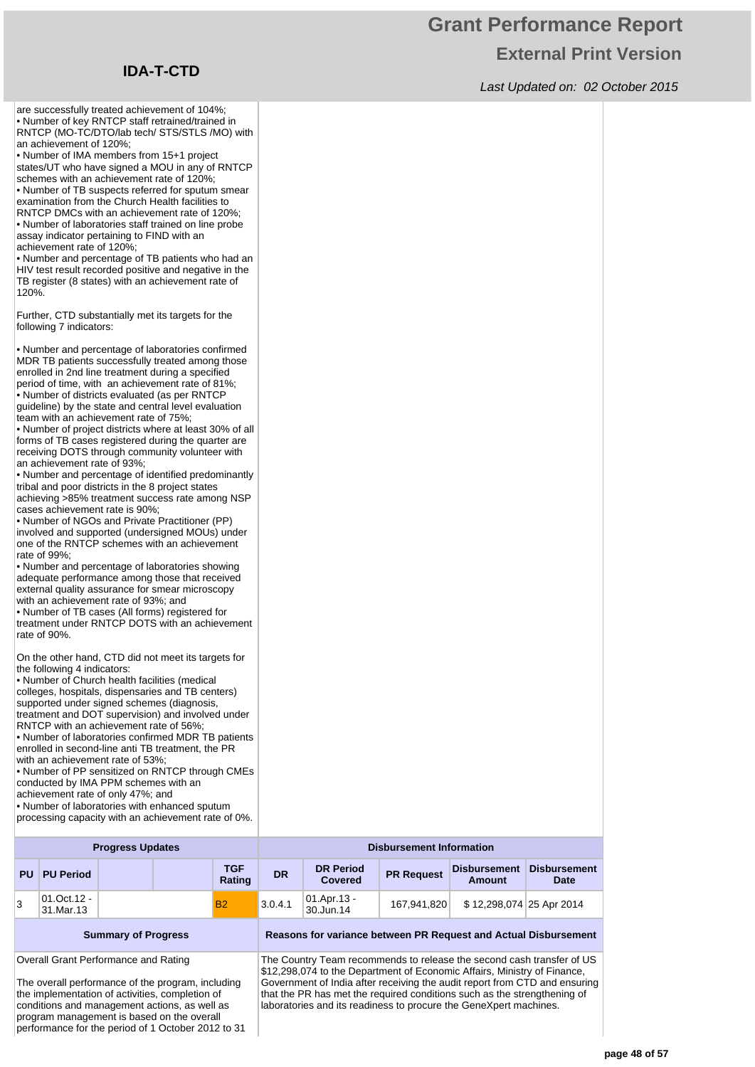## **Grant Performance Report External Print Version**

Last Updated on: 02 October 2015

are successfully treated achievement of 104%; • Number of key RNTCP staff retrained/trained in RNTCP (MO-TC/DTO/lab tech/ STS/STLS /MO) with an achievement of 120%;

• Number of IMA members from 15+1 project states/UT who have signed a MOU in any of RNTCP schemes with an achievement rate of 120%; • Number of TB suspects referred for sputum smear

examination from the Church Health facilities to RNTCP DMCs with an achievement rate of 120%; • Number of laboratories staff trained on line probe assay indicator pertaining to FIND with an achievement rate of 120%;

• Number and percentage of TB patients who had an HIV test result recorded positive and negative in the TB register (8 states) with an achievement rate of 120%.

Further, CTD substantially met its targets for the following 7 indicators:

• Number and percentage of laboratories confirmed MDR TB patients successfully treated among those enrolled in 2nd line treatment during a specified period of time, with an achievement rate of 81%; • Number of districts evaluated (as per RNTCP guideline) by the state and central level evaluation team with an achievement rate of 75%;

• Number of project districts where at least 30% of all forms of TB cases registered during the quarter are receiving DOTS through community volunteer with an achievement rate of 93%;

• Number and percentage of identified predominantly tribal and poor districts in the 8 project states achieving >85% treatment success rate among NSP cases achievement rate is 90%;

• Number of NGOs and Private Practitioner (PP) involved and supported (undersigned MOUs) under one of the RNTCP schemes with an achievement rate of 99%;

• Number and percentage of laboratories showing adequate performance among those that received external quality assurance for smear microscopy with an achievement rate of 93%; and

• Number of TB cases (All forms) registered for treatment under RNTCP DOTS with an achievement rate of 90%.

On the other hand, CTD did not meet its targets for the following 4 indicators:

• Number of Church health facilities (medical colleges, hospitals, dispensaries and TB centers) supported under signed schemes (diagnosis treatment and DOT supervision) and involved under RNTCP with an achievement rate of 56%;

• Number of laboratories confirmed MDR TB patients enrolled in second-line anti TB treatment, the PR with an achievement rate of 53%;

• Number of PP sensitized on RNTCP through CMEs conducted by IMA PPM schemes with an achievement rate of only 47%; and

• Number of laboratories with enhanced sputum processing capacity with an achievement rate of 0%.

|           | <b>Progress Updates</b>  |  |  |               |           |                                                                          | <b>Disbursement Information</b> |                               |                             |  |  |
|-----------|--------------------------|--|--|---------------|-----------|--------------------------------------------------------------------------|---------------------------------|-------------------------------|-----------------------------|--|--|
| <b>PU</b> | <b>PU Period</b>         |  |  | TGF<br>Rating | <b>DR</b> | <b>DR Period</b><br><b>Covered</b>                                       | <b>PR Request</b>               | <b>Disbursement</b><br>Amount | <b>Disbursement</b><br>Date |  |  |
| 3         | 01.Oct.12 -<br>31.Mar.13 |  |  | <b>B2</b>     | 3.0.4.1   | $\begin{vmatrix} 01. \text{Apr.} 13 \\ 30. \text{Jun.} 14 \end{vmatrix}$ | 167.941.820                     | \$12,298,074 25 Apr 2014      |                             |  |  |
|           |                          |  |  |               |           |                                                                          |                                 |                               |                             |  |  |

**Summary of Progress Reasons for variance between PR Request and Actual Disbursement**

Overall Grant Performance and Rating

The overall performance of the program, including the implementation of activities, completion of conditions and management actions, as well as program management is based on the overall performance for the period of 1 October 2012 to 31

The Country Team recommends to release the second cash transfer of US \$12,298,074 to the Department of Economic Affairs, Ministry of Finance, Government of India after receiving the audit report from CTD and ensuring that the PR has met the required conditions such as the strengthening of laboratories and its readiness to procure the GeneXpert machines.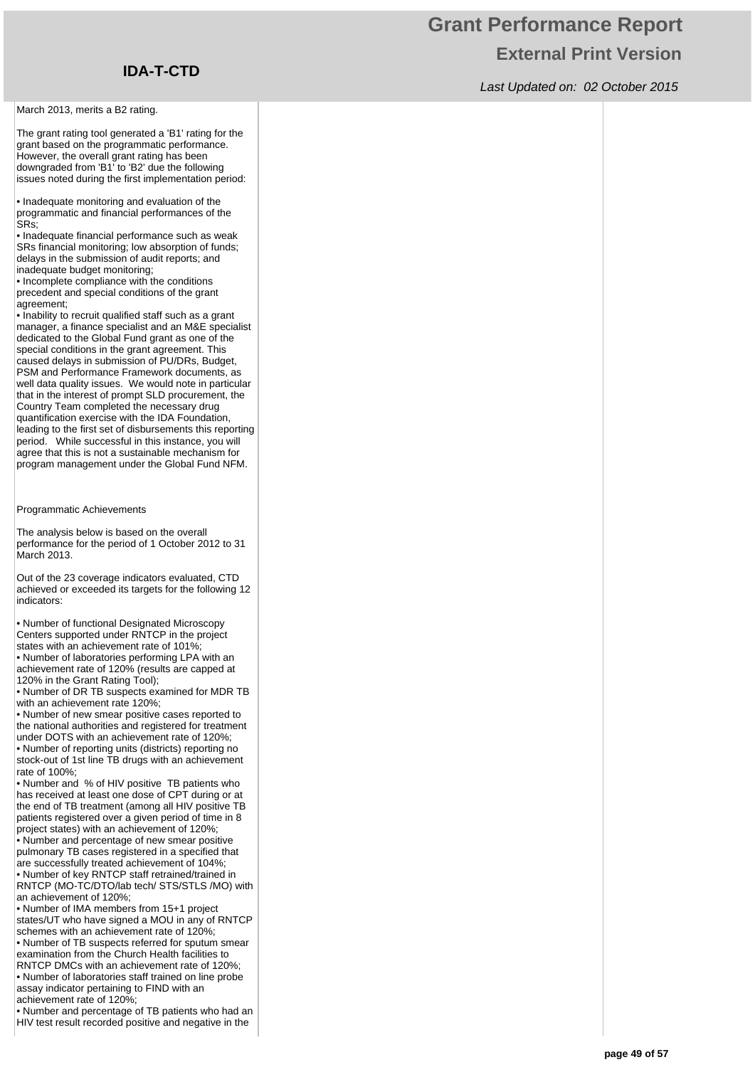March 2013, merits a B2 rating.

The grant rating tool generated a 'B1' rating for the grant based on the programmatic performance. However, the overall grant rating has been downgraded from 'B1' to 'B2' due the following issues noted during the first implementation period:

• Inadequate monitoring and evaluation of the programmatic and financial performances of the SRs;

• Inadequate financial performance such as weak SRs financial monitoring; low absorption of funds; delays in the submission of audit reports; and inadequate budget monitoring;

• Incomplete compliance with the conditions precedent and special conditions of the grant agreement:

• Inability to recruit qualified staff such as a grant manager, a finance specialist and an M&E specialist dedicated to the Global Fund grant as one of the special conditions in the grant agreement. This caused delays in submission of PU/DRs, Budget, PSM and Performance Framework documents, as well data quality issues. We would note in particular that in the interest of prompt SLD procurement, the Country Team completed the necessary drug quantification exercise with the IDA Foundation, leading to the first set of disbursements this reporting period. While successful in this instance, you will agree that this is not a sustainable mechanism for program management under the Global Fund NFM.

Programmatic Achievements

The analysis below is based on the overall performance for the period of 1 October 2012 to 31 March 2013.

Out of the 23 coverage indicators evaluated, CTD achieved or exceeded its targets for the following 12 indicators:

• Number of functional Designated Microscopy Centers supported under RNTCP in the project states with an achievement rate of 101%;

• Number of laboratories performing LPA with an achievement rate of 120% (results are capped at 120% in the Grant Rating Tool);

• Number of DR TB suspects examined for MDR TB with an achievement rate 120%;

• Number of new smear positive cases reported to the national authorities and registered for treatment under DOTS with an achievement rate of 120%; • Number of reporting units (districts) reporting no stock-out of 1st line TB drugs with an achievement

rate of 100%; • Number and % of HIV positive TB patients who

has received at least one dose of CPT during or at the end of TB treatment (among all HIV positive TB patients registered over a given period of time in 8 project states) with an achievement of 120%; • Number and percentage of new smear positive

pulmonary TB cases registered in a specified that are successfully treated achievement of 104%; • Number of key RNTCP staff retrained/trained in

RNTCP (MO-TC/DTO/lab tech/ STS/STLS /MO) with an achievement of 120%;

• Number of IMA members from 15+1 project states/UT who have signed a MOU in any of RNTCP schemes with an achievement rate of 120%; • Number of TB suspects referred for sputum smear examination from the Church Health facilities to RNTCP DMCs with an achievement rate of 120%; • Number of laboratories staff trained on line probe assay indicator pertaining to FIND with an achievement rate of 120%;

• Number and percentage of TB patients who had an HIV test result recorded positive and negative in the

## **Grant Performance Report External Print Version**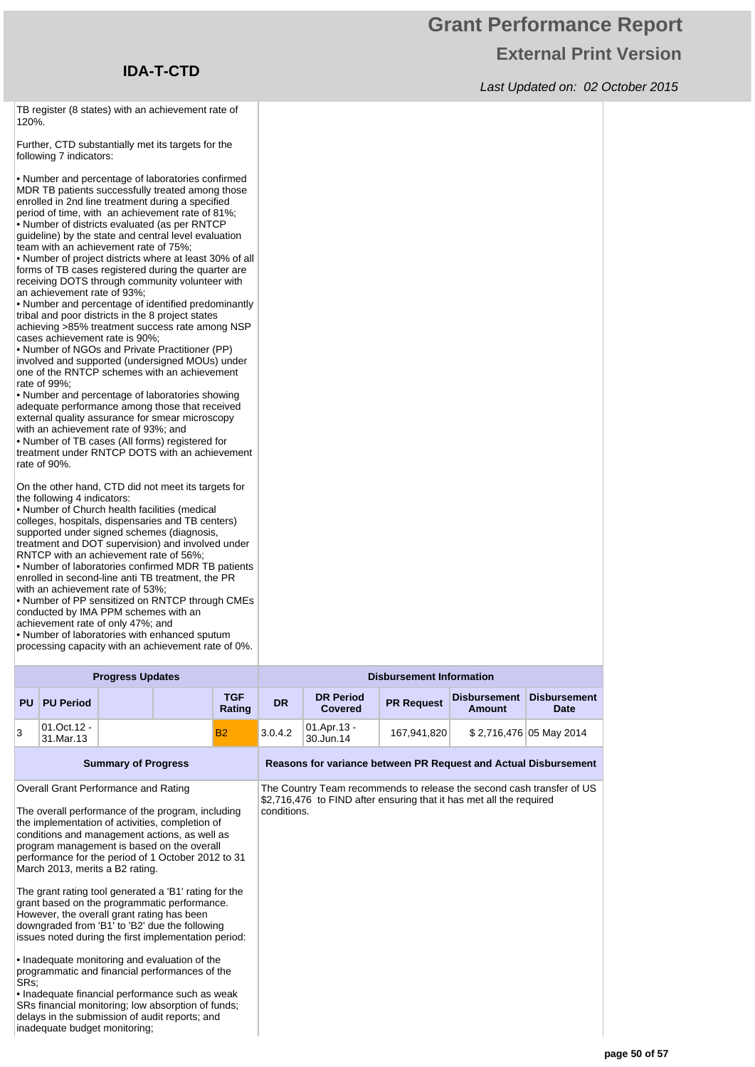## **Grant Performance Report External Print Version**

Last Updated on: 02 October 2015

TB register (8 states) with an achievement rate of 120%.

Further, CTD substantially met its targets for the following 7 indicators:

• Number and percentage of laboratories confirmed MDR TB patients successfully treated among those enrolled in 2nd line treatment during a specified period of time, with an achievement rate of 81%; • Number of districts evaluated (as per RNTCP guideline) by the state and central level evaluation team with an achievement rate of 75%;

• Number of project districts where at least 30% of all forms of TB cases registered during the quarter are receiving DOTS through community volunteer with an achievement rate of 93%;

• Number and percentage of identified predominantly tribal and poor districts in the 8 project states achieving >85% treatment success rate among NSP cases achievement rate is 90%;

• Number of NGOs and Private Practitioner (PP) involved and supported (undersigned MOUs) under one of the RNTCP schemes with an achievement rate of 99%;

• Number and percentage of laboratories showing adequate performance among those that received external quality assurance for smear microscopy with an achievement rate of 93%; and

• Number of TB cases (All forms) registered for treatment under RNTCP DOTS with an achievement rate of 90%.

On the other hand, CTD did not meet its targets for the following 4 indicators:

• Number of Church health facilities (medical colleges, hospitals, dispensaries and TB centers) supported under signed schemes (diagnosis, treatment and DOT supervision) and involved under RNTCP with an achievement rate of 56%;

• Number of laboratories confirmed MDR TB patients enrolled in second-line anti TB treatment, the PR with an achievement rate of 53%;

• Number of PP sensitized on RNTCP through CMEs conducted by IMA PPM schemes with an

achievement rate of only 47%; and

• Number of laboratories with enhanced sputum processing capacity with an achievement rate of 0%.

SRs financial monitoring; low absorption of funds; delays in the submission of audit reports; and

inadequate budget monitoring;

| <b>Progress Updates</b> |                          |  |  | <b>Disbursement Information</b> |           |                                    |                   |                               |                                    |
|-------------------------|--------------------------|--|--|---------------------------------|-----------|------------------------------------|-------------------|-------------------------------|------------------------------------|
| PU                      | <b>PU Period</b>         |  |  | <b>TGF</b><br>Rating            | <b>DR</b> | <b>DR Period</b><br><b>Covered</b> | <b>PR Request</b> | <b>Disbursement</b><br>Amount | <b>Disbursement</b><br><b>Date</b> |
|                         | 01.Oct.12 -<br>31.Mar.13 |  |  | <b>B2</b>                       | 3.0.4.2   | 01.Apr.13 -<br>30.Jun.14           | 167,941,820       |                               | \$2,716,476 05 May 2014            |

| <b>Summary of Progress</b>                                                                                                                                                                                                                                                                                                           | Reasons for variance between PR Request and Actual Disbursement                                                                                             |
|--------------------------------------------------------------------------------------------------------------------------------------------------------------------------------------------------------------------------------------------------------------------------------------------------------------------------------------|-------------------------------------------------------------------------------------------------------------------------------------------------------------|
| Overall Grant Performance and Rating<br>The overall performance of the program, including<br>the implementation of activities, completion of<br>conditions and management actions, as well as<br>program management is based on the overall<br>performance for the period of 1 October 2012 to 31<br>March 2013, merits a B2 rating. | The Country Team recommends to release the second cash transfer of US<br>\$2,716,476 to FIND after ensuring that it has met all the required<br>conditions. |
| The grant rating tool generated a 'B1' rating for the<br>grant based on the programmatic performance.<br>However, the overall grant rating has been<br>downgraded from 'B1' to 'B2' due the following<br>issues noted during the first implementation period:                                                                        |                                                                                                                                                             |
| • Inadequate monitoring and evaluation of the<br>programmatic and financial performances of the<br>SRs:<br>• Inadequate financial performance such as weak                                                                                                                                                                           |                                                                                                                                                             |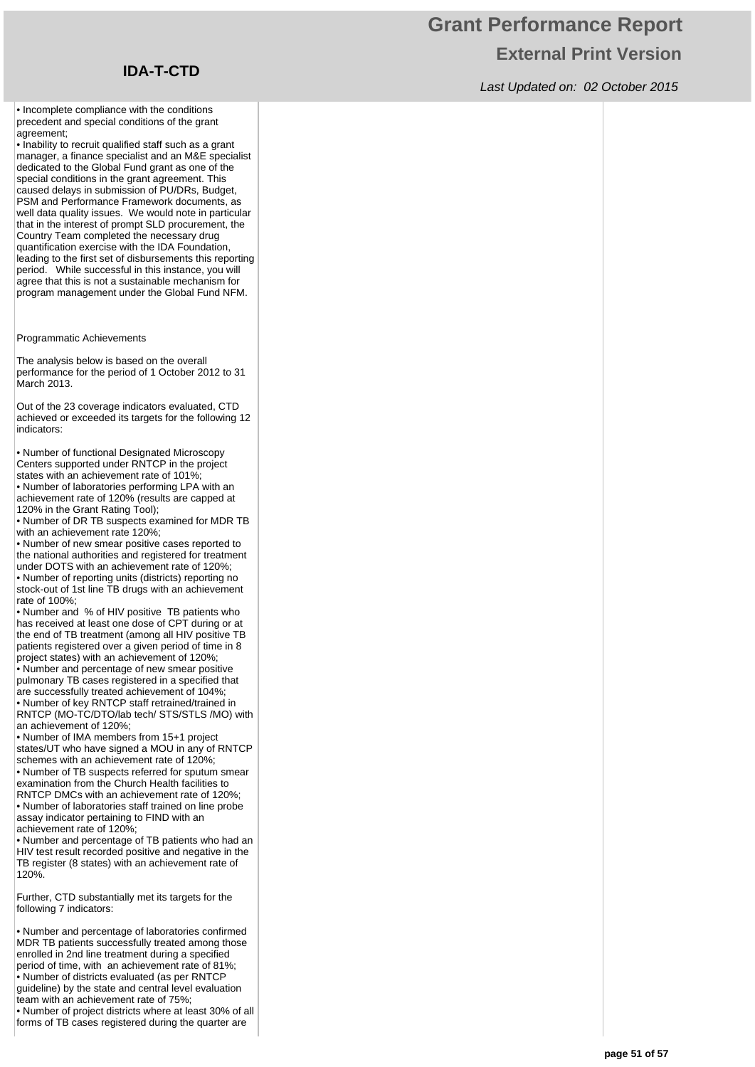## **Grant Performance Report External Print Version**

Last Updated on: 02 October 2015

• Incomplete compliance with the conditions precedent and special conditions of the grant agreement:

• Inability to recruit qualified staff such as a grant manager, a finance specialist and an M&E specialist dedicated to the Global Fund grant as one of the special conditions in the grant agreement. This caused delays in submission of PU/DRs, Budget, PSM and Performance Framework documents, as well data quality issues. We would note in particular that in the interest of prompt SLD procurement, the Country Team completed the necessary drug quantification exercise with the IDA Foundation, leading to the first set of disbursements this reporting period. While successful in this instance, you will agree that this is not a sustainable mechanism for program management under the Global Fund NFM.

Programmatic Achievements

The analysis below is based on the overall performance for the period of 1 October 2012 to 31 .<br>March 2013.

Out of the 23 coverage indicators evaluated, CTD achieved or exceeded its targets for the following 12 indicators:

• Number of functional Designated Microscopy Centers supported under RNTCP in the project states with an achievement rate of 101%;

• Number of laboratories performing LPA with an achievement rate of 120% (results are capped at 120% in the Grant Rating Tool);

• Number of DR TB suspects examined for MDR TB with an achievement rate 120%;

• Number of new smear positive cases reported to the national authorities and registered for treatment under DOTS with an achievement rate of 120%; • Number of reporting units (districts) reporting no stock-out of 1st line TB drugs with an achievement rate of 100%;

• Number and % of HIV positive TB patients who has received at least one dose of CPT during or at the end of TB treatment (among all HIV positive TB patients registered over a given period of time in 8 project states) with an achievement of 120%;

• Number and percentage of new smear positive pulmonary TB cases registered in a specified that are successfully treated achievement of 104%; • Number of key RNTCP staff retrained/trained in RNTCP (MO-TC/DTO/lab tech/ STS/STLS /MO) with an achievement of 120%;

• Number of IMA members from 15+1 project states/UT who have signed a MOU in any of RNTCP schemes with an achievement rate of 120%; • Number of TB suspects referred for sputum smear examination from the Church Health facilities to RNTCP DMCs with an achievement rate of 120%;

• Number of laboratories staff trained on line probe assay indicator pertaining to FIND with an achievement rate of 120%;

• Number and percentage of TB patients who had an HIV test result recorded positive and negative in the TB register (8 states) with an achievement rate of 120%.

Further, CTD substantially met its targets for the following 7 indicators:

• Number and percentage of laboratories confirmed MDR TB patients successfully treated among those enrolled in 2nd line treatment during a specified period of time, with an achievement rate of 81%: • Number of districts evaluated (as per RNTCP guideline) by the state and central level evaluation team with an achievement rate of 75%;

• Number of project districts where at least 30% of all forms of TB cases registered during the quarter are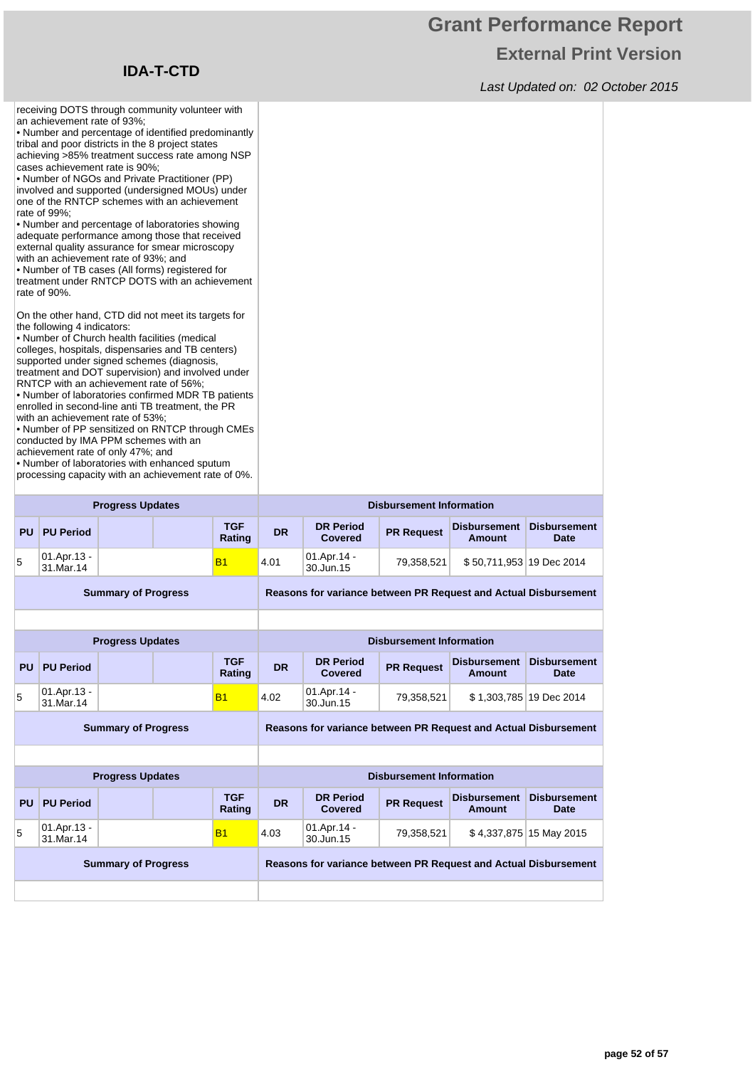receiving DOTS through community volunteer with

an achievement rate of 93%;

## **Grant Performance Report External Print Version**

Last Updated on: 02 October 2015

| • Number and percentage of identified predominantly<br>tribal and poor districts in the 8 project states<br>achieving >85% treatment success rate among NSP<br>cases achievement rate is 90%;<br>• Number of NGOs and Private Practitioner (PP)<br>involved and supported (undersigned MOUs) under<br>one of the RNTCP schemes with an achievement<br>rate of 99%;<br>• Number and percentage of laboratories showing<br>adequate performance among those that received<br>external quality assurance for smear microscopy<br>with an achievement rate of 93%; and<br>• Number of TB cases (All forms) registered for<br>treatment under RNTCP DOTS with an achievement<br>rate of 90%.<br>On the other hand, CTD did not meet its targets for<br>the following 4 indicators:<br>• Number of Church health facilities (medical<br>colleges, hospitals, dispensaries and TB centers)<br>supported under signed schemes (diagnosis,<br>treatment and DOT supervision) and involved under<br>RNTCP with an achievement rate of 56%;<br>• Number of laboratories confirmed MDR TB patients<br>enrolled in second-line anti TB treatment, the PR<br>with an achievement rate of 53%:<br>. Number of PP sensitized on RNTCP through CMEs<br>conducted by IMA PPM schemes with an<br>achievement rate of only 47%; and<br>• Number of laboratories with enhanced sputum<br>processing capacity with an achievement rate of 0%. |                          |                            |  |                      |                                 |                                                                 |                                 |                                      |                                    |  |
|-------------------------------------------------------------------------------------------------------------------------------------------------------------------------------------------------------------------------------------------------------------------------------------------------------------------------------------------------------------------------------------------------------------------------------------------------------------------------------------------------------------------------------------------------------------------------------------------------------------------------------------------------------------------------------------------------------------------------------------------------------------------------------------------------------------------------------------------------------------------------------------------------------------------------------------------------------------------------------------------------------------------------------------------------------------------------------------------------------------------------------------------------------------------------------------------------------------------------------------------------------------------------------------------------------------------------------------------------------------------------------------------------------------------------|--------------------------|----------------------------|--|----------------------|---------------------------------|-----------------------------------------------------------------|---------------------------------|--------------------------------------|------------------------------------|--|
|                                                                                                                                                                                                                                                                                                                                                                                                                                                                                                                                                                                                                                                                                                                                                                                                                                                                                                                                                                                                                                                                                                                                                                                                                                                                                                                                                                                                                         |                          | <b>Progress Updates</b>    |  |                      | <b>Disbursement Information</b> |                                                                 |                                 |                                      |                                    |  |
| <b>PU</b>                                                                                                                                                                                                                                                                                                                                                                                                                                                                                                                                                                                                                                                                                                                                                                                                                                                                                                                                                                                                                                                                                                                                                                                                                                                                                                                                                                                                               | <b>PU Period</b>         |                            |  | <b>TGF</b><br>Rating | <b>DR</b>                       | <b>DR Period</b><br><b>Covered</b>                              | <b>PR Request</b>               | <b>Disbursement</b><br><b>Amount</b> | <b>Disbursement</b><br><b>Date</b> |  |
|                                                                                                                                                                                                                                                                                                                                                                                                                                                                                                                                                                                                                                                                                                                                                                                                                                                                                                                                                                                                                                                                                                                                                                                                                                                                                                                                                                                                                         | 01.Apr.13 -              |                            |  | <b>B1</b>            | 4.01                            | 01.Apr.14 -                                                     | 79,358,521                      | \$50,711,953 19 Dec 2014             |                                    |  |
| 5                                                                                                                                                                                                                                                                                                                                                                                                                                                                                                                                                                                                                                                                                                                                                                                                                                                                                                                                                                                                                                                                                                                                                                                                                                                                                                                                                                                                                       | 31.Mar.14                |                            |  |                      |                                 | 30.Jun.15                                                       |                                 |                                      |                                    |  |
|                                                                                                                                                                                                                                                                                                                                                                                                                                                                                                                                                                                                                                                                                                                                                                                                                                                                                                                                                                                                                                                                                                                                                                                                                                                                                                                                                                                                                         |                          | <b>Summary of Progress</b> |  |                      |                                 | Reasons for variance between PR Request and Actual Disbursement |                                 |                                      |                                    |  |
|                                                                                                                                                                                                                                                                                                                                                                                                                                                                                                                                                                                                                                                                                                                                                                                                                                                                                                                                                                                                                                                                                                                                                                                                                                                                                                                                                                                                                         |                          |                            |  |                      |                                 |                                                                 |                                 |                                      |                                    |  |
|                                                                                                                                                                                                                                                                                                                                                                                                                                                                                                                                                                                                                                                                                                                                                                                                                                                                                                                                                                                                                                                                                                                                                                                                                                                                                                                                                                                                                         |                          | <b>Progress Updates</b>    |  |                      |                                 |                                                                 | <b>Disbursement Information</b> |                                      |                                    |  |
| <b>PU</b>                                                                                                                                                                                                                                                                                                                                                                                                                                                                                                                                                                                                                                                                                                                                                                                                                                                                                                                                                                                                                                                                                                                                                                                                                                                                                                                                                                                                               | <b>PU Period</b>         |                            |  | <b>TGF</b><br>Rating | <b>DR</b>                       | <b>DR Period</b><br>Covered                                     | <b>PR Request</b>               | <b>Disbursement</b><br>Amount        | <b>Disbursement</b><br><b>Date</b> |  |
| 5                                                                                                                                                                                                                                                                                                                                                                                                                                                                                                                                                                                                                                                                                                                                                                                                                                                                                                                                                                                                                                                                                                                                                                                                                                                                                                                                                                                                                       | 01.Apr.13 -<br>31.Mar.14 |                            |  | <b>B1</b>            | 4.02                            | 01.Apr.14 -<br>30.Jun.15                                        | 79,358,521                      |                                      | \$1,303,785 19 Dec 2014            |  |
|                                                                                                                                                                                                                                                                                                                                                                                                                                                                                                                                                                                                                                                                                                                                                                                                                                                                                                                                                                                                                                                                                                                                                                                                                                                                                                                                                                                                                         |                          | <b>Summary of Progress</b> |  |                      |                                 | Reasons for variance between PR Request and Actual Disbursement |                                 |                                      |                                    |  |
|                                                                                                                                                                                                                                                                                                                                                                                                                                                                                                                                                                                                                                                                                                                                                                                                                                                                                                                                                                                                                                                                                                                                                                                                                                                                                                                                                                                                                         |                          |                            |  |                      |                                 |                                                                 |                                 |                                      |                                    |  |
|                                                                                                                                                                                                                                                                                                                                                                                                                                                                                                                                                                                                                                                                                                                                                                                                                                                                                                                                                                                                                                                                                                                                                                                                                                                                                                                                                                                                                         |                          | <b>Progress Updates</b>    |  |                      |                                 |                                                                 | <b>Disbursement Information</b> |                                      |                                    |  |
| <b>PU</b>                                                                                                                                                                                                                                                                                                                                                                                                                                                                                                                                                                                                                                                                                                                                                                                                                                                                                                                                                                                                                                                                                                                                                                                                                                                                                                                                                                                                               | <b>PU Period</b>         |                            |  | <b>TGF</b><br>Rating | <b>DR</b>                       | <b>DR Period</b><br><b>Covered</b>                              | <b>PR Request</b>               | <b>Disbursement</b><br><b>Amount</b> | <b>Disbursement</b><br>Date        |  |

**Summary of Progress Reasons for variance between PR Request and Actual Disbursement**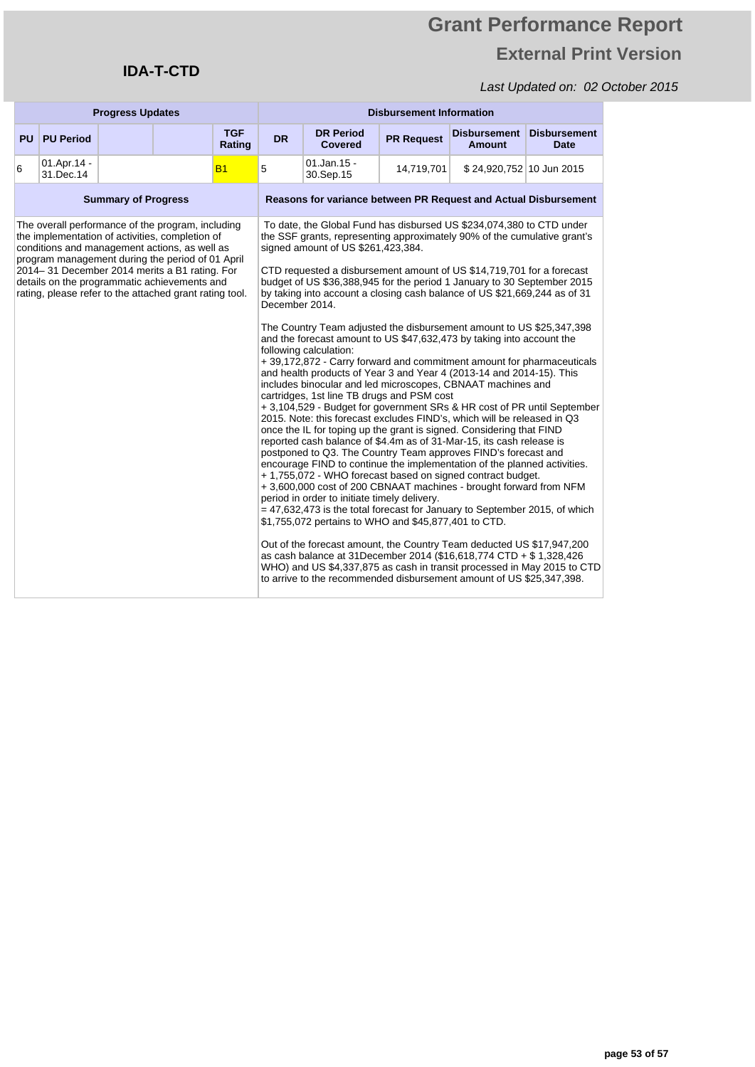### Last Updated on: 02 October 2015

| <b>Progress Updates</b>                                                                                                                                                                                                                                                                                                                                               |                          |                | <b>Disbursement Information</b>                                                                                                                                                                                                                                                                                                                                                                                                                                                                                                                                                                                                                                                                                                                                                                                                                                                                                                                                                                                                                                                                                                                                                                                                                                                                                                                                                                                                                                                                                                                                                                                                                                                                                                                                                                                                                                                                                                                     |                      |           |                                                                        |                   |                               |                             |
|-----------------------------------------------------------------------------------------------------------------------------------------------------------------------------------------------------------------------------------------------------------------------------------------------------------------------------------------------------------------------|--------------------------|----------------|-----------------------------------------------------------------------------------------------------------------------------------------------------------------------------------------------------------------------------------------------------------------------------------------------------------------------------------------------------------------------------------------------------------------------------------------------------------------------------------------------------------------------------------------------------------------------------------------------------------------------------------------------------------------------------------------------------------------------------------------------------------------------------------------------------------------------------------------------------------------------------------------------------------------------------------------------------------------------------------------------------------------------------------------------------------------------------------------------------------------------------------------------------------------------------------------------------------------------------------------------------------------------------------------------------------------------------------------------------------------------------------------------------------------------------------------------------------------------------------------------------------------------------------------------------------------------------------------------------------------------------------------------------------------------------------------------------------------------------------------------------------------------------------------------------------------------------------------------------------------------------------------------------------------------------------------------------|----------------------|-----------|------------------------------------------------------------------------|-------------------|-------------------------------|-----------------------------|
| <b>PU</b>                                                                                                                                                                                                                                                                                                                                                             | <b>PU Period</b>         |                |                                                                                                                                                                                                                                                                                                                                                                                                                                                                                                                                                                                                                                                                                                                                                                                                                                                                                                                                                                                                                                                                                                                                                                                                                                                                                                                                                                                                                                                                                                                                                                                                                                                                                                                                                                                                                                                                                                                                                     | <b>TGF</b><br>Rating | <b>DR</b> | <b>DR Period</b><br>Covered                                            | <b>PR Request</b> | <b>Disbursement</b><br>Amount | <b>Disbursement</b><br>Date |
| 6                                                                                                                                                                                                                                                                                                                                                                     | 01.Apr.14 -<br>31.Dec.14 |                |                                                                                                                                                                                                                                                                                                                                                                                                                                                                                                                                                                                                                                                                                                                                                                                                                                                                                                                                                                                                                                                                                                                                                                                                                                                                                                                                                                                                                                                                                                                                                                                                                                                                                                                                                                                                                                                                                                                                                     | <b>B1</b>            | 5         | $01$ .Jan.15 -<br>30.Sep.15                                            | 14,719,701        | \$24,920,752 10 Jun 2015      |                             |
| <b>Summary of Progress</b>                                                                                                                                                                                                                                                                                                                                            |                          |                |                                                                                                                                                                                                                                                                                                                                                                                                                                                                                                                                                                                                                                                                                                                                                                                                                                                                                                                                                                                                                                                                                                                                                                                                                                                                                                                                                                                                                                                                                                                                                                                                                                                                                                                                                                                                                                                                                                                                                     |                      |           | <b>Reasons for variance between PR Request and Actual Disbursement</b> |                   |                               |                             |
| The overall performance of the program, including<br>the implementation of activities, completion of<br>conditions and management actions, as well as<br>program management during the period of 01 April<br>2014–31 December 2014 merits a B1 rating. For<br>details on the programmatic achievements and<br>rating, please refer to the attached grant rating tool. |                          | December 2014. | To date, the Global Fund has disbursed US \$234,074,380 to CTD under<br>the SSF grants, representing approximately 90% of the cumulative grant's<br>signed amount of US \$261,423,384.<br>CTD requested a disbursement amount of US \$14,719,701 for a forecast<br>budget of US \$36,388,945 for the period 1 January to 30 September 2015<br>by taking into account a closing cash balance of US \$21,669,244 as of 31<br>The Country Team adjusted the disbursement amount to US \$25,347,398<br>and the forecast amount to US \$47,632,473 by taking into account the<br>following calculation:<br>+ 39,172,872 - Carry forward and commitment amount for pharmaceuticals<br>and health products of Year 3 and Year 4 (2013-14 and 2014-15). This<br>includes binocular and led microscopes, CBNAAT machines and<br>cartridges, 1st line TB drugs and PSM cost<br>+3,104,529 - Budget for government SRs & HR cost of PR until September<br>2015. Note: this forecast excludes FIND's, which will be released in Q3<br>once the IL for toping up the grant is signed. Considering that FIND<br>reported cash balance of \$4.4m as of 31-Mar-15, its cash release is<br>postponed to Q3. The Country Team approves FIND's forecast and<br>encourage FIND to continue the implementation of the planned activities.<br>+1,755,072 - WHO forecast based on signed contract budget.<br>+3,600,000 cost of 200 CBNAAT machines - brought forward from NFM<br>period in order to initiate timely delivery.<br>$=$ 47,632,473 is the total forecast for January to September 2015, of which<br>\$1,755,072 pertains to WHO and \$45,877,401 to CTD.<br>Out of the forecast amount, the Country Team deducted US \$17,947,200<br>as cash balance at 31 December 2014 (\$16,618,774 CTD + \$1,328,426)<br>WHO) and US \$4,337,875 as cash in transit processed in May 2015 to CTD<br>to arrive to the recommended disbursement amount of US \$25,347,398. |                      |           |                                                                        |                   |                               |                             |

**IDA-T-CTD**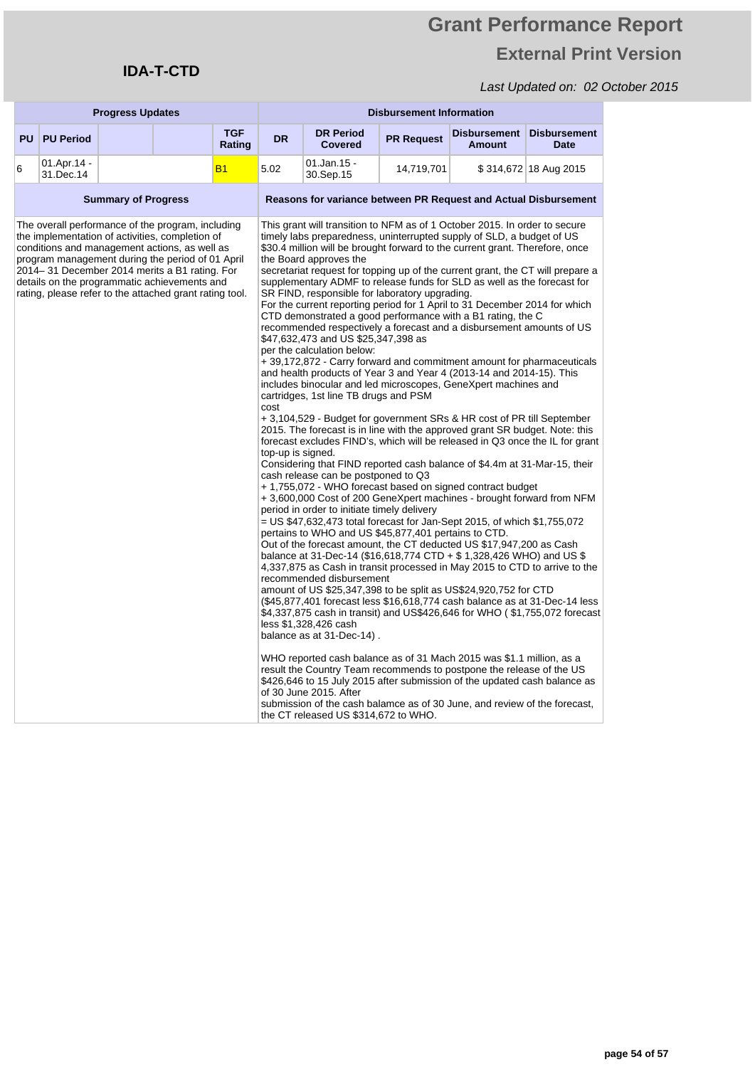## **Grant Performance Report External Print Version**

| <b>Progress Updates</b>                                                                                                                                                                                                                                                                                                                                               |                          |                           | <b>Disbursement Information</b>                                                                                                                                                                                                                                                                                                                                                                                                                                                                                                                                                                                                                                                                                                                                                                                                                                                                                                                                                                                                                                                                                                                                                                                                                                                                                                                                                                                                                                                                                                                                                                                                                                                                                                                                                                                                                                                                                                                                                                                                                                                                                                                                                                                                                                                                                                                                                                                                                                                                                                                                                                                                                     |                                                                 |                                    |                   |                               |                                    |
|-----------------------------------------------------------------------------------------------------------------------------------------------------------------------------------------------------------------------------------------------------------------------------------------------------------------------------------------------------------------------|--------------------------|---------------------------|-----------------------------------------------------------------------------------------------------------------------------------------------------------------------------------------------------------------------------------------------------------------------------------------------------------------------------------------------------------------------------------------------------------------------------------------------------------------------------------------------------------------------------------------------------------------------------------------------------------------------------------------------------------------------------------------------------------------------------------------------------------------------------------------------------------------------------------------------------------------------------------------------------------------------------------------------------------------------------------------------------------------------------------------------------------------------------------------------------------------------------------------------------------------------------------------------------------------------------------------------------------------------------------------------------------------------------------------------------------------------------------------------------------------------------------------------------------------------------------------------------------------------------------------------------------------------------------------------------------------------------------------------------------------------------------------------------------------------------------------------------------------------------------------------------------------------------------------------------------------------------------------------------------------------------------------------------------------------------------------------------------------------------------------------------------------------------------------------------------------------------------------------------------------------------------------------------------------------------------------------------------------------------------------------------------------------------------------------------------------------------------------------------------------------------------------------------------------------------------------------------------------------------------------------------------------------------------------------------------------------------------------------------|-----------------------------------------------------------------|------------------------------------|-------------------|-------------------------------|------------------------------------|
| <b>PU</b>                                                                                                                                                                                                                                                                                                                                                             | <b>PU Period</b>         |                           | <b>TGF</b><br>Rating                                                                                                                                                                                                                                                                                                                                                                                                                                                                                                                                                                                                                                                                                                                                                                                                                                                                                                                                                                                                                                                                                                                                                                                                                                                                                                                                                                                                                                                                                                                                                                                                                                                                                                                                                                                                                                                                                                                                                                                                                                                                                                                                                                                                                                                                                                                                                                                                                                                                                                                                                                                                                                | <b>DR</b>                                                       | <b>DR Period</b><br><b>Covered</b> | <b>PR Request</b> | <b>Disbursement</b><br>Amount | <b>Disbursement</b><br><b>Date</b> |
| 6                                                                                                                                                                                                                                                                                                                                                                     | 01.Apr.14 -<br>31.Dec.14 |                           | <b>B1</b>                                                                                                                                                                                                                                                                                                                                                                                                                                                                                                                                                                                                                                                                                                                                                                                                                                                                                                                                                                                                                                                                                                                                                                                                                                                                                                                                                                                                                                                                                                                                                                                                                                                                                                                                                                                                                                                                                                                                                                                                                                                                                                                                                                                                                                                                                                                                                                                                                                                                                                                                                                                                                                           | 5.02                                                            | 01.Jan.15 -<br>30.Sep.15           | 14,719,701        |                               | \$314,672 18 Aug 2015              |
| <b>Summary of Progress</b>                                                                                                                                                                                                                                                                                                                                            |                          |                           |                                                                                                                                                                                                                                                                                                                                                                                                                                                                                                                                                                                                                                                                                                                                                                                                                                                                                                                                                                                                                                                                                                                                                                                                                                                                                                                                                                                                                                                                                                                                                                                                                                                                                                                                                                                                                                                                                                                                                                                                                                                                                                                                                                                                                                                                                                                                                                                                                                                                                                                                                                                                                                                     | Reasons for variance between PR Request and Actual Disbursement |                                    |                   |                               |                                    |
| The overall performance of the program, including<br>the implementation of activities, completion of<br>conditions and management actions, as well as<br>program management during the period of 01 April<br>2014–31 December 2014 merits a B1 rating. For<br>details on the programmatic achievements and<br>rating, please refer to the attached grant rating tool. |                          | cost<br>top-up is signed. | This grant will transition to NFM as of 1 October 2015. In order to secure<br>timely labs preparedness, uninterrupted supply of SLD, a budget of US<br>\$30.4 million will be brought forward to the current grant. Therefore, once<br>the Board approves the<br>secretariat request for topping up of the current grant, the CT will prepare a<br>supplementary ADMF to release funds for SLD as well as the forecast for<br>SR FIND, responsible for laboratory upgrading.<br>For the current reporting period for 1 April to 31 December 2014 for which<br>CTD demonstrated a good performance with a B1 rating, the C<br>recommended respectively a forecast and a disbursement amounts of US<br>\$47,632,473 and US \$25,347,398 as<br>per the calculation below:<br>+ 39,172,872 - Carry forward and commitment amount for pharmaceuticals<br>and health products of Year 3 and Year 4 (2013-14 and 2014-15). This<br>includes binocular and led microscopes, GeneXpert machines and<br>cartridges, 1st line TB drugs and PSM<br>+ 3,104,529 - Budget for government SRs & HR cost of PR till September<br>2015. The forecast is in line with the approved grant SR budget. Note: this<br>forecast excludes FIND's, which will be released in Q3 once the IL for grant<br>Considering that FIND reported cash balance of \$4.4m at 31-Mar-15, their<br>cash release can be postponed to Q3<br>+1,755,072 - WHO forecast based on signed contract budget<br>+ 3,600,000 Cost of 200 GeneXpert machines - brought forward from NFM<br>period in order to initiate timely delivery<br>= US \$47,632,473 total forecast for Jan-Sept 2015, of which \$1,755,072<br>pertains to WHO and US \$45,877,401 pertains to CTD.<br>Out of the forecast amount, the CT deducted US \$17,947,200 as Cash<br>balance at 31-Dec-14 (\$16,618,774 CTD + \$1,328,426 WHO) and US \$<br>4,337,875 as Cash in transit processed in May 2015 to CTD to arrive to the<br>recommended disbursement<br>amount of US \$25,347,398 to be split as US\$24,920,752 for CTD<br>(\$45,877,401 forecast less \$16,618,774 cash balance as at 31-Dec-14 less<br>\$4,337,875 cash in transit) and US\$426,646 for WHO ( \$1,755,072 forecast<br>less \$1,328,426 cash<br>balance as at 31-Dec-14).<br>WHO reported cash balance as of 31 Mach 2015 was \$1.1 million, as a<br>result the Country Team recommends to postpone the release of the US<br>\$426,646 to 15 July 2015 after submission of the updated cash balance as<br>of 30 June 2015. After<br>submission of the cash balamce as of 30 June, and review of the forecast,<br>the CT released US \$314,672 to WHO. |                                                                 |                                    |                   |                               |                                    |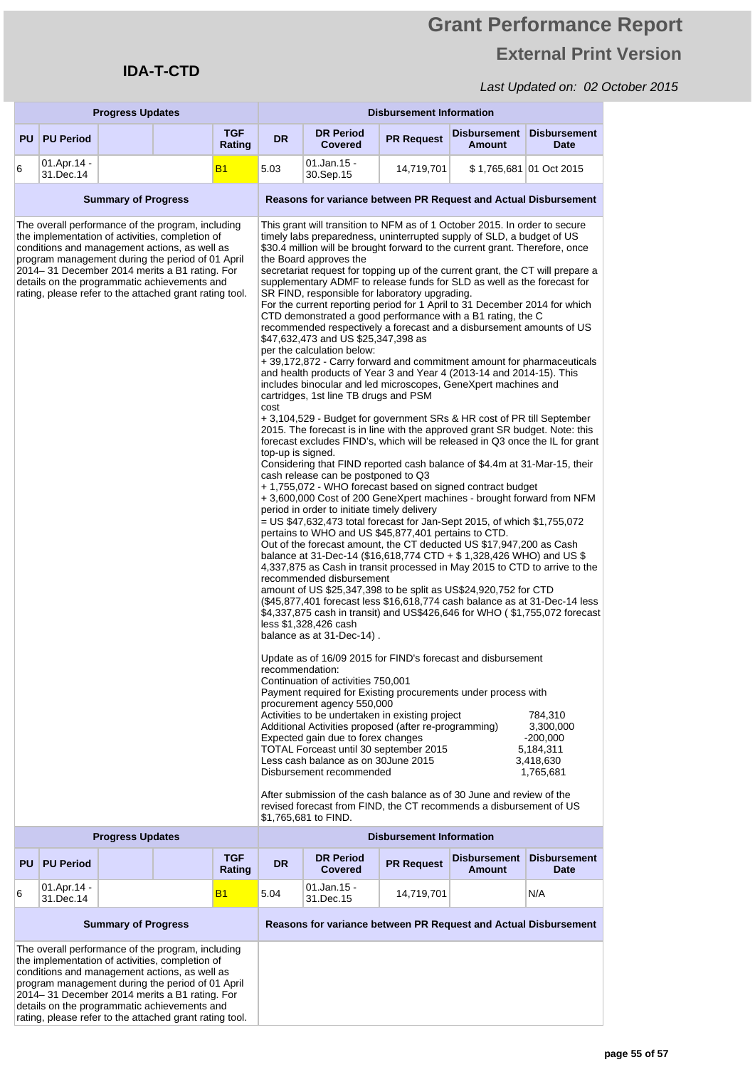the implementation of activities, completion of conditions and management actions, as well as program management during the period of 01 April 2014– 31 December 2014 merits a B1 rating. For details on the programmatic achievements and rating, please refer to the attached grant rating tool.

## **Grant Performance Report External Print Version**

|                                                                                 | <b>Progress Updates</b>            |                            |                                                                                                                                                                                                                                                                                                                                                                       |                                                                 | <b>Disbursement Information</b>                                 |                                                                                                                                                                                                                                                                                                                                                                                                                                                                                                                                                                                                                                                                                                                                                                                                                                                                                                                                                                                                                                                                                                                                                                                                                                                                                                                                                                                                                                                                                                                                                                                                                                                                                                                                                                                                                                                                                                                                                                                                                                                                                                                                                                                                                                                                                                                                                                                                                                                                                                                                                                                                                                                                                                                                                                                                                                                                                                                   |                                 |                                      |                                                                           |  |
|---------------------------------------------------------------------------------|------------------------------------|----------------------------|-----------------------------------------------------------------------------------------------------------------------------------------------------------------------------------------------------------------------------------------------------------------------------------------------------------------------------------------------------------------------|-----------------------------------------------------------------|-----------------------------------------------------------------|-------------------------------------------------------------------------------------------------------------------------------------------------------------------------------------------------------------------------------------------------------------------------------------------------------------------------------------------------------------------------------------------------------------------------------------------------------------------------------------------------------------------------------------------------------------------------------------------------------------------------------------------------------------------------------------------------------------------------------------------------------------------------------------------------------------------------------------------------------------------------------------------------------------------------------------------------------------------------------------------------------------------------------------------------------------------------------------------------------------------------------------------------------------------------------------------------------------------------------------------------------------------------------------------------------------------------------------------------------------------------------------------------------------------------------------------------------------------------------------------------------------------------------------------------------------------------------------------------------------------------------------------------------------------------------------------------------------------------------------------------------------------------------------------------------------------------------------------------------------------------------------------------------------------------------------------------------------------------------------------------------------------------------------------------------------------------------------------------------------------------------------------------------------------------------------------------------------------------------------------------------------------------------------------------------------------------------------------------------------------------------------------------------------------------------------------------------------------------------------------------------------------------------------------------------------------------------------------------------------------------------------------------------------------------------------------------------------------------------------------------------------------------------------------------------------------------------------------------------------------------------------------------------------------|---------------------------------|--------------------------------------|---------------------------------------------------------------------------|--|
| <b>PU</b>                                                                       | <b>PU Period</b>                   |                            |                                                                                                                                                                                                                                                                                                                                                                       | TGF<br>Rating                                                   | <b>DR</b>                                                       | <b>DR Period</b><br><b>Covered</b>                                                                                                                                                                                                                                                                                                                                                                                                                                                                                                                                                                                                                                                                                                                                                                                                                                                                                                                                                                                                                                                                                                                                                                                                                                                                                                                                                                                                                                                                                                                                                                                                                                                                                                                                                                                                                                                                                                                                                                                                                                                                                                                                                                                                                                                                                                                                                                                                                                                                                                                                                                                                                                                                                                                                                                                                                                                                                | <b>PR Request</b>               | <b>Disbursement</b><br><b>Amount</b> | <b>Disbursement</b><br><b>Date</b>                                        |  |
| 6                                                                               | 01.Apr.14 -<br>31.Dec.14           |                            |                                                                                                                                                                                                                                                                                                                                                                       | <b>B1</b>                                                       | 5.03                                                            | 01.Jan.15 -<br>30.Sep.15                                                                                                                                                                                                                                                                                                                                                                                                                                                                                                                                                                                                                                                                                                                                                                                                                                                                                                                                                                                                                                                                                                                                                                                                                                                                                                                                                                                                                                                                                                                                                                                                                                                                                                                                                                                                                                                                                                                                                                                                                                                                                                                                                                                                                                                                                                                                                                                                                                                                                                                                                                                                                                                                                                                                                                                                                                                                                          | 14,719,701                      |                                      | \$1,765,681 01 Oct 2015                                                   |  |
|                                                                                 |                                    | <b>Summary of Progress</b> |                                                                                                                                                                                                                                                                                                                                                                       |                                                                 | Reasons for variance between PR Request and Actual Disbursement |                                                                                                                                                                                                                                                                                                                                                                                                                                                                                                                                                                                                                                                                                                                                                                                                                                                                                                                                                                                                                                                                                                                                                                                                                                                                                                                                                                                                                                                                                                                                                                                                                                                                                                                                                                                                                                                                                                                                                                                                                                                                                                                                                                                                                                                                                                                                                                                                                                                                                                                                                                                                                                                                                                                                                                                                                                                                                                                   |                                 |                                      |                                                                           |  |
|                                                                                 |                                    |                            | The overall performance of the program, including<br>the implementation of activities, completion of<br>conditions and management actions, as well as<br>program management during the period of 01 April<br>2014–31 December 2014 merits a B1 rating. For<br>details on the programmatic achievements and<br>rating, please refer to the attached grant rating tool. |                                                                 | cost<br>top-up is signed.<br>recommendation:                    | This grant will transition to NFM as of 1 October 2015. In order to secure<br>timely labs preparedness, uninterrupted supply of SLD, a budget of US<br>\$30.4 million will be brought forward to the current grant. Therefore, once<br>the Board approves the<br>secretariat request for topping up of the current grant, the CT will prepare a<br>supplementary ADMF to release funds for SLD as well as the forecast for<br>SR FIND, responsible for laboratory upgrading.<br>For the current reporting period for 1 April to 31 December 2014 for which<br>CTD demonstrated a good performance with a B1 rating, the C<br>recommended respectively a forecast and a disbursement amounts of US<br>\$47,632,473 and US \$25,347,398 as<br>per the calculation below:<br>+ 39,172,872 - Carry forward and commitment amount for pharmaceuticals<br>and health products of Year 3 and Year 4 (2013-14 and 2014-15). This<br>includes binocular and led microscopes, GeneXpert machines and<br>cartridges, 1st line TB drugs and PSM<br>+ 3,104,529 - Budget for government SRs & HR cost of PR till September<br>2015. The forecast is in line with the approved grant SR budget. Note: this<br>forecast excludes FIND's, which will be released in Q3 once the IL for grant<br>Considering that FIND reported cash balance of \$4.4m at 31-Mar-15, their<br>cash release can be postponed to Q3<br>+ 1,755,072 - WHO forecast based on signed contract budget<br>+3,600,000 Cost of 200 GeneXpert machines - brought forward from NFM<br>period in order to initiate timely delivery<br>= US \$47,632,473 total forecast for Jan-Sept 2015, of which \$1,755,072<br>pertains to WHO and US \$45,877,401 pertains to CTD.<br>Out of the forecast amount, the CT deducted US \$17,947,200 as Cash<br>balance at 31-Dec-14 (\$16,618,774 CTD + \$1,328,426 WHO) and US \$<br>4,337,875 as Cash in transit processed in May 2015 to CTD to arrive to the<br>recommended disbursement<br>amount of US \$25,347,398 to be split as US\$24,920,752 for CTD<br>(\$45,877,401 forecast less \$16,618,774 cash balance as at 31-Dec-14 less<br>\$4,337,875 cash in transit) and US\$426,646 for WHO (\$1,755,072 forecast<br>less \$1,328,426 cash<br>balance as at 31-Dec-14).<br>Update as of 16/09 2015 for FIND's forecast and disbursement<br>Continuation of activities 750,001<br>Payment required for Existing procurements under process with<br>procurement agency 550,000<br>Activities to be undertaken in existing project<br>Additional Activities proposed (after re-programming)<br>Expected gain due to forex changes<br>TOTAL Forceast until 30 september 2015<br>Less cash balance as on 30 June 2015<br>Disbursement recommended<br>After submission of the cash balance as of 30 June and review of the<br>revised forecast from FIND, the CT recommends a disbursement of US<br>\$1,765,681 to FIND. |                                 |                                      | 784,310<br>3,300,000<br>$-200,000$<br>5,184,311<br>3,418,630<br>1,765,681 |  |
|                                                                                 |                                    | <b>Progress Updates</b>    |                                                                                                                                                                                                                                                                                                                                                                       | <b>TGF</b>                                                      |                                                                 | <b>DR Period</b>                                                                                                                                                                                                                                                                                                                                                                                                                                                                                                                                                                                                                                                                                                                                                                                                                                                                                                                                                                                                                                                                                                                                                                                                                                                                                                                                                                                                                                                                                                                                                                                                                                                                                                                                                                                                                                                                                                                                                                                                                                                                                                                                                                                                                                                                                                                                                                                                                                                                                                                                                                                                                                                                                                                                                                                                                                                                                                  | <b>Disbursement Information</b> | Disbursement                         | <b>Disbursement</b>                                                       |  |
|                                                                                 | <b>PU PU Period</b><br>01.Apr.14 - |                            |                                                                                                                                                                                                                                                                                                                                                                       | Rating                                                          | DR.                                                             | <b>Covered</b><br>01.Jan.15 -                                                                                                                                                                                                                                                                                                                                                                                                                                                                                                                                                                                                                                                                                                                                                                                                                                                                                                                                                                                                                                                                                                                                                                                                                                                                                                                                                                                                                                                                                                                                                                                                                                                                                                                                                                                                                                                                                                                                                                                                                                                                                                                                                                                                                                                                                                                                                                                                                                                                                                                                                                                                                                                                                                                                                                                                                                                                                     | <b>PR Request</b>               | Amount                               | <b>Date</b>                                                               |  |
| 6                                                                               | 31.Dec.14                          |                            |                                                                                                                                                                                                                                                                                                                                                                       | <b>B1</b>                                                       | 5.04<br>N/A<br>14,719,701<br>31.Dec.15                          |                                                                                                                                                                                                                                                                                                                                                                                                                                                                                                                                                                                                                                                                                                                                                                                                                                                                                                                                                                                                                                                                                                                                                                                                                                                                                                                                                                                                                                                                                                                                                                                                                                                                                                                                                                                                                                                                                                                                                                                                                                                                                                                                                                                                                                                                                                                                                                                                                                                                                                                                                                                                                                                                                                                                                                                                                                                                                                                   |                                 |                                      |                                                                           |  |
| <b>Summary of Progress</b><br>The overall performance of the program, including |                                    |                            |                                                                                                                                                                                                                                                                                                                                                                       | Reasons for variance between PR Request and Actual Disbursement |                                                                 |                                                                                                                                                                                                                                                                                                                                                                                                                                                                                                                                                                                                                                                                                                                                                                                                                                                                                                                                                                                                                                                                                                                                                                                                                                                                                                                                                                                                                                                                                                                                                                                                                                                                                                                                                                                                                                                                                                                                                                                                                                                                                                                                                                                                                                                                                                                                                                                                                                                                                                                                                                                                                                                                                                                                                                                                                                                                                                                   |                                 |                                      |                                                                           |  |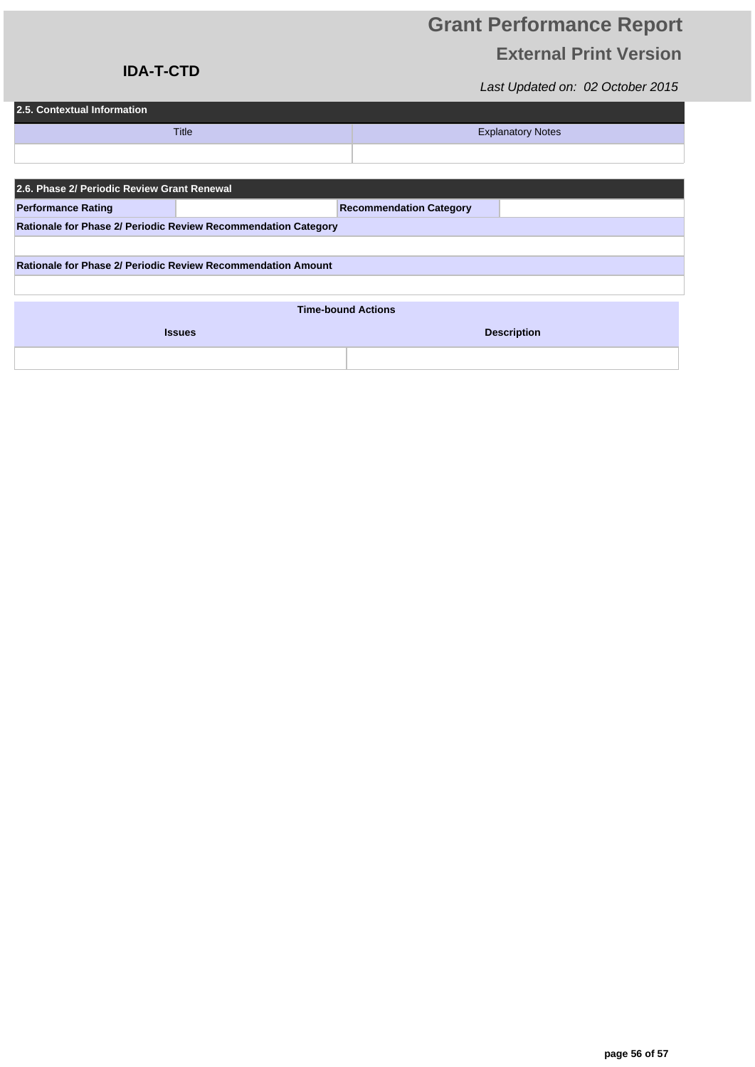### **IDA-T-CTD**

| 2.5. Contextual Information |                          |  |  |  |  |  |
|-----------------------------|--------------------------|--|--|--|--|--|
| <b>Title</b>                | <b>Explanatory Notes</b> |  |  |  |  |  |
|                             |                          |  |  |  |  |  |

| 2.6. Phase 2/ Periodic Review Grant Renewal                    |  |                                |  |  |  |
|----------------------------------------------------------------|--|--------------------------------|--|--|--|
| <b>Performance Rating</b>                                      |  | <b>Recommendation Category</b> |  |  |  |
| Rationale for Phase 2/ Periodic Review Recommendation Category |  |                                |  |  |  |
|                                                                |  |                                |  |  |  |
| Rationale for Phase 2/ Periodic Review Recommendation Amount   |  |                                |  |  |  |
|                                                                |  |                                |  |  |  |

| <b>Time-bound Actions</b> |                    |  |  |
|---------------------------|--------------------|--|--|
| <b>Issues</b>             | <b>Description</b> |  |  |
|                           |                    |  |  |